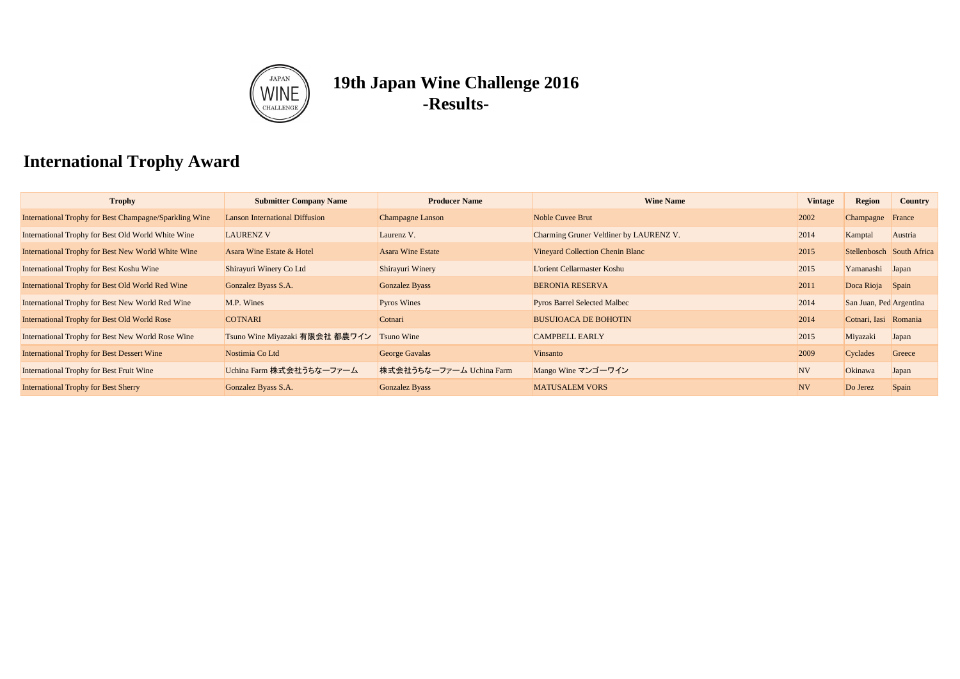| <b>Trophy</b>                                          | <b>Submitter Company Name</b>         | <b>Producer Name</b>     | <b>Wine Name</b>                        | <b>Vintage</b> | <b>Region</b>             | <b>Country</b> |
|--------------------------------------------------------|---------------------------------------|--------------------------|-----------------------------------------|----------------|---------------------------|----------------|
| International Trophy for Best Champagne/Sparkling Wine | <b>Lanson International Diffusion</b> | <b>Champagne Lanson</b>  | <b>Noble Cuvee Brut</b>                 | 2002           | Champagne France          |                |
| International Trophy for Best Old World White Wine     | <b>LAURENZ V</b>                      | Laurenz V.               | Charming Gruner Veltliner by LAURENZ V. | 2014           | Kamptal                   | Austria        |
| International Trophy for Best New World White Wine     | Asara Wine Estate & Hotel             | <b>Asara Wine Estate</b> | <b>Vineyard Collection Chenin Blanc</b> | 2015           | Stellenbosch South Africa |                |
| International Trophy for Best Koshu Wine               | Shirayuri Winery Co Ltd               | Shirayuri Winery         | <b>L'orient Cellarmaster Koshu</b>      | 2015           | Yamanashi Japan           |                |
| International Trophy for Best Old World Red Wine       | Gonzalez Byass S.A.                   | Gonzalez Byass           | <b>BERONIA RESERVA</b>                  | 2011           | Doca Rioja Spain          |                |
| International Trophy for Best New World Red Wine       | M.P. Wines                            | <b>Pyros Wines</b>       | <b>Pyros Barrel Selected Malbec</b>     | 2014           | San Juan, Ped Argentina   |                |
| International Trophy for Best Old World Rose           | <b>COTNARI</b>                        | Cotnari                  | <b>BUSUIOACA DE BOHOTIN</b>             | 2014           | Cotnari, Iasi Romania     |                |
| International Trophy for Best New World Rose Wine      | Tsuno Wine Miyazaki 有限会社 都農ワイン        | <b>Tsuno Wine</b>        | <b>CAMPBELL EARLY</b>                   | 2015           | Miyazaki                  | Japan          |
| <b>International Trophy for Best Dessert Wine</b>      | Nostimia Co Ltd                       | <b>George Gavalas</b>    | Vinsanto                                | 2009           | Cyclades                  | Greece         |
| <b>International Trophy for Best Fruit Wine</b>        | Uchina Farm 株式会社うちなーファーム              | 株式会社うちなーファーム Uchina Farm | Mango Wine マンゴーワイン                      | <b>NV</b>      | Okinawa                   | Japan          |
| <b>International Trophy for Best Sherry</b>            | Gonzalez Byass S.A.                   | <b>Gonzalez Byass</b>    | <b>MATUSALEM VORS</b>                   | <b>NV</b>      | Do Jerez                  | Spain          |

# **International Trophy Award**



# **19th Japan Wine Challenge 2016 -Results-**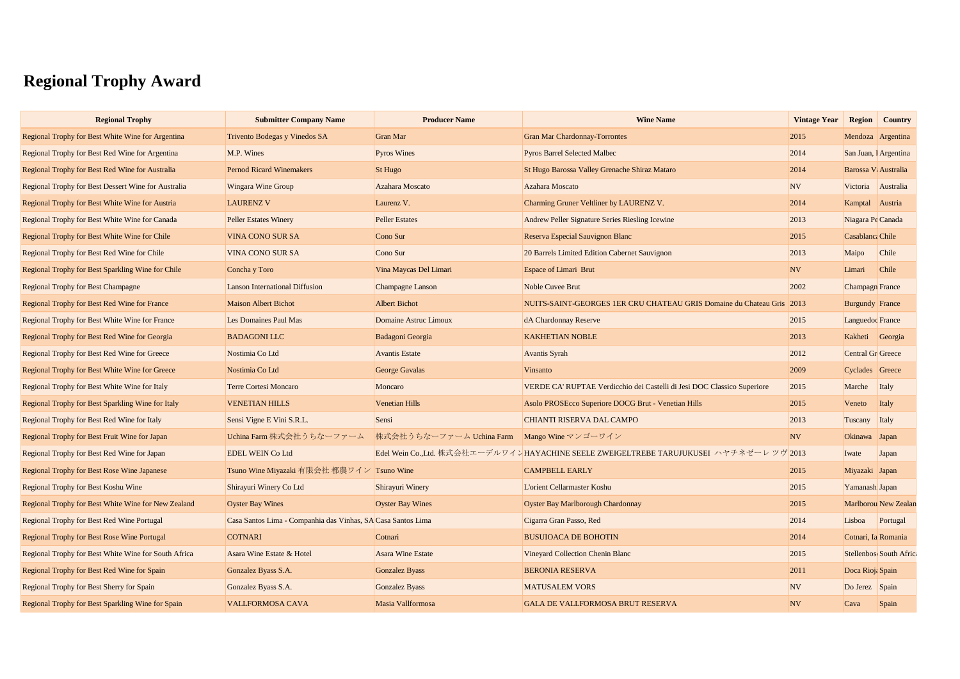# **Regional Trophy Award**

| <b>Regional Trophy</b>                               | <b>Submitter Company Name</b>                                | <b>Producer Name</b>                        | <b>Wine Name</b>                                                                      | <b>Vintage Year</b> |                        | <b>Region Country</b>  |
|------------------------------------------------------|--------------------------------------------------------------|---------------------------------------------|---------------------------------------------------------------------------------------|---------------------|------------------------|------------------------|
| Regional Trophy for Best White Wine for Argentina    | Trivento Bodegas y Vinedos SA                                | <b>Gran Mar</b>                             | <b>Gran Mar Chardonnay-Torrontes</b>                                                  | 2015                |                        | Mendoza Argentina      |
| Regional Trophy for Best Red Wine for Argentina      | M.P. Wines                                                   | <b>Pyros Wines</b>                          | <b>Pyros Barrel Selected Malbec</b>                                                   | 2014                |                        | San Juan, I Argentina  |
| Regional Trophy for Best Red Wine for Australia      | <b>Pernod Ricard Winemakers</b>                              | St Hugo                                     | St Hugo Barossa Valley Grenache Shiraz Mataro                                         | 2014                | Barossa V: Australia   |                        |
| Regional Trophy for Best Dessert Wine for Australia  | <b>Wingara Wine Group</b>                                    | Azahara Moscato                             | Azahara Moscato                                                                       | NV                  |                        | Victoria Australia     |
| Regional Trophy for Best White Wine for Austria      | <b>LAURENZ V</b>                                             | Laurenz V.                                  | Charming Gruner Veltliner by LAURENZ V.                                               | 2014                | Kamptal Austria        |                        |
| Regional Trophy for Best White Wine for Canada       | <b>Peller Estates Winery</b>                                 | <b>Peller Estates</b>                       | Andrew Peller Signature Series Riesling Icewine                                       | 2013                | Niagara Pe Canada      |                        |
| <b>Regional Trophy for Best White Wine for Chile</b> | <b>VINA CONO SUR SA</b>                                      | Cono Sur                                    | Reserva Especial Sauvignon Blanc                                                      | 2015                | Casablanca Chile       |                        |
| Regional Trophy for Best Red Wine for Chile          | <b>VINA CONO SUR SA</b>                                      | Cono Sur                                    | 20 Barrels Limited Edition Cabernet Sauvignon                                         | 2013                | Maipo                  | Chile                  |
| Regional Trophy for Best Sparkling Wine for Chile    | Concha y Toro                                                | Vina Maycas Del Limari                      | <b>Espace of Limari Brut</b>                                                          | <b>NV</b>           | Limari                 | Chile                  |
| <b>Regional Trophy for Best Champagne</b>            | <b>Lanson International Diffusion</b>                        | <b>Champagne Lanson</b>                     | Noble Cuvee Brut                                                                      | 2002                | <b>Champagn</b> France |                        |
| <b>Regional Trophy for Best Red Wine for France</b>  | <b>Maison Albert Bichot</b>                                  | <b>Albert Bichot</b>                        | NUITS-SAINT-GEORGES 1ER CRU CHATEAU GRIS Domaine du Chateau Gris                      | 2013                | <b>Burgundy France</b> |                        |
| Regional Trophy for Best White Wine for France       | Les Domaines Paul Mas                                        | Domaine Astruc Limoux                       | dA Chardonnay Reserve                                                                 | 2015                | Languedoc France       |                        |
| Regional Trophy for Best Red Wine for Georgia        | <b>BADAGONI LLC</b>                                          | <b>Badagoni Georgia</b>                     | <b>KAKHETIAN NOBLE</b>                                                                | 2013                | Kakheti Georgia        |                        |
| Regional Trophy for Best Red Wine for Greece         | Nostimia Co Ltd                                              | <b>Avantis Estate</b>                       | <b>Avantis Syrah</b>                                                                  | 2012                | Central Gr Greece      |                        |
| Regional Trophy for Best White Wine for Greece       | Nostimia Co Ltd                                              | <b>George Gavalas</b>                       | Vinsanto                                                                              | 2009                | Cyclades Greece        |                        |
| Regional Trophy for Best White Wine for Italy        | <b>Terre Cortesi Moncaro</b>                                 | Moncaro                                     | VERDE CA' RUPTAE Verdicchio dei Castelli di Jesi DOC Classico Superiore               | 2015                | Marche Italy           |                        |
| Regional Trophy for Best Sparkling Wine for Italy    | <b>VENETIAN HILLS</b>                                        | <b>Venetian Hills</b>                       | Asolo PROSEcco Superiore DOCG Brut - Venetian Hills                                   | 2015                | Veneto                 | Italy                  |
| <b>Regional Trophy for Best Red Wine for Italy</b>   | Sensi Vigne E Vini S.R.L.                                    | Sensi                                       | <b>CHIANTI RISERVA DAL CAMPO</b>                                                      | 2013                | Tuscany Italy          |                        |
| Regional Trophy for Best Fruit Wine for Japan        | Uchina Farm 株式会社うちなーファーム                                     | 株式会社うちなーファーム Uchina Farm Mango Wine マンゴーワイン |                                                                                       | NV                  | Okinawa Japan          |                        |
| Regional Trophy for Best Red Wine for Japan          | <b>EDEL WEIN Co Ltd</b>                                      |                                             | Edel Wein Co.,Ltd. 株式会社エーデルワインHAYACHINE SEELE ZWEIGELTREBE TARUJUKUSEI ハヤチネゼーレツヴ 2013 |                     | Iwate                  | Japan                  |
| <b>Regional Trophy for Best Rose Wine Japanese</b>   | Tsuno Wine Miyazaki 有限会社 都農ワイン Tsuno Wine                    |                                             | <b>CAMPBELL EARLY</b>                                                                 | 2015                | Miyazaki Japan         |                        |
| <b>Regional Trophy for Best Koshu Wine</b>           | Shirayuri Winery Co Ltd                                      | Shirayuri Winery                            | L'orient Cellarmaster Koshu                                                           | 2015                | Yamanash Japan         |                        |
| Regional Trophy for Best White Wine for New Zealand  | <b>Oyster Bay Wines</b>                                      | <b>Oyster Bay Wines</b>                     | <b>Oyster Bay Marlborough Chardonnay</b>                                              | 2015                |                        | Marlborou New Zealan   |
| <b>Regional Trophy for Best Red Wine Portugal</b>    | Casa Santos Lima - Companhia das Vinhas, SA Casa Santos Lima |                                             | Cigarra Gran Passo, Red                                                               | 2014                | Lisboa                 | Portugal               |
| <b>Regional Trophy for Best Rose Wine Portugal</b>   | <b>COTNARI</b>                                               | Cotnari                                     | <b>BUSUIOACA DE BOHOTIN</b>                                                           | 2014                | Cotnari, Ia Romania    |                        |
| Regional Trophy for Best White Wine for South Africa | Asara Wine Estate & Hotel                                    | <b>Asara Wine Estate</b>                    | <b>Vineyard Collection Chenin Blanc</b>                                               | 2015                |                        | Stellenbos South Afric |
| Regional Trophy for Best Red Wine for Spain          | Gonzalez Byass S.A.                                          | Gonzalez Byass                              | <b>BERONIA RESERVA</b>                                                                | 2011                | Doca Rioja Spain       |                        |
| <b>Regional Trophy for Best Sherry for Spain</b>     | Gonzalez Byass S.A.                                          | Gonzalez Byass                              | <b>MATUSALEM VORS</b>                                                                 | NV                  | Do Jerez Spain         |                        |
| Regional Trophy for Best Sparkling Wine for Spain    | <b>VALLFORMOSA CAVA</b>                                      | Masia Vallformosa                           | GALA DE VALLFORMOSA BRUT RESERVA                                                      | NV                  | $\vert$ Cava           | Spain                  |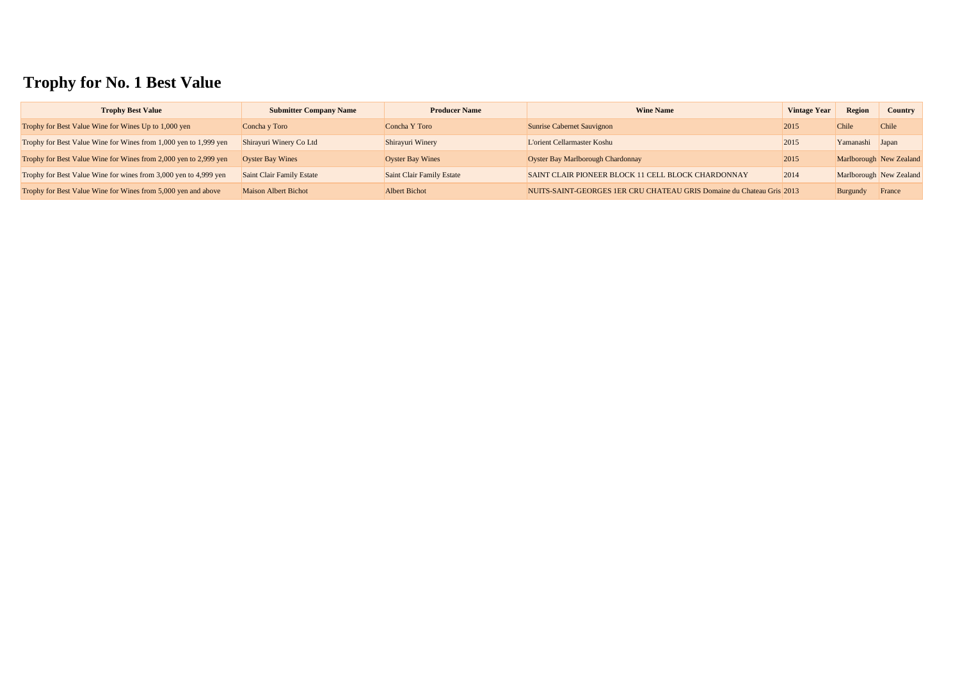# **Trophy for No. 1 Best Value**

| <b>Trophy Best Value</b>                                         | <b>Submitter Company Name</b>    | <b>Producer Name</b>             | <b>Wine Name</b>                                                      | <b>Vintage Year</b> | <b>Region</b>   | <b>Country</b>          |
|------------------------------------------------------------------|----------------------------------|----------------------------------|-----------------------------------------------------------------------|---------------------|-----------------|-------------------------|
| Trophy for Best Value Wine for Wines Up to 1,000 yen             | Concha y Toro                    | Concha Y Toro                    | <b>Sunrise Cabernet Sauvignon</b>                                     | 2015                | Chile           | <b>Chile</b>            |
| Trophy for Best Value Wine for Wines from 1,000 yen to 1,999 yen | Shirayuri Winery Co Ltd          | Shirayuri Winery                 | L'orient Cellarmaster Koshu                                           | 2015                | Yamanashi Japan |                         |
| Trophy for Best Value Wine for Wines from 2,000 yen to 2,999 yen | <b>Oyster Bay Wines</b>          | <b>Oyster Bay Wines</b>          | Oyster Bay Marlborough Chardonnay                                     | 2015                |                 | Marlborough New Zealand |
| Trophy for Best Value Wine for wines from 3,000 yen to 4,999 yen | <b>Saint Clair Family Estate</b> | <b>Saint Clair Family Estate</b> | SAINT CLAIR PIONEER BLOCK 11 CELL BLOCK CHARDONNAY                    | 2014                |                 | Marlborough New Zealand |
| Trophy for Best Value Wine for Wines from 5,000 yen and above    | <b>Maison Albert Bichot</b>      | <b>Albert Bichot</b>             | NUITS-SAINT-GEORGES 1ER CRU CHATEAU GRIS Domaine du Chateau Gris 2013 |                     | Burgundy        | France                  |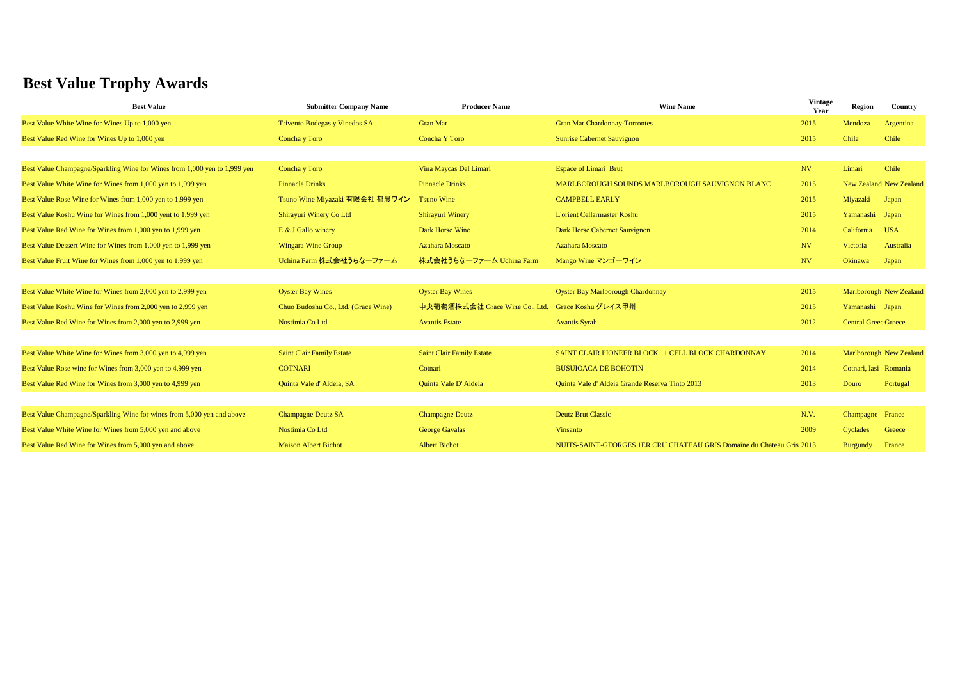| <b>Best Value</b>                                                         | <b>Submitter Company Name</b>        | <b>Producer Name</b>             | <b>Wine Name</b>                                                      | <b>Vintage</b><br>Year | <b>Region</b>               | Country                        |
|---------------------------------------------------------------------------|--------------------------------------|----------------------------------|-----------------------------------------------------------------------|------------------------|-----------------------------|--------------------------------|
| Best Value White Wine for Wines Up to 1,000 yen                           | <b>Trivento Bodegas y Vinedos SA</b> | <b>Gran Mar</b>                  | <b>Gran Mar Chardonnay-Torrontes</b>                                  | 2015                   | Mendoza                     | Argentina                      |
| Best Value Red Wine for Wines Up to 1,000 yen                             | Concha y Toro                        | <b>Concha Y Toro</b>             | <b>Sunrise Cabernet Sauvignon</b>                                     | 2015                   | Chile                       | Chile                          |
|                                                                           |                                      |                                  |                                                                       |                        |                             |                                |
| Best Value Champagne/Sparkling Wine for Wines from 1,000 yen to 1,999 yen | Concha y Toro                        | Vina Maycas Del Limari           | <b>Espace of Limari Brut</b>                                          | NV                     | Limari                      | Chile                          |
| Best Value White Wine for Wines from 1,000 yen to 1,999 yen               | <b>Pinnacle Drinks</b>               | <b>Pinnacle Drinks</b>           | MARLBOROUGH SOUNDS MARLBOROUGH SAUVIGNON BLANC                        | 2015                   |                             | New Zealand New Zealand        |
| Best Value Rose Wine for Wines from 1,000 yen to 1,999 yen                | Tsuno Wine Miyazaki 有限会社 都農ワイン       | <b>Tsuno Wine</b>                | <b>CAMPBELL EARLY</b>                                                 | 2015                   | Miyazaki                    | Japan                          |
| Best Value Koshu Wine for Wines from 1,000 yent to 1,999 yen              | Shirayuri Winery Co Ltd              | <b>Shirayuri Winery</b>          | <b>L'orient Cellarmaster Koshu</b>                                    | 2015                   | Yamanashi Japan             |                                |
| Best Value Red Wine for Wines from 1,000 yen to 1,999 yen                 | E & J Gallo winery                   | Dark Horse Wine                  | Dark Horse Cabernet Sauvignon                                         | 2014                   | California                  | <b>USA</b>                     |
| Best Value Dessert Wine for Wines from 1,000 yen to 1,999 yen             | <b>Wingara Wine Group</b>            | <b>Azahara Moscato</b>           | <b>Azahara Moscato</b>                                                | NV                     | Victoria                    | Australia                      |
| Best Value Fruit Wine for Wines from 1,000 yen to 1,999 yen               | Uchina Farm 株式会社うちなーファーム             | 株式会社うちなーファーム Uchina Farm         | Mango Wine マンゴーワイン                                                    | NV                     | Okinawa                     | Japan                          |
|                                                                           |                                      |                                  |                                                                       |                        |                             |                                |
| Best Value White Wine for Wines from 2,000 yen to 2,999 yen               | <b>Oyster Bay Wines</b>              | <b>Oyster Bay Wines</b>          | <b>Oyster Bay Marlborough Chardonnay</b>                              | 2015                   |                             | <b>Marlborough New Zealand</b> |
| Best Value Koshu Wine for Wines from 2,000 yen to 2,999 yen               | Chuo Budoshu Co., Ltd. (Grace Wine)  | 中央葡萄酒株式会社 Grace Wine Co., Ltd.   | Grace Koshu グレイス甲州                                                    | 2015                   | Yamanashi Japan             |                                |
| Best Value Red Wine for Wines from 2,000 yen to 2,999 yen                 | Nostimia Co Ltd                      | <b>Avantis Estate</b>            | <b>Avantis Syrah</b>                                                  | 2012                   | <b>Central Greec Greece</b> |                                |
|                                                                           |                                      |                                  |                                                                       |                        |                             |                                |
| Best Value White Wine for Wines from 3,000 yen to 4,999 yen               | <b>Saint Clair Family Estate</b>     | <b>Saint Clair Family Estate</b> | SAINT CLAIR PIONEER BLOCK 11 CELL BLOCK CHARDONNAY                    | 2014                   |                             | Marlborough New Zealand        |
| Best Value Rose wine for Wines from 3,000 yen to 4,999 yen                | <b>COTNARI</b>                       | Cotnari                          | <b>BUSUIOACA DE BOHOTIN</b>                                           | 2014                   | Cotnari, Iasi Romania       |                                |
| Best Value Red Wine for Wines from 3,000 yen to 4,999 yen                 | Quinta Vale d'Aldeia, SA             | Quinta Vale D'Aldeia             | Quinta Vale d'Aldeia Grande Reserva Tinto 2013                        | 2013                   | Douro                       | Portugal                       |
|                                                                           |                                      |                                  |                                                                       |                        |                             |                                |
| Best Value Champagne/Sparkling Wine for wines from 5,000 yen and above    | <b>Champagne Deutz SA</b>            | <b>Champagne Deutz</b>           | <b>Deutz Brut Classic</b>                                             | N.V.                   | Champagne France            |                                |
| Best Value White Wine for Wines from 5,000 yen and above                  | Nostimia Co Ltd                      | <b>George Gavalas</b>            | Vinsanto                                                              | 2009                   | Cyclades                    | Greece                         |
| Best Value Red Wine for Wines from 5,000 yen and above                    | <b>Maison Albert Bichot</b>          | <b>Albert Bichot</b>             | NUITS-SAINT-GEORGES 1ER CRU CHATEAU GRIS Domaine du Chateau Gris 2013 |                        | Burgundy                    | France                         |

# **Best Value Trophy Awards**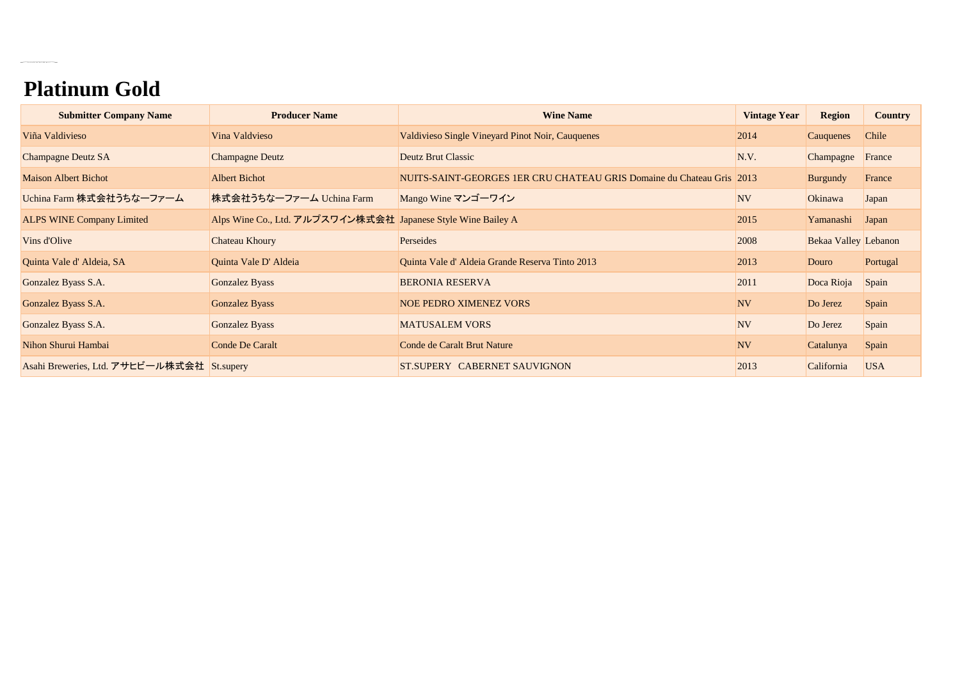# **Platinum Gold**

 $\label{eq:2.1} \mathcal{L}(\mathcal{L}^{(1)}(x)) = \mathcal{L}(\mathcal{L}^{(1)}(x)) = \mathcal{L}(\mathcal{L}^{(1)}(x)) = \mathcal{L}(\mathcal{L}^{(1)}(x))$ 

| <b>Submitter Company Name</b>              | <b>Producer Name</b>                                         | <b>Wine Name</b>                                                      | <b>Vintage Year</b> | <b>Region</b>               | <b>Country</b> |
|--------------------------------------------|--------------------------------------------------------------|-----------------------------------------------------------------------|---------------------|-----------------------------|----------------|
| Viña Valdivieso                            | Vina Valdvieso                                               | Valdivieso Single Vineyard Pinot Noir, Cauquenes                      | 2014                | Cauquenes                   | Chile          |
| <b>Champagne Deutz SA</b>                  | <b>Champagne Deutz</b>                                       | <b>Deutz Brut Classic</b>                                             | N.V.                | Champagne                   | France         |
| <b>Maison Albert Bichot</b>                | <b>Albert Bichot</b>                                         | NUITS-SAINT-GEORGES 1ER CRU CHATEAU GRIS Domaine du Chateau Gris 2013 |                     | <b>Burgundy</b>             | France         |
| Uchina Farm 株式会社うちなーファーム                   | 株式会社うちなーファーム Uchina Farm                                     | Mango Wine マンゴーワイン                                                    | <b>NV</b>           | Okinawa                     | Japan          |
| <b>ALPS WINE Company Limited</b>           | Alps Wine Co., Ltd. アルプスワイン株式会社 Japanese Style Wine Bailey A |                                                                       | 2015                | Yamanashi                   | Japan          |
| Vins d'Olive                               | Chateau Khoury                                               | Perseides                                                             | 2008                | <b>Bekaa Valley Lebanon</b> |                |
| Quinta Vale d'Aldeia, SA                   | Quinta Vale D' Aldeia                                        | Quinta Vale d'Aldeia Grande Reserva Tinto 2013                        | 2013                | Douro                       | Portugal       |
| Gonzalez Byass S.A.                        | Gonzalez Byass                                               | <b>BERONIA RESERVA</b>                                                | 2011                | Doca Rioja                  | Spain          |
| Gonzalez Byass S.A.                        | <b>Gonzalez Byass</b>                                        | <b>NOE PEDRO XIMENEZ VORS</b>                                         | <b>NV</b>           | Do Jerez                    | Spain          |
| Gonzalez Byass S.A.                        | <b>Gonzalez Byass</b>                                        | <b>MATUSALEM VORS</b>                                                 | <b>NV</b>           | Do Jerez                    | Spain          |
| Nihon Shurui Hambai                        | <b>Conde De Caralt</b>                                       | Conde de Caralt Brut Nature                                           | <b>NV</b>           | Catalunya                   | Spain          |
| Asahi Breweries, Ltd. アサヒビール株式会社 St.supery |                                                              | ST.SUPERY CABERNET SAUVIGNON                                          | 2013                | California                  | <b>USA</b>     |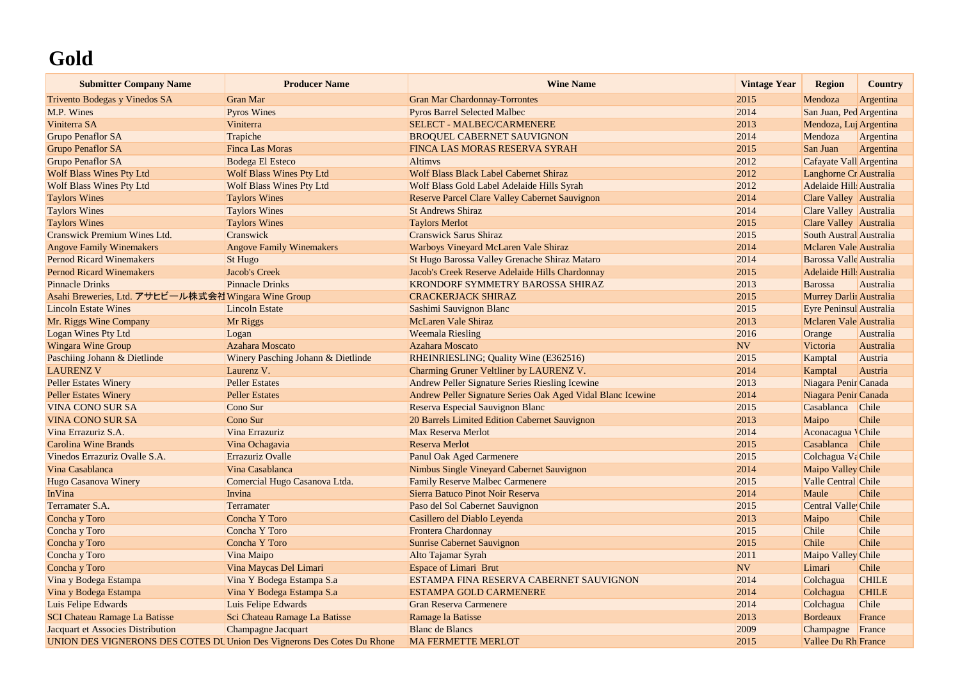# **Gold**

| <b>Submitter Company Name</b>                                           | <b>Producer Name</b>               | <b>Wine Name</b>                                            | <b>Vintage Year</b> | <b>Region</b>                  | <b>Country</b> |
|-------------------------------------------------------------------------|------------------------------------|-------------------------------------------------------------|---------------------|--------------------------------|----------------|
| Trivento Bodegas y Vinedos SA                                           | <b>Gran Mar</b>                    | <b>Gran Mar Chardonnay-Torrontes</b>                        | 2015                | Mendoza                        | Argentina      |
| M.P. Wines                                                              | <b>Pyros Wines</b>                 | <b>Pyros Barrel Selected Malbec</b>                         | 2014                | San Juan, Ped Argentina        |                |
| Viniterra SA                                                            | Viniterra                          | <b>SELECT - MALBEC/CARMENERE</b>                            | 2013                | Mendoza, Luj Argentina         |                |
| <b>Grupo Penaflor SA</b>                                                | Trapiche                           | <b>BROQUEL CABERNET SAUVIGNON</b>                           | 2014                | Mendoza                        | Argentina      |
| <b>Grupo Penaflor SA</b>                                                | <b>Finca Las Moras</b>             | FINCA LAS MORAS RESERVA SYRAH                               | 2015                | San Juan                       | Argentina      |
| <b>Grupo Penaflor SA</b>                                                | <b>Bodega El Esteco</b>            | <b>Altimys</b>                                              | 2012                | Cafayate Vall Argentina        |                |
| <b>Wolf Blass Wines Pty Ltd</b>                                         | <b>Wolf Blass Wines Pty Ltd</b>    | <b>Wolf Blass Black Label Cabernet Shiraz</b>               | 2012                | Langhorne Cr Australia         |                |
| <b>Wolf Blass Wines Pty Ltd</b>                                         | <b>Wolf Blass Wines Pty Ltd</b>    | Wolf Blass Gold Label Adelaide Hills Syrah                  | 2012                | Adelaide Hill Australia        |                |
| <b>Taylors Wines</b>                                                    | <b>Taylors Wines</b>               | <b>Reserve Parcel Clare Valley Cabernet Sauvignon</b>       | 2014                | Clare Valley Australia         |                |
| <b>Taylors Wines</b>                                                    | <b>Taylors Wines</b>               | <b>St Andrews Shiraz</b>                                    | 2014                | Clare Valley Australia         |                |
| <b>Taylors Wines</b>                                                    | <b>Taylors Wines</b>               | <b>Taylors Merlot</b>                                       | 2015                | Clare Valley Australia         |                |
| <b>Cranswick Premium Wines Ltd.</b>                                     | Cranswick                          | <b>Cranswick Sarus Shiraz</b>                               | 2015                | South Austral Australia        |                |
| <b>Angove Family Winemakers</b>                                         | <b>Angove Family Winemakers</b>    | Warboys Vineyard McLaren Vale Shiraz                        | 2014                | Mclaren Vale Australia         |                |
| <b>Pernod Ricard Winemakers</b>                                         | <b>St Hugo</b>                     | St Hugo Barossa Valley Grenache Shiraz Mataro               | 2014                | <b>Barossa Valle</b> Australia |                |
| <b>Pernod Ricard Winemakers</b>                                         | Jacob's Creek                      | Jacob's Creek Reserve Adelaide Hills Chardonnay             | 2015                | Adelaide Hill: Australia       |                |
| <b>Pinnacle Drinks</b>                                                  | <b>Pinnacle Drinks</b>             | KRONDORF SYMMETRY BAROSSA SHIRAZ                            | 2013                | <b>Barossa</b>                 | Australia      |
| Asahi Breweries, Ltd. アサヒビール株式会社Wingara Wine Group                      |                                    | <b>CRACKERJACK SHIRAZ</b>                                   | 2015                | Murrey Darlir Australia        |                |
| <b>Lincoln Estate Wines</b>                                             | <b>Lincoln Estate</b>              | Sashimi Sauvignon Blanc                                     | 2015                | Eyre Peninsul Australia        |                |
| Mr. Riggs Wine Company                                                  | Mr Riggs                           | <b>McLaren Vale Shiraz</b>                                  | 2013                | Mclaren Vale Australia         |                |
| <b>Logan Wines Pty Ltd</b>                                              | Logan                              | <b>Weemala Riesling</b>                                     | 2016                | Orange                         | Australia      |
| <b>Wingara Wine Group</b>                                               | <b>Azahara Moscato</b>             | <b>Azahara Moscato</b>                                      | <b>NV</b>           | Victoria                       | Australia      |
| Paschiing Johann & Dietlinde                                            | Winery Pasching Johann & Dietlinde | RHEINRIESLING; Quality Wine (E362516)                       | 2015                | Kamptal                        | Austria        |
| <b>LAURENZ V</b>                                                        | Laurenz V.                         | Charming Gruner Veltliner by LAURENZ V.                     | 2014                | Kamptal                        | Austria        |
| <b>Peller Estates Winery</b>                                            | <b>Peller Estates</b>              | Andrew Peller Signature Series Riesling Icewine             | 2013                | Niagara Penir Canada           |                |
| <b>Peller Estates Winery</b>                                            | <b>Peller Estates</b>              | Andrew Peller Signature Series Oak Aged Vidal Blanc Icewine | 2014                | Niagara Penir Canada           |                |
| <b>VINA CONO SUR SA</b>                                                 | Cono Sur                           | Reserva Especial Sauvignon Blanc                            | 2015                | Casablanca                     | Chile          |
| <b>VINA CONO SUR SA</b>                                                 | Cono Sur                           | 20 Barrels Limited Edition Cabernet Sauvignon               | 2013                | Maipo                          | Chile          |
| Vina Errazuriz S.A.                                                     | Vina Errazuriz                     | Max Reserva Merlot                                          | 2014                | Aconacagua VChile              |                |
| <b>Carolina Wine Brands</b>                                             | Vina Ochagavia                     | Reserva Merlot                                              | 2015                | Casablanca                     | <b>Chile</b>   |
| Vinedos Errazuriz Ovalle S.A.                                           | Errazuriz Ovalle                   | <b>Panul Oak Aged Carmenere</b>                             | 2015                | Colchagua Va Chile             |                |
| Vina Casablanca                                                         | Vina Casablanca                    | Nimbus Single Vineyard Cabernet Sauvignon                   | 2014                | Maipo Valley Chile             |                |
| Hugo Casanova Winery                                                    | Comercial Hugo Casanova Ltda.      | <b>Family Reserve Malbec Carmenere</b>                      | 2015                | Valle Central Chile            |                |
| InVina                                                                  | Invina                             | Sierra Batuco Pinot Noir Reserva                            | 2014                | Maule                          | Chile          |
| Terramater S.A.                                                         | Terramater                         | Paso del Sol Cabernet Sauvignon                             | 2015                | Central Valle Chile            |                |
| Concha y Toro                                                           | Concha Y Toro                      | Casillero del Diablo Leyenda                                | 2013                | Maipo                          | Chile          |
| Concha y Toro                                                           | Concha Y Toro                      | Frontera Chardonnay                                         | 2015                | Chile                          | Chile          |
| Concha y Toro                                                           | Concha Y Toro                      | <b>Sunrise Cabernet Sauvignon</b>                           | 2015                | Chile                          | Chile          |
| Concha y Toro                                                           | Vina Maipo                         | Alto Tajamar Syrah                                          | 2011                | Maipo Valley Chile             |                |
| Concha y Toro                                                           | Vina Maycas Del Limari             | <b>Espace of Limari Brut</b>                                | <b>NV</b>           | Limari                         | Chile          |
| Vina y Bodega Estampa                                                   | Vina Y Bodega Estampa S.a          | ESTAMPA FINA RESERVA CABERNET SAUVIGNON                     | 2014                | Colchagua                      | <b>CHILE</b>   |
| Vina y Bodega Estampa                                                   | Vina Y Bodega Estampa S.a          | <b>ESTAMPA GOLD CARMENERE</b>                               | 2014                | Colchagua                      | <b>CHILE</b>   |
| Luis Felipe Edwards                                                     | Luis Felipe Edwards                | <b>Gran Reserva Carmenere</b>                               | 2014                | Colchagua                      | Chile          |
| <b>SCI Chateau Ramage La Batisse</b>                                    | Sci Chateau Ramage La Batisse      | Ramage la Batisse                                           | 2013                | <b>Bordeaux</b>                | France         |
| Jacquart et Associes Distribution                                       | Champagne Jacquart                 | <b>Blanc de Blancs</b>                                      | 2009                | Champagne                      | France         |
| UNION DES VIGNERONS DES COTES DU Union Des Vignerons Des Cotes Du Rhone |                                    | <b>MA FERMETTE MERLOT</b>                                   | 2015                | <b>Vallee Du Rh France</b>     |                |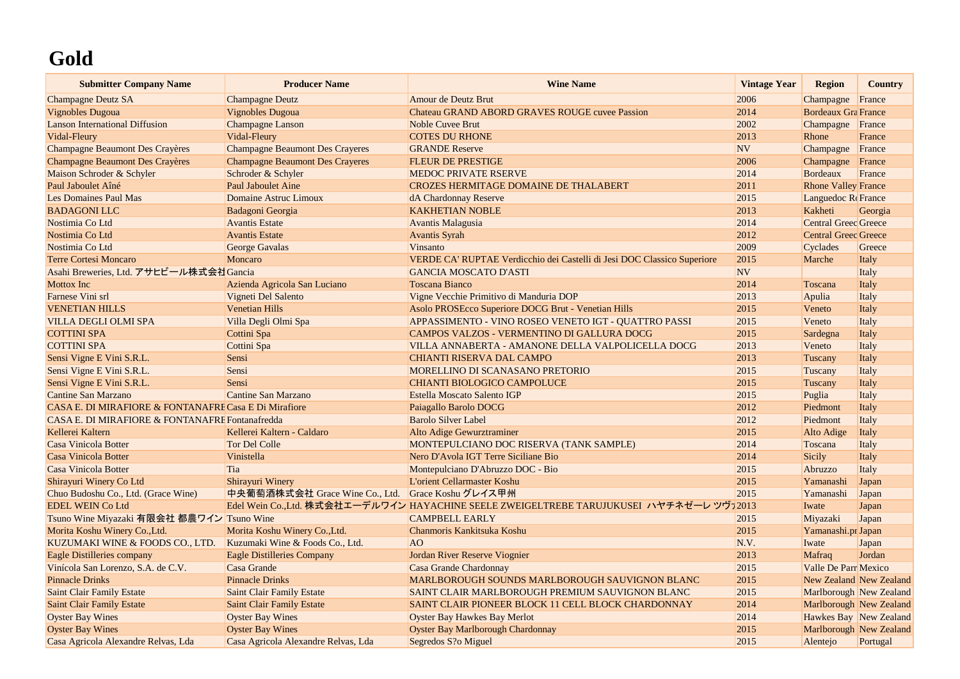## **Gold**

| <b>Submitter Company Name</b>                         | <b>Producer Name</b>                              | <b>Wine Name</b>                                                                        | <b>Vintage Year</b> | <b>Region</b>               | <b>Country</b>                 |
|-------------------------------------------------------|---------------------------------------------------|-----------------------------------------------------------------------------------------|---------------------|-----------------------------|--------------------------------|
| <b>Champagne Deutz SA</b>                             | <b>Champagne Deutz</b>                            | Amour de Deutz Brut                                                                     | 2006                | Champagne                   | France                         |
| <b>Vignobles Dugoua</b>                               | <b>Vignobles Dugoua</b>                           | <b>Chateau GRAND ABORD GRAVES ROUGE cuvee Passion</b>                                   | 2014                | <b>Bordeaux Gra France</b>  |                                |
| <b>Lanson International Diffusion</b>                 | <b>Champagne Lanson</b>                           | <b>Noble Cuvee Brut</b>                                                                 | 2002                | Champagne France            |                                |
| Vidal-Fleury                                          | Vidal-Fleury                                      | <b>COTES DU RHONE</b>                                                                   | 2013                | Rhone                       | France                         |
| <b>Champagne Beaumont Des Crayères</b>                | <b>Champagne Beaumont Des Crayeres</b>            | <b>GRANDE Reserve</b>                                                                   | <b>NV</b>           | Champagne                   | France                         |
| <b>Champagne Beaumont Des Crayères</b>                | <b>Champagne Beaumont Des Crayeres</b>            | <b>FLEUR DE PRESTIGE</b>                                                                | 2006                | Champagne                   | France                         |
| Maison Schroder & Schyler                             | Schroder & Schyler                                | <b>MEDOC PRIVATE RSERVE</b>                                                             | 2014                | <b>Bordeaux</b>             | France                         |
| Paul Jaboulet Aîné                                    | <b>Paul Jaboulet Aine</b>                         | <b>CROZES HERMITAGE DOMAINE DE THALABERT</b>                                            | 2011                | <b>Rhone Valley France</b>  |                                |
| <b>Les Domaines Paul Mas</b>                          | Domaine Astruc Limoux                             | dA Chardonnay Reserve                                                                   | 2015                | Languedoc Re France         |                                |
| <b>BADAGONI LLC</b>                                   | Badagoni Georgia                                  | <b>KAKHETIAN NOBLE</b>                                                                  | 2013                | Kakheti                     | Georgia                        |
| Nostimia Co Ltd                                       | <b>Avantis Estate</b>                             | Avantis Malagusia                                                                       | 2014                | <b>Central Greec Greece</b> |                                |
| Nostimia Co Ltd                                       | <b>Avantis Estate</b>                             | <b>Avantis Syrah</b>                                                                    | 2012                | <b>Central Greec Greece</b> |                                |
| Nostimia Co Ltd                                       | George Gavalas                                    | Vinsanto                                                                                | 2009                | Cyclades                    | Greece                         |
| <b>Terre Cortesi Moncaro</b>                          | Moncaro                                           | VERDE CA' RUPTAE Verdicchio dei Castelli di Jesi DOC Classico Superiore                 | 2015                | Marche                      | Italy                          |
| Asahi Breweries, Ltd. アサヒビール株式会社 Gancia               |                                                   | <b>GANCIA MOSCATO D'ASTI</b>                                                            | <b>NV</b>           |                             | Italy                          |
| <b>Mottox Inc</b>                                     | Azienda Agricola San Luciano                      | <b>Toscana Bianco</b>                                                                   | 2014                | Toscana                     | Italy                          |
| Farnese Vini srl                                      | Vigneti Del Salento                               | Vigne Vecchie Primitivo di Manduria DOP                                                 | 2013                | Apulia                      | Italy                          |
| <b>VENETIAN HILLS</b>                                 | <b>Venetian Hills</b>                             | Asolo PROSEcco Superiore DOCG Brut - Venetian Hills                                     | 2015                | Veneto                      | Italy                          |
| <b>VILLA DEGLI OLMI SPA</b>                           | Villa Degli Olmi Spa                              | APPASSIMENTO - VINO ROSEO VENETO IGT - QUATTRO PASSI                                    | 2015                | Veneto                      | Italy                          |
| <b>COTTINI SPA</b>                                    | Cottini Spa                                       | <b>CAMPOS VALZOS - VERMENTINO DI GALLURA DOCG</b>                                       | 2015                | Sardegna                    | Italy                          |
| <b>COTTINI SPA</b>                                    | Cottini Spa                                       | VILLA ANNABERTA - AMANONE DELLA VALPOLICELLA DOCG                                       | 2013                | Veneto                      | Italy                          |
| Sensi Vigne E Vini S.R.L.                             | Sensi                                             | <b>CHIANTI RISERVA DAL CAMPO</b>                                                        | 2013                | Tuscany                     | Italy                          |
| Sensi Vigne E Vini S.R.L.                             | Sensi                                             | MORELLINO DI SCANASANO PRETORIO                                                         | 2015                | Tuscany                     | Italy                          |
| Sensi Vigne E Vini S.R.L.                             | Sensi                                             | <b>CHIANTI BIOLOGICO CAMPOLUCE</b>                                                      | 2015                | Tuscany                     | Italy                          |
| <b>Cantine San Marzano</b>                            | <b>Cantine San Marzano</b>                        | <b>Estella Moscato Salento IGP</b>                                                      | 2015                | Puglia                      | Italy                          |
| CASA E. DI MIRAFIORE & FONTANAFRE Casa E Di Mirafiore |                                                   | Paiagallo Barolo DOCG                                                                   | 2012                | Piedmont                    | Italy                          |
| CASA E. DI MIRAFIORE & FONTANAFRE Fontanafredda       |                                                   | <b>Barolo Silver Label</b>                                                              | 2012                | Piedmont                    | Italy                          |
| Kellerei Kaltern                                      | Kellerei Kaltern - Caldaro                        | Alto Adige Gewurztraminer                                                               | 2015                | Alto Adige                  | Italy                          |
| Casa Vinicola Botter                                  | <b>Tor Del Colle</b>                              | MONTEPULCIANO DOC RISERVA (TANK SAMPLE)                                                 | 2014                | Toscana                     | Italy                          |
| <b>Casa Vinicola Botter</b>                           | Vinistella                                        | Nero D'Avola IGT Terre Siciliane Bio                                                    | 2014                | <b>Sicily</b>               | Italy                          |
| Casa Vinicola Botter                                  | Tia                                               | Montepulciano D'Abruzzo DOC - Bio                                                       | 2015                | Abruzzo                     | Italy                          |
| Shirayuri Winery Co Ltd                               | Shirayuri Winery                                  | L'orient Cellarmaster Koshu                                                             | 2015                | Yamanashi                   | Japan                          |
| Chuo Budoshu Co., Ltd. (Grace Wine)                   | 中央葡萄酒株式会社 Grace Wine Co., Ltd. Grace Koshu グレイス甲州 |                                                                                         | 2015                | Yamanashi                   | Japan                          |
| <b>EDEL WEIN Co Ltd</b>                               |                                                   | Edel Wein Co.,Ltd. 株式会社エーデルワイン HAYACHINE SEELE ZWEIGELTREBE TARUJUKUSEI ハヤチネゼーレ ツヴァ2013 |                     | Iwate                       | Japan                          |
| Tsuno Wine Miyazaki 有限会社 都農ワイン Tsuno Wine             |                                                   | <b>CAMPBELL EARLY</b>                                                                   | 2015                | Miyazaki                    | Japan                          |
| Morita Koshu Winery Co., Ltd.                         | Morita Koshu Winery Co., Ltd.                     | Chanmoris Kankitsuka Koshu                                                              | 2015                | Yamanashi.pr Japan          |                                |
| KUZUMAKI WINE & FOODS CO., LTD.                       | Kuzumaki Wine & Foods Co., Ltd.                   | AO                                                                                      | N.V.                | Iwate                       | Japan                          |
| <b>Eagle Distilleries company</b>                     | <b>Eagle Distilleries Company</b>                 | Jordan River Reserve Viognier                                                           | 2013                | Mafraq                      | Jordan                         |
| Vinícola San Lorenzo, S.A. de C.V.                    | Casa Grande                                       | Casa Grande Chardonnay                                                                  | 2015                | <b>Valle De Parr Mexico</b> |                                |
| <b>Pinnacle Drinks</b>                                | <b>Pinnacle Drinks</b>                            | MARLBOROUGH SOUNDS MARLBOROUGH SAUVIGNON BLANC                                          | 2015                |                             | <b>New Zealand New Zealand</b> |
| <b>Saint Clair Family Estate</b>                      | <b>Saint Clair Family Estate</b>                  | SAINT CLAIR MARLBOROUGH PREMIUM SAUVIGNON BLANC                                         | 2015                |                             | Marlborough New Zealand        |
| <b>Saint Clair Family Estate</b>                      | <b>Saint Clair Family Estate</b>                  | SAINT CLAIR PIONEER BLOCK 11 CELL BLOCK CHARDONNAY                                      | 2014                |                             | Marlborough New Zealand        |
| <b>Oyster Bay Wines</b>                               | <b>Oyster Bay Wines</b>                           | <b>Oyster Bay Hawkes Bay Merlot</b>                                                     | 2014                |                             | Hawkes Bay New Zealand         |
| <b>Oyster Bay Wines</b>                               | <b>Oyster Bay Wines</b>                           | <b>Oyster Bay Marlborough Chardonnay</b>                                                | 2015                |                             | Marlborough New Zealand        |
| Casa Agricola Alexandre Relvas, Lda                   | Casa Agricola Alexandre Relvas, Lda               | Segredos S?o Miguel                                                                     | 2015                | Alentejo                    | Portugal                       |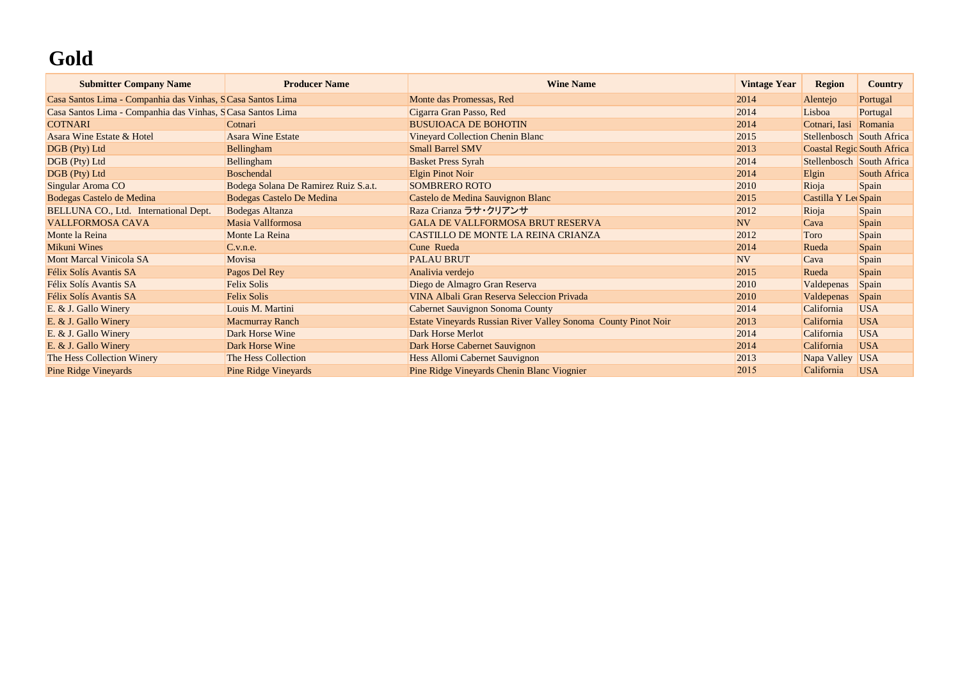# **Gold**

| <b>Submitter Company Name</b>                              | <b>Producer Name</b>                 | <b>Wine Name</b>                                               | <b>Vintage Year</b> | <b>Region</b>             | <b>Country</b>                    |
|------------------------------------------------------------|--------------------------------------|----------------------------------------------------------------|---------------------|---------------------------|-----------------------------------|
| Casa Santos Lima - Companhia das Vinhas, SCasa Santos Lima |                                      | Monte das Promessas, Red                                       | 2014                | Alentejo                  | Portugal                          |
| Casa Santos Lima - Companhia das Vinhas, SCasa Santos Lima |                                      | Cigarra Gran Passo, Red                                        | 2014                | Lisboa                    | Portugal                          |
| <b>COTNARI</b>                                             | Cotnari                              | <b>BUSUIOACA DE BOHOTIN</b>                                    | 2014                | Cotnari, Iasi             | Romania                           |
| Asara Wine Estate & Hotel                                  | <b>Asara Wine Estate</b>             | <b>Vineyard Collection Chenin Blanc</b>                        | 2015                | Stellenbosch South Africa |                                   |
| DGB (Pty) Ltd                                              | Bellingham                           | <b>Small Barrel SMV</b>                                        | 2013                |                           | <b>Coastal Regio South Africa</b> |
| DGB (Pty) Ltd                                              | Bellingham                           | <b>Basket Press Syrah</b>                                      | 2014                | Stellenbosch South Africa |                                   |
| DGB (Pty) Ltd                                              | Boschendal                           | Elgin Pinot Noir                                               | 2014                | Elgin                     | South Africa                      |
| Singular Aroma CO                                          | Bodega Solana De Ramirez Ruiz S.a.t. | <b>SOMBRERO ROTO</b>                                           | 2010                | Rioja                     | Spain                             |
| Bodegas Castelo de Medina                                  | <b>Bodegas Castelo De Medina</b>     | Castelo de Medina Sauvignon Blanc                              | 2015                | Castilla Y Lec Spain      |                                   |
| BELLUNA CO., Ltd. International Dept.                      | <b>Bodegas Altanza</b>               | Raza Crianza ラサ・クリアンサ                                          | 2012                | Rioja                     | Spain                             |
| <b>VALLFORMOSA CAVA</b>                                    | Masia Vallformosa                    | <b>GALA DE VALLFORMOSA BRUT RESERVA</b>                        | <b>NV</b>           | Cava                      | Spain                             |
| Monte la Reina                                             | Monte La Reina                       | CASTILLO DE MONTE LA REINA CRIANZA                             | 2012                | Toro                      | Spain                             |
| <b>Mikuni Wines</b>                                        | C.v.n.e.                             | Cune Rueda                                                     | 2014                | Rueda                     | Spain                             |
| <b>Mont Marcal Vinicola SA</b>                             | Movisa                               | <b>PALAU BRUT</b>                                              | <b>NV</b>           | Cava                      | Spain                             |
| Félix Solís Avantis SA                                     | Pagos Del Rey                        | Analivia verdejo                                               | 2015                | Rueda                     | Spain                             |
| Félix Solís Avantis SA                                     | <b>Felix Solis</b>                   | Diego de Almagro Gran Reserva                                  | 2010                | Valdepenas                | Spain                             |
| Félix Solís Avantis SA                                     | Felix Solis                          | VINA Albali Gran Reserva Seleccion Privada                     | 2010                | Valdepenas                | Spain                             |
| E. & J. Gallo Winery                                       | Louis M. Martini                     | Cabernet Sauvignon Sonoma County                               | 2014                | California                | <b>USA</b>                        |
| E. & J. Gallo Winery                                       | <b>Macmurray Ranch</b>               | Estate Vineyards Russian River Valley Sonoma County Pinot Noir | 2013                | California                | <b>USA</b>                        |
| E. & J. Gallo Winery                                       | Dark Horse Wine                      | Dark Horse Merlot                                              | 2014                | California                | <b>USA</b>                        |
| E. & J. Gallo Winery                                       | Dark Horse Wine                      | Dark Horse Cabernet Sauvignon                                  | 2014                | California                | <b>USA</b>                        |
| The Hess Collection Winery                                 | The Hess Collection                  | Hess Allomi Cabernet Sauvignon                                 | 2013                | Napa Valley               | <b>USA</b>                        |
| <b>Pine Ridge Vineyards</b>                                | <b>Pine Ridge Vineyards</b>          | Pine Ridge Vineyards Chenin Blanc Viognier                     | 2015                | California                | <b>USA</b>                        |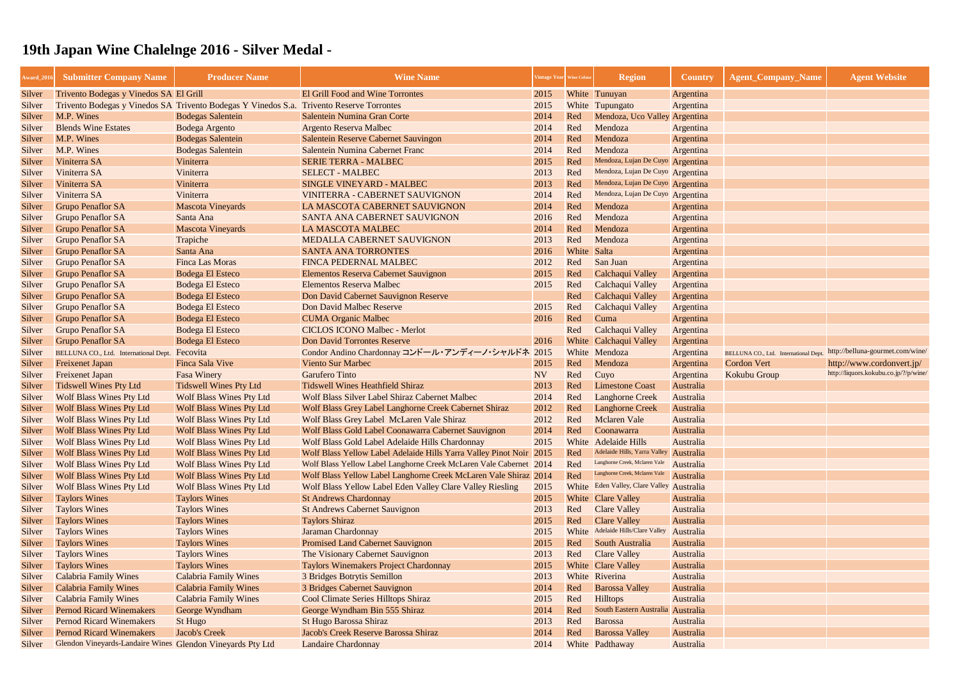| <b>Award_2010</b> | <b>Submitter Company Name</b>                              | <b>Producer Name</b>                                                                     | <b>Wine Name</b>                                                    | <b>Tintage Year</b> Wine Colou |             | <b>Region</b>                     | <b>Country</b> | <b>Agent_Company_Name</b>             | <b>Agent Website</b>                  |
|-------------------|------------------------------------------------------------|------------------------------------------------------------------------------------------|---------------------------------------------------------------------|--------------------------------|-------------|-----------------------------------|----------------|---------------------------------------|---------------------------------------|
| Silver            | Trivento Bodegas y Vinedos SA El Grill                     |                                                                                          | <b>El Grill Food and Wine Torrontes</b>                             | 2015                           |             | White Tunuyan                     | Argentina      |                                       |                                       |
| Silver            |                                                            | Trivento Bodegas y Vinedos SA Trivento Bodegas Y Vinedos S.a. Trivento Reserve Torrontes |                                                                     | 2015                           |             | White Tupungato                   | Argentina      |                                       |                                       |
| Silver            | M.P. Wines                                                 | <b>Bodegas Salentein</b>                                                                 | Salentein Numina Gran Corte                                         | 2014                           | Red         | Mendoza, Uco Valley Argentina     |                |                                       |                                       |
| Silver            | <b>Blends Wine Estates</b>                                 | Bodega Argento                                                                           | <b>Argento Reserva Malbec</b>                                       | 2014                           | Red         | Mendoza                           | Argentina      |                                       |                                       |
| Silver            | M.P. Wines                                                 | <b>Bodegas Salentein</b>                                                                 | <b>Salentein Reserve Cabernet Sauvingon</b>                         | 2014                           | Red         | Mendoza                           | Argentina      |                                       |                                       |
| Silver            | M.P. Wines                                                 | <b>Bodegas Salentein</b>                                                                 | Salentein Numina Cabernet Franc                                     | 2014                           | Red         | Mendoza                           | Argentina      |                                       |                                       |
| Silver            | Viniterra SA                                               | Viniterra                                                                                | <b>SERIE TERRA - MALBEC</b>                                         | 2015                           | Red         | Mendoza, Lujan De Cuyo Argentina  |                |                                       |                                       |
| Silver            | Viniterra SA                                               | Viniterra                                                                                | <b>SELECT - MALBEC</b>                                              | 2013                           | Red         | Mendoza, Lujan De Cuyo Argentina  |                |                                       |                                       |
| Silver            | Viniterra SA                                               | Viniterra                                                                                | <b>SINGLE VINEYARD - MALBEC</b>                                     | 2013                           | Red         | Mendoza, Lujan De Cuyo Argentina  |                |                                       |                                       |
| Silver            | Viniterra SA                                               | Viniterra                                                                                | <b>VINITERRA - CABERNET SAUVIGNON</b>                               | 2014                           | Red         | Mendoza, Lujan De Cuyo Argentina  |                |                                       |                                       |
| Silver            | <b>Grupo Penaflor SA</b>                                   | <b>Mascota Vineyards</b>                                                                 | LA MASCOTA CABERNET SAUVIGNON                                       | 2014                           | Red         | Mendoza                           | Argentina      |                                       |                                       |
| Silver            | <b>Grupo Penaflor SA</b>                                   | Santa Ana                                                                                | SANTA ANA CABERNET SAUVIGNON                                        | 2016                           | Red         | Mendoza                           | Argentina      |                                       |                                       |
| Silver            | <b>Grupo Penaflor SA</b>                                   | <b>Mascota Vineyards</b>                                                                 | LA MASCOTA MALBEC                                                   | 2014                           | Red         | Mendoza                           | Argentina      |                                       |                                       |
| Silver            | <b>Grupo Penaflor SA</b>                                   | Trapiche                                                                                 | <b>MEDALLA CABERNET SAUVIGNON</b>                                   | 2013                           | Red         | Mendoza                           | Argentina      |                                       |                                       |
| Silver            | <b>Grupo Penaflor SA</b>                                   | Santa Ana                                                                                | <b>SANTA ANA TORRONTES</b>                                          | 2016                           | White Salta |                                   | Argentina      |                                       |                                       |
| Silver            | <b>Grupo Penaflor SA</b>                                   | <b>Finca Las Moras</b>                                                                   | <b>FINCA PEDERNAL MALBEC</b>                                        | 2012                           | Red         | San Juan                          | Argentina      |                                       |                                       |
| Silver            | <b>Grupo Penaflor SA</b>                                   | <b>Bodega El Esteco</b>                                                                  | <b>Elementos Reserva Cabernet Sauvignon</b>                         | 2015                           | Red         | Calchaqui Valley                  | Argentina      |                                       |                                       |
| Silver            | <b>Grupo Penaflor SA</b>                                   | <b>Bodega El Esteco</b>                                                                  | <b>Elementos Reserva Malbec</b>                                     | 2015                           | Red         | Calchaqui Valley                  | Argentina      |                                       |                                       |
| Silver            | <b>Grupo Penaflor SA</b>                                   | <b>Bodega El Esteco</b>                                                                  | Don David Cabernet Sauvignon Reserve                                |                                | Red         | Calchaqui Valley                  | Argentina      |                                       |                                       |
| Silver            | <b>Grupo Penaflor SA</b>                                   | <b>Bodega El Esteco</b>                                                                  | Don David Malbec Reserve                                            | 2015                           | Red         | Calchaqui Valley                  | Argentina      |                                       |                                       |
| Silver            | <b>Grupo Penaflor SA</b>                                   | <b>Bodega El Esteco</b>                                                                  | <b>CUMA Organic Malbec</b>                                          | 2016                           | Red         | Cuma                              | Argentina      |                                       |                                       |
| Silver            | <b>Grupo Penaflor SA</b>                                   | <b>Bodega El Esteco</b>                                                                  | <b>CICLOS ICONO Malbec - Merlot</b>                                 |                                | Red         | Calchaqui Valley                  | Argentina      |                                       |                                       |
| Silver            | <b>Grupo Penaflor SA</b>                                   | <b>Bodega El Esteco</b>                                                                  | <b>Don David Torrontes Reserve</b>                                  | 2016                           |             | White Calchaqui Valley            | Argentina      |                                       |                                       |
| Silver            | BELLUNA CO., Ltd. International Dept.                      | Fecovita                                                                                 | Condor Andino Chardonnay コンドール・アンディーノ・シャルドネ 2015                    |                                |             | White Mendoza                     | Argentina      | BELLUNA CO., Ltd. International Dept. | http://belluna-gourmet.com/wine/      |
| Silver            | <b>Freixenet Japan</b>                                     | Finca Sala Vive                                                                          | <b>Viento Sur Marbec</b>                                            | 2015                           | Red         | Mendoza                           | Argentina      | <b>Cordon Vert</b>                    | http://www.cordonvert.jp/             |
| Silver            | <b>Freixenet Japan</b>                                     | <b>Fasa Winery</b>                                                                       | <b>Garufero Tinto</b>                                               | <b>NV</b>                      | Red         | Cuyo                              | Argentina      | Kokubu Group                          | http://liquors.kokubu.co.jp/?/p/wine/ |
| Silver            | <b>Tidswell Wines Pty Ltd</b>                              | <b>Tidswell Wines Pty Ltd</b>                                                            | <b>Tidswell Wines Heathfield Shiraz</b>                             | 2013                           | Red         | <b>Limestone Coast</b>            | Australia      |                                       |                                       |
| Silver            | <b>Wolf Blass Wines Pty Ltd</b>                            | <b>Wolf Blass Wines Pty Ltd</b>                                                          | <b>Wolf Blass Silver Label Shiraz Cabernet Malbec</b>               | 2014                           | Red         | <b>Langhorne Creek</b>            | Australia      |                                       |                                       |
| Silver            | <b>Wolf Blass Wines Pty Ltd</b>                            | <b>Wolf Blass Wines Pty Ltd</b>                                                          | Wolf Blass Grey Label Langhorne Creek Cabernet Shiraz               | 2012                           | Red         | <b>Langhorne Creek</b>            | Australia      |                                       |                                       |
| Silver            | <b>Wolf Blass Wines Pty Ltd</b>                            | <b>Wolf Blass Wines Pty Ltd</b>                                                          | Wolf Blass Grey Label McLaren Vale Shiraz                           | 2012                           | Red         | <b>Mclaren Vale</b>               | Australia      |                                       |                                       |
| Silver            | <b>Wolf Blass Wines Pty Ltd</b>                            | <b>Wolf Blass Wines Pty Ltd</b>                                                          | Wolf Blass Gold Label Coonawarra Cabernet Sauvignon                 | 2014                           | Red         | Coonawarra                        | Australia      |                                       |                                       |
| Silver            | <b>Wolf Blass Wines Pty Ltd</b>                            | <b>Wolf Blass Wines Pty Ltd</b>                                                          | Wolf Blass Gold Label Adelaide Hills Chardonnay                     | 2015                           |             | White Adelaide Hills              | Australia      |                                       |                                       |
| Silver            | <b>Wolf Blass Wines Pty Ltd</b>                            | <b>Wolf Blass Wines Pty Ltd</b>                                                          | Wolf Blass Yellow Label Adelaide Hills Yarra Valley Pinot Noir 2015 |                                | Red         | Adelaide Hills, Yarra Valley      | Australia      |                                       |                                       |
| Silver            | <b>Wolf Blass Wines Pty Ltd</b>                            | <b>Wolf Blass Wines Pty Ltd</b>                                                          | Wolf Blass Yellow Label Langhorne Creek McLaren Vale Cabernet 2014  |                                | Red         | Langhorne Creek, Mclaren Vale     | Australia      |                                       |                                       |
| Silver            | <b>Wolf Blass Wines Pty Ltd</b>                            | <b>Wolf Blass Wines Pty Ltd</b>                                                          | Wolf Blass Yellow Label Langhorne Creek McLaren Vale Shiraz 2014    |                                | Red         | Langhorne Creek, Mclaren Vale     | Australia      |                                       |                                       |
| Silver            | <b>Wolf Blass Wines Pty Ltd</b>                            | <b>Wolf Blass Wines Pty Ltd</b>                                                          | Wolf Blass Yellow Label Eden Valley Clare Valley Riesling           | 2015                           |             | White Eden Valley, Clare Valley   | Australia      |                                       |                                       |
| Silver            | <b>Taylors Wines</b>                                       | <b>Taylors Wines</b>                                                                     | <b>St Andrews Chardonnay</b>                                        | 2015                           |             | White Clare Valley                | Australia      |                                       |                                       |
| Silver            | <b>Taylors Wines</b>                                       | <b>Taylors Wines</b>                                                                     | <b>St Andrews Cabernet Sauvignon</b>                                | 2013                           | Red         | <b>Clare Valley</b>               | Australia      |                                       |                                       |
| Silver            | <b>Taylors Wines</b>                                       | <b>Taylors Wines</b>                                                                     | <b>Taylors Shiraz</b>                                               | 2015                           | Red         | <b>Clare Valley</b>               | Australia      |                                       |                                       |
| Silver            | <b>Taylors Wines</b>                                       | <b>Taylors Wines</b>                                                                     | Jaraman Chardonnay                                                  | 2015                           |             | White Adelaide Hills/Clare Valley | Australia      |                                       |                                       |
| Silver            | <b>Taylors Wines</b>                                       | <b>Taylors Wines</b>                                                                     | <b>Promised Land Cabernet Sauvignon</b>                             | 2015                           | Red         | South Australia                   | Australia      |                                       |                                       |
| Silver            | <b>Taylors Wines</b>                                       | <b>Taylors Wines</b>                                                                     | The Visionary Cabernet Sauvignon                                    | 2013                           | Red         | <b>Clare Valley</b>               | Australia      |                                       |                                       |
| Silver            | <b>Taylors Wines</b>                                       | <b>Taylors Wines</b>                                                                     | <b>Taylors Winemakers Project Chardonnay</b>                        | 2015                           |             | White Clare Valley                | Australia      |                                       |                                       |
| Silver            | <b>Calabria Family Wines</b>                               | <b>Calabria Family Wines</b>                                                             | 3 Bridges Botrytis Semillon                                         | 2013                           |             | White Riverina                    | Australia      |                                       |                                       |
| Silver            | <b>Calabria Family Wines</b>                               | <b>Calabria Family Wines</b>                                                             | 3 Bridges Cabernet Sauvignon                                        | 2014                           | Red         | <b>Barossa Valley</b>             | Australia      |                                       |                                       |
| Silver            | <b>Calabria Family Wines</b>                               | <b>Calabria Family Wines</b>                                                             | Cool Climate Series Hilltops Shiraz                                 | 2015                           | Red         | <b>Hilltops</b>                   | Australia      |                                       |                                       |
| Silver            | <b>Pernod Ricard Winemakers</b>                            | George Wyndham                                                                           | George Wyndham Bin 555 Shiraz                                       | 2014                           | Red         | South Eastern Australia Australia |                |                                       |                                       |
| Silver            | <b>Pernod Ricard Winemakers</b>                            | St Hugo                                                                                  | <b>St Hugo Barossa Shiraz</b>                                       | 2013                           | Red         | Barossa                           | Australia      |                                       |                                       |
| Silver            | <b>Pernod Ricard Winemakers</b>                            | <b>Jacob's Creek</b>                                                                     | Jacob's Creek Reserve Barossa Shiraz                                | 2014                           | Red         | <b>Barossa Valley</b>             | Australia      |                                       |                                       |
|                   | Glendon Vineyards-Landaire Wines Glendon Vineyards Pty Ltd |                                                                                          | <b>Landaire Chardonnay</b>                                          | 2014                           |             | White Padthaway                   | Australia      |                                       |                                       |
| Silver            |                                                            |                                                                                          |                                                                     |                                |             |                                   |                |                                       |                                       |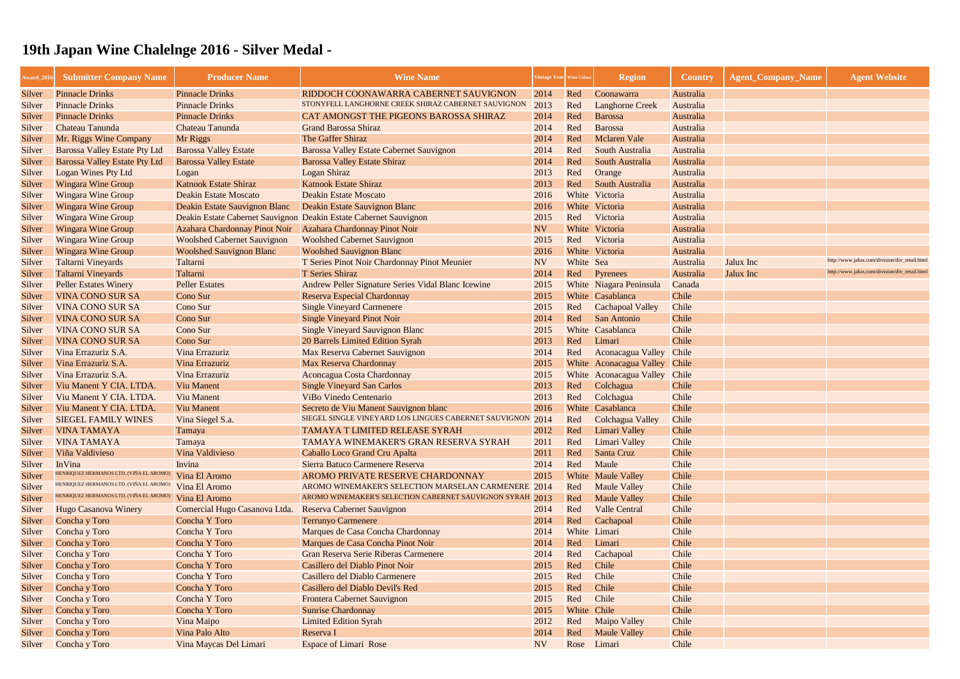| <b>Award_201</b> | <b>Submitter Company Name</b>           | <b>Producer Name</b>               | <b>Wine Name</b>                                                  | 'intage Year   Wine Colou |             | <b>Region</b>                 | <b>Country</b> | <b>Agent_Company_Name</b> | <b>Agent Website</b>                          |
|------------------|-----------------------------------------|------------------------------------|-------------------------------------------------------------------|---------------------------|-------------|-------------------------------|----------------|---------------------------|-----------------------------------------------|
| Silver           | <b>Pinnacle Drinks</b>                  | <b>Pinnacle Drinks</b>             | RIDDOCH COONAWARRA CABERNET SAUVIGNON                             | 2014                      | Red         | Coonawarra                    | Australia      |                           |                                               |
| Silver           | <b>Pinnacle Drinks</b>                  | <b>Pinnacle Drinks</b>             | STONYFELL LANGHORNE CREEK SHIRAZ CABERNET SAUVIGNON               | 2013                      | Red         | <b>Langhorne Creek</b>        | Australia      |                           |                                               |
| Silver           | <b>Pinnacle Drinks</b>                  | <b>Pinnacle Drinks</b>             | CAT AMONGST THE PIGEONS BAROSSA SHIRAZ                            | 2014                      | Red         | Barossa                       | Australia      |                           |                                               |
| Silver           | <b>Chateau Tanunda</b>                  | Chateau Tanunda                    | <b>Grand Barossa Shiraz</b>                                       | 2014                      | Red         | <b>Barossa</b>                | Australia      |                           |                                               |
| Silver           | Mr. Riggs Wine Company                  | Mr Riggs                           | The Gaffer Shiraz                                                 | 2014                      | Red         | <b>Mclaren Vale</b>           | Australia      |                           |                                               |
| Silver           | <b>Barossa Valley Estate Pty Ltd</b>    | <b>Barossa Valley Estate</b>       | <b>Barossa Valley Estate Cabernet Sauvignon</b>                   | 2014                      | Red         | South Australia               | Australia      |                           |                                               |
| Silver           | <b>Barossa Valley Estate Pty Ltd</b>    | <b>Barossa Valley Estate</b>       | <b>Barossa Valley Estate Shiraz</b>                               | 2014                      | Red         | South Australia               | Australia      |                           |                                               |
| Silver           | <b>Logan Wines Pty Ltd</b>              | Logan                              | <b>Logan Shiraz</b>                                               | 2013                      | Red         | Orange                        | Australia      |                           |                                               |
| Silver           | <b>Wingara Wine Group</b>               | <b>Katnook Estate Shiraz</b>       | <b>Katnook Estate Shiraz</b>                                      | 2013                      | Red         | South Australia               | Australia      |                           |                                               |
| Silver           | <b>Wingara Wine Group</b>               | <b>Deakin Estate Moscato</b>       | <b>Deakin Estate Moscato</b>                                      | 2016                      |             | White Victoria                | Australia      |                           |                                               |
| Silver           | <b>Wingara Wine Group</b>               | Deakin Estate Sauvignon Blanc      | Deakin Estate Sauvignon Blanc                                     | 2016                      |             | White Victoria                | Australia      |                           |                                               |
| Silver           | <b>Wingara Wine Group</b>               |                                    | Deakin Estate Cabernet Sauvignon Deakin Estate Cabernet Sauvignon | 2015                      | Red         | Victoria                      | Australia      |                           |                                               |
| Silver           | <b>Wingara Wine Group</b>               | Azahara Chardonnay Pinot Noir      | Azahara Chardonnay Pinot Noir                                     | <b>NV</b>                 |             | White Victoria                | Australia      |                           |                                               |
| Silver           | <b>Wingara Wine Group</b>               | <b>Woolshed Cabernet Sauvignon</b> | <b>Woolshed Cabernet Sauvignon</b>                                | 2015                      | Red         | Victoria                      | Australia      |                           |                                               |
| Silver           | <b>Wingara Wine Group</b>               | <b>Woolshed Sauvignon Blanc</b>    | <b>Woolshed Sauvignon Blanc</b>                                   | 2016                      |             | White Victoria                | Australia      |                           |                                               |
| Silver           | <b>Taltarni Vineyards</b>               | Taltarni                           | T Series Pinot Noir Chardonnay Pinot Meunier                      | <b>NV</b>                 | White Sea   |                               | Australia      | Jalux Inc                 | http://www.jalux.com/division/div_retail.html |
| Silver           | <b>Taltarni Vineyards</b>               | Taltarni                           | <b>T</b> Series Shiraz                                            | 2014                      | Red         | Pyrenees                      | Australia      | Jalux Inc                 | http://www.jalux.com/division/div_retail.html |
| Silver           | <b>Peller Estates Winery</b>            | <b>Peller Estates</b>              | Andrew Peller Signature Series Vidal Blanc Icewine                | 2015                      |             | White Niagara Peninsula       | Canada         |                           |                                               |
| Silver           | <b>VINA CONO SUR SA</b>                 | Cono Sur                           | <b>Reserva Especial Chardonnay</b>                                | 2015                      |             | White Casablanca              | Chile          |                           |                                               |
| Silver           | <b>VINA CONO SUR SA</b>                 | Cono Sur                           | <b>Single Vineyard Carmenere</b>                                  | 2015                      | Red         | <b>Cachapoal Valley</b>       | Chile          |                           |                                               |
| Silver           | <b>VINA CONO SUR SA</b>                 | Cono Sur                           | <b>Single Vineyard Pinot Noir</b>                                 | 2014                      | Red         | San Antonio                   | Chile          |                           |                                               |
| Silver           | <b>VINA CONO SUR SA</b>                 | Cono Sur                           | <b>Single Vineyard Sauvignon Blanc</b>                            | 2015                      |             | White Casablanca              | Chile          |                           |                                               |
| Silver           | <b>VINA CONO SUR SA</b>                 | Cono Sur                           | 20 Barrels Limited Edition Syrah                                  | 2013                      | Red         | Limari                        | Chile          |                           |                                               |
| Silver           | Vina Errazuriz S.A.                     | Vina Errazuriz                     | Max Reserva Cabernet Sauvignon                                    | 2014                      | Red         | <b>Aconacagua Valley</b>      | Chile          |                           |                                               |
| Silver           | Vina Errazuriz S.A.                     | Vina Errazuriz                     | Max Reserva Chardonnay                                            | 2015                      |             | White Aconacagua Valley Chile |                |                           |                                               |
| Silver           | Vina Errazuriz S.A.                     | Vina Errazuriz                     | Aconcagua Costa Chardonnay                                        | 2015                      |             | White Aconacagua Valley       | Chile          |                           |                                               |
| Silver           | Viu Manent Y CIA. LTDA.                 | <b>Viu Manent</b>                  | <b>Single Vineyard San Carlos</b>                                 | 2013                      | Red         | Colchagua                     | Chile          |                           |                                               |
| Silver           | Viu Manent Y CIA. LTDA.                 | <b>Viu Manent</b>                  | <b>ViBo Vinedo Centenario</b>                                     | 2013                      | Red         | Colchagua                     | Chile          |                           |                                               |
| Silver           | Viu Manent Y CIA. LTDA.                 | <b>Viu Manent</b>                  | Secreto de Viu Manent Sauvignon blanc                             | 2016                      |             | White Casablanca              | Chile          |                           |                                               |
| Silver           | <b>SIEGEL FAMILY WINES</b>              | Vina Siegel S.a.                   | SIEGEL SINGLE VINEYARD LOS LINGUES CABERNET SAUVIGNON 2014        |                           | Red         | Colchagua Valley              | Chile          |                           |                                               |
| Silver           | <b>VINA TAMAYA</b>                      | Tamaya                             | <b>TAMAYA T LIMITED RELEASE SYRAH</b>                             | 2012                      | Red         | Limari Valley                 | Chile          |                           |                                               |
| Silver           | <b>VINA TAMAYA</b>                      | Tamaya                             | TAMAYA WINEMAKER'S GRAN RESERVA SYRAH                             | 2011                      | Red         | Limari Valley                 | Chile          |                           |                                               |
| Silver           | Viña Valdivieso                         | Vina Valdivieso                    | Caballo Loco Grand Cru Apalta                                     | 2011                      | Red         | Santa Cruz                    | Chile          |                           |                                               |
| Silver           | <b>InVina</b>                           | Invina                             | Sierra Batuco Carmenere Reserva                                   | 2014                      | Red         | Maule                         | Chile          |                           |                                               |
| Silver           | HENRIQUEZ HERMANOS LTD. (VIÑA EL AROMO) | Vina El Aromo                      | AROMO PRIVATE RESERVE CHARDONNAY                                  | 2015                      |             | <b>White</b> Maule Valley     | Chile          |                           |                                               |
| Silver           | HENRIQUEZ HERMANOS LTD. (VIÑA EL AROMO  | Vina El Aromo                      | AROMO WINEMAKER'S SELECTION MARSELAN CARMENERE 2014               |                           | Red         | <b>Maule Valley</b>           | Chile          |                           |                                               |
| Silver           | HENRIQUEZ HERMANOS LTD. (VIÑA EL AROMO) | Vina El Aromo                      | AROMO WINEMAKER'S SELECTION CABERNET SAUVIGNON SYRAH 2013         |                           | Red         | <b>Maule Valley</b>           | Chile          |                           |                                               |
| Silver           | <b>Hugo Casanova Winery</b>             | Comercial Hugo Casanova Ltda.      | Reserva Cabernet Sauvignon                                        | 2014                      | Red         | <b>Valle Central</b>          | Chile          |                           |                                               |
| Silver           | Concha y Toro                           | Concha Y Toro                      | <b>Terrunyo Carmenere</b>                                         | 2014                      | Red         | Cachapoal                     | Chile          |                           |                                               |
| Silver           | Concha y Toro                           | Concha Y Toro                      | Marques de Casa Concha Chardonnay                                 | 2014                      |             | White Limari                  | Chile          |                           |                                               |
| Silver           | Concha y Toro                           | Concha Y Toro                      | Marques de Casa Concha Pinot Noir                                 | 2014                      | Red         | Limari                        | Chile          |                           |                                               |
| Silver           | Concha y Toro                           | Concha Y Toro                      | Gran Reserva Serie Riberas Carmenere                              | 2014                      | Red         | Cachapoal                     | Chile          |                           |                                               |
| Silver           | Concha y Toro                           | Concha Y Toro                      | Casillero del Diablo Pinot Noir                                   | 2015                      | Red         | <b>Chile</b>                  | Chile          |                           |                                               |
| Silver           | Concha y Toro                           | Concha Y Toro                      | Casillero del Diablo Carmenere                                    | 2015                      | Red         | Chile                         | Chile          |                           |                                               |
| Silver           | Concha y Toro                           | Concha Y Toro                      | Casillero del Diablo Devil's Red                                  | 2015                      | Red         | <b>Chile</b>                  | Chile          |                           |                                               |
| Silver           | Concha y Toro                           | Concha Y Toro                      | <b>Frontera Cabernet Sauvignon</b>                                | 2015                      | Red         | Chile                         | Chile          |                           |                                               |
| Silver           | Concha y Toro                           | Concha Y Toro                      | <b>Sunrise Chardonnay</b>                                         | 2015                      | White Chile |                               | Chile          |                           |                                               |
| Silver           | Concha y Toro                           | Vina Maipo                         | <b>Limited Edition Syrah</b>                                      | 2012                      | Red         | <b>Maipo Valley</b>           | Chile          |                           |                                               |
| Silver           | Concha y Toro                           | Vina Palo Alto                     | Reserva I                                                         | 2014                      | Red         | <b>Maule Valley</b>           | Chile          |                           |                                               |
| Silver           | Concha y Toro                           | Vina Maycas Del Limari             | <b>Espace of Limari Rose</b>                                      | <b>NV</b>                 | Rose        | Limari                        | Chile          |                           |                                               |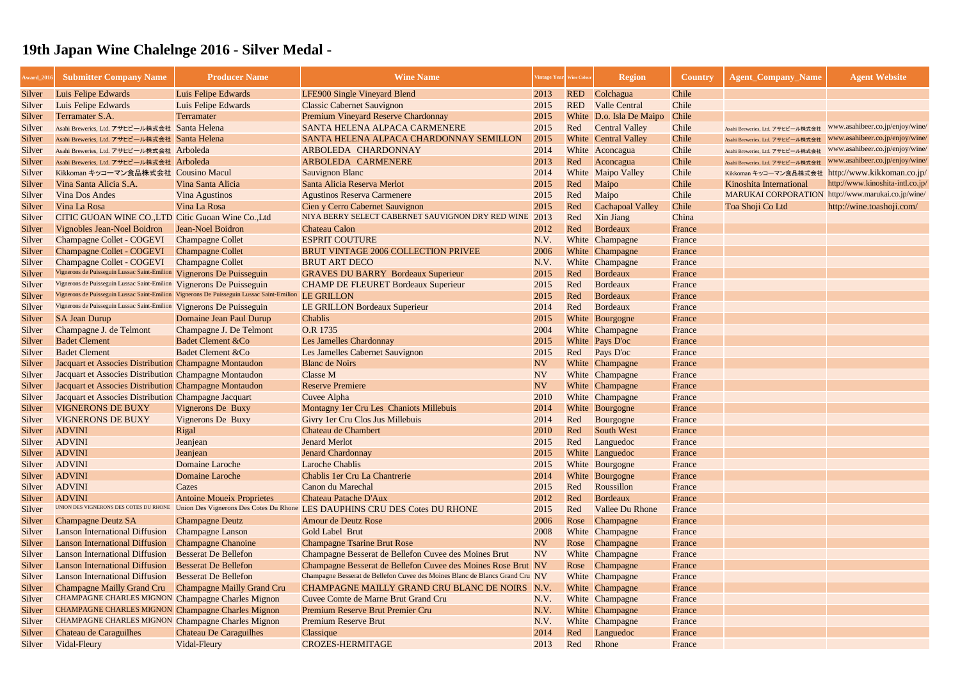| Luis Felipe Edwards<br>Luis Felipe Edwards<br>Colchagua<br>Chile<br>LFE900 Single Vineyard Blend<br>2013<br><b>RED</b><br>Silver<br>Chile<br>Luis Felipe Edwards<br>Luis Felipe Edwards<br><b>Classic Cabernet Sauvignon</b><br><b>RED</b><br><b>Valle Central</b><br>2015<br>Silver<br>Premium Vineyard Reserve Chardonnay<br>Terramater S.A.<br>White D.o. Isla De Maipo<br>Chile<br>Silver<br>Terramater<br>2015<br>Asahi Breweries, Ltd. アサヒビール株式会社 Santa Helena<br>SANTA HELENA ALPACA CARMENERE<br>2015<br><b>Central Valley</b><br>Chile<br>Red<br>Silver<br>Asahi Breweries, Ltd. アサヒビール株式会社<br>SANTA HELENA ALPACA CHARDONNAY SEMILLON<br><b>White</b> Central Valley<br>Chile<br>Asahi Breweries, Ltd. アサヒビール株式会社 Santa Helena<br>2015<br>Silver<br>Asahi Breweries, Ltd. アサヒビール株式会社<br><b>ARBOLEDA CHARDONNAY</b><br>2014<br>Chile<br>White Aconcagua<br>Silver<br>Asahi Breweries, Ltd. アサヒビール株式会社 Arboleda<br>Asahi Breweries, Ltd. アサヒビール株式会社<br><b>ARBOLEDA CARMENERE</b><br>2013<br>Red<br>Chile<br>Aconcagua<br>Asahi Breweries, Ltd. アサヒビール株式会社 Arboleda<br>Silver<br>Asahi Breweries, Ltd. アサヒビール株式会社<br>White Maipo Valley<br>Kikkoman キッコーマン食品株式会社 Cousino Macul<br><b>Sauvignon Blanc</b><br>2014<br>Chile<br>Silver<br>Kikkoman キッコーマン食品株式会社<br>Maipo<br>Vina Santa Alicia S.A.<br>Vina Santa Alicia<br>Santa Alicia Reserva Merlot<br>Red<br>Chile<br><b>Kinoshita International</b><br>2015<br>Silver<br>MARUKAI CORPORATION http://www.marukai.co.jp<br><b>Agustinos Reserva Carmenere</b><br>Maipo<br>Chile<br><b>Vina Dos Andes</b><br>Red<br><b>Vina Agustinos</b><br>2015<br>Silver<br>Vina La Rosa<br>Cien y Cerro Cabernet Sauvignon<br>Chile<br>Vina La Rosa<br>2015<br>Red<br>Cachapoal Valley<br>Toa Shoji Co Ltd<br>Silver<br>NIYA BERRY SELECT CABERNET SAUVIGNON DRY RED WINE<br>CITIC GUOAN WINE CO., LTD Citic Guoan Wine Co., Ltd<br>2013<br>Xin Jiang<br>China<br>Red<br>Silver<br><b>Vignobles Jean-Noel Boidron</b><br><b>Jean-Noel Boidron</b><br><b>Chateau Calon</b><br>2012<br>Red<br>Bordeaux<br>France<br>Silver<br><b>ESPRIT COUTURE</b><br>Champagne Collet - COGEVI<br>N.V.<br>White Champagne<br><b>Champagne Collet</b><br>France<br>Silver<br><b>Champagne Collet - COGEVI</b><br><b>Champagne Collet</b><br><b>BRUT VINTAGE 2006 COLLECTION PRIVEE</b><br>2006<br>White Champagne<br>France<br>Silver<br><b>BRUT ART DECO</b><br>Champagne Collet - COGEVI<br><b>Champagne Collet</b><br>White Champagne<br>Silver<br>N.V.<br>France<br>Vignerons de Puisseguin Lussac Saint-Emilion<br>Vignerons De Puisseguin<br>Bordeaux<br><b>GRAVES DU BARRY Bordeaux Superieur</b><br>2015<br>Red<br>Silver<br>France<br>Vignerons de Puisseguin Lussac Saint-Emilion Vignerons De Puisseguin<br>Bordeaux<br><b>CHAMP DE FLEURET Bordeaux Superieur</b><br>2015<br>Red<br>France<br>Silver<br>Vignerons de Puisseguin Lussac Saint-Emilion Vignerons De Puisseguin Lussac Saint-Emilion<br>LE GRILLON<br>Bordeaux<br>Silver<br>2015<br>Red<br>France<br>Vignerons de Puisseguin Lussac Saint-Emilion<br>Red<br>Bordeaux<br>Vignerons De Puisseguin<br><b>LE GRILLON Bordeaux Superieur</b><br>2014<br>France<br>Silver<br>Domaine Jean Paul Durup<br><b>Chablis</b><br>2015<br>White Bourgogne<br><b>SA Jean Durup</b><br>France<br>Silver<br>O.R 1735<br>Champagne J. De Telmont<br>2004<br>White Champagne<br>Champagne J. de Telmont<br>France<br>Silver<br><b>Badet Clement</b><br><b>Badet Clement &amp;Co</b><br><b>Les Jamelles Chardonnay</b><br>White Pays D'oc<br>2015<br>France<br>Silver<br><b>Badet Clement &amp;Co</b><br><b>Badet Clement</b><br>Les Jamelles Cabernet Sauvignon<br>Red Pays D'oc<br>2015<br>France<br>Silver<br>Jacquart et Associes Distribution Champagne Montaudon<br><b>NV</b><br><b>Blanc de Noirs</b><br>France<br>White Champagne<br>Silver<br><b>Classe M</b><br>Jacquart et Associes Distribution Champagne Montaudon<br><b>NV</b><br>White Champagne<br>France<br>Silver<br>Jacquart et Associes Distribution Champagne Montaudon<br><b>Reserve Premiere</b><br><b>NV</b><br>White Champagne<br>France<br>Silver<br>Jacquart et Associes Distribution Champagne Jacquart<br>2010<br>White Champagne<br>Cuvee Alpha<br>France<br>Silver<br><b>VIGNERONS DE BUXY</b><br>Vignerons De Buxy<br>Montagny 1er Cru Les Chaniots Millebuis<br>White Bourgogne<br>France<br>2014<br>Silver<br><b>VIGNERONS DE BUXY</b><br><b>Vignerons De Buxy</b><br>Givry 1er Cru Clos Jus Millebuis<br>Bourgogne<br>2014<br>Red<br>Silver<br>France<br>Red<br><b>ADVINI</b><br>Chateau de Chambert<br>2010<br>South West<br>Rigal<br>France<br>Silver<br><b>ADVINI</b><br><b>Jenard Merlot</b><br>Languedoc<br>2015<br>Jeanjean<br>Red<br>France<br>Silver<br><b>ADVINI</b><br>White Languedoc<br>Jeanjean<br><b>Jenard Chardonnay</b><br>2015<br>Silver<br>France<br><b>ADVINI</b><br>Domaine Laroche<br><b>Laroche Chablis</b><br>2015<br>White Bourgogne<br>France<br>Silver<br><b>ADVINI</b><br>Domaine Laroche<br>Chablis 1er Cru La Chantrerie<br>White Bourgogne<br>2014<br>France<br>Silver<br><b>ADVINI</b><br>Canon du Marechal<br>Roussillon<br>Cazes<br>2015<br>Red<br>France<br>Silver<br><b>ADVINI</b><br><b>Antoine Moueix Proprietes</b><br><b>Chateau Patache D'Aux</b><br>Bordeaux<br>2012<br>Red<br>France<br>Silver<br>UNION DES VIGNERONS DES COTES DU RHONE<br>Union Des Vignerons Des Cotes Du Rhone<br><b>LES DAUPHINS CRU DES Cotes DU RHONE</b><br>Red<br><b>Vallee Du Rhone</b><br>Silver<br>2015<br>France<br>Amour de Deutz Rose<br>2006<br><b>Champagne Deutz SA</b><br><b>Champagne Deutz</b><br>Rose Champagne<br>Silver<br>France<br><b>Lanson International Diffusion</b><br><b>Champagne Lanson</b><br>Gold Label Brut<br>2008<br>White Champagne<br>Silver<br>France<br><b>Lanson International Diffusion</b><br><b>Champagne Chanoine</b><br><b>Champagne Tsarine Brut Rose</b><br><b>NV</b><br>Rose Champagne<br>France<br>Silver<br><b>Lanson International Diffusion</b><br><b>Besserat De Bellefon</b><br>Champagne Besserat de Bellefon Cuvee des Moines Brut<br><b>NV</b><br>White Champagne<br>France<br>Silver<br><b>Lanson International Diffusion</b><br><b>Besserat De Bellefon</b><br>Champagne Besserat de Bellefon Cuvee des Moines Rose Brut NV<br>France<br>Rose Champagne<br>Silver<br>Champagne Besserat de Bellefon Cuvee des Moines Blanc de Blancs Grand Cru NV<br><b>Lanson International Diffusion</b><br><b>Besserat De Bellefon</b><br>White Champagne<br>France<br>Silver<br><b>Champagne Mailly Grand Cru</b><br><b>Champagne Mailly Grand Cru</b><br>CHAMPAGNE MAILLY GRAND CRU BLANC DE NOIRS N.V<br>White Champagne<br>France<br>Silver<br>CHAMPAGNE CHARLES MIGNON Champagne Charles Mignon<br>Cuvee Comte de Marne Brut Grand Cru<br>N.V.<br>White Champagne<br>France<br>Silver<br>CHAMPAGNE CHARLES MIGNON Champagne Charles Mignon<br>Premium Reserve Brut Premier Cru<br>N.V.<br>White Champagne<br>France<br>Silver<br><b>CHAMPAGNE CHARLES MIGNON Champagne Charles Mignon</b><br><b>Premium Reserve Brut</b><br>White Champagne<br>Silver<br>N.V.<br>France<br><b>Chateau de Caraguilhes</b><br><b>Chateau De Caraguilhes</b><br>Classique<br>Red<br>Languedoc<br>2014<br>France<br>Silver<br>Rhone<br>Vidal-Fleury<br>Vidal-Fleury<br><b>CROZES-HERMITAGE</b><br>2013<br>Red<br>France<br>Silver | Award_201 | <b>Submitter Company Name</b> | <b>Producer Name</b> | <b>Wine Name</b> | Vintage Year Wine Colour | <b>Region</b> | <b>Country</b> | <b>Agent_Company_Name</b> | <b>Agent Website</b>     |
|--------------------------------------------------------------------------------------------------------------------------------------------------------------------------------------------------------------------------------------------------------------------------------------------------------------------------------------------------------------------------------------------------------------------------------------------------------------------------------------------------------------------------------------------------------------------------------------------------------------------------------------------------------------------------------------------------------------------------------------------------------------------------------------------------------------------------------------------------------------------------------------------------------------------------------------------------------------------------------------------------------------------------------------------------------------------------------------------------------------------------------------------------------------------------------------------------------------------------------------------------------------------------------------------------------------------------------------------------------------------------------------------------------------------------------------------------------------------------------------------------------------------------------------------------------------------------------------------------------------------------------------------------------------------------------------------------------------------------------------------------------------------------------------------------------------------------------------------------------------------------------------------------------------------------------------------------------------------------------------------------------------------------------------------------------------------------------------------------------------------------------------------------------------------------------------------------------------------------------------------------------------------------------------------------------------------------------------------------------------------------------------------------------------------------------------------------------------------------------------------------------------------------------------------------------------------------------------------------------------------------------------------------------------------------------------------------------------------------------------------------------------------------------------------------------------------------------------------------------------------------------------------------------------------------------------------------------------------------------------------------------------------------------------------------------------------------------------------------------------------------------------------------------------------------------------------------------------------------------------------------------------------------------------------------------------------------------------------------------------------------------------------------------------------------------------------------------------------------------------------------------------------------------------------------------------------------------------------------------------------------------------------------------------------------------------------------------------------------------------------------------------------------------------------------------------------------------------------------------------------------------------------------------------------------------------------------------------------------------------------------------------------------------------------------------------------------------------------------------------------------------------------------------------------------------------------------------------------------------------------------------------------------------------------------------------------------------------------------------------------------------------------------------------------------------------------------------------------------------------------------------------------------------------------------------------------------------------------------------------------------------------------------------------------------------------------------------------------------------------------------------------------------------------------------------------------------------------------------------------------------------------------------------------------------------------------------------------------------------------------------------------------------------------------------------------------------------------------------------------------------------------------------------------------------------------------------------------------------------------------------------------------------------------------------------------------------------------------------------------------------------------------------------------------------------------------------------------------------------------------------------------------------------------------------------------------------------------------------------------------------------------------------------------------------------------------------------------------------------------------------------------------------------------------------------------------------------------------------------------------------------------------------------------------------------------------------------------------------------------------------------------------------------------------------------------------------------------------------------------------------------------------------------------------------------------------------------------------------------------------------------------------------------------------------------------------------------------------------------------------------------------------------------------------------------------------------------------------------------------------------------------------------------------------------------------------------------------------------------------------------------------------------------------------------------------------------------------------------------------------------------------------------------------------------------------------------------------------------------------------------------------------------------------------------------------------------------------------------------------------------------------------------------------------------------------------------------------------------------------------------------------------------------------------------------------------------------------------------------------------------------------------------------------------------------------------------------------------------|-----------|-------------------------------|----------------------|------------------|--------------------------|---------------|----------------|---------------------------|--------------------------|
|                                                                                                                                                                                                                                                                                                                                                                                                                                                                                                                                                                                                                                                                                                                                                                                                                                                                                                                                                                                                                                                                                                                                                                                                                                                                                                                                                                                                                                                                                                                                                                                                                                                                                                                                                                                                                                                                                                                                                                                                                                                                                                                                                                                                                                                                                                                                                                                                                                                                                                                                                                                                                                                                                                                                                                                                                                                                                                                                                                                                                                                                                                                                                                                                                                                                                                                                                                                                                                                                                                                                                                                                                                                                                                                                                                                                                                                                                                                                                                                                                                                                                                                                                                                                                                                                                                                                                                                                                                                                                                                                                                                                                                                                                                                                                                                                                                                                                                                                                                                                                                                                                                                                                                                                                                                                                                                                                                                                                                                                                                                                                                                                                                                                                                                                                                                                                                                                                                                                                                                                                                                                                                                                                                                                                                                                                                                                                                                                                                                                                                                                                                                                                                                                                                                                                                                                                                                                                                                                                                                                                                                                                                                                                                                                                                                                                                                                                  |           |                               |                      |                  |                          |               |                |                           |                          |
|                                                                                                                                                                                                                                                                                                                                                                                                                                                                                                                                                                                                                                                                                                                                                                                                                                                                                                                                                                                                                                                                                                                                                                                                                                                                                                                                                                                                                                                                                                                                                                                                                                                                                                                                                                                                                                                                                                                                                                                                                                                                                                                                                                                                                                                                                                                                                                                                                                                                                                                                                                                                                                                                                                                                                                                                                                                                                                                                                                                                                                                                                                                                                                                                                                                                                                                                                                                                                                                                                                                                                                                                                                                                                                                                                                                                                                                                                                                                                                                                                                                                                                                                                                                                                                                                                                                                                                                                                                                                                                                                                                                                                                                                                                                                                                                                                                                                                                                                                                                                                                                                                                                                                                                                                                                                                                                                                                                                                                                                                                                                                                                                                                                                                                                                                                                                                                                                                                                                                                                                                                                                                                                                                                                                                                                                                                                                                                                                                                                                                                                                                                                                                                                                                                                                                                                                                                                                                                                                                                                                                                                                                                                                                                                                                                                                                                                                                  |           |                               |                      |                  |                          |               |                |                           |                          |
|                                                                                                                                                                                                                                                                                                                                                                                                                                                                                                                                                                                                                                                                                                                                                                                                                                                                                                                                                                                                                                                                                                                                                                                                                                                                                                                                                                                                                                                                                                                                                                                                                                                                                                                                                                                                                                                                                                                                                                                                                                                                                                                                                                                                                                                                                                                                                                                                                                                                                                                                                                                                                                                                                                                                                                                                                                                                                                                                                                                                                                                                                                                                                                                                                                                                                                                                                                                                                                                                                                                                                                                                                                                                                                                                                                                                                                                                                                                                                                                                                                                                                                                                                                                                                                                                                                                                                                                                                                                                                                                                                                                                                                                                                                                                                                                                                                                                                                                                                                                                                                                                                                                                                                                                                                                                                                                                                                                                                                                                                                                                                                                                                                                                                                                                                                                                                                                                                                                                                                                                                                                                                                                                                                                                                                                                                                                                                                                                                                                                                                                                                                                                                                                                                                                                                                                                                                                                                                                                                                                                                                                                                                                                                                                                                                                                                                                                                  |           |                               |                      |                  |                          |               |                |                           |                          |
|                                                                                                                                                                                                                                                                                                                                                                                                                                                                                                                                                                                                                                                                                                                                                                                                                                                                                                                                                                                                                                                                                                                                                                                                                                                                                                                                                                                                                                                                                                                                                                                                                                                                                                                                                                                                                                                                                                                                                                                                                                                                                                                                                                                                                                                                                                                                                                                                                                                                                                                                                                                                                                                                                                                                                                                                                                                                                                                                                                                                                                                                                                                                                                                                                                                                                                                                                                                                                                                                                                                                                                                                                                                                                                                                                                                                                                                                                                                                                                                                                                                                                                                                                                                                                                                                                                                                                                                                                                                                                                                                                                                                                                                                                                                                                                                                                                                                                                                                                                                                                                                                                                                                                                                                                                                                                                                                                                                                                                                                                                                                                                                                                                                                                                                                                                                                                                                                                                                                                                                                                                                                                                                                                                                                                                                                                                                                                                                                                                                                                                                                                                                                                                                                                                                                                                                                                                                                                                                                                                                                                                                                                                                                                                                                                                                                                                                                                  |           |                               |                      |                  |                          |               |                |                           | www.asahibeer.co.jp/enjo |
|                                                                                                                                                                                                                                                                                                                                                                                                                                                                                                                                                                                                                                                                                                                                                                                                                                                                                                                                                                                                                                                                                                                                                                                                                                                                                                                                                                                                                                                                                                                                                                                                                                                                                                                                                                                                                                                                                                                                                                                                                                                                                                                                                                                                                                                                                                                                                                                                                                                                                                                                                                                                                                                                                                                                                                                                                                                                                                                                                                                                                                                                                                                                                                                                                                                                                                                                                                                                                                                                                                                                                                                                                                                                                                                                                                                                                                                                                                                                                                                                                                                                                                                                                                                                                                                                                                                                                                                                                                                                                                                                                                                                                                                                                                                                                                                                                                                                                                                                                                                                                                                                                                                                                                                                                                                                                                                                                                                                                                                                                                                                                                                                                                                                                                                                                                                                                                                                                                                                                                                                                                                                                                                                                                                                                                                                                                                                                                                                                                                                                                                                                                                                                                                                                                                                                                                                                                                                                                                                                                                                                                                                                                                                                                                                                                                                                                                                                  |           |                               |                      |                  |                          |               |                |                           | www.asahibeer.co.jp/enjo |
|                                                                                                                                                                                                                                                                                                                                                                                                                                                                                                                                                                                                                                                                                                                                                                                                                                                                                                                                                                                                                                                                                                                                                                                                                                                                                                                                                                                                                                                                                                                                                                                                                                                                                                                                                                                                                                                                                                                                                                                                                                                                                                                                                                                                                                                                                                                                                                                                                                                                                                                                                                                                                                                                                                                                                                                                                                                                                                                                                                                                                                                                                                                                                                                                                                                                                                                                                                                                                                                                                                                                                                                                                                                                                                                                                                                                                                                                                                                                                                                                                                                                                                                                                                                                                                                                                                                                                                                                                                                                                                                                                                                                                                                                                                                                                                                                                                                                                                                                                                                                                                                                                                                                                                                                                                                                                                                                                                                                                                                                                                                                                                                                                                                                                                                                                                                                                                                                                                                                                                                                                                                                                                                                                                                                                                                                                                                                                                                                                                                                                                                                                                                                                                                                                                                                                                                                                                                                                                                                                                                                                                                                                                                                                                                                                                                                                                                                                  |           |                               |                      |                  |                          |               |                |                           | www.asahibeer.co.jp/enjo |
|                                                                                                                                                                                                                                                                                                                                                                                                                                                                                                                                                                                                                                                                                                                                                                                                                                                                                                                                                                                                                                                                                                                                                                                                                                                                                                                                                                                                                                                                                                                                                                                                                                                                                                                                                                                                                                                                                                                                                                                                                                                                                                                                                                                                                                                                                                                                                                                                                                                                                                                                                                                                                                                                                                                                                                                                                                                                                                                                                                                                                                                                                                                                                                                                                                                                                                                                                                                                                                                                                                                                                                                                                                                                                                                                                                                                                                                                                                                                                                                                                                                                                                                                                                                                                                                                                                                                                                                                                                                                                                                                                                                                                                                                                                                                                                                                                                                                                                                                                                                                                                                                                                                                                                                                                                                                                                                                                                                                                                                                                                                                                                                                                                                                                                                                                                                                                                                                                                                                                                                                                                                                                                                                                                                                                                                                                                                                                                                                                                                                                                                                                                                                                                                                                                                                                                                                                                                                                                                                                                                                                                                                                                                                                                                                                                                                                                                                                  |           |                               |                      |                  |                          |               |                |                           | www.asahibeer.co.jp/enjo |
|                                                                                                                                                                                                                                                                                                                                                                                                                                                                                                                                                                                                                                                                                                                                                                                                                                                                                                                                                                                                                                                                                                                                                                                                                                                                                                                                                                                                                                                                                                                                                                                                                                                                                                                                                                                                                                                                                                                                                                                                                                                                                                                                                                                                                                                                                                                                                                                                                                                                                                                                                                                                                                                                                                                                                                                                                                                                                                                                                                                                                                                                                                                                                                                                                                                                                                                                                                                                                                                                                                                                                                                                                                                                                                                                                                                                                                                                                                                                                                                                                                                                                                                                                                                                                                                                                                                                                                                                                                                                                                                                                                                                                                                                                                                                                                                                                                                                                                                                                                                                                                                                                                                                                                                                                                                                                                                                                                                                                                                                                                                                                                                                                                                                                                                                                                                                                                                                                                                                                                                                                                                                                                                                                                                                                                                                                                                                                                                                                                                                                                                                                                                                                                                                                                                                                                                                                                                                                                                                                                                                                                                                                                                                                                                                                                                                                                                                                  |           |                               |                      |                  |                          |               |                |                           | http://www.kikkoman      |
|                                                                                                                                                                                                                                                                                                                                                                                                                                                                                                                                                                                                                                                                                                                                                                                                                                                                                                                                                                                                                                                                                                                                                                                                                                                                                                                                                                                                                                                                                                                                                                                                                                                                                                                                                                                                                                                                                                                                                                                                                                                                                                                                                                                                                                                                                                                                                                                                                                                                                                                                                                                                                                                                                                                                                                                                                                                                                                                                                                                                                                                                                                                                                                                                                                                                                                                                                                                                                                                                                                                                                                                                                                                                                                                                                                                                                                                                                                                                                                                                                                                                                                                                                                                                                                                                                                                                                                                                                                                                                                                                                                                                                                                                                                                                                                                                                                                                                                                                                                                                                                                                                                                                                                                                                                                                                                                                                                                                                                                                                                                                                                                                                                                                                                                                                                                                                                                                                                                                                                                                                                                                                                                                                                                                                                                                                                                                                                                                                                                                                                                                                                                                                                                                                                                                                                                                                                                                                                                                                                                                                                                                                                                                                                                                                                                                                                                                                  |           |                               |                      |                  |                          |               |                |                           | http://www.kinoshita-int |
|                                                                                                                                                                                                                                                                                                                                                                                                                                                                                                                                                                                                                                                                                                                                                                                                                                                                                                                                                                                                                                                                                                                                                                                                                                                                                                                                                                                                                                                                                                                                                                                                                                                                                                                                                                                                                                                                                                                                                                                                                                                                                                                                                                                                                                                                                                                                                                                                                                                                                                                                                                                                                                                                                                                                                                                                                                                                                                                                                                                                                                                                                                                                                                                                                                                                                                                                                                                                                                                                                                                                                                                                                                                                                                                                                                                                                                                                                                                                                                                                                                                                                                                                                                                                                                                                                                                                                                                                                                                                                                                                                                                                                                                                                                                                                                                                                                                                                                                                                                                                                                                                                                                                                                                                                                                                                                                                                                                                                                                                                                                                                                                                                                                                                                                                                                                                                                                                                                                                                                                                                                                                                                                                                                                                                                                                                                                                                                                                                                                                                                                                                                                                                                                                                                                                                                                                                                                                                                                                                                                                                                                                                                                                                                                                                                                                                                                                                  |           |                               |                      |                  |                          |               |                |                           |                          |
|                                                                                                                                                                                                                                                                                                                                                                                                                                                                                                                                                                                                                                                                                                                                                                                                                                                                                                                                                                                                                                                                                                                                                                                                                                                                                                                                                                                                                                                                                                                                                                                                                                                                                                                                                                                                                                                                                                                                                                                                                                                                                                                                                                                                                                                                                                                                                                                                                                                                                                                                                                                                                                                                                                                                                                                                                                                                                                                                                                                                                                                                                                                                                                                                                                                                                                                                                                                                                                                                                                                                                                                                                                                                                                                                                                                                                                                                                                                                                                                                                                                                                                                                                                                                                                                                                                                                                                                                                                                                                                                                                                                                                                                                                                                                                                                                                                                                                                                                                                                                                                                                                                                                                                                                                                                                                                                                                                                                                                                                                                                                                                                                                                                                                                                                                                                                                                                                                                                                                                                                                                                                                                                                                                                                                                                                                                                                                                                                                                                                                                                                                                                                                                                                                                                                                                                                                                                                                                                                                                                                                                                                                                                                                                                                                                                                                                                                                  |           |                               |                      |                  |                          |               |                |                           | http://wine.toashoji.co  |
|                                                                                                                                                                                                                                                                                                                                                                                                                                                                                                                                                                                                                                                                                                                                                                                                                                                                                                                                                                                                                                                                                                                                                                                                                                                                                                                                                                                                                                                                                                                                                                                                                                                                                                                                                                                                                                                                                                                                                                                                                                                                                                                                                                                                                                                                                                                                                                                                                                                                                                                                                                                                                                                                                                                                                                                                                                                                                                                                                                                                                                                                                                                                                                                                                                                                                                                                                                                                                                                                                                                                                                                                                                                                                                                                                                                                                                                                                                                                                                                                                                                                                                                                                                                                                                                                                                                                                                                                                                                                                                                                                                                                                                                                                                                                                                                                                                                                                                                                                                                                                                                                                                                                                                                                                                                                                                                                                                                                                                                                                                                                                                                                                                                                                                                                                                                                                                                                                                                                                                                                                                                                                                                                                                                                                                                                                                                                                                                                                                                                                                                                                                                                                                                                                                                                                                                                                                                                                                                                                                                                                                                                                                                                                                                                                                                                                                                                                  |           |                               |                      |                  |                          |               |                |                           |                          |
|                                                                                                                                                                                                                                                                                                                                                                                                                                                                                                                                                                                                                                                                                                                                                                                                                                                                                                                                                                                                                                                                                                                                                                                                                                                                                                                                                                                                                                                                                                                                                                                                                                                                                                                                                                                                                                                                                                                                                                                                                                                                                                                                                                                                                                                                                                                                                                                                                                                                                                                                                                                                                                                                                                                                                                                                                                                                                                                                                                                                                                                                                                                                                                                                                                                                                                                                                                                                                                                                                                                                                                                                                                                                                                                                                                                                                                                                                                                                                                                                                                                                                                                                                                                                                                                                                                                                                                                                                                                                                                                                                                                                                                                                                                                                                                                                                                                                                                                                                                                                                                                                                                                                                                                                                                                                                                                                                                                                                                                                                                                                                                                                                                                                                                                                                                                                                                                                                                                                                                                                                                                                                                                                                                                                                                                                                                                                                                                                                                                                                                                                                                                                                                                                                                                                                                                                                                                                                                                                                                                                                                                                                                                                                                                                                                                                                                                                                  |           |                               |                      |                  |                          |               |                |                           |                          |
|                                                                                                                                                                                                                                                                                                                                                                                                                                                                                                                                                                                                                                                                                                                                                                                                                                                                                                                                                                                                                                                                                                                                                                                                                                                                                                                                                                                                                                                                                                                                                                                                                                                                                                                                                                                                                                                                                                                                                                                                                                                                                                                                                                                                                                                                                                                                                                                                                                                                                                                                                                                                                                                                                                                                                                                                                                                                                                                                                                                                                                                                                                                                                                                                                                                                                                                                                                                                                                                                                                                                                                                                                                                                                                                                                                                                                                                                                                                                                                                                                                                                                                                                                                                                                                                                                                                                                                                                                                                                                                                                                                                                                                                                                                                                                                                                                                                                                                                                                                                                                                                                                                                                                                                                                                                                                                                                                                                                                                                                                                                                                                                                                                                                                                                                                                                                                                                                                                                                                                                                                                                                                                                                                                                                                                                                                                                                                                                                                                                                                                                                                                                                                                                                                                                                                                                                                                                                                                                                                                                                                                                                                                                                                                                                                                                                                                                                                  |           |                               |                      |                  |                          |               |                |                           |                          |
|                                                                                                                                                                                                                                                                                                                                                                                                                                                                                                                                                                                                                                                                                                                                                                                                                                                                                                                                                                                                                                                                                                                                                                                                                                                                                                                                                                                                                                                                                                                                                                                                                                                                                                                                                                                                                                                                                                                                                                                                                                                                                                                                                                                                                                                                                                                                                                                                                                                                                                                                                                                                                                                                                                                                                                                                                                                                                                                                                                                                                                                                                                                                                                                                                                                                                                                                                                                                                                                                                                                                                                                                                                                                                                                                                                                                                                                                                                                                                                                                                                                                                                                                                                                                                                                                                                                                                                                                                                                                                                                                                                                                                                                                                                                                                                                                                                                                                                                                                                                                                                                                                                                                                                                                                                                                                                                                                                                                                                                                                                                                                                                                                                                                                                                                                                                                                                                                                                                                                                                                                                                                                                                                                                                                                                                                                                                                                                                                                                                                                                                                                                                                                                                                                                                                                                                                                                                                                                                                                                                                                                                                                                                                                                                                                                                                                                                                                  |           |                               |                      |                  |                          |               |                |                           |                          |
|                                                                                                                                                                                                                                                                                                                                                                                                                                                                                                                                                                                                                                                                                                                                                                                                                                                                                                                                                                                                                                                                                                                                                                                                                                                                                                                                                                                                                                                                                                                                                                                                                                                                                                                                                                                                                                                                                                                                                                                                                                                                                                                                                                                                                                                                                                                                                                                                                                                                                                                                                                                                                                                                                                                                                                                                                                                                                                                                                                                                                                                                                                                                                                                                                                                                                                                                                                                                                                                                                                                                                                                                                                                                                                                                                                                                                                                                                                                                                                                                                                                                                                                                                                                                                                                                                                                                                                                                                                                                                                                                                                                                                                                                                                                                                                                                                                                                                                                                                                                                                                                                                                                                                                                                                                                                                                                                                                                                                                                                                                                                                                                                                                                                                                                                                                                                                                                                                                                                                                                                                                                                                                                                                                                                                                                                                                                                                                                                                                                                                                                                                                                                                                                                                                                                                                                                                                                                                                                                                                                                                                                                                                                                                                                                                                                                                                                                                  |           |                               |                      |                  |                          |               |                |                           |                          |
|                                                                                                                                                                                                                                                                                                                                                                                                                                                                                                                                                                                                                                                                                                                                                                                                                                                                                                                                                                                                                                                                                                                                                                                                                                                                                                                                                                                                                                                                                                                                                                                                                                                                                                                                                                                                                                                                                                                                                                                                                                                                                                                                                                                                                                                                                                                                                                                                                                                                                                                                                                                                                                                                                                                                                                                                                                                                                                                                                                                                                                                                                                                                                                                                                                                                                                                                                                                                                                                                                                                                                                                                                                                                                                                                                                                                                                                                                                                                                                                                                                                                                                                                                                                                                                                                                                                                                                                                                                                                                                                                                                                                                                                                                                                                                                                                                                                                                                                                                                                                                                                                                                                                                                                                                                                                                                                                                                                                                                                                                                                                                                                                                                                                                                                                                                                                                                                                                                                                                                                                                                                                                                                                                                                                                                                                                                                                                                                                                                                                                                                                                                                                                                                                                                                                                                                                                                                                                                                                                                                                                                                                                                                                                                                                                                                                                                                                                  |           |                               |                      |                  |                          |               |                |                           |                          |
|                                                                                                                                                                                                                                                                                                                                                                                                                                                                                                                                                                                                                                                                                                                                                                                                                                                                                                                                                                                                                                                                                                                                                                                                                                                                                                                                                                                                                                                                                                                                                                                                                                                                                                                                                                                                                                                                                                                                                                                                                                                                                                                                                                                                                                                                                                                                                                                                                                                                                                                                                                                                                                                                                                                                                                                                                                                                                                                                                                                                                                                                                                                                                                                                                                                                                                                                                                                                                                                                                                                                                                                                                                                                                                                                                                                                                                                                                                                                                                                                                                                                                                                                                                                                                                                                                                                                                                                                                                                                                                                                                                                                                                                                                                                                                                                                                                                                                                                                                                                                                                                                                                                                                                                                                                                                                                                                                                                                                                                                                                                                                                                                                                                                                                                                                                                                                                                                                                                                                                                                                                                                                                                                                                                                                                                                                                                                                                                                                                                                                                                                                                                                                                                                                                                                                                                                                                                                                                                                                                                                                                                                                                                                                                                                                                                                                                                                                  |           |                               |                      |                  |                          |               |                |                           |                          |
|                                                                                                                                                                                                                                                                                                                                                                                                                                                                                                                                                                                                                                                                                                                                                                                                                                                                                                                                                                                                                                                                                                                                                                                                                                                                                                                                                                                                                                                                                                                                                                                                                                                                                                                                                                                                                                                                                                                                                                                                                                                                                                                                                                                                                                                                                                                                                                                                                                                                                                                                                                                                                                                                                                                                                                                                                                                                                                                                                                                                                                                                                                                                                                                                                                                                                                                                                                                                                                                                                                                                                                                                                                                                                                                                                                                                                                                                                                                                                                                                                                                                                                                                                                                                                                                                                                                                                                                                                                                                                                                                                                                                                                                                                                                                                                                                                                                                                                                                                                                                                                                                                                                                                                                                                                                                                                                                                                                                                                                                                                                                                                                                                                                                                                                                                                                                                                                                                                                                                                                                                                                                                                                                                                                                                                                                                                                                                                                                                                                                                                                                                                                                                                                                                                                                                                                                                                                                                                                                                                                                                                                                                                                                                                                                                                                                                                                                                  |           |                               |                      |                  |                          |               |                |                           |                          |
|                                                                                                                                                                                                                                                                                                                                                                                                                                                                                                                                                                                                                                                                                                                                                                                                                                                                                                                                                                                                                                                                                                                                                                                                                                                                                                                                                                                                                                                                                                                                                                                                                                                                                                                                                                                                                                                                                                                                                                                                                                                                                                                                                                                                                                                                                                                                                                                                                                                                                                                                                                                                                                                                                                                                                                                                                                                                                                                                                                                                                                                                                                                                                                                                                                                                                                                                                                                                                                                                                                                                                                                                                                                                                                                                                                                                                                                                                                                                                                                                                                                                                                                                                                                                                                                                                                                                                                                                                                                                                                                                                                                                                                                                                                                                                                                                                                                                                                                                                                                                                                                                                                                                                                                                                                                                                                                                                                                                                                                                                                                                                                                                                                                                                                                                                                                                                                                                                                                                                                                                                                                                                                                                                                                                                                                                                                                                                                                                                                                                                                                                                                                                                                                                                                                                                                                                                                                                                                                                                                                                                                                                                                                                                                                                                                                                                                                                                  |           |                               |                      |                  |                          |               |                |                           |                          |
|                                                                                                                                                                                                                                                                                                                                                                                                                                                                                                                                                                                                                                                                                                                                                                                                                                                                                                                                                                                                                                                                                                                                                                                                                                                                                                                                                                                                                                                                                                                                                                                                                                                                                                                                                                                                                                                                                                                                                                                                                                                                                                                                                                                                                                                                                                                                                                                                                                                                                                                                                                                                                                                                                                                                                                                                                                                                                                                                                                                                                                                                                                                                                                                                                                                                                                                                                                                                                                                                                                                                                                                                                                                                                                                                                                                                                                                                                                                                                                                                                                                                                                                                                                                                                                                                                                                                                                                                                                                                                                                                                                                                                                                                                                                                                                                                                                                                                                                                                                                                                                                                                                                                                                                                                                                                                                                                                                                                                                                                                                                                                                                                                                                                                                                                                                                                                                                                                                                                                                                                                                                                                                                                                                                                                                                                                                                                                                                                                                                                                                                                                                                                                                                                                                                                                                                                                                                                                                                                                                                                                                                                                                                                                                                                                                                                                                                                                  |           |                               |                      |                  |                          |               |                |                           |                          |
|                                                                                                                                                                                                                                                                                                                                                                                                                                                                                                                                                                                                                                                                                                                                                                                                                                                                                                                                                                                                                                                                                                                                                                                                                                                                                                                                                                                                                                                                                                                                                                                                                                                                                                                                                                                                                                                                                                                                                                                                                                                                                                                                                                                                                                                                                                                                                                                                                                                                                                                                                                                                                                                                                                                                                                                                                                                                                                                                                                                                                                                                                                                                                                                                                                                                                                                                                                                                                                                                                                                                                                                                                                                                                                                                                                                                                                                                                                                                                                                                                                                                                                                                                                                                                                                                                                                                                                                                                                                                                                                                                                                                                                                                                                                                                                                                                                                                                                                                                                                                                                                                                                                                                                                                                                                                                                                                                                                                                                                                                                                                                                                                                                                                                                                                                                                                                                                                                                                                                                                                                                                                                                                                                                                                                                                                                                                                                                                                                                                                                                                                                                                                                                                                                                                                                                                                                                                                                                                                                                                                                                                                                                                                                                                                                                                                                                                                                  |           |                               |                      |                  |                          |               |                |                           |                          |
|                                                                                                                                                                                                                                                                                                                                                                                                                                                                                                                                                                                                                                                                                                                                                                                                                                                                                                                                                                                                                                                                                                                                                                                                                                                                                                                                                                                                                                                                                                                                                                                                                                                                                                                                                                                                                                                                                                                                                                                                                                                                                                                                                                                                                                                                                                                                                                                                                                                                                                                                                                                                                                                                                                                                                                                                                                                                                                                                                                                                                                                                                                                                                                                                                                                                                                                                                                                                                                                                                                                                                                                                                                                                                                                                                                                                                                                                                                                                                                                                                                                                                                                                                                                                                                                                                                                                                                                                                                                                                                                                                                                                                                                                                                                                                                                                                                                                                                                                                                                                                                                                                                                                                                                                                                                                                                                                                                                                                                                                                                                                                                                                                                                                                                                                                                                                                                                                                                                                                                                                                                                                                                                                                                                                                                                                                                                                                                                                                                                                                                                                                                                                                                                                                                                                                                                                                                                                                                                                                                                                                                                                                                                                                                                                                                                                                                                                                  |           |                               |                      |                  |                          |               |                |                           |                          |
|                                                                                                                                                                                                                                                                                                                                                                                                                                                                                                                                                                                                                                                                                                                                                                                                                                                                                                                                                                                                                                                                                                                                                                                                                                                                                                                                                                                                                                                                                                                                                                                                                                                                                                                                                                                                                                                                                                                                                                                                                                                                                                                                                                                                                                                                                                                                                                                                                                                                                                                                                                                                                                                                                                                                                                                                                                                                                                                                                                                                                                                                                                                                                                                                                                                                                                                                                                                                                                                                                                                                                                                                                                                                                                                                                                                                                                                                                                                                                                                                                                                                                                                                                                                                                                                                                                                                                                                                                                                                                                                                                                                                                                                                                                                                                                                                                                                                                                                                                                                                                                                                                                                                                                                                                                                                                                                                                                                                                                                                                                                                                                                                                                                                                                                                                                                                                                                                                                                                                                                                                                                                                                                                                                                                                                                                                                                                                                                                                                                                                                                                                                                                                                                                                                                                                                                                                                                                                                                                                                                                                                                                                                                                                                                                                                                                                                                                                  |           |                               |                      |                  |                          |               |                |                           |                          |
|                                                                                                                                                                                                                                                                                                                                                                                                                                                                                                                                                                                                                                                                                                                                                                                                                                                                                                                                                                                                                                                                                                                                                                                                                                                                                                                                                                                                                                                                                                                                                                                                                                                                                                                                                                                                                                                                                                                                                                                                                                                                                                                                                                                                                                                                                                                                                                                                                                                                                                                                                                                                                                                                                                                                                                                                                                                                                                                                                                                                                                                                                                                                                                                                                                                                                                                                                                                                                                                                                                                                                                                                                                                                                                                                                                                                                                                                                                                                                                                                                                                                                                                                                                                                                                                                                                                                                                                                                                                                                                                                                                                                                                                                                                                                                                                                                                                                                                                                                                                                                                                                                                                                                                                                                                                                                                                                                                                                                                                                                                                                                                                                                                                                                                                                                                                                                                                                                                                                                                                                                                                                                                                                                                                                                                                                                                                                                                                                                                                                                                                                                                                                                                                                                                                                                                                                                                                                                                                                                                                                                                                                                                                                                                                                                                                                                                                                                  |           |                               |                      |                  |                          |               |                |                           |                          |
|                                                                                                                                                                                                                                                                                                                                                                                                                                                                                                                                                                                                                                                                                                                                                                                                                                                                                                                                                                                                                                                                                                                                                                                                                                                                                                                                                                                                                                                                                                                                                                                                                                                                                                                                                                                                                                                                                                                                                                                                                                                                                                                                                                                                                                                                                                                                                                                                                                                                                                                                                                                                                                                                                                                                                                                                                                                                                                                                                                                                                                                                                                                                                                                                                                                                                                                                                                                                                                                                                                                                                                                                                                                                                                                                                                                                                                                                                                                                                                                                                                                                                                                                                                                                                                                                                                                                                                                                                                                                                                                                                                                                                                                                                                                                                                                                                                                                                                                                                                                                                                                                                                                                                                                                                                                                                                                                                                                                                                                                                                                                                                                                                                                                                                                                                                                                                                                                                                                                                                                                                                                                                                                                                                                                                                                                                                                                                                                                                                                                                                                                                                                                                                                                                                                                                                                                                                                                                                                                                                                                                                                                                                                                                                                                                                                                                                                                                  |           |                               |                      |                  |                          |               |                |                           |                          |
|                                                                                                                                                                                                                                                                                                                                                                                                                                                                                                                                                                                                                                                                                                                                                                                                                                                                                                                                                                                                                                                                                                                                                                                                                                                                                                                                                                                                                                                                                                                                                                                                                                                                                                                                                                                                                                                                                                                                                                                                                                                                                                                                                                                                                                                                                                                                                                                                                                                                                                                                                                                                                                                                                                                                                                                                                                                                                                                                                                                                                                                                                                                                                                                                                                                                                                                                                                                                                                                                                                                                                                                                                                                                                                                                                                                                                                                                                                                                                                                                                                                                                                                                                                                                                                                                                                                                                                                                                                                                                                                                                                                                                                                                                                                                                                                                                                                                                                                                                                                                                                                                                                                                                                                                                                                                                                                                                                                                                                                                                                                                                                                                                                                                                                                                                                                                                                                                                                                                                                                                                                                                                                                                                                                                                                                                                                                                                                                                                                                                                                                                                                                                                                                                                                                                                                                                                                                                                                                                                                                                                                                                                                                                                                                                                                                                                                                                                  |           |                               |                      |                  |                          |               |                |                           |                          |
|                                                                                                                                                                                                                                                                                                                                                                                                                                                                                                                                                                                                                                                                                                                                                                                                                                                                                                                                                                                                                                                                                                                                                                                                                                                                                                                                                                                                                                                                                                                                                                                                                                                                                                                                                                                                                                                                                                                                                                                                                                                                                                                                                                                                                                                                                                                                                                                                                                                                                                                                                                                                                                                                                                                                                                                                                                                                                                                                                                                                                                                                                                                                                                                                                                                                                                                                                                                                                                                                                                                                                                                                                                                                                                                                                                                                                                                                                                                                                                                                                                                                                                                                                                                                                                                                                                                                                                                                                                                                                                                                                                                                                                                                                                                                                                                                                                                                                                                                                                                                                                                                                                                                                                                                                                                                                                                                                                                                                                                                                                                                                                                                                                                                                                                                                                                                                                                                                                                                                                                                                                                                                                                                                                                                                                                                                                                                                                                                                                                                                                                                                                                                                                                                                                                                                                                                                                                                                                                                                                                                                                                                                                                                                                                                                                                                                                                                                  |           |                               |                      |                  |                          |               |                |                           |                          |
|                                                                                                                                                                                                                                                                                                                                                                                                                                                                                                                                                                                                                                                                                                                                                                                                                                                                                                                                                                                                                                                                                                                                                                                                                                                                                                                                                                                                                                                                                                                                                                                                                                                                                                                                                                                                                                                                                                                                                                                                                                                                                                                                                                                                                                                                                                                                                                                                                                                                                                                                                                                                                                                                                                                                                                                                                                                                                                                                                                                                                                                                                                                                                                                                                                                                                                                                                                                                                                                                                                                                                                                                                                                                                                                                                                                                                                                                                                                                                                                                                                                                                                                                                                                                                                                                                                                                                                                                                                                                                                                                                                                                                                                                                                                                                                                                                                                                                                                                                                                                                                                                                                                                                                                                                                                                                                                                                                                                                                                                                                                                                                                                                                                                                                                                                                                                                                                                                                                                                                                                                                                                                                                                                                                                                                                                                                                                                                                                                                                                                                                                                                                                                                                                                                                                                                                                                                                                                                                                                                                                                                                                                                                                                                                                                                                                                                                                                  |           |                               |                      |                  |                          |               |                |                           |                          |
|                                                                                                                                                                                                                                                                                                                                                                                                                                                                                                                                                                                                                                                                                                                                                                                                                                                                                                                                                                                                                                                                                                                                                                                                                                                                                                                                                                                                                                                                                                                                                                                                                                                                                                                                                                                                                                                                                                                                                                                                                                                                                                                                                                                                                                                                                                                                                                                                                                                                                                                                                                                                                                                                                                                                                                                                                                                                                                                                                                                                                                                                                                                                                                                                                                                                                                                                                                                                                                                                                                                                                                                                                                                                                                                                                                                                                                                                                                                                                                                                                                                                                                                                                                                                                                                                                                                                                                                                                                                                                                                                                                                                                                                                                                                                                                                                                                                                                                                                                                                                                                                                                                                                                                                                                                                                                                                                                                                                                                                                                                                                                                                                                                                                                                                                                                                                                                                                                                                                                                                                                                                                                                                                                                                                                                                                                                                                                                                                                                                                                                                                                                                                                                                                                                                                                                                                                                                                                                                                                                                                                                                                                                                                                                                                                                                                                                                                                  |           |                               |                      |                  |                          |               |                |                           |                          |
|                                                                                                                                                                                                                                                                                                                                                                                                                                                                                                                                                                                                                                                                                                                                                                                                                                                                                                                                                                                                                                                                                                                                                                                                                                                                                                                                                                                                                                                                                                                                                                                                                                                                                                                                                                                                                                                                                                                                                                                                                                                                                                                                                                                                                                                                                                                                                                                                                                                                                                                                                                                                                                                                                                                                                                                                                                                                                                                                                                                                                                                                                                                                                                                                                                                                                                                                                                                                                                                                                                                                                                                                                                                                                                                                                                                                                                                                                                                                                                                                                                                                                                                                                                                                                                                                                                                                                                                                                                                                                                                                                                                                                                                                                                                                                                                                                                                                                                                                                                                                                                                                                                                                                                                                                                                                                                                                                                                                                                                                                                                                                                                                                                                                                                                                                                                                                                                                                                                                                                                                                                                                                                                                                                                                                                                                                                                                                                                                                                                                                                                                                                                                                                                                                                                                                                                                                                                                                                                                                                                                                                                                                                                                                                                                                                                                                                                                                  |           |                               |                      |                  |                          |               |                |                           |                          |
|                                                                                                                                                                                                                                                                                                                                                                                                                                                                                                                                                                                                                                                                                                                                                                                                                                                                                                                                                                                                                                                                                                                                                                                                                                                                                                                                                                                                                                                                                                                                                                                                                                                                                                                                                                                                                                                                                                                                                                                                                                                                                                                                                                                                                                                                                                                                                                                                                                                                                                                                                                                                                                                                                                                                                                                                                                                                                                                                                                                                                                                                                                                                                                                                                                                                                                                                                                                                                                                                                                                                                                                                                                                                                                                                                                                                                                                                                                                                                                                                                                                                                                                                                                                                                                                                                                                                                                                                                                                                                                                                                                                                                                                                                                                                                                                                                                                                                                                                                                                                                                                                                                                                                                                                                                                                                                                                                                                                                                                                                                                                                                                                                                                                                                                                                                                                                                                                                                                                                                                                                                                                                                                                                                                                                                                                                                                                                                                                                                                                                                                                                                                                                                                                                                                                                                                                                                                                                                                                                                                                                                                                                                                                                                                                                                                                                                                                                  |           |                               |                      |                  |                          |               |                |                           |                          |
|                                                                                                                                                                                                                                                                                                                                                                                                                                                                                                                                                                                                                                                                                                                                                                                                                                                                                                                                                                                                                                                                                                                                                                                                                                                                                                                                                                                                                                                                                                                                                                                                                                                                                                                                                                                                                                                                                                                                                                                                                                                                                                                                                                                                                                                                                                                                                                                                                                                                                                                                                                                                                                                                                                                                                                                                                                                                                                                                                                                                                                                                                                                                                                                                                                                                                                                                                                                                                                                                                                                                                                                                                                                                                                                                                                                                                                                                                                                                                                                                                                                                                                                                                                                                                                                                                                                                                                                                                                                                                                                                                                                                                                                                                                                                                                                                                                                                                                                                                                                                                                                                                                                                                                                                                                                                                                                                                                                                                                                                                                                                                                                                                                                                                                                                                                                                                                                                                                                                                                                                                                                                                                                                                                                                                                                                                                                                                                                                                                                                                                                                                                                                                                                                                                                                                                                                                                                                                                                                                                                                                                                                                                                                                                                                                                                                                                                                                  |           |                               |                      |                  |                          |               |                |                           |                          |
|                                                                                                                                                                                                                                                                                                                                                                                                                                                                                                                                                                                                                                                                                                                                                                                                                                                                                                                                                                                                                                                                                                                                                                                                                                                                                                                                                                                                                                                                                                                                                                                                                                                                                                                                                                                                                                                                                                                                                                                                                                                                                                                                                                                                                                                                                                                                                                                                                                                                                                                                                                                                                                                                                                                                                                                                                                                                                                                                                                                                                                                                                                                                                                                                                                                                                                                                                                                                                                                                                                                                                                                                                                                                                                                                                                                                                                                                                                                                                                                                                                                                                                                                                                                                                                                                                                                                                                                                                                                                                                                                                                                                                                                                                                                                                                                                                                                                                                                                                                                                                                                                                                                                                                                                                                                                                                                                                                                                                                                                                                                                                                                                                                                                                                                                                                                                                                                                                                                                                                                                                                                                                                                                                                                                                                                                                                                                                                                                                                                                                                                                                                                                                                                                                                                                                                                                                                                                                                                                                                                                                                                                                                                                                                                                                                                                                                                                                  |           |                               |                      |                  |                          |               |                |                           |                          |
|                                                                                                                                                                                                                                                                                                                                                                                                                                                                                                                                                                                                                                                                                                                                                                                                                                                                                                                                                                                                                                                                                                                                                                                                                                                                                                                                                                                                                                                                                                                                                                                                                                                                                                                                                                                                                                                                                                                                                                                                                                                                                                                                                                                                                                                                                                                                                                                                                                                                                                                                                                                                                                                                                                                                                                                                                                                                                                                                                                                                                                                                                                                                                                                                                                                                                                                                                                                                                                                                                                                                                                                                                                                                                                                                                                                                                                                                                                                                                                                                                                                                                                                                                                                                                                                                                                                                                                                                                                                                                                                                                                                                                                                                                                                                                                                                                                                                                                                                                                                                                                                                                                                                                                                                                                                                                                                                                                                                                                                                                                                                                                                                                                                                                                                                                                                                                                                                                                                                                                                                                                                                                                                                                                                                                                                                                                                                                                                                                                                                                                                                                                                                                                                                                                                                                                                                                                                                                                                                                                                                                                                                                                                                                                                                                                                                                                                                                  |           |                               |                      |                  |                          |               |                |                           |                          |
|                                                                                                                                                                                                                                                                                                                                                                                                                                                                                                                                                                                                                                                                                                                                                                                                                                                                                                                                                                                                                                                                                                                                                                                                                                                                                                                                                                                                                                                                                                                                                                                                                                                                                                                                                                                                                                                                                                                                                                                                                                                                                                                                                                                                                                                                                                                                                                                                                                                                                                                                                                                                                                                                                                                                                                                                                                                                                                                                                                                                                                                                                                                                                                                                                                                                                                                                                                                                                                                                                                                                                                                                                                                                                                                                                                                                                                                                                                                                                                                                                                                                                                                                                                                                                                                                                                                                                                                                                                                                                                                                                                                                                                                                                                                                                                                                                                                                                                                                                                                                                                                                                                                                                                                                                                                                                                                                                                                                                                                                                                                                                                                                                                                                                                                                                                                                                                                                                                                                                                                                                                                                                                                                                                                                                                                                                                                                                                                                                                                                                                                                                                                                                                                                                                                                                                                                                                                                                                                                                                                                                                                                                                                                                                                                                                                                                                                                                  |           |                               |                      |                  |                          |               |                |                           |                          |
|                                                                                                                                                                                                                                                                                                                                                                                                                                                                                                                                                                                                                                                                                                                                                                                                                                                                                                                                                                                                                                                                                                                                                                                                                                                                                                                                                                                                                                                                                                                                                                                                                                                                                                                                                                                                                                                                                                                                                                                                                                                                                                                                                                                                                                                                                                                                                                                                                                                                                                                                                                                                                                                                                                                                                                                                                                                                                                                                                                                                                                                                                                                                                                                                                                                                                                                                                                                                                                                                                                                                                                                                                                                                                                                                                                                                                                                                                                                                                                                                                                                                                                                                                                                                                                                                                                                                                                                                                                                                                                                                                                                                                                                                                                                                                                                                                                                                                                                                                                                                                                                                                                                                                                                                                                                                                                                                                                                                                                                                                                                                                                                                                                                                                                                                                                                                                                                                                                                                                                                                                                                                                                                                                                                                                                                                                                                                                                                                                                                                                                                                                                                                                                                                                                                                                                                                                                                                                                                                                                                                                                                                                                                                                                                                                                                                                                                                                  |           |                               |                      |                  |                          |               |                |                           |                          |
|                                                                                                                                                                                                                                                                                                                                                                                                                                                                                                                                                                                                                                                                                                                                                                                                                                                                                                                                                                                                                                                                                                                                                                                                                                                                                                                                                                                                                                                                                                                                                                                                                                                                                                                                                                                                                                                                                                                                                                                                                                                                                                                                                                                                                                                                                                                                                                                                                                                                                                                                                                                                                                                                                                                                                                                                                                                                                                                                                                                                                                                                                                                                                                                                                                                                                                                                                                                                                                                                                                                                                                                                                                                                                                                                                                                                                                                                                                                                                                                                                                                                                                                                                                                                                                                                                                                                                                                                                                                                                                                                                                                                                                                                                                                                                                                                                                                                                                                                                                                                                                                                                                                                                                                                                                                                                                                                                                                                                                                                                                                                                                                                                                                                                                                                                                                                                                                                                                                                                                                                                                                                                                                                                                                                                                                                                                                                                                                                                                                                                                                                                                                                                                                                                                                                                                                                                                                                                                                                                                                                                                                                                                                                                                                                                                                                                                                                                  |           |                               |                      |                  |                          |               |                |                           |                          |
|                                                                                                                                                                                                                                                                                                                                                                                                                                                                                                                                                                                                                                                                                                                                                                                                                                                                                                                                                                                                                                                                                                                                                                                                                                                                                                                                                                                                                                                                                                                                                                                                                                                                                                                                                                                                                                                                                                                                                                                                                                                                                                                                                                                                                                                                                                                                                                                                                                                                                                                                                                                                                                                                                                                                                                                                                                                                                                                                                                                                                                                                                                                                                                                                                                                                                                                                                                                                                                                                                                                                                                                                                                                                                                                                                                                                                                                                                                                                                                                                                                                                                                                                                                                                                                                                                                                                                                                                                                                                                                                                                                                                                                                                                                                                                                                                                                                                                                                                                                                                                                                                                                                                                                                                                                                                                                                                                                                                                                                                                                                                                                                                                                                                                                                                                                                                                                                                                                                                                                                                                                                                                                                                                                                                                                                                                                                                                                                                                                                                                                                                                                                                                                                                                                                                                                                                                                                                                                                                                                                                                                                                                                                                                                                                                                                                                                                                                  |           |                               |                      |                  |                          |               |                |                           |                          |
|                                                                                                                                                                                                                                                                                                                                                                                                                                                                                                                                                                                                                                                                                                                                                                                                                                                                                                                                                                                                                                                                                                                                                                                                                                                                                                                                                                                                                                                                                                                                                                                                                                                                                                                                                                                                                                                                                                                                                                                                                                                                                                                                                                                                                                                                                                                                                                                                                                                                                                                                                                                                                                                                                                                                                                                                                                                                                                                                                                                                                                                                                                                                                                                                                                                                                                                                                                                                                                                                                                                                                                                                                                                                                                                                                                                                                                                                                                                                                                                                                                                                                                                                                                                                                                                                                                                                                                                                                                                                                                                                                                                                                                                                                                                                                                                                                                                                                                                                                                                                                                                                                                                                                                                                                                                                                                                                                                                                                                                                                                                                                                                                                                                                                                                                                                                                                                                                                                                                                                                                                                                                                                                                                                                                                                                                                                                                                                                                                                                                                                                                                                                                                                                                                                                                                                                                                                                                                                                                                                                                                                                                                                                                                                                                                                                                                                                                                  |           |                               |                      |                  |                          |               |                |                           |                          |
|                                                                                                                                                                                                                                                                                                                                                                                                                                                                                                                                                                                                                                                                                                                                                                                                                                                                                                                                                                                                                                                                                                                                                                                                                                                                                                                                                                                                                                                                                                                                                                                                                                                                                                                                                                                                                                                                                                                                                                                                                                                                                                                                                                                                                                                                                                                                                                                                                                                                                                                                                                                                                                                                                                                                                                                                                                                                                                                                                                                                                                                                                                                                                                                                                                                                                                                                                                                                                                                                                                                                                                                                                                                                                                                                                                                                                                                                                                                                                                                                                                                                                                                                                                                                                                                                                                                                                                                                                                                                                                                                                                                                                                                                                                                                                                                                                                                                                                                                                                                                                                                                                                                                                                                                                                                                                                                                                                                                                                                                                                                                                                                                                                                                                                                                                                                                                                                                                                                                                                                                                                                                                                                                                                                                                                                                                                                                                                                                                                                                                                                                                                                                                                                                                                                                                                                                                                                                                                                                                                                                                                                                                                                                                                                                                                                                                                                                                  |           |                               |                      |                  |                          |               |                |                           |                          |
|                                                                                                                                                                                                                                                                                                                                                                                                                                                                                                                                                                                                                                                                                                                                                                                                                                                                                                                                                                                                                                                                                                                                                                                                                                                                                                                                                                                                                                                                                                                                                                                                                                                                                                                                                                                                                                                                                                                                                                                                                                                                                                                                                                                                                                                                                                                                                                                                                                                                                                                                                                                                                                                                                                                                                                                                                                                                                                                                                                                                                                                                                                                                                                                                                                                                                                                                                                                                                                                                                                                                                                                                                                                                                                                                                                                                                                                                                                                                                                                                                                                                                                                                                                                                                                                                                                                                                                                                                                                                                                                                                                                                                                                                                                                                                                                                                                                                                                                                                                                                                                                                                                                                                                                                                                                                                                                                                                                                                                                                                                                                                                                                                                                                                                                                                                                                                                                                                                                                                                                                                                                                                                                                                                                                                                                                                                                                                                                                                                                                                                                                                                                                                                                                                                                                                                                                                                                                                                                                                                                                                                                                                                                                                                                                                                                                                                                                                  |           |                               |                      |                  |                          |               |                |                           |                          |
|                                                                                                                                                                                                                                                                                                                                                                                                                                                                                                                                                                                                                                                                                                                                                                                                                                                                                                                                                                                                                                                                                                                                                                                                                                                                                                                                                                                                                                                                                                                                                                                                                                                                                                                                                                                                                                                                                                                                                                                                                                                                                                                                                                                                                                                                                                                                                                                                                                                                                                                                                                                                                                                                                                                                                                                                                                                                                                                                                                                                                                                                                                                                                                                                                                                                                                                                                                                                                                                                                                                                                                                                                                                                                                                                                                                                                                                                                                                                                                                                                                                                                                                                                                                                                                                                                                                                                                                                                                                                                                                                                                                                                                                                                                                                                                                                                                                                                                                                                                                                                                                                                                                                                                                                                                                                                                                                                                                                                                                                                                                                                                                                                                                                                                                                                                                                                                                                                                                                                                                                                                                                                                                                                                                                                                                                                                                                                                                                                                                                                                                                                                                                                                                                                                                                                                                                                                                                                                                                                                                                                                                                                                                                                                                                                                                                                                                                                  |           |                               |                      |                  |                          |               |                |                           |                          |
|                                                                                                                                                                                                                                                                                                                                                                                                                                                                                                                                                                                                                                                                                                                                                                                                                                                                                                                                                                                                                                                                                                                                                                                                                                                                                                                                                                                                                                                                                                                                                                                                                                                                                                                                                                                                                                                                                                                                                                                                                                                                                                                                                                                                                                                                                                                                                                                                                                                                                                                                                                                                                                                                                                                                                                                                                                                                                                                                                                                                                                                                                                                                                                                                                                                                                                                                                                                                                                                                                                                                                                                                                                                                                                                                                                                                                                                                                                                                                                                                                                                                                                                                                                                                                                                                                                                                                                                                                                                                                                                                                                                                                                                                                                                                                                                                                                                                                                                                                                                                                                                                                                                                                                                                                                                                                                                                                                                                                                                                                                                                                                                                                                                                                                                                                                                                                                                                                                                                                                                                                                                                                                                                                                                                                                                                                                                                                                                                                                                                                                                                                                                                                                                                                                                                                                                                                                                                                                                                                                                                                                                                                                                                                                                                                                                                                                                                                  |           |                               |                      |                  |                          |               |                |                           |                          |
|                                                                                                                                                                                                                                                                                                                                                                                                                                                                                                                                                                                                                                                                                                                                                                                                                                                                                                                                                                                                                                                                                                                                                                                                                                                                                                                                                                                                                                                                                                                                                                                                                                                                                                                                                                                                                                                                                                                                                                                                                                                                                                                                                                                                                                                                                                                                                                                                                                                                                                                                                                                                                                                                                                                                                                                                                                                                                                                                                                                                                                                                                                                                                                                                                                                                                                                                                                                                                                                                                                                                                                                                                                                                                                                                                                                                                                                                                                                                                                                                                                                                                                                                                                                                                                                                                                                                                                                                                                                                                                                                                                                                                                                                                                                                                                                                                                                                                                                                                                                                                                                                                                                                                                                                                                                                                                                                                                                                                                                                                                                                                                                                                                                                                                                                                                                                                                                                                                                                                                                                                                                                                                                                                                                                                                                                                                                                                                                                                                                                                                                                                                                                                                                                                                                                                                                                                                                                                                                                                                                                                                                                                                                                                                                                                                                                                                                                                  |           |                               |                      |                  |                          |               |                |                           |                          |
|                                                                                                                                                                                                                                                                                                                                                                                                                                                                                                                                                                                                                                                                                                                                                                                                                                                                                                                                                                                                                                                                                                                                                                                                                                                                                                                                                                                                                                                                                                                                                                                                                                                                                                                                                                                                                                                                                                                                                                                                                                                                                                                                                                                                                                                                                                                                                                                                                                                                                                                                                                                                                                                                                                                                                                                                                                                                                                                                                                                                                                                                                                                                                                                                                                                                                                                                                                                                                                                                                                                                                                                                                                                                                                                                                                                                                                                                                                                                                                                                                                                                                                                                                                                                                                                                                                                                                                                                                                                                                                                                                                                                                                                                                                                                                                                                                                                                                                                                                                                                                                                                                                                                                                                                                                                                                                                                                                                                                                                                                                                                                                                                                                                                                                                                                                                                                                                                                                                                                                                                                                                                                                                                                                                                                                                                                                                                                                                                                                                                                                                                                                                                                                                                                                                                                                                                                                                                                                                                                                                                                                                                                                                                                                                                                                                                                                                                                  |           |                               |                      |                  |                          |               |                |                           |                          |
|                                                                                                                                                                                                                                                                                                                                                                                                                                                                                                                                                                                                                                                                                                                                                                                                                                                                                                                                                                                                                                                                                                                                                                                                                                                                                                                                                                                                                                                                                                                                                                                                                                                                                                                                                                                                                                                                                                                                                                                                                                                                                                                                                                                                                                                                                                                                                                                                                                                                                                                                                                                                                                                                                                                                                                                                                                                                                                                                                                                                                                                                                                                                                                                                                                                                                                                                                                                                                                                                                                                                                                                                                                                                                                                                                                                                                                                                                                                                                                                                                                                                                                                                                                                                                                                                                                                                                                                                                                                                                                                                                                                                                                                                                                                                                                                                                                                                                                                                                                                                                                                                                                                                                                                                                                                                                                                                                                                                                                                                                                                                                                                                                                                                                                                                                                                                                                                                                                                                                                                                                                                                                                                                                                                                                                                                                                                                                                                                                                                                                                                                                                                                                                                                                                                                                                                                                                                                                                                                                                                                                                                                                                                                                                                                                                                                                                                                                  |           |                               |                      |                  |                          |               |                |                           |                          |
|                                                                                                                                                                                                                                                                                                                                                                                                                                                                                                                                                                                                                                                                                                                                                                                                                                                                                                                                                                                                                                                                                                                                                                                                                                                                                                                                                                                                                                                                                                                                                                                                                                                                                                                                                                                                                                                                                                                                                                                                                                                                                                                                                                                                                                                                                                                                                                                                                                                                                                                                                                                                                                                                                                                                                                                                                                                                                                                                                                                                                                                                                                                                                                                                                                                                                                                                                                                                                                                                                                                                                                                                                                                                                                                                                                                                                                                                                                                                                                                                                                                                                                                                                                                                                                                                                                                                                                                                                                                                                                                                                                                                                                                                                                                                                                                                                                                                                                                                                                                                                                                                                                                                                                                                                                                                                                                                                                                                                                                                                                                                                                                                                                                                                                                                                                                                                                                                                                                                                                                                                                                                                                                                                                                                                                                                                                                                                                                                                                                                                                                                                                                                                                                                                                                                                                                                                                                                                                                                                                                                                                                                                                                                                                                                                                                                                                                                                  |           |                               |                      |                  |                          |               |                |                           |                          |
|                                                                                                                                                                                                                                                                                                                                                                                                                                                                                                                                                                                                                                                                                                                                                                                                                                                                                                                                                                                                                                                                                                                                                                                                                                                                                                                                                                                                                                                                                                                                                                                                                                                                                                                                                                                                                                                                                                                                                                                                                                                                                                                                                                                                                                                                                                                                                                                                                                                                                                                                                                                                                                                                                                                                                                                                                                                                                                                                                                                                                                                                                                                                                                                                                                                                                                                                                                                                                                                                                                                                                                                                                                                                                                                                                                                                                                                                                                                                                                                                                                                                                                                                                                                                                                                                                                                                                                                                                                                                                                                                                                                                                                                                                                                                                                                                                                                                                                                                                                                                                                                                                                                                                                                                                                                                                                                                                                                                                                                                                                                                                                                                                                                                                                                                                                                                                                                                                                                                                                                                                                                                                                                                                                                                                                                                                                                                                                                                                                                                                                                                                                                                                                                                                                                                                                                                                                                                                                                                                                                                                                                                                                                                                                                                                                                                                                                                                  |           |                               |                      |                  |                          |               |                |                           |                          |
|                                                                                                                                                                                                                                                                                                                                                                                                                                                                                                                                                                                                                                                                                                                                                                                                                                                                                                                                                                                                                                                                                                                                                                                                                                                                                                                                                                                                                                                                                                                                                                                                                                                                                                                                                                                                                                                                                                                                                                                                                                                                                                                                                                                                                                                                                                                                                                                                                                                                                                                                                                                                                                                                                                                                                                                                                                                                                                                                                                                                                                                                                                                                                                                                                                                                                                                                                                                                                                                                                                                                                                                                                                                                                                                                                                                                                                                                                                                                                                                                                                                                                                                                                                                                                                                                                                                                                                                                                                                                                                                                                                                                                                                                                                                                                                                                                                                                                                                                                                                                                                                                                                                                                                                                                                                                                                                                                                                                                                                                                                                                                                                                                                                                                                                                                                                                                                                                                                                                                                                                                                                                                                                                                                                                                                                                                                                                                                                                                                                                                                                                                                                                                                                                                                                                                                                                                                                                                                                                                                                                                                                                                                                                                                                                                                                                                                                                                  |           |                               |                      |                  |                          |               |                |                           |                          |

Breweries, Ltd. アサヒビール株式会社 WWW.asahibeer.co.jp/enjoy/wine/ Breweries, Ltd. アサヒビール株式会社 Www.asahibeer.co.jp/enjoy/wine/ Breweries, Ltd. アサヒビール株式会社 WWW.asahibeer.co.jp/enjoy/wine/ Breweries, Ltd. アサヒビール株式会社 Www.asahibeer.co.jp/enjoy/wine/ oman キッコーマン食品株式会社 http://www.kikkoman.co.jp/ noshita International http://www.kinoshita-intl.co.jp/ SILVER ANDES AREAGUSTINOS RESERVANCE ARABUKAI CORPORATION http://www.marukai.co.jp/wine/<br>A Shoji Co Ltd http://wine.toashoji.com/ http://wine.toashoji.com/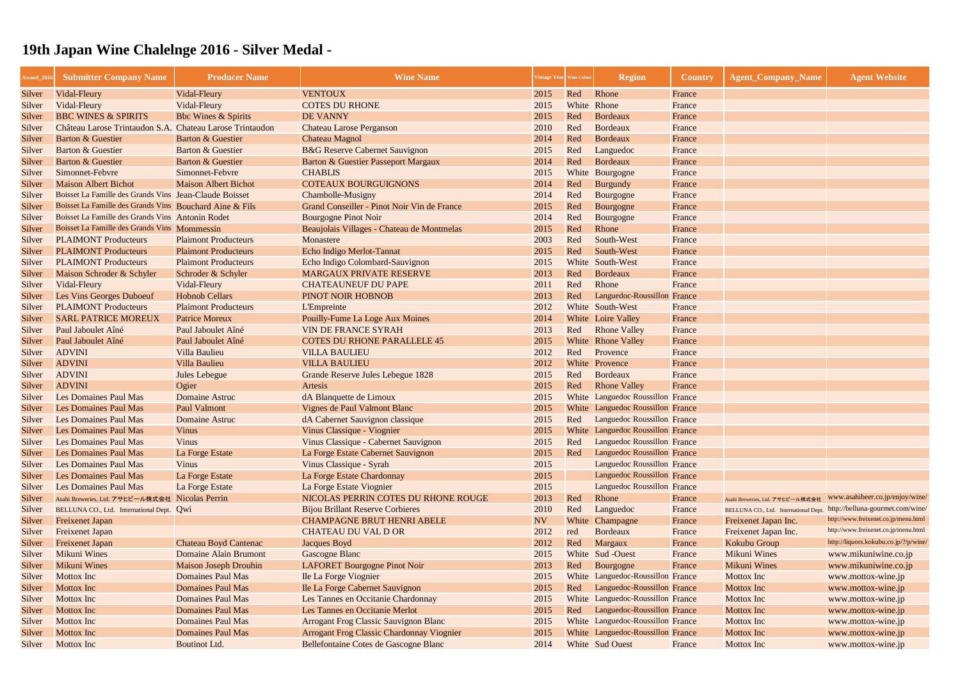| <b>VENTOUX</b><br>Vidal-Fleury<br>Vidal-Fleury<br>2015<br>Red<br>Rhone<br>France<br>Silver<br>Vidal-Fleury<br><b>COTES DU RHONE</b><br>White Rhone<br>Vidal-Fleury<br>2015<br>France<br>Silver<br><b>BBC WINES &amp; SPIRITS</b><br>Red<br><b>Bbc Wines &amp; Spirits</b><br><b>DE VANNY</b><br>2015<br>Bordeaux<br>France<br>Silver<br>Château Larose Trintaudon S.A. Chateau Larose Trintaudon<br>2010<br>Red<br>Bordeaux<br><b>Chateau Larose Perganson</b><br>France<br>Silver<br><b>Barton &amp; Guestier</b><br><b>Barton &amp; Guestier</b><br><b>Chateau Magnol</b><br>2014<br>Red<br>Bordeaux<br>France<br>Silver<br><b>Barton &amp; Guestier</b><br>Barton & Guestier<br><b>B&amp;G</b> Reserve Cabernet Sauvignon<br>Red<br>Languedoc<br>2015<br>France<br>Silver<br>Barton & Guestier<br><b>Barton &amp; Guestier</b><br>Barton & Guestier Passeport Margaux<br>2014<br>Red<br>Bordeaux<br>France<br>Silver<br>Simonnet-Febvre<br>Simonnet-Febvre<br><b>CHABLIS</b><br>White Bourgogne<br>2015<br>France<br>Silver<br><b>Maison Albert Bichot</b><br><b>Maison Albert Bichot</b><br><b>COTEAUX BOURGUIGNONS</b><br>2014<br>Red<br>Burgundy<br>France<br>Silver<br>Boisset La Famille des Grands Vins Jean-Claude Boisset<br>Red<br><b>Chambolle-Musigny</b><br>2014<br>Bourgogne<br>France<br>Silver<br>Boisset La Famille des Grands Vins Bouchard Aine & Fils<br>Grand Conseiller - Pinot Noir Vin de France<br>2015<br>Red<br>Bourgogne<br>France<br>Silver<br>Boisset La Famille des Grands Vins Antonin Rodet<br>2014<br><b>Bourgogne Pinot Noir</b><br>Red<br>Bourgogne<br>Silver<br>France<br>Boisset La Famille des Grands Vins Mommessin<br>Beaujolais Villages - Chateau de Montmelas<br>2015<br>Red<br>Rhone<br>France<br>Silver<br>Red<br><b>PLAIMONT Producteurs</b><br><b>Plaimont Producteurs</b><br>2003<br>South-West<br>Monastere<br>France<br>Silver<br><b>PLAIMONT Producteurs</b><br><b>Plaimont Producteurs</b><br>Echo Indigo Merlot-Tannat<br>2015<br>Red<br>South-West<br>France<br>Silver<br><b>PLAIMONT Producteurs</b><br><b>Plaimont Producteurs</b><br>2015<br>White South-West<br>Echo Indigo Colombard-Sauvignon<br>France<br>Silver<br>Maison Schroder & Schyler<br><b>MARGAUX PRIVATE RESERVE</b><br>Red<br>Bordeaux<br>Schroder & Schyler<br>2013<br>France<br>Silver<br>Vidal-Fleury<br>Vidal-Fleury<br><b>CHATEAUNEUF DU PAPE</b><br>Red<br>Rhone<br>2011<br>France<br>Silver<br><b>Hobnob Cellars</b><br>2013<br>Les Vins Georges Duboeuf<br>PINOT NOIR HOBNOB<br>Red<br>Languedoc-Roussillon France<br>Silver<br><b>PLAIMONT Producteurs</b><br><b>Plaimont Producteurs</b><br>2012<br>White South-West<br><b>L'Empreinte</b><br>France<br>Silver<br><b>Patrice Moreux</b><br><b>Pouilly-Fume La Loge Aux Moines</b><br><b>SARL PATRICE MOREUX</b><br>2014<br>White Loire Valley<br>France<br>Silver<br><b>VIN DE FRANCE SYRAH</b><br>Paul Jaboulet Aîné<br>Paul Jaboulet Aîné<br>2013<br><b>Rhone Valley</b><br>Red<br>France<br>Silver<br><b>COTES DU RHONE PARALLELE 45</b><br><b>White</b> Rhone Valley<br>Paul Jaboulet Aîné<br>Paul Jaboulet Aîné<br>2015<br>France<br>Silver<br><b>ADVINI</b><br>Provence<br>Villa Baulieu<br><b>VILLA BAULIEU</b><br>2012<br>Red<br>France<br>Silver<br>Villa Baulieu<br><b>VILLA BAULIEU</b><br><b>ADVINI</b><br>2012<br>White Provence<br>France<br>Silver<br>Bordeaux<br><b>ADVINI</b><br><b>Grande Reserve Jules Lebegue 1828</b><br>Red<br>France<br><b>Jules Lebegue</b><br>2015<br>Silver<br>Ogier<br><b>ADVINI</b><br><b>Rhone Valley</b><br>Artesis<br>2015<br>Red<br>France<br>Silver<br>White Languedoc Roussillon France<br><b>Les Domaines Paul Mas</b><br><b>Domaine Astruc</b><br>dA Blanquette de Limoux<br>2015<br>Silver<br><b>Paul Valmont</b><br>White Languedoc Roussillon France<br><b>Les Domaines Paul Mas</b><br>Vignes de Paul Valmont Blanc<br>2015<br>Silver<br>dA Cabernet Sauvignon classique<br>Languedoc Roussillon France<br><b>Les Domaines Paul Mas</b><br><b>Domaine Astruc</b><br>2015<br>Red<br>Silver<br>Vinus Classique - Viognier<br>2015<br>White Languedoc Roussillon France<br><b>Les Domaines Paul Mas</b><br><b>Vinus</b><br>Silver<br>Red<br><b>Les Domaines Paul Mas</b><br><b>Vinus</b><br>2015<br>Languedoc Roussillon France<br>Vinus Classique - Cabernet Sauvignon<br>Silver<br>2015<br>Red<br><b>Languedoc Roussillon France</b><br><b>Les Domaines Paul Mas</b><br>La Forge Estate<br>La Forge Estate Cabernet Sauvignon<br>Silver<br><b>Languedoc Roussillon France</b><br><b>Les Domaines Paul Mas</b><br>Vinus<br>Vinus Classique - Syrah<br>2015<br>Silver<br>2015<br><b>Les Domaines Paul Mas</b><br>La Forge Estate Chardonnay<br>Languedoc Roussillon France<br>La Forge Estate<br>Silver<br><b>Languedoc Roussillon France</b><br><b>Les Domaines Paul Mas</b><br>La Forge Estate<br>La Forge Estate Viognier<br>2015<br>Silver<br>www.asahibeer.co.jp/enjoy/wine/<br>NICOLAS PERRIN COTES DU RHONE ROUGE<br>2013<br>Asahi Breweries, Ltd. アサヒビール株式会社 Nicolas Perrin<br>Red<br>Rhone<br>Silver<br>France<br>Asahi Breweries, Ltd. アサヒビール株式会社<br>http://belluna-gourmet.com/wine/<br><b>Bijou Brillant Reserve Corbieres</b><br>2010<br>Silver<br>Red<br>BELLUNA CO., Ltd. International Dept. Qwi<br>Languedoc<br>France<br>BELLUNA CO., Ltd. International Dept<br>http://www.freixenet.co.jp/menu.html<br><b>NV</b><br><b>Freixenet Japan</b><br><b>CHAMPAGNE BRUT HENRI ABELE</b><br>White Champagne<br>Freixenet Japan Inc.<br>Silver<br>France<br>http://www.freixenet.co.jp/menu.html<br><b>CHATEAU DU VAL D OR</b><br>2012<br><b>Bordeaux</b><br>Freixenet Japan Inc.<br><b>Freixenet Japan</b><br>red<br>Silver<br>France<br>http://liquors.kokubu.co.jp/?/p/wine/<br><b>Chateau Boyd Cantenac</b><br>Jacques Boyd<br>2012<br>Red<br>Margaux<br>Kokubu Group<br><b>Freixenet Japan</b><br>Silver<br>France<br><b>Mikuni Wines</b><br><b>Mikuni Wines</b><br><b>Domaine Alain Brumont</b><br><b>Gascogne Blanc</b><br>2015<br>White Sud -Ouest<br>France<br>Silver<br>www.mikuniwine.co.jp<br><b>Mikuni Wines</b><br>Mikuni Wines<br><b>Maison Joseph Drouhin</b><br><b>LAFORET Bourgogne Pinot Noir</b><br>2013<br>Red<br>Bourgogne<br>France<br>www.mikuniwine.co.jp<br>Silver<br>White Languedoc-Roussillon France<br><b>Mottox</b> Inc<br><b>Mottox</b> Inc<br><b>Domaines Paul Mas</b><br>Ile La Forge Viognier<br>2015<br>Silver<br>www.mottox-wine.jp<br><b>Domaines Paul Mas</b><br>Languedoc-Roussillon France<br>Ile La Forge Cabernet Sauvignon<br>2015<br><b>Mottox</b> Inc<br>Red<br><b>Mottox</b> Inc<br>Silver<br>www.mottox-wine.jp<br>White Languedoc-Roussillon France<br><b>Mottox</b> Inc<br><b>Domaines Paul Mas</b><br>Les Tannes en Occitanie Chardonnay<br>2015<br>Mottox Inc<br>Silver<br>www.mottox-wine.jp<br>Languedoc-Roussillon France<br><b>Domaines Paul Mas</b><br>Les Tannes en Occitanie Merlot<br>2015<br><b>Mottox</b> Inc<br><b>Mottox</b> Inc<br>Red<br>www.mottox-wine.jp<br>Silver<br>White Languedoc-Roussillon France<br>Mottox Inc<br><b>Domaines Paul Mas</b><br><b>Arrogant Frog Classic Sauvignon Blanc</b><br>2015<br><b>Mottox Inc</b><br>www.mottox-wine.jp<br>Silver | Award_201 | <b>Submitter Company Name</b> | <b>Producer Name</b> | <b>Wine Name</b> | Vintage Year Wine Colou | <b>Region</b> | <b>Country</b> | <b>Agent_Company_Name</b> | <b>Agent Website</b> |
|------------------------------------------------------------------------------------------------------------------------------------------------------------------------------------------------------------------------------------------------------------------------------------------------------------------------------------------------------------------------------------------------------------------------------------------------------------------------------------------------------------------------------------------------------------------------------------------------------------------------------------------------------------------------------------------------------------------------------------------------------------------------------------------------------------------------------------------------------------------------------------------------------------------------------------------------------------------------------------------------------------------------------------------------------------------------------------------------------------------------------------------------------------------------------------------------------------------------------------------------------------------------------------------------------------------------------------------------------------------------------------------------------------------------------------------------------------------------------------------------------------------------------------------------------------------------------------------------------------------------------------------------------------------------------------------------------------------------------------------------------------------------------------------------------------------------------------------------------------------------------------------------------------------------------------------------------------------------------------------------------------------------------------------------------------------------------------------------------------------------------------------------------------------------------------------------------------------------------------------------------------------------------------------------------------------------------------------------------------------------------------------------------------------------------------------------------------------------------------------------------------------------------------------------------------------------------------------------------------------------------------------------------------------------------------------------------------------------------------------------------------------------------------------------------------------------------------------------------------------------------------------------------------------------------------------------------------------------------------------------------------------------------------------------------------------------------------------------------------------------------------------------------------------------------------------------------------------------------------------------------------------------------------------------------------------------------------------------------------------------------------------------------------------------------------------------------------------------------------------------------------------------------------------------------------------------------------------------------------------------------------------------------------------------------------------------------------------------------------------------------------------------------------------------------------------------------------------------------------------------------------------------------------------------------------------------------------------------------------------------------------------------------------------------------------------------------------------------------------------------------------------------------------------------------------------------------------------------------------------------------------------------------------------------------------------------------------------------------------------------------------------------------------------------------------------------------------------------------------------------------------------------------------------------------------------------------------------------------------------------------------------------------------------------------------------------------------------------------------------------------------------------------------------------------------------------------------------------------------------------------------------------------------------------------------------------------------------------------------------------------------------------------------------------------------------------------------------------------------------------------------------------------------------------------------------------------------------------------------------------------------------------------------------------------------------------------------------------------------------------------------------------------------------------------------------------------------------------------------------------------------------------------------------------------------------------------------------------------------------------------------------------------------------------------------------------------------------------------------------------------------------------------------------------------------------------------------------------------------------------------------------------------------------------------------------------------------------------------------------------------------------------------------------------------------------------------------------------------------------------------------------------------------------------------------------------------------------------------------------------------------------------------------------------------------------------------------------------------------------------------------------------------------------------------------------------------------------------------------------------------------------------------------------------------------------------------------------------------------------------------------------------------------------------------------------------------------------------------------------------------------------------------------------------------------------------------------------------------------------------------------------------------------------------------------------------------------------------------------------------------------------------------------------------------------------------------------------------------------------------------------------------------------------------------------------|-----------|-------------------------------|----------------------|------------------|-------------------------|---------------|----------------|---------------------------|----------------------|
|                                                                                                                                                                                                                                                                                                                                                                                                                                                                                                                                                                                                                                                                                                                                                                                                                                                                                                                                                                                                                                                                                                                                                                                                                                                                                                                                                                                                                                                                                                                                                                                                                                                                                                                                                                                                                                                                                                                                                                                                                                                                                                                                                                                                                                                                                                                                                                                                                                                                                                                                                                                                                                                                                                                                                                                                                                                                                                                                                                                                                                                                                                                                                                                                                                                                                                                                                                                                                                                                                                                                                                                                                                                                                                                                                                                                                                                                                                                                                                                                                                                                                                                                                                                                                                                                                                                                                                                                                                                                                                                                                                                                                                                                                                                                                                                                                                                                                                                                                                                                                                                                                                                                                                                                                                                                                                                                                                                                                                                                                                                                                                                                                                                                                                                                                                                                                                                                                                                                                                                                                                                                                                                                                                                                                                                                                                                                                                                                                                                                                                                                                                                                                                                                                                                                                                                                                                                                                                                                                                                                                                                                                                                                                                                          |           |                               |                      |                  |                         |               |                |                           |                      |
|                                                                                                                                                                                                                                                                                                                                                                                                                                                                                                                                                                                                                                                                                                                                                                                                                                                                                                                                                                                                                                                                                                                                                                                                                                                                                                                                                                                                                                                                                                                                                                                                                                                                                                                                                                                                                                                                                                                                                                                                                                                                                                                                                                                                                                                                                                                                                                                                                                                                                                                                                                                                                                                                                                                                                                                                                                                                                                                                                                                                                                                                                                                                                                                                                                                                                                                                                                                                                                                                                                                                                                                                                                                                                                                                                                                                                                                                                                                                                                                                                                                                                                                                                                                                                                                                                                                                                                                                                                                                                                                                                                                                                                                                                                                                                                                                                                                                                                                                                                                                                                                                                                                                                                                                                                                                                                                                                                                                                                                                                                                                                                                                                                                                                                                                                                                                                                                                                                                                                                                                                                                                                                                                                                                                                                                                                                                                                                                                                                                                                                                                                                                                                                                                                                                                                                                                                                                                                                                                                                                                                                                                                                                                                                                          |           |                               |                      |                  |                         |               |                |                           |                      |
|                                                                                                                                                                                                                                                                                                                                                                                                                                                                                                                                                                                                                                                                                                                                                                                                                                                                                                                                                                                                                                                                                                                                                                                                                                                                                                                                                                                                                                                                                                                                                                                                                                                                                                                                                                                                                                                                                                                                                                                                                                                                                                                                                                                                                                                                                                                                                                                                                                                                                                                                                                                                                                                                                                                                                                                                                                                                                                                                                                                                                                                                                                                                                                                                                                                                                                                                                                                                                                                                                                                                                                                                                                                                                                                                                                                                                                                                                                                                                                                                                                                                                                                                                                                                                                                                                                                                                                                                                                                                                                                                                                                                                                                                                                                                                                                                                                                                                                                                                                                                                                                                                                                                                                                                                                                                                                                                                                                                                                                                                                                                                                                                                                                                                                                                                                                                                                                                                                                                                                                                                                                                                                                                                                                                                                                                                                                                                                                                                                                                                                                                                                                                                                                                                                                                                                                                                                                                                                                                                                                                                                                                                                                                                                                          |           |                               |                      |                  |                         |               |                |                           |                      |
|                                                                                                                                                                                                                                                                                                                                                                                                                                                                                                                                                                                                                                                                                                                                                                                                                                                                                                                                                                                                                                                                                                                                                                                                                                                                                                                                                                                                                                                                                                                                                                                                                                                                                                                                                                                                                                                                                                                                                                                                                                                                                                                                                                                                                                                                                                                                                                                                                                                                                                                                                                                                                                                                                                                                                                                                                                                                                                                                                                                                                                                                                                                                                                                                                                                                                                                                                                                                                                                                                                                                                                                                                                                                                                                                                                                                                                                                                                                                                                                                                                                                                                                                                                                                                                                                                                                                                                                                                                                                                                                                                                                                                                                                                                                                                                                                                                                                                                                                                                                                                                                                                                                                                                                                                                                                                                                                                                                                                                                                                                                                                                                                                                                                                                                                                                                                                                                                                                                                                                                                                                                                                                                                                                                                                                                                                                                                                                                                                                                                                                                                                                                                                                                                                                                                                                                                                                                                                                                                                                                                                                                                                                                                                                                          |           |                               |                      |                  |                         |               |                |                           |                      |
|                                                                                                                                                                                                                                                                                                                                                                                                                                                                                                                                                                                                                                                                                                                                                                                                                                                                                                                                                                                                                                                                                                                                                                                                                                                                                                                                                                                                                                                                                                                                                                                                                                                                                                                                                                                                                                                                                                                                                                                                                                                                                                                                                                                                                                                                                                                                                                                                                                                                                                                                                                                                                                                                                                                                                                                                                                                                                                                                                                                                                                                                                                                                                                                                                                                                                                                                                                                                                                                                                                                                                                                                                                                                                                                                                                                                                                                                                                                                                                                                                                                                                                                                                                                                                                                                                                                                                                                                                                                                                                                                                                                                                                                                                                                                                                                                                                                                                                                                                                                                                                                                                                                                                                                                                                                                                                                                                                                                                                                                                                                                                                                                                                                                                                                                                                                                                                                                                                                                                                                                                                                                                                                                                                                                                                                                                                                                                                                                                                                                                                                                                                                                                                                                                                                                                                                                                                                                                                                                                                                                                                                                                                                                                                                          |           |                               |                      |                  |                         |               |                |                           |                      |
|                                                                                                                                                                                                                                                                                                                                                                                                                                                                                                                                                                                                                                                                                                                                                                                                                                                                                                                                                                                                                                                                                                                                                                                                                                                                                                                                                                                                                                                                                                                                                                                                                                                                                                                                                                                                                                                                                                                                                                                                                                                                                                                                                                                                                                                                                                                                                                                                                                                                                                                                                                                                                                                                                                                                                                                                                                                                                                                                                                                                                                                                                                                                                                                                                                                                                                                                                                                                                                                                                                                                                                                                                                                                                                                                                                                                                                                                                                                                                                                                                                                                                                                                                                                                                                                                                                                                                                                                                                                                                                                                                                                                                                                                                                                                                                                                                                                                                                                                                                                                                                                                                                                                                                                                                                                                                                                                                                                                                                                                                                                                                                                                                                                                                                                                                                                                                                                                                                                                                                                                                                                                                                                                                                                                                                                                                                                                                                                                                                                                                                                                                                                                                                                                                                                                                                                                                                                                                                                                                                                                                                                                                                                                                                                          |           |                               |                      |                  |                         |               |                |                           |                      |
|                                                                                                                                                                                                                                                                                                                                                                                                                                                                                                                                                                                                                                                                                                                                                                                                                                                                                                                                                                                                                                                                                                                                                                                                                                                                                                                                                                                                                                                                                                                                                                                                                                                                                                                                                                                                                                                                                                                                                                                                                                                                                                                                                                                                                                                                                                                                                                                                                                                                                                                                                                                                                                                                                                                                                                                                                                                                                                                                                                                                                                                                                                                                                                                                                                                                                                                                                                                                                                                                                                                                                                                                                                                                                                                                                                                                                                                                                                                                                                                                                                                                                                                                                                                                                                                                                                                                                                                                                                                                                                                                                                                                                                                                                                                                                                                                                                                                                                                                                                                                                                                                                                                                                                                                                                                                                                                                                                                                                                                                                                                                                                                                                                                                                                                                                                                                                                                                                                                                                                                                                                                                                                                                                                                                                                                                                                                                                                                                                                                                                                                                                                                                                                                                                                                                                                                                                                                                                                                                                                                                                                                                                                                                                                                          |           |                               |                      |                  |                         |               |                |                           |                      |
|                                                                                                                                                                                                                                                                                                                                                                                                                                                                                                                                                                                                                                                                                                                                                                                                                                                                                                                                                                                                                                                                                                                                                                                                                                                                                                                                                                                                                                                                                                                                                                                                                                                                                                                                                                                                                                                                                                                                                                                                                                                                                                                                                                                                                                                                                                                                                                                                                                                                                                                                                                                                                                                                                                                                                                                                                                                                                                                                                                                                                                                                                                                                                                                                                                                                                                                                                                                                                                                                                                                                                                                                                                                                                                                                                                                                                                                                                                                                                                                                                                                                                                                                                                                                                                                                                                                                                                                                                                                                                                                                                                                                                                                                                                                                                                                                                                                                                                                                                                                                                                                                                                                                                                                                                                                                                                                                                                                                                                                                                                                                                                                                                                                                                                                                                                                                                                                                                                                                                                                                                                                                                                                                                                                                                                                                                                                                                                                                                                                                                                                                                                                                                                                                                                                                                                                                                                                                                                                                                                                                                                                                                                                                                                                          |           |                               |                      |                  |                         |               |                |                           |                      |
|                                                                                                                                                                                                                                                                                                                                                                                                                                                                                                                                                                                                                                                                                                                                                                                                                                                                                                                                                                                                                                                                                                                                                                                                                                                                                                                                                                                                                                                                                                                                                                                                                                                                                                                                                                                                                                                                                                                                                                                                                                                                                                                                                                                                                                                                                                                                                                                                                                                                                                                                                                                                                                                                                                                                                                                                                                                                                                                                                                                                                                                                                                                                                                                                                                                                                                                                                                                                                                                                                                                                                                                                                                                                                                                                                                                                                                                                                                                                                                                                                                                                                                                                                                                                                                                                                                                                                                                                                                                                                                                                                                                                                                                                                                                                                                                                                                                                                                                                                                                                                                                                                                                                                                                                                                                                                                                                                                                                                                                                                                                                                                                                                                                                                                                                                                                                                                                                                                                                                                                                                                                                                                                                                                                                                                                                                                                                                                                                                                                                                                                                                                                                                                                                                                                                                                                                                                                                                                                                                                                                                                                                                                                                                                                          |           |                               |                      |                  |                         |               |                |                           |                      |
|                                                                                                                                                                                                                                                                                                                                                                                                                                                                                                                                                                                                                                                                                                                                                                                                                                                                                                                                                                                                                                                                                                                                                                                                                                                                                                                                                                                                                                                                                                                                                                                                                                                                                                                                                                                                                                                                                                                                                                                                                                                                                                                                                                                                                                                                                                                                                                                                                                                                                                                                                                                                                                                                                                                                                                                                                                                                                                                                                                                                                                                                                                                                                                                                                                                                                                                                                                                                                                                                                                                                                                                                                                                                                                                                                                                                                                                                                                                                                                                                                                                                                                                                                                                                                                                                                                                                                                                                                                                                                                                                                                                                                                                                                                                                                                                                                                                                                                                                                                                                                                                                                                                                                                                                                                                                                                                                                                                                                                                                                                                                                                                                                                                                                                                                                                                                                                                                                                                                                                                                                                                                                                                                                                                                                                                                                                                                                                                                                                                                                                                                                                                                                                                                                                                                                                                                                                                                                                                                                                                                                                                                                                                                                                                          |           |                               |                      |                  |                         |               |                |                           |                      |
|                                                                                                                                                                                                                                                                                                                                                                                                                                                                                                                                                                                                                                                                                                                                                                                                                                                                                                                                                                                                                                                                                                                                                                                                                                                                                                                                                                                                                                                                                                                                                                                                                                                                                                                                                                                                                                                                                                                                                                                                                                                                                                                                                                                                                                                                                                                                                                                                                                                                                                                                                                                                                                                                                                                                                                                                                                                                                                                                                                                                                                                                                                                                                                                                                                                                                                                                                                                                                                                                                                                                                                                                                                                                                                                                                                                                                                                                                                                                                                                                                                                                                                                                                                                                                                                                                                                                                                                                                                                                                                                                                                                                                                                                                                                                                                                                                                                                                                                                                                                                                                                                                                                                                                                                                                                                                                                                                                                                                                                                                                                                                                                                                                                                                                                                                                                                                                                                                                                                                                                                                                                                                                                                                                                                                                                                                                                                                                                                                                                                                                                                                                                                                                                                                                                                                                                                                                                                                                                                                                                                                                                                                                                                                                                          |           |                               |                      |                  |                         |               |                |                           |                      |
|                                                                                                                                                                                                                                                                                                                                                                                                                                                                                                                                                                                                                                                                                                                                                                                                                                                                                                                                                                                                                                                                                                                                                                                                                                                                                                                                                                                                                                                                                                                                                                                                                                                                                                                                                                                                                                                                                                                                                                                                                                                                                                                                                                                                                                                                                                                                                                                                                                                                                                                                                                                                                                                                                                                                                                                                                                                                                                                                                                                                                                                                                                                                                                                                                                                                                                                                                                                                                                                                                                                                                                                                                                                                                                                                                                                                                                                                                                                                                                                                                                                                                                                                                                                                                                                                                                                                                                                                                                                                                                                                                                                                                                                                                                                                                                                                                                                                                                                                                                                                                                                                                                                                                                                                                                                                                                                                                                                                                                                                                                                                                                                                                                                                                                                                                                                                                                                                                                                                                                                                                                                                                                                                                                                                                                                                                                                                                                                                                                                                                                                                                                                                                                                                                                                                                                                                                                                                                                                                                                                                                                                                                                                                                                                          |           |                               |                      |                  |                         |               |                |                           |                      |
|                                                                                                                                                                                                                                                                                                                                                                                                                                                                                                                                                                                                                                                                                                                                                                                                                                                                                                                                                                                                                                                                                                                                                                                                                                                                                                                                                                                                                                                                                                                                                                                                                                                                                                                                                                                                                                                                                                                                                                                                                                                                                                                                                                                                                                                                                                                                                                                                                                                                                                                                                                                                                                                                                                                                                                                                                                                                                                                                                                                                                                                                                                                                                                                                                                                                                                                                                                                                                                                                                                                                                                                                                                                                                                                                                                                                                                                                                                                                                                                                                                                                                                                                                                                                                                                                                                                                                                                                                                                                                                                                                                                                                                                                                                                                                                                                                                                                                                                                                                                                                                                                                                                                                                                                                                                                                                                                                                                                                                                                                                                                                                                                                                                                                                                                                                                                                                                                                                                                                                                                                                                                                                                                                                                                                                                                                                                                                                                                                                                                                                                                                                                                                                                                                                                                                                                                                                                                                                                                                                                                                                                                                                                                                                                          |           |                               |                      |                  |                         |               |                |                           |                      |
|                                                                                                                                                                                                                                                                                                                                                                                                                                                                                                                                                                                                                                                                                                                                                                                                                                                                                                                                                                                                                                                                                                                                                                                                                                                                                                                                                                                                                                                                                                                                                                                                                                                                                                                                                                                                                                                                                                                                                                                                                                                                                                                                                                                                                                                                                                                                                                                                                                                                                                                                                                                                                                                                                                                                                                                                                                                                                                                                                                                                                                                                                                                                                                                                                                                                                                                                                                                                                                                                                                                                                                                                                                                                                                                                                                                                                                                                                                                                                                                                                                                                                                                                                                                                                                                                                                                                                                                                                                                                                                                                                                                                                                                                                                                                                                                                                                                                                                                                                                                                                                                                                                                                                                                                                                                                                                                                                                                                                                                                                                                                                                                                                                                                                                                                                                                                                                                                                                                                                                                                                                                                                                                                                                                                                                                                                                                                                                                                                                                                                                                                                                                                                                                                                                                                                                                                                                                                                                                                                                                                                                                                                                                                                                                          |           |                               |                      |                  |                         |               |                |                           |                      |
|                                                                                                                                                                                                                                                                                                                                                                                                                                                                                                                                                                                                                                                                                                                                                                                                                                                                                                                                                                                                                                                                                                                                                                                                                                                                                                                                                                                                                                                                                                                                                                                                                                                                                                                                                                                                                                                                                                                                                                                                                                                                                                                                                                                                                                                                                                                                                                                                                                                                                                                                                                                                                                                                                                                                                                                                                                                                                                                                                                                                                                                                                                                                                                                                                                                                                                                                                                                                                                                                                                                                                                                                                                                                                                                                                                                                                                                                                                                                                                                                                                                                                                                                                                                                                                                                                                                                                                                                                                                                                                                                                                                                                                                                                                                                                                                                                                                                                                                                                                                                                                                                                                                                                                                                                                                                                                                                                                                                                                                                                                                                                                                                                                                                                                                                                                                                                                                                                                                                                                                                                                                                                                                                                                                                                                                                                                                                                                                                                                                                                                                                                                                                                                                                                                                                                                                                                                                                                                                                                                                                                                                                                                                                                                                          |           |                               |                      |                  |                         |               |                |                           |                      |
|                                                                                                                                                                                                                                                                                                                                                                                                                                                                                                                                                                                                                                                                                                                                                                                                                                                                                                                                                                                                                                                                                                                                                                                                                                                                                                                                                                                                                                                                                                                                                                                                                                                                                                                                                                                                                                                                                                                                                                                                                                                                                                                                                                                                                                                                                                                                                                                                                                                                                                                                                                                                                                                                                                                                                                                                                                                                                                                                                                                                                                                                                                                                                                                                                                                                                                                                                                                                                                                                                                                                                                                                                                                                                                                                                                                                                                                                                                                                                                                                                                                                                                                                                                                                                                                                                                                                                                                                                                                                                                                                                                                                                                                                                                                                                                                                                                                                                                                                                                                                                                                                                                                                                                                                                                                                                                                                                                                                                                                                                                                                                                                                                                                                                                                                                                                                                                                                                                                                                                                                                                                                                                                                                                                                                                                                                                                                                                                                                                                                                                                                                                                                                                                                                                                                                                                                                                                                                                                                                                                                                                                                                                                                                                                          |           |                               |                      |                  |                         |               |                |                           |                      |
|                                                                                                                                                                                                                                                                                                                                                                                                                                                                                                                                                                                                                                                                                                                                                                                                                                                                                                                                                                                                                                                                                                                                                                                                                                                                                                                                                                                                                                                                                                                                                                                                                                                                                                                                                                                                                                                                                                                                                                                                                                                                                                                                                                                                                                                                                                                                                                                                                                                                                                                                                                                                                                                                                                                                                                                                                                                                                                                                                                                                                                                                                                                                                                                                                                                                                                                                                                                                                                                                                                                                                                                                                                                                                                                                                                                                                                                                                                                                                                                                                                                                                                                                                                                                                                                                                                                                                                                                                                                                                                                                                                                                                                                                                                                                                                                                                                                                                                                                                                                                                                                                                                                                                                                                                                                                                                                                                                                                                                                                                                                                                                                                                                                                                                                                                                                                                                                                                                                                                                                                                                                                                                                                                                                                                                                                                                                                                                                                                                                                                                                                                                                                                                                                                                                                                                                                                                                                                                                                                                                                                                                                                                                                                                                          |           |                               |                      |                  |                         |               |                |                           |                      |
|                                                                                                                                                                                                                                                                                                                                                                                                                                                                                                                                                                                                                                                                                                                                                                                                                                                                                                                                                                                                                                                                                                                                                                                                                                                                                                                                                                                                                                                                                                                                                                                                                                                                                                                                                                                                                                                                                                                                                                                                                                                                                                                                                                                                                                                                                                                                                                                                                                                                                                                                                                                                                                                                                                                                                                                                                                                                                                                                                                                                                                                                                                                                                                                                                                                                                                                                                                                                                                                                                                                                                                                                                                                                                                                                                                                                                                                                                                                                                                                                                                                                                                                                                                                                                                                                                                                                                                                                                                                                                                                                                                                                                                                                                                                                                                                                                                                                                                                                                                                                                                                                                                                                                                                                                                                                                                                                                                                                                                                                                                                                                                                                                                                                                                                                                                                                                                                                                                                                                                                                                                                                                                                                                                                                                                                                                                                                                                                                                                                                                                                                                                                                                                                                                                                                                                                                                                                                                                                                                                                                                                                                                                                                                                                          |           |                               |                      |                  |                         |               |                |                           |                      |
|                                                                                                                                                                                                                                                                                                                                                                                                                                                                                                                                                                                                                                                                                                                                                                                                                                                                                                                                                                                                                                                                                                                                                                                                                                                                                                                                                                                                                                                                                                                                                                                                                                                                                                                                                                                                                                                                                                                                                                                                                                                                                                                                                                                                                                                                                                                                                                                                                                                                                                                                                                                                                                                                                                                                                                                                                                                                                                                                                                                                                                                                                                                                                                                                                                                                                                                                                                                                                                                                                                                                                                                                                                                                                                                                                                                                                                                                                                                                                                                                                                                                                                                                                                                                                                                                                                                                                                                                                                                                                                                                                                                                                                                                                                                                                                                                                                                                                                                                                                                                                                                                                                                                                                                                                                                                                                                                                                                                                                                                                                                                                                                                                                                                                                                                                                                                                                                                                                                                                                                                                                                                                                                                                                                                                                                                                                                                                                                                                                                                                                                                                                                                                                                                                                                                                                                                                                                                                                                                                                                                                                                                                                                                                                                          |           |                               |                      |                  |                         |               |                |                           |                      |
|                                                                                                                                                                                                                                                                                                                                                                                                                                                                                                                                                                                                                                                                                                                                                                                                                                                                                                                                                                                                                                                                                                                                                                                                                                                                                                                                                                                                                                                                                                                                                                                                                                                                                                                                                                                                                                                                                                                                                                                                                                                                                                                                                                                                                                                                                                                                                                                                                                                                                                                                                                                                                                                                                                                                                                                                                                                                                                                                                                                                                                                                                                                                                                                                                                                                                                                                                                                                                                                                                                                                                                                                                                                                                                                                                                                                                                                                                                                                                                                                                                                                                                                                                                                                                                                                                                                                                                                                                                                                                                                                                                                                                                                                                                                                                                                                                                                                                                                                                                                                                                                                                                                                                                                                                                                                                                                                                                                                                                                                                                                                                                                                                                                                                                                                                                                                                                                                                                                                                                                                                                                                                                                                                                                                                                                                                                                                                                                                                                                                                                                                                                                                                                                                                                                                                                                                                                                                                                                                                                                                                                                                                                                                                                                          |           |                               |                      |                  |                         |               |                |                           |                      |
|                                                                                                                                                                                                                                                                                                                                                                                                                                                                                                                                                                                                                                                                                                                                                                                                                                                                                                                                                                                                                                                                                                                                                                                                                                                                                                                                                                                                                                                                                                                                                                                                                                                                                                                                                                                                                                                                                                                                                                                                                                                                                                                                                                                                                                                                                                                                                                                                                                                                                                                                                                                                                                                                                                                                                                                                                                                                                                                                                                                                                                                                                                                                                                                                                                                                                                                                                                                                                                                                                                                                                                                                                                                                                                                                                                                                                                                                                                                                                                                                                                                                                                                                                                                                                                                                                                                                                                                                                                                                                                                                                                                                                                                                                                                                                                                                                                                                                                                                                                                                                                                                                                                                                                                                                                                                                                                                                                                                                                                                                                                                                                                                                                                                                                                                                                                                                                                                                                                                                                                                                                                                                                                                                                                                                                                                                                                                                                                                                                                                                                                                                                                                                                                                                                                                                                                                                                                                                                                                                                                                                                                                                                                                                                                          |           |                               |                      |                  |                         |               |                |                           |                      |
|                                                                                                                                                                                                                                                                                                                                                                                                                                                                                                                                                                                                                                                                                                                                                                                                                                                                                                                                                                                                                                                                                                                                                                                                                                                                                                                                                                                                                                                                                                                                                                                                                                                                                                                                                                                                                                                                                                                                                                                                                                                                                                                                                                                                                                                                                                                                                                                                                                                                                                                                                                                                                                                                                                                                                                                                                                                                                                                                                                                                                                                                                                                                                                                                                                                                                                                                                                                                                                                                                                                                                                                                                                                                                                                                                                                                                                                                                                                                                                                                                                                                                                                                                                                                                                                                                                                                                                                                                                                                                                                                                                                                                                                                                                                                                                                                                                                                                                                                                                                                                                                                                                                                                                                                                                                                                                                                                                                                                                                                                                                                                                                                                                                                                                                                                                                                                                                                                                                                                                                                                                                                                                                                                                                                                                                                                                                                                                                                                                                                                                                                                                                                                                                                                                                                                                                                                                                                                                                                                                                                                                                                                                                                                                                          |           |                               |                      |                  |                         |               |                |                           |                      |
|                                                                                                                                                                                                                                                                                                                                                                                                                                                                                                                                                                                                                                                                                                                                                                                                                                                                                                                                                                                                                                                                                                                                                                                                                                                                                                                                                                                                                                                                                                                                                                                                                                                                                                                                                                                                                                                                                                                                                                                                                                                                                                                                                                                                                                                                                                                                                                                                                                                                                                                                                                                                                                                                                                                                                                                                                                                                                                                                                                                                                                                                                                                                                                                                                                                                                                                                                                                                                                                                                                                                                                                                                                                                                                                                                                                                                                                                                                                                                                                                                                                                                                                                                                                                                                                                                                                                                                                                                                                                                                                                                                                                                                                                                                                                                                                                                                                                                                                                                                                                                                                                                                                                                                                                                                                                                                                                                                                                                                                                                                                                                                                                                                                                                                                                                                                                                                                                                                                                                                                                                                                                                                                                                                                                                                                                                                                                                                                                                                                                                                                                                                                                                                                                                                                                                                                                                                                                                                                                                                                                                                                                                                                                                                                          |           |                               |                      |                  |                         |               |                |                           |                      |
|                                                                                                                                                                                                                                                                                                                                                                                                                                                                                                                                                                                                                                                                                                                                                                                                                                                                                                                                                                                                                                                                                                                                                                                                                                                                                                                                                                                                                                                                                                                                                                                                                                                                                                                                                                                                                                                                                                                                                                                                                                                                                                                                                                                                                                                                                                                                                                                                                                                                                                                                                                                                                                                                                                                                                                                                                                                                                                                                                                                                                                                                                                                                                                                                                                                                                                                                                                                                                                                                                                                                                                                                                                                                                                                                                                                                                                                                                                                                                                                                                                                                                                                                                                                                                                                                                                                                                                                                                                                                                                                                                                                                                                                                                                                                                                                                                                                                                                                                                                                                                                                                                                                                                                                                                                                                                                                                                                                                                                                                                                                                                                                                                                                                                                                                                                                                                                                                                                                                                                                                                                                                                                                                                                                                                                                                                                                                                                                                                                                                                                                                                                                                                                                                                                                                                                                                                                                                                                                                                                                                                                                                                                                                                                                          |           |                               |                      |                  |                         |               |                |                           |                      |
|                                                                                                                                                                                                                                                                                                                                                                                                                                                                                                                                                                                                                                                                                                                                                                                                                                                                                                                                                                                                                                                                                                                                                                                                                                                                                                                                                                                                                                                                                                                                                                                                                                                                                                                                                                                                                                                                                                                                                                                                                                                                                                                                                                                                                                                                                                                                                                                                                                                                                                                                                                                                                                                                                                                                                                                                                                                                                                                                                                                                                                                                                                                                                                                                                                                                                                                                                                                                                                                                                                                                                                                                                                                                                                                                                                                                                                                                                                                                                                                                                                                                                                                                                                                                                                                                                                                                                                                                                                                                                                                                                                                                                                                                                                                                                                                                                                                                                                                                                                                                                                                                                                                                                                                                                                                                                                                                                                                                                                                                                                                                                                                                                                                                                                                                                                                                                                                                                                                                                                                                                                                                                                                                                                                                                                                                                                                                                                                                                                                                                                                                                                                                                                                                                                                                                                                                                                                                                                                                                                                                                                                                                                                                                                                          |           |                               |                      |                  |                         |               |                |                           |                      |
|                                                                                                                                                                                                                                                                                                                                                                                                                                                                                                                                                                                                                                                                                                                                                                                                                                                                                                                                                                                                                                                                                                                                                                                                                                                                                                                                                                                                                                                                                                                                                                                                                                                                                                                                                                                                                                                                                                                                                                                                                                                                                                                                                                                                                                                                                                                                                                                                                                                                                                                                                                                                                                                                                                                                                                                                                                                                                                                                                                                                                                                                                                                                                                                                                                                                                                                                                                                                                                                                                                                                                                                                                                                                                                                                                                                                                                                                                                                                                                                                                                                                                                                                                                                                                                                                                                                                                                                                                                                                                                                                                                                                                                                                                                                                                                                                                                                                                                                                                                                                                                                                                                                                                                                                                                                                                                                                                                                                                                                                                                                                                                                                                                                                                                                                                                                                                                                                                                                                                                                                                                                                                                                                                                                                                                                                                                                                                                                                                                                                                                                                                                                                                                                                                                                                                                                                                                                                                                                                                                                                                                                                                                                                                                                          |           |                               |                      |                  |                         |               |                |                           |                      |
|                                                                                                                                                                                                                                                                                                                                                                                                                                                                                                                                                                                                                                                                                                                                                                                                                                                                                                                                                                                                                                                                                                                                                                                                                                                                                                                                                                                                                                                                                                                                                                                                                                                                                                                                                                                                                                                                                                                                                                                                                                                                                                                                                                                                                                                                                                                                                                                                                                                                                                                                                                                                                                                                                                                                                                                                                                                                                                                                                                                                                                                                                                                                                                                                                                                                                                                                                                                                                                                                                                                                                                                                                                                                                                                                                                                                                                                                                                                                                                                                                                                                                                                                                                                                                                                                                                                                                                                                                                                                                                                                                                                                                                                                                                                                                                                                                                                                                                                                                                                                                                                                                                                                                                                                                                                                                                                                                                                                                                                                                                                                                                                                                                                                                                                                                                                                                                                                                                                                                                                                                                                                                                                                                                                                                                                                                                                                                                                                                                                                                                                                                                                                                                                                                                                                                                                                                                                                                                                                                                                                                                                                                                                                                                                          |           |                               |                      |                  |                         |               |                |                           |                      |
|                                                                                                                                                                                                                                                                                                                                                                                                                                                                                                                                                                                                                                                                                                                                                                                                                                                                                                                                                                                                                                                                                                                                                                                                                                                                                                                                                                                                                                                                                                                                                                                                                                                                                                                                                                                                                                                                                                                                                                                                                                                                                                                                                                                                                                                                                                                                                                                                                                                                                                                                                                                                                                                                                                                                                                                                                                                                                                                                                                                                                                                                                                                                                                                                                                                                                                                                                                                                                                                                                                                                                                                                                                                                                                                                                                                                                                                                                                                                                                                                                                                                                                                                                                                                                                                                                                                                                                                                                                                                                                                                                                                                                                                                                                                                                                                                                                                                                                                                                                                                                                                                                                                                                                                                                                                                                                                                                                                                                                                                                                                                                                                                                                                                                                                                                                                                                                                                                                                                                                                                                                                                                                                                                                                                                                                                                                                                                                                                                                                                                                                                                                                                                                                                                                                                                                                                                                                                                                                                                                                                                                                                                                                                                                                          |           |                               |                      |                  |                         |               |                |                           |                      |
|                                                                                                                                                                                                                                                                                                                                                                                                                                                                                                                                                                                                                                                                                                                                                                                                                                                                                                                                                                                                                                                                                                                                                                                                                                                                                                                                                                                                                                                                                                                                                                                                                                                                                                                                                                                                                                                                                                                                                                                                                                                                                                                                                                                                                                                                                                                                                                                                                                                                                                                                                                                                                                                                                                                                                                                                                                                                                                                                                                                                                                                                                                                                                                                                                                                                                                                                                                                                                                                                                                                                                                                                                                                                                                                                                                                                                                                                                                                                                                                                                                                                                                                                                                                                                                                                                                                                                                                                                                                                                                                                                                                                                                                                                                                                                                                                                                                                                                                                                                                                                                                                                                                                                                                                                                                                                                                                                                                                                                                                                                                                                                                                                                                                                                                                                                                                                                                                                                                                                                                                                                                                                                                                                                                                                                                                                                                                                                                                                                                                                                                                                                                                                                                                                                                                                                                                                                                                                                                                                                                                                                                                                                                                                                                          |           |                               |                      |                  |                         |               |                |                           |                      |
|                                                                                                                                                                                                                                                                                                                                                                                                                                                                                                                                                                                                                                                                                                                                                                                                                                                                                                                                                                                                                                                                                                                                                                                                                                                                                                                                                                                                                                                                                                                                                                                                                                                                                                                                                                                                                                                                                                                                                                                                                                                                                                                                                                                                                                                                                                                                                                                                                                                                                                                                                                                                                                                                                                                                                                                                                                                                                                                                                                                                                                                                                                                                                                                                                                                                                                                                                                                                                                                                                                                                                                                                                                                                                                                                                                                                                                                                                                                                                                                                                                                                                                                                                                                                                                                                                                                                                                                                                                                                                                                                                                                                                                                                                                                                                                                                                                                                                                                                                                                                                                                                                                                                                                                                                                                                                                                                                                                                                                                                                                                                                                                                                                                                                                                                                                                                                                                                                                                                                                                                                                                                                                                                                                                                                                                                                                                                                                                                                                                                                                                                                                                                                                                                                                                                                                                                                                                                                                                                                                                                                                                                                                                                                                                          |           |                               |                      |                  |                         |               |                |                           |                      |
|                                                                                                                                                                                                                                                                                                                                                                                                                                                                                                                                                                                                                                                                                                                                                                                                                                                                                                                                                                                                                                                                                                                                                                                                                                                                                                                                                                                                                                                                                                                                                                                                                                                                                                                                                                                                                                                                                                                                                                                                                                                                                                                                                                                                                                                                                                                                                                                                                                                                                                                                                                                                                                                                                                                                                                                                                                                                                                                                                                                                                                                                                                                                                                                                                                                                                                                                                                                                                                                                                                                                                                                                                                                                                                                                                                                                                                                                                                                                                                                                                                                                                                                                                                                                                                                                                                                                                                                                                                                                                                                                                                                                                                                                                                                                                                                                                                                                                                                                                                                                                                                                                                                                                                                                                                                                                                                                                                                                                                                                                                                                                                                                                                                                                                                                                                                                                                                                                                                                                                                                                                                                                                                                                                                                                                                                                                                                                                                                                                                                                                                                                                                                                                                                                                                                                                                                                                                                                                                                                                                                                                                                                                                                                                                          |           |                               |                      |                  |                         |               |                |                           |                      |
|                                                                                                                                                                                                                                                                                                                                                                                                                                                                                                                                                                                                                                                                                                                                                                                                                                                                                                                                                                                                                                                                                                                                                                                                                                                                                                                                                                                                                                                                                                                                                                                                                                                                                                                                                                                                                                                                                                                                                                                                                                                                                                                                                                                                                                                                                                                                                                                                                                                                                                                                                                                                                                                                                                                                                                                                                                                                                                                                                                                                                                                                                                                                                                                                                                                                                                                                                                                                                                                                                                                                                                                                                                                                                                                                                                                                                                                                                                                                                                                                                                                                                                                                                                                                                                                                                                                                                                                                                                                                                                                                                                                                                                                                                                                                                                                                                                                                                                                                                                                                                                                                                                                                                                                                                                                                                                                                                                                                                                                                                                                                                                                                                                                                                                                                                                                                                                                                                                                                                                                                                                                                                                                                                                                                                                                                                                                                                                                                                                                                                                                                                                                                                                                                                                                                                                                                                                                                                                                                                                                                                                                                                                                                                                                          |           |                               |                      |                  |                         |               |                |                           |                      |
|                                                                                                                                                                                                                                                                                                                                                                                                                                                                                                                                                                                                                                                                                                                                                                                                                                                                                                                                                                                                                                                                                                                                                                                                                                                                                                                                                                                                                                                                                                                                                                                                                                                                                                                                                                                                                                                                                                                                                                                                                                                                                                                                                                                                                                                                                                                                                                                                                                                                                                                                                                                                                                                                                                                                                                                                                                                                                                                                                                                                                                                                                                                                                                                                                                                                                                                                                                                                                                                                                                                                                                                                                                                                                                                                                                                                                                                                                                                                                                                                                                                                                                                                                                                                                                                                                                                                                                                                                                                                                                                                                                                                                                                                                                                                                                                                                                                                                                                                                                                                                                                                                                                                                                                                                                                                                                                                                                                                                                                                                                                                                                                                                                                                                                                                                                                                                                                                                                                                                                                                                                                                                                                                                                                                                                                                                                                                                                                                                                                                                                                                                                                                                                                                                                                                                                                                                                                                                                                                                                                                                                                                                                                                                                                          |           |                               |                      |                  |                         |               |                |                           |                      |
|                                                                                                                                                                                                                                                                                                                                                                                                                                                                                                                                                                                                                                                                                                                                                                                                                                                                                                                                                                                                                                                                                                                                                                                                                                                                                                                                                                                                                                                                                                                                                                                                                                                                                                                                                                                                                                                                                                                                                                                                                                                                                                                                                                                                                                                                                                                                                                                                                                                                                                                                                                                                                                                                                                                                                                                                                                                                                                                                                                                                                                                                                                                                                                                                                                                                                                                                                                                                                                                                                                                                                                                                                                                                                                                                                                                                                                                                                                                                                                                                                                                                                                                                                                                                                                                                                                                                                                                                                                                                                                                                                                                                                                                                                                                                                                                                                                                                                                                                                                                                                                                                                                                                                                                                                                                                                                                                                                                                                                                                                                                                                                                                                                                                                                                                                                                                                                                                                                                                                                                                                                                                                                                                                                                                                                                                                                                                                                                                                                                                                                                                                                                                                                                                                                                                                                                                                                                                                                                                                                                                                                                                                                                                                                                          |           |                               |                      |                  |                         |               |                |                           |                      |
|                                                                                                                                                                                                                                                                                                                                                                                                                                                                                                                                                                                                                                                                                                                                                                                                                                                                                                                                                                                                                                                                                                                                                                                                                                                                                                                                                                                                                                                                                                                                                                                                                                                                                                                                                                                                                                                                                                                                                                                                                                                                                                                                                                                                                                                                                                                                                                                                                                                                                                                                                                                                                                                                                                                                                                                                                                                                                                                                                                                                                                                                                                                                                                                                                                                                                                                                                                                                                                                                                                                                                                                                                                                                                                                                                                                                                                                                                                                                                                                                                                                                                                                                                                                                                                                                                                                                                                                                                                                                                                                                                                                                                                                                                                                                                                                                                                                                                                                                                                                                                                                                                                                                                                                                                                                                                                                                                                                                                                                                                                                                                                                                                                                                                                                                                                                                                                                                                                                                                                                                                                                                                                                                                                                                                                                                                                                                                                                                                                                                                                                                                                                                                                                                                                                                                                                                                                                                                                                                                                                                                                                                                                                                                                                          |           |                               |                      |                  |                         |               |                |                           |                      |
|                                                                                                                                                                                                                                                                                                                                                                                                                                                                                                                                                                                                                                                                                                                                                                                                                                                                                                                                                                                                                                                                                                                                                                                                                                                                                                                                                                                                                                                                                                                                                                                                                                                                                                                                                                                                                                                                                                                                                                                                                                                                                                                                                                                                                                                                                                                                                                                                                                                                                                                                                                                                                                                                                                                                                                                                                                                                                                                                                                                                                                                                                                                                                                                                                                                                                                                                                                                                                                                                                                                                                                                                                                                                                                                                                                                                                                                                                                                                                                                                                                                                                                                                                                                                                                                                                                                                                                                                                                                                                                                                                                                                                                                                                                                                                                                                                                                                                                                                                                                                                                                                                                                                                                                                                                                                                                                                                                                                                                                                                                                                                                                                                                                                                                                                                                                                                                                                                                                                                                                                                                                                                                                                                                                                                                                                                                                                                                                                                                                                                                                                                                                                                                                                                                                                                                                                                                                                                                                                                                                                                                                                                                                                                                                          |           |                               |                      |                  |                         |               |                |                           |                      |
|                                                                                                                                                                                                                                                                                                                                                                                                                                                                                                                                                                                                                                                                                                                                                                                                                                                                                                                                                                                                                                                                                                                                                                                                                                                                                                                                                                                                                                                                                                                                                                                                                                                                                                                                                                                                                                                                                                                                                                                                                                                                                                                                                                                                                                                                                                                                                                                                                                                                                                                                                                                                                                                                                                                                                                                                                                                                                                                                                                                                                                                                                                                                                                                                                                                                                                                                                                                                                                                                                                                                                                                                                                                                                                                                                                                                                                                                                                                                                                                                                                                                                                                                                                                                                                                                                                                                                                                                                                                                                                                                                                                                                                                                                                                                                                                                                                                                                                                                                                                                                                                                                                                                                                                                                                                                                                                                                                                                                                                                                                                                                                                                                                                                                                                                                                                                                                                                                                                                                                                                                                                                                                                                                                                                                                                                                                                                                                                                                                                                                                                                                                                                                                                                                                                                                                                                                                                                                                                                                                                                                                                                                                                                                                                          |           |                               |                      |                  |                         |               |                |                           |                      |
|                                                                                                                                                                                                                                                                                                                                                                                                                                                                                                                                                                                                                                                                                                                                                                                                                                                                                                                                                                                                                                                                                                                                                                                                                                                                                                                                                                                                                                                                                                                                                                                                                                                                                                                                                                                                                                                                                                                                                                                                                                                                                                                                                                                                                                                                                                                                                                                                                                                                                                                                                                                                                                                                                                                                                                                                                                                                                                                                                                                                                                                                                                                                                                                                                                                                                                                                                                                                                                                                                                                                                                                                                                                                                                                                                                                                                                                                                                                                                                                                                                                                                                                                                                                                                                                                                                                                                                                                                                                                                                                                                                                                                                                                                                                                                                                                                                                                                                                                                                                                                                                                                                                                                                                                                                                                                                                                                                                                                                                                                                                                                                                                                                                                                                                                                                                                                                                                                                                                                                                                                                                                                                                                                                                                                                                                                                                                                                                                                                                                                                                                                                                                                                                                                                                                                                                                                                                                                                                                                                                                                                                                                                                                                                                          |           |                               |                      |                  |                         |               |                |                           |                      |
|                                                                                                                                                                                                                                                                                                                                                                                                                                                                                                                                                                                                                                                                                                                                                                                                                                                                                                                                                                                                                                                                                                                                                                                                                                                                                                                                                                                                                                                                                                                                                                                                                                                                                                                                                                                                                                                                                                                                                                                                                                                                                                                                                                                                                                                                                                                                                                                                                                                                                                                                                                                                                                                                                                                                                                                                                                                                                                                                                                                                                                                                                                                                                                                                                                                                                                                                                                                                                                                                                                                                                                                                                                                                                                                                                                                                                                                                                                                                                                                                                                                                                                                                                                                                                                                                                                                                                                                                                                                                                                                                                                                                                                                                                                                                                                                                                                                                                                                                                                                                                                                                                                                                                                                                                                                                                                                                                                                                                                                                                                                                                                                                                                                                                                                                                                                                                                                                                                                                                                                                                                                                                                                                                                                                                                                                                                                                                                                                                                                                                                                                                                                                                                                                                                                                                                                                                                                                                                                                                                                                                                                                                                                                                                                          |           |                               |                      |                  |                         |               |                |                           |                      |
|                                                                                                                                                                                                                                                                                                                                                                                                                                                                                                                                                                                                                                                                                                                                                                                                                                                                                                                                                                                                                                                                                                                                                                                                                                                                                                                                                                                                                                                                                                                                                                                                                                                                                                                                                                                                                                                                                                                                                                                                                                                                                                                                                                                                                                                                                                                                                                                                                                                                                                                                                                                                                                                                                                                                                                                                                                                                                                                                                                                                                                                                                                                                                                                                                                                                                                                                                                                                                                                                                                                                                                                                                                                                                                                                                                                                                                                                                                                                                                                                                                                                                                                                                                                                                                                                                                                                                                                                                                                                                                                                                                                                                                                                                                                                                                                                                                                                                                                                                                                                                                                                                                                                                                                                                                                                                                                                                                                                                                                                                                                                                                                                                                                                                                                                                                                                                                                                                                                                                                                                                                                                                                                                                                                                                                                                                                                                                                                                                                                                                                                                                                                                                                                                                                                                                                                                                                                                                                                                                                                                                                                                                                                                                                                          |           |                               |                      |                  |                         |               |                |                           |                      |
|                                                                                                                                                                                                                                                                                                                                                                                                                                                                                                                                                                                                                                                                                                                                                                                                                                                                                                                                                                                                                                                                                                                                                                                                                                                                                                                                                                                                                                                                                                                                                                                                                                                                                                                                                                                                                                                                                                                                                                                                                                                                                                                                                                                                                                                                                                                                                                                                                                                                                                                                                                                                                                                                                                                                                                                                                                                                                                                                                                                                                                                                                                                                                                                                                                                                                                                                                                                                                                                                                                                                                                                                                                                                                                                                                                                                                                                                                                                                                                                                                                                                                                                                                                                                                                                                                                                                                                                                                                                                                                                                                                                                                                                                                                                                                                                                                                                                                                                                                                                                                                                                                                                                                                                                                                                                                                                                                                                                                                                                                                                                                                                                                                                                                                                                                                                                                                                                                                                                                                                                                                                                                                                                                                                                                                                                                                                                                                                                                                                                                                                                                                                                                                                                                                                                                                                                                                                                                                                                                                                                                                                                                                                                                                                          |           |                               |                      |                  |                         |               |                |                           |                      |
|                                                                                                                                                                                                                                                                                                                                                                                                                                                                                                                                                                                                                                                                                                                                                                                                                                                                                                                                                                                                                                                                                                                                                                                                                                                                                                                                                                                                                                                                                                                                                                                                                                                                                                                                                                                                                                                                                                                                                                                                                                                                                                                                                                                                                                                                                                                                                                                                                                                                                                                                                                                                                                                                                                                                                                                                                                                                                                                                                                                                                                                                                                                                                                                                                                                                                                                                                                                                                                                                                                                                                                                                                                                                                                                                                                                                                                                                                                                                                                                                                                                                                                                                                                                                                                                                                                                                                                                                                                                                                                                                                                                                                                                                                                                                                                                                                                                                                                                                                                                                                                                                                                                                                                                                                                                                                                                                                                                                                                                                                                                                                                                                                                                                                                                                                                                                                                                                                                                                                                                                                                                                                                                                                                                                                                                                                                                                                                                                                                                                                                                                                                                                                                                                                                                                                                                                                                                                                                                                                                                                                                                                                                                                                                                          |           |                               |                      |                  |                         |               |                |                           |                      |
|                                                                                                                                                                                                                                                                                                                                                                                                                                                                                                                                                                                                                                                                                                                                                                                                                                                                                                                                                                                                                                                                                                                                                                                                                                                                                                                                                                                                                                                                                                                                                                                                                                                                                                                                                                                                                                                                                                                                                                                                                                                                                                                                                                                                                                                                                                                                                                                                                                                                                                                                                                                                                                                                                                                                                                                                                                                                                                                                                                                                                                                                                                                                                                                                                                                                                                                                                                                                                                                                                                                                                                                                                                                                                                                                                                                                                                                                                                                                                                                                                                                                                                                                                                                                                                                                                                                                                                                                                                                                                                                                                                                                                                                                                                                                                                                                                                                                                                                                                                                                                                                                                                                                                                                                                                                                                                                                                                                                                                                                                                                                                                                                                                                                                                                                                                                                                                                                                                                                                                                                                                                                                                                                                                                                                                                                                                                                                                                                                                                                                                                                                                                                                                                                                                                                                                                                                                                                                                                                                                                                                                                                                                                                                                                          |           |                               |                      |                  |                         |               |                |                           |                      |
|                                                                                                                                                                                                                                                                                                                                                                                                                                                                                                                                                                                                                                                                                                                                                                                                                                                                                                                                                                                                                                                                                                                                                                                                                                                                                                                                                                                                                                                                                                                                                                                                                                                                                                                                                                                                                                                                                                                                                                                                                                                                                                                                                                                                                                                                                                                                                                                                                                                                                                                                                                                                                                                                                                                                                                                                                                                                                                                                                                                                                                                                                                                                                                                                                                                                                                                                                                                                                                                                                                                                                                                                                                                                                                                                                                                                                                                                                                                                                                                                                                                                                                                                                                                                                                                                                                                                                                                                                                                                                                                                                                                                                                                                                                                                                                                                                                                                                                                                                                                                                                                                                                                                                                                                                                                                                                                                                                                                                                                                                                                                                                                                                                                                                                                                                                                                                                                                                                                                                                                                                                                                                                                                                                                                                                                                                                                                                                                                                                                                                                                                                                                                                                                                                                                                                                                                                                                                                                                                                                                                                                                                                                                                                                                          |           |                               |                      |                  |                         |               |                |                           |                      |
|                                                                                                                                                                                                                                                                                                                                                                                                                                                                                                                                                                                                                                                                                                                                                                                                                                                                                                                                                                                                                                                                                                                                                                                                                                                                                                                                                                                                                                                                                                                                                                                                                                                                                                                                                                                                                                                                                                                                                                                                                                                                                                                                                                                                                                                                                                                                                                                                                                                                                                                                                                                                                                                                                                                                                                                                                                                                                                                                                                                                                                                                                                                                                                                                                                                                                                                                                                                                                                                                                                                                                                                                                                                                                                                                                                                                                                                                                                                                                                                                                                                                                                                                                                                                                                                                                                                                                                                                                                                                                                                                                                                                                                                                                                                                                                                                                                                                                                                                                                                                                                                                                                                                                                                                                                                                                                                                                                                                                                                                                                                                                                                                                                                                                                                                                                                                                                                                                                                                                                                                                                                                                                                                                                                                                                                                                                                                                                                                                                                                                                                                                                                                                                                                                                                                                                                                                                                                                                                                                                                                                                                                                                                                                                                          |           |                               |                      |                  |                         |               |                |                           |                      |
|                                                                                                                                                                                                                                                                                                                                                                                                                                                                                                                                                                                                                                                                                                                                                                                                                                                                                                                                                                                                                                                                                                                                                                                                                                                                                                                                                                                                                                                                                                                                                                                                                                                                                                                                                                                                                                                                                                                                                                                                                                                                                                                                                                                                                                                                                                                                                                                                                                                                                                                                                                                                                                                                                                                                                                                                                                                                                                                                                                                                                                                                                                                                                                                                                                                                                                                                                                                                                                                                                                                                                                                                                                                                                                                                                                                                                                                                                                                                                                                                                                                                                                                                                                                                                                                                                                                                                                                                                                                                                                                                                                                                                                                                                                                                                                                                                                                                                                                                                                                                                                                                                                                                                                                                                                                                                                                                                                                                                                                                                                                                                                                                                                                                                                                                                                                                                                                                                                                                                                                                                                                                                                                                                                                                                                                                                                                                                                                                                                                                                                                                                                                                                                                                                                                                                                                                                                                                                                                                                                                                                                                                                                                                                                                          |           |                               |                      |                  |                         |               |                |                           |                      |
|                                                                                                                                                                                                                                                                                                                                                                                                                                                                                                                                                                                                                                                                                                                                                                                                                                                                                                                                                                                                                                                                                                                                                                                                                                                                                                                                                                                                                                                                                                                                                                                                                                                                                                                                                                                                                                                                                                                                                                                                                                                                                                                                                                                                                                                                                                                                                                                                                                                                                                                                                                                                                                                                                                                                                                                                                                                                                                                                                                                                                                                                                                                                                                                                                                                                                                                                                                                                                                                                                                                                                                                                                                                                                                                                                                                                                                                                                                                                                                                                                                                                                                                                                                                                                                                                                                                                                                                                                                                                                                                                                                                                                                                                                                                                                                                                                                                                                                                                                                                                                                                                                                                                                                                                                                                                                                                                                                                                                                                                                                                                                                                                                                                                                                                                                                                                                                                                                                                                                                                                                                                                                                                                                                                                                                                                                                                                                                                                                                                                                                                                                                                                                                                                                                                                                                                                                                                                                                                                                                                                                                                                                                                                                                                          |           |                               |                      |                  |                         |               |                |                           |                      |
|                                                                                                                                                                                                                                                                                                                                                                                                                                                                                                                                                                                                                                                                                                                                                                                                                                                                                                                                                                                                                                                                                                                                                                                                                                                                                                                                                                                                                                                                                                                                                                                                                                                                                                                                                                                                                                                                                                                                                                                                                                                                                                                                                                                                                                                                                                                                                                                                                                                                                                                                                                                                                                                                                                                                                                                                                                                                                                                                                                                                                                                                                                                                                                                                                                                                                                                                                                                                                                                                                                                                                                                                                                                                                                                                                                                                                                                                                                                                                                                                                                                                                                                                                                                                                                                                                                                                                                                                                                                                                                                                                                                                                                                                                                                                                                                                                                                                                                                                                                                                                                                                                                                                                                                                                                                                                                                                                                                                                                                                                                                                                                                                                                                                                                                                                                                                                                                                                                                                                                                                                                                                                                                                                                                                                                                                                                                                                                                                                                                                                                                                                                                                                                                                                                                                                                                                                                                                                                                                                                                                                                                                                                                                                                                          |           |                               |                      |                  |                         |               |                |                           |                      |
| <b>Domaines Paul Mas</b><br><b>Arrogant Frog Classic Chardonnay Viognier</b><br>White Languedoc-Roussillon France<br><b>Mottox</b> Inc<br>2015<br>Mottox Inc<br>www.mottox-wine.jp<br>Silver                                                                                                                                                                                                                                                                                                                                                                                                                                                                                                                                                                                                                                                                                                                                                                                                                                                                                                                                                                                                                                                                                                                                                                                                                                                                                                                                                                                                                                                                                                                                                                                                                                                                                                                                                                                                                                                                                                                                                                                                                                                                                                                                                                                                                                                                                                                                                                                                                                                                                                                                                                                                                                                                                                                                                                                                                                                                                                                                                                                                                                                                                                                                                                                                                                                                                                                                                                                                                                                                                                                                                                                                                                                                                                                                                                                                                                                                                                                                                                                                                                                                                                                                                                                                                                                                                                                                                                                                                                                                                                                                                                                                                                                                                                                                                                                                                                                                                                                                                                                                                                                                                                                                                                                                                                                                                                                                                                                                                                                                                                                                                                                                                                                                                                                                                                                                                                                                                                                                                                                                                                                                                                                                                                                                                                                                                                                                                                                                                                                                                                                                                                                                                                                                                                                                                                                                                                                                                                                                                                                             |           |                               |                      |                  |                         |               |                |                           |                      |
| White Sud Ouest<br>Mottox Inc<br>Bellefontaine Cotes de Gascogne Blanc<br>2014<br><b>Boutinot Ltd.</b><br>Mottox Inc<br>Silver<br>France<br>www.mottox-wine.jp                                                                                                                                                                                                                                                                                                                                                                                                                                                                                                                                                                                                                                                                                                                                                                                                                                                                                                                                                                                                                                                                                                                                                                                                                                                                                                                                                                                                                                                                                                                                                                                                                                                                                                                                                                                                                                                                                                                                                                                                                                                                                                                                                                                                                                                                                                                                                                                                                                                                                                                                                                                                                                                                                                                                                                                                                                                                                                                                                                                                                                                                                                                                                                                                                                                                                                                                                                                                                                                                                                                                                                                                                                                                                                                                                                                                                                                                                                                                                                                                                                                                                                                                                                                                                                                                                                                                                                                                                                                                                                                                                                                                                                                                                                                                                                                                                                                                                                                                                                                                                                                                                                                                                                                                                                                                                                                                                                                                                                                                                                                                                                                                                                                                                                                                                                                                                                                                                                                                                                                                                                                                                                                                                                                                                                                                                                                                                                                                                                                                                                                                                                                                                                                                                                                                                                                                                                                                                                                                                                                                                           |           |                               |                      |                  |                         |               |                |                           |                      |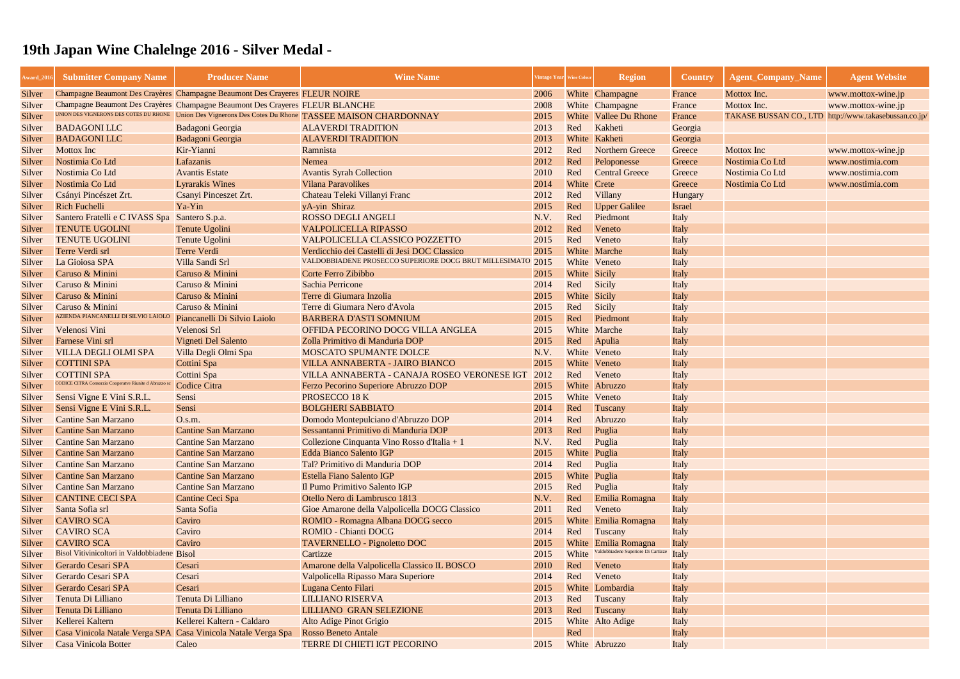| Champagne Beaumont Des Crayères Champagne Beaumont Des Crayeres FLEUR NOIRE<br>2006<br>White Champagne<br>Mottox Inc.<br>Silver<br>France<br>www.mottox-wine.jp<br>Champagne Beaumont Des Crayères Champagne Beaumont Des Crayeres FLEUR BLANCHE<br>2008<br>White Champagne<br>Mottox Inc.<br>www.mottox-wine.jp<br>Silver<br>France<br>UNION DES VIGNERONS DES COTES DU RHONE<br>Union Des Vignerons Des Cotes Du Rhone TASSEE MAISON CHARDONNAY<br>TAKASE BUSSAN CO., LTD http://www.takasebussan.co.jp/<br>2015<br>White Vallee Du Rhone<br>Silver<br>France<br>Kakheti<br><b>BADAGONI LLC</b><br><b>ALAVERDI TRADITION</b><br>2013<br>Red<br>Badagoni Georgia<br>Silver<br>Georgia<br><b>BADAGONI LLC</b><br>Badagoni Georgia<br><b>ALAVERDI TRADITION</b><br>2013<br>White Kakheti<br>Georgia<br>Silver<br>Kir-Yianni<br>Ramnista<br>2012<br>Red<br><b>Northern Greece</b><br><b>Mottox</b> Inc<br><b>Mottox</b> Inc<br>Silver<br>Greece<br>www.mottox-wine.jp<br>Nostimia Co Ltd<br>Peloponesse<br>Lafazanis<br>2012<br>Red<br>Nostimia Co Ltd<br>Nemea<br>Greece<br>www.nostimia.com<br>Silver<br>Nostimia Co Ltd<br><b>Avantis Estate</b><br><b>Avantis Syrah Collection</b><br>2010<br>Red<br><b>Central Greece</b><br>Nostimia Co Ltd<br>www.nostimia.com<br>Silver<br>Greece<br><b>Lyrarakis Wines</b><br>White Crete<br>Nostimia Co Ltd<br><b>Vilana Paravolikes</b><br>2014<br>Nostimia Co Ltd<br>www.nostimia.com<br>Silver<br>Greece<br>Csanyi Pinceszet Zrt.<br>Chateau Teleki Villanyi Franc<br>2012<br>Red<br>Csányi Pincészet Zrt.<br>Villany<br>Silver<br><b>Hungary</b><br><b>Rich Fuchelli</b><br>Ya-Yin<br>2015<br>Red<br>yA-yin Shiraz<br><b>Upper Galilee</b><br>Silver<br><b>Israel</b><br>Santero Fratelli e C IVASS Spa<br>Santero S.p.a.<br><b>ROSSO DEGLI ANGELI</b><br>N.V.<br>Red<br>Piedmont<br>Italy<br>Silver<br><b>TENUTE UGOLINI</b><br>Red<br>Tenute Ugolini<br><b>VALPOLICELLA RIPASSO</b><br>2012<br>Veneto<br>Silver<br>Italy<br><b>TENUTE UGOLINI</b><br>Veneto<br>Tenute Ugolini<br>VALPOLICELLA CLASSICO POZZETTO<br>2015<br>Red<br>Silver<br>Italy<br>Verdicchio dei Castelli di Jesi DOC Classico<br>2015<br>White Marche<br>Terre Verdi srl<br><b>Terre Verdi</b><br>Silver<br>Italy<br>VALDOBBIADENE PROSECCO SUPERIORE DOCG BRUT MILLESIMATO 2015<br>Villa Sandi Srl<br>White Veneto<br>La Gioiosa SPA<br>Silver<br>Italy<br>Caruso & Minini<br>Caruso & Minini<br>Corte Ferro Zibibbo<br>White Sicily<br>2015<br>Silver<br>Italy<br>Caruso & Minini<br>Caruso & Minini<br>Sachia Perricone<br>2014<br>Red<br>Sicily<br>Silver<br>Italy<br>Caruso & Minini<br>Caruso & Minini<br>Terre di Giumara Inzolia<br>2015<br>White Sicily<br>Silver<br>Italy<br>Caruso & Minini<br>Caruso & Minini<br>Terre di Giumara Nero d'Avola<br>2015<br>Red<br>Sicily<br>Silver<br>Italy<br>AZIENDA PIANCANELLI DI SILVIO LAIOLO<br>Silver<br>Piancanelli Di Silvio Laiolo<br><b>BARBERA D'ASTI SOMNIUM</b><br>2015<br>Red<br>Piedmont<br>Italy<br>White Marche<br>Velenosi Vini<br>Velenosi Srl<br>OFFIDA PECORINO DOCG VILLA ANGLEA<br>2015<br>Silver<br>Italy<br>2015<br>Farnese Vini srl<br>Vigneti Del Salento<br>Zolla Primitivo di Manduria DOP<br>Apulia<br>Red<br>Italy<br>Silver<br>White Veneto<br><b>VILLA DEGLI OLMI SPA</b><br>Villa Degli Olmi Spa<br>MOSCATO SPUMANTE DOLCE<br>N.V.<br>Italy<br>2015<br>White Veneto<br><b>COTTINI SPA</b><br>Cottini Spa<br>VILLA ANNABERTA - JAIRO BIANCO<br>Silver<br>Italy<br>Cottini Spa<br>VILLA ANNABERTA - CANAJA ROSEO VERONESE IGT<br>2012<br>Red<br>Veneto<br><b>COTTINI SPA</b><br>Silver<br>Italy<br>CODICE CITRA Consorzio Cooperatve Riunite d Abruzzo s<br><b>Codice Citra</b><br>White Abruzzo<br>Ferzo Pecorino Superiore Abruzzo DOP<br>2015<br>Silver<br>Italy<br>PROSECCO 18 K<br>Sensi Vigne E Vini S.R.L.<br>White Veneto<br>Sensi<br>2015<br>Italy<br>Sensi<br><b>BOLGHERI SABBIATO</b><br>2014<br>Red<br>Sensi Vigne E Vini S.R.L.<br>Tuscany<br>Silver<br>Italy<br><b>Cantine San Marzano</b><br>Domodo Montepulciano d'Abruzzo DOP<br>2014<br>Abruzzo<br>O.s.m.<br>Red<br>Silver<br>Italy<br>2013<br>Red<br><b>Cantine San Marzano</b><br>Sessantanni Primitivo di Manduria DOP<br><b>Cantine San Marzano</b><br>Puglia<br>Italy<br>Silver<br><b>Cantine San Marzano</b><br><b>Cantine San Marzano</b><br>Collezione Cinquanta Vino Rosso d'Italia + 1<br>Silver<br>N.V.<br>Red<br>Puglia<br>Italy<br>White Puglia<br><b>Cantine San Marzano</b><br><b>Cantine San Marzano</b><br><b>Edda Bianco Salento IGP</b><br>2015<br>Italy<br>Silver<br>Tal? Primitivo di Manduria DOP<br><b>Cantine San Marzano</b><br><b>Cantine San Marzano</b><br>2014<br>Red<br>Puglia<br>Silver<br>Italy<br><b>Cantine San Marzano</b><br><b>Cantine San Marzano</b><br>Estella Fiano Salento IGP<br>White Puglia<br>2015<br>Silver<br>Italy<br><b>Cantine San Marzano</b><br><b>Cantine San Marzano</b><br>Il Pumo Primitivo Salento IGP<br>2015<br>Red<br>Puglia<br>Silver<br>Italy<br>Otello Nero di Lambrusco 1813<br><b>CANTINE CECI SPA</b><br>Cantine Ceci Spa<br>N.V.<br>Emilia Romagna<br>Red<br>Italy<br>Silver<br>Santa Sofia srl<br>Santa Sofia<br>Gioe Amarone della Valpolicella DOCG Classico<br>2011<br>Red<br>Veneto<br>Silver<br>Italy<br><b>CAVIRO SCA</b><br>Caviro<br>ROMIO - Romagna Albana DOCG secco<br>White Emilia Romagna<br>2015<br>Silver<br>Italy<br><b>CAVIRO SCA</b><br><b>ROMIO - Chianti DOCG</b><br>Caviro<br>2014<br>Red<br>Tuscany<br>Italy<br><b>CAVIRO SCA</b><br>Caviro<br><b>TAVERNELLO - Pignoletto DOC</b><br>White Emilia Romagna<br>2015<br>Silver<br>Italy<br>Valdobbiadene Superiore Di Cartizze<br>Bisol Vitivinicoltori in Valdobbiadene Bisol<br>White<br>Cartizze<br>2015<br>Italy<br>Silver<br>Gerardo Cesari SPA<br>Amarone della Valpolicella Classico IL BOSCO<br>2010<br>Cesari<br>Red<br>Veneto<br>Silver<br>Italy<br>Gerardo Cesari SPA<br>Valpolicella Ripasso Mara Superiore<br>Red<br>Veneto<br>Cesari<br>2014<br>Silver<br>Italy<br>Cesari<br>Lugana Cento Filari<br>Gerardo Cesari SPA<br>2015<br>White Lombardia<br>Silver<br>Italy<br>Tenuta Di Lilliano<br>Tenuta Di Lilliano<br><b>LILLIANO RISERVA</b><br>2013<br>Silver<br>Red<br>Tuscany<br>Italy<br>Tenuta Di Lilliano<br>Tenuta Di Lilliano<br><b>LILLIANO GRAN SELEZIONE</b><br>2013<br>Red<br>Tuscany<br>Italy<br>Silver<br>Kellerei Kaltern - Caldaro<br>Kellerei Kaltern<br>Alto Adige Pinot Grigio<br>2015<br>White Alto Adige<br>Silver<br>Italy | Award_201 | <b>Submitter Company Name</b> | <b>Producer Name</b> | <b>Wine Name</b>           | Vintage Year Wine Colour |     | <b>Region</b> | <b>Country</b> | <b>Agent Company Name</b> | <b>Agent Website</b> |
|------------------------------------------------------------------------------------------------------------------------------------------------------------------------------------------------------------------------------------------------------------------------------------------------------------------------------------------------------------------------------------------------------------------------------------------------------------------------------------------------------------------------------------------------------------------------------------------------------------------------------------------------------------------------------------------------------------------------------------------------------------------------------------------------------------------------------------------------------------------------------------------------------------------------------------------------------------------------------------------------------------------------------------------------------------------------------------------------------------------------------------------------------------------------------------------------------------------------------------------------------------------------------------------------------------------------------------------------------------------------------------------------------------------------------------------------------------------------------------------------------------------------------------------------------------------------------------------------------------------------------------------------------------------------------------------------------------------------------------------------------------------------------------------------------------------------------------------------------------------------------------------------------------------------------------------------------------------------------------------------------------------------------------------------------------------------------------------------------------------------------------------------------------------------------------------------------------------------------------------------------------------------------------------------------------------------------------------------------------------------------------------------------------------------------------------------------------------------------------------------------------------------------------------------------------------------------------------------------------------------------------------------------------------------------------------------------------------------------------------------------------------------------------------------------------------------------------------------------------------------------------------------------------------------------------------------------------------------------------------------------------------------------------------------------------------------------------------------------------------------------------------------------------------------------------------------------------------------------------------------------------------------------------------------------------------------------------------------------------------------------------------------------------------------------------------------------------------------------------------------------------------------------------------------------------------------------------------------------------------------------------------------------------------------------------------------------------------------------------------------------------------------------------------------------------------------------------------------------------------------------------------------------------------------------------------------------------------------------------------------------------------------------------------------------------------------------------------------------------------------------------------------------------------------------------------------------------------------------------------------------------------------------------------------------------------------------------------------------------------------------------------------------------------------------------------------------------------------------------------------------------------------------------------------------------------------------------------------------------------------------------------------------------------------------------------------------------------------------------------------------------------------------------------------------------------------------------------------------------------------------------------------------------------------------------------------------------------------------------------------------------------------------------------------------------------------------------------------------------------------------------------------------------------------------------------------------------------------------------------------------------------------------------------------------------------------------------------------------------------------------------------------------------------------------------------------------------------------------------------------------------------------------------------------------------------------------------------------------------------------------------------------------------------------------------------------------------------------------------------------------------------------------------------------------------------------------------------------------------------------------------------------------------------------------------------------------------------------------------------------------------------------------------------------------------------------------------------------------------------------------------------------------------------------------------------------------------------------------------------------------------------------------------------------------------------------------------------------------------------------------------------------------------------------------------------------------------------------|-----------|-------------------------------|----------------------|----------------------------|--------------------------|-----|---------------|----------------|---------------------------|----------------------|
|                                                                                                                                                                                                                                                                                                                                                                                                                                                                                                                                                                                                                                                                                                                                                                                                                                                                                                                                                                                                                                                                                                                                                                                                                                                                                                                                                                                                                                                                                                                                                                                                                                                                                                                                                                                                                                                                                                                                                                                                                                                                                                                                                                                                                                                                                                                                                                                                                                                                                                                                                                                                                                                                                                                                                                                                                                                                                                                                                                                                                                                                                                                                                                                                                                                                                                                                                                                                                                                                                                                                                                                                                                                                                                                                                                                                                                                                                                                                                                                                                                                                                                                                                                                                                                                                                                                                                                                                                                                                                                                                                                                                                                                                                                                                                                                                                                                                                                                                                                                                                                                                                                                                                                                                                                                                                                                                                                                                                                                                                                                                                                                                                                                                                                                                                                                                                                                                                                                                                                                                                                                                                                                                                                                                                                                                                                                                                                                                                                                                        |           |                               |                      |                            |                          |     |               |                |                           |                      |
|                                                                                                                                                                                                                                                                                                                                                                                                                                                                                                                                                                                                                                                                                                                                                                                                                                                                                                                                                                                                                                                                                                                                                                                                                                                                                                                                                                                                                                                                                                                                                                                                                                                                                                                                                                                                                                                                                                                                                                                                                                                                                                                                                                                                                                                                                                                                                                                                                                                                                                                                                                                                                                                                                                                                                                                                                                                                                                                                                                                                                                                                                                                                                                                                                                                                                                                                                                                                                                                                                                                                                                                                                                                                                                                                                                                                                                                                                                                                                                                                                                                                                                                                                                                                                                                                                                                                                                                                                                                                                                                                                                                                                                                                                                                                                                                                                                                                                                                                                                                                                                                                                                                                                                                                                                                                                                                                                                                                                                                                                                                                                                                                                                                                                                                                                                                                                                                                                                                                                                                                                                                                                                                                                                                                                                                                                                                                                                                                                                                                        |           |                               |                      |                            |                          |     |               |                |                           |                      |
|                                                                                                                                                                                                                                                                                                                                                                                                                                                                                                                                                                                                                                                                                                                                                                                                                                                                                                                                                                                                                                                                                                                                                                                                                                                                                                                                                                                                                                                                                                                                                                                                                                                                                                                                                                                                                                                                                                                                                                                                                                                                                                                                                                                                                                                                                                                                                                                                                                                                                                                                                                                                                                                                                                                                                                                                                                                                                                                                                                                                                                                                                                                                                                                                                                                                                                                                                                                                                                                                                                                                                                                                                                                                                                                                                                                                                                                                                                                                                                                                                                                                                                                                                                                                                                                                                                                                                                                                                                                                                                                                                                                                                                                                                                                                                                                                                                                                                                                                                                                                                                                                                                                                                                                                                                                                                                                                                                                                                                                                                                                                                                                                                                                                                                                                                                                                                                                                                                                                                                                                                                                                                                                                                                                                                                                                                                                                                                                                                                                                        |           |                               |                      |                            |                          |     |               |                |                           |                      |
|                                                                                                                                                                                                                                                                                                                                                                                                                                                                                                                                                                                                                                                                                                                                                                                                                                                                                                                                                                                                                                                                                                                                                                                                                                                                                                                                                                                                                                                                                                                                                                                                                                                                                                                                                                                                                                                                                                                                                                                                                                                                                                                                                                                                                                                                                                                                                                                                                                                                                                                                                                                                                                                                                                                                                                                                                                                                                                                                                                                                                                                                                                                                                                                                                                                                                                                                                                                                                                                                                                                                                                                                                                                                                                                                                                                                                                                                                                                                                                                                                                                                                                                                                                                                                                                                                                                                                                                                                                                                                                                                                                                                                                                                                                                                                                                                                                                                                                                                                                                                                                                                                                                                                                                                                                                                                                                                                                                                                                                                                                                                                                                                                                                                                                                                                                                                                                                                                                                                                                                                                                                                                                                                                                                                                                                                                                                                                                                                                                                                        |           |                               |                      |                            |                          |     |               |                |                           |                      |
|                                                                                                                                                                                                                                                                                                                                                                                                                                                                                                                                                                                                                                                                                                                                                                                                                                                                                                                                                                                                                                                                                                                                                                                                                                                                                                                                                                                                                                                                                                                                                                                                                                                                                                                                                                                                                                                                                                                                                                                                                                                                                                                                                                                                                                                                                                                                                                                                                                                                                                                                                                                                                                                                                                                                                                                                                                                                                                                                                                                                                                                                                                                                                                                                                                                                                                                                                                                                                                                                                                                                                                                                                                                                                                                                                                                                                                                                                                                                                                                                                                                                                                                                                                                                                                                                                                                                                                                                                                                                                                                                                                                                                                                                                                                                                                                                                                                                                                                                                                                                                                                                                                                                                                                                                                                                                                                                                                                                                                                                                                                                                                                                                                                                                                                                                                                                                                                                                                                                                                                                                                                                                                                                                                                                                                                                                                                                                                                                                                                                        |           |                               |                      |                            |                          |     |               |                |                           |                      |
|                                                                                                                                                                                                                                                                                                                                                                                                                                                                                                                                                                                                                                                                                                                                                                                                                                                                                                                                                                                                                                                                                                                                                                                                                                                                                                                                                                                                                                                                                                                                                                                                                                                                                                                                                                                                                                                                                                                                                                                                                                                                                                                                                                                                                                                                                                                                                                                                                                                                                                                                                                                                                                                                                                                                                                                                                                                                                                                                                                                                                                                                                                                                                                                                                                                                                                                                                                                                                                                                                                                                                                                                                                                                                                                                                                                                                                                                                                                                                                                                                                                                                                                                                                                                                                                                                                                                                                                                                                                                                                                                                                                                                                                                                                                                                                                                                                                                                                                                                                                                                                                                                                                                                                                                                                                                                                                                                                                                                                                                                                                                                                                                                                                                                                                                                                                                                                                                                                                                                                                                                                                                                                                                                                                                                                                                                                                                                                                                                                                                        |           |                               |                      |                            |                          |     |               |                |                           |                      |
|                                                                                                                                                                                                                                                                                                                                                                                                                                                                                                                                                                                                                                                                                                                                                                                                                                                                                                                                                                                                                                                                                                                                                                                                                                                                                                                                                                                                                                                                                                                                                                                                                                                                                                                                                                                                                                                                                                                                                                                                                                                                                                                                                                                                                                                                                                                                                                                                                                                                                                                                                                                                                                                                                                                                                                                                                                                                                                                                                                                                                                                                                                                                                                                                                                                                                                                                                                                                                                                                                                                                                                                                                                                                                                                                                                                                                                                                                                                                                                                                                                                                                                                                                                                                                                                                                                                                                                                                                                                                                                                                                                                                                                                                                                                                                                                                                                                                                                                                                                                                                                                                                                                                                                                                                                                                                                                                                                                                                                                                                                                                                                                                                                                                                                                                                                                                                                                                                                                                                                                                                                                                                                                                                                                                                                                                                                                                                                                                                                                                        |           |                               |                      |                            |                          |     |               |                |                           |                      |
|                                                                                                                                                                                                                                                                                                                                                                                                                                                                                                                                                                                                                                                                                                                                                                                                                                                                                                                                                                                                                                                                                                                                                                                                                                                                                                                                                                                                                                                                                                                                                                                                                                                                                                                                                                                                                                                                                                                                                                                                                                                                                                                                                                                                                                                                                                                                                                                                                                                                                                                                                                                                                                                                                                                                                                                                                                                                                                                                                                                                                                                                                                                                                                                                                                                                                                                                                                                                                                                                                                                                                                                                                                                                                                                                                                                                                                                                                                                                                                                                                                                                                                                                                                                                                                                                                                                                                                                                                                                                                                                                                                                                                                                                                                                                                                                                                                                                                                                                                                                                                                                                                                                                                                                                                                                                                                                                                                                                                                                                                                                                                                                                                                                                                                                                                                                                                                                                                                                                                                                                                                                                                                                                                                                                                                                                                                                                                                                                                                                                        |           |                               |                      |                            |                          |     |               |                |                           |                      |
|                                                                                                                                                                                                                                                                                                                                                                                                                                                                                                                                                                                                                                                                                                                                                                                                                                                                                                                                                                                                                                                                                                                                                                                                                                                                                                                                                                                                                                                                                                                                                                                                                                                                                                                                                                                                                                                                                                                                                                                                                                                                                                                                                                                                                                                                                                                                                                                                                                                                                                                                                                                                                                                                                                                                                                                                                                                                                                                                                                                                                                                                                                                                                                                                                                                                                                                                                                                                                                                                                                                                                                                                                                                                                                                                                                                                                                                                                                                                                                                                                                                                                                                                                                                                                                                                                                                                                                                                                                                                                                                                                                                                                                                                                                                                                                                                                                                                                                                                                                                                                                                                                                                                                                                                                                                                                                                                                                                                                                                                                                                                                                                                                                                                                                                                                                                                                                                                                                                                                                                                                                                                                                                                                                                                                                                                                                                                                                                                                                                                        |           |                               |                      |                            |                          |     |               |                |                           |                      |
|                                                                                                                                                                                                                                                                                                                                                                                                                                                                                                                                                                                                                                                                                                                                                                                                                                                                                                                                                                                                                                                                                                                                                                                                                                                                                                                                                                                                                                                                                                                                                                                                                                                                                                                                                                                                                                                                                                                                                                                                                                                                                                                                                                                                                                                                                                                                                                                                                                                                                                                                                                                                                                                                                                                                                                                                                                                                                                                                                                                                                                                                                                                                                                                                                                                                                                                                                                                                                                                                                                                                                                                                                                                                                                                                                                                                                                                                                                                                                                                                                                                                                                                                                                                                                                                                                                                                                                                                                                                                                                                                                                                                                                                                                                                                                                                                                                                                                                                                                                                                                                                                                                                                                                                                                                                                                                                                                                                                                                                                                                                                                                                                                                                                                                                                                                                                                                                                                                                                                                                                                                                                                                                                                                                                                                                                                                                                                                                                                                                                        |           |                               |                      |                            |                          |     |               |                |                           |                      |
|                                                                                                                                                                                                                                                                                                                                                                                                                                                                                                                                                                                                                                                                                                                                                                                                                                                                                                                                                                                                                                                                                                                                                                                                                                                                                                                                                                                                                                                                                                                                                                                                                                                                                                                                                                                                                                                                                                                                                                                                                                                                                                                                                                                                                                                                                                                                                                                                                                                                                                                                                                                                                                                                                                                                                                                                                                                                                                                                                                                                                                                                                                                                                                                                                                                                                                                                                                                                                                                                                                                                                                                                                                                                                                                                                                                                                                                                                                                                                                                                                                                                                                                                                                                                                                                                                                                                                                                                                                                                                                                                                                                                                                                                                                                                                                                                                                                                                                                                                                                                                                                                                                                                                                                                                                                                                                                                                                                                                                                                                                                                                                                                                                                                                                                                                                                                                                                                                                                                                                                                                                                                                                                                                                                                                                                                                                                                                                                                                                                                        |           |                               |                      |                            |                          |     |               |                |                           |                      |
|                                                                                                                                                                                                                                                                                                                                                                                                                                                                                                                                                                                                                                                                                                                                                                                                                                                                                                                                                                                                                                                                                                                                                                                                                                                                                                                                                                                                                                                                                                                                                                                                                                                                                                                                                                                                                                                                                                                                                                                                                                                                                                                                                                                                                                                                                                                                                                                                                                                                                                                                                                                                                                                                                                                                                                                                                                                                                                                                                                                                                                                                                                                                                                                                                                                                                                                                                                                                                                                                                                                                                                                                                                                                                                                                                                                                                                                                                                                                                                                                                                                                                                                                                                                                                                                                                                                                                                                                                                                                                                                                                                                                                                                                                                                                                                                                                                                                                                                                                                                                                                                                                                                                                                                                                                                                                                                                                                                                                                                                                                                                                                                                                                                                                                                                                                                                                                                                                                                                                                                                                                                                                                                                                                                                                                                                                                                                                                                                                                                                        |           |                               |                      |                            |                          |     |               |                |                           |                      |
|                                                                                                                                                                                                                                                                                                                                                                                                                                                                                                                                                                                                                                                                                                                                                                                                                                                                                                                                                                                                                                                                                                                                                                                                                                                                                                                                                                                                                                                                                                                                                                                                                                                                                                                                                                                                                                                                                                                                                                                                                                                                                                                                                                                                                                                                                                                                                                                                                                                                                                                                                                                                                                                                                                                                                                                                                                                                                                                                                                                                                                                                                                                                                                                                                                                                                                                                                                                                                                                                                                                                                                                                                                                                                                                                                                                                                                                                                                                                                                                                                                                                                                                                                                                                                                                                                                                                                                                                                                                                                                                                                                                                                                                                                                                                                                                                                                                                                                                                                                                                                                                                                                                                                                                                                                                                                                                                                                                                                                                                                                                                                                                                                                                                                                                                                                                                                                                                                                                                                                                                                                                                                                                                                                                                                                                                                                                                                                                                                                                                        |           |                               |                      |                            |                          |     |               |                |                           |                      |
|                                                                                                                                                                                                                                                                                                                                                                                                                                                                                                                                                                                                                                                                                                                                                                                                                                                                                                                                                                                                                                                                                                                                                                                                                                                                                                                                                                                                                                                                                                                                                                                                                                                                                                                                                                                                                                                                                                                                                                                                                                                                                                                                                                                                                                                                                                                                                                                                                                                                                                                                                                                                                                                                                                                                                                                                                                                                                                                                                                                                                                                                                                                                                                                                                                                                                                                                                                                                                                                                                                                                                                                                                                                                                                                                                                                                                                                                                                                                                                                                                                                                                                                                                                                                                                                                                                                                                                                                                                                                                                                                                                                                                                                                                                                                                                                                                                                                                                                                                                                                                                                                                                                                                                                                                                                                                                                                                                                                                                                                                                                                                                                                                                                                                                                                                                                                                                                                                                                                                                                                                                                                                                                                                                                                                                                                                                                                                                                                                                                                        |           |                               |                      |                            |                          |     |               |                |                           |                      |
|                                                                                                                                                                                                                                                                                                                                                                                                                                                                                                                                                                                                                                                                                                                                                                                                                                                                                                                                                                                                                                                                                                                                                                                                                                                                                                                                                                                                                                                                                                                                                                                                                                                                                                                                                                                                                                                                                                                                                                                                                                                                                                                                                                                                                                                                                                                                                                                                                                                                                                                                                                                                                                                                                                                                                                                                                                                                                                                                                                                                                                                                                                                                                                                                                                                                                                                                                                                                                                                                                                                                                                                                                                                                                                                                                                                                                                                                                                                                                                                                                                                                                                                                                                                                                                                                                                                                                                                                                                                                                                                                                                                                                                                                                                                                                                                                                                                                                                                                                                                                                                                                                                                                                                                                                                                                                                                                                                                                                                                                                                                                                                                                                                                                                                                                                                                                                                                                                                                                                                                                                                                                                                                                                                                                                                                                                                                                                                                                                                                                        |           |                               |                      |                            |                          |     |               |                |                           |                      |
|                                                                                                                                                                                                                                                                                                                                                                                                                                                                                                                                                                                                                                                                                                                                                                                                                                                                                                                                                                                                                                                                                                                                                                                                                                                                                                                                                                                                                                                                                                                                                                                                                                                                                                                                                                                                                                                                                                                                                                                                                                                                                                                                                                                                                                                                                                                                                                                                                                                                                                                                                                                                                                                                                                                                                                                                                                                                                                                                                                                                                                                                                                                                                                                                                                                                                                                                                                                                                                                                                                                                                                                                                                                                                                                                                                                                                                                                                                                                                                                                                                                                                                                                                                                                                                                                                                                                                                                                                                                                                                                                                                                                                                                                                                                                                                                                                                                                                                                                                                                                                                                                                                                                                                                                                                                                                                                                                                                                                                                                                                                                                                                                                                                                                                                                                                                                                                                                                                                                                                                                                                                                                                                                                                                                                                                                                                                                                                                                                                                                        |           |                               |                      |                            |                          |     |               |                |                           |                      |
|                                                                                                                                                                                                                                                                                                                                                                                                                                                                                                                                                                                                                                                                                                                                                                                                                                                                                                                                                                                                                                                                                                                                                                                                                                                                                                                                                                                                                                                                                                                                                                                                                                                                                                                                                                                                                                                                                                                                                                                                                                                                                                                                                                                                                                                                                                                                                                                                                                                                                                                                                                                                                                                                                                                                                                                                                                                                                                                                                                                                                                                                                                                                                                                                                                                                                                                                                                                                                                                                                                                                                                                                                                                                                                                                                                                                                                                                                                                                                                                                                                                                                                                                                                                                                                                                                                                                                                                                                                                                                                                                                                                                                                                                                                                                                                                                                                                                                                                                                                                                                                                                                                                                                                                                                                                                                                                                                                                                                                                                                                                                                                                                                                                                                                                                                                                                                                                                                                                                                                                                                                                                                                                                                                                                                                                                                                                                                                                                                                                                        |           |                               |                      |                            |                          |     |               |                |                           |                      |
|                                                                                                                                                                                                                                                                                                                                                                                                                                                                                                                                                                                                                                                                                                                                                                                                                                                                                                                                                                                                                                                                                                                                                                                                                                                                                                                                                                                                                                                                                                                                                                                                                                                                                                                                                                                                                                                                                                                                                                                                                                                                                                                                                                                                                                                                                                                                                                                                                                                                                                                                                                                                                                                                                                                                                                                                                                                                                                                                                                                                                                                                                                                                                                                                                                                                                                                                                                                                                                                                                                                                                                                                                                                                                                                                                                                                                                                                                                                                                                                                                                                                                                                                                                                                                                                                                                                                                                                                                                                                                                                                                                                                                                                                                                                                                                                                                                                                                                                                                                                                                                                                                                                                                                                                                                                                                                                                                                                                                                                                                                                                                                                                                                                                                                                                                                                                                                                                                                                                                                                                                                                                                                                                                                                                                                                                                                                                                                                                                                                                        |           |                               |                      |                            |                          |     |               |                |                           |                      |
| Silver<br>Silver<br>Silver                                                                                                                                                                                                                                                                                                                                                                                                                                                                                                                                                                                                                                                                                                                                                                                                                                                                                                                                                                                                                                                                                                                                                                                                                                                                                                                                                                                                                                                                                                                                                                                                                                                                                                                                                                                                                                                                                                                                                                                                                                                                                                                                                                                                                                                                                                                                                                                                                                                                                                                                                                                                                                                                                                                                                                                                                                                                                                                                                                                                                                                                                                                                                                                                                                                                                                                                                                                                                                                                                                                                                                                                                                                                                                                                                                                                                                                                                                                                                                                                                                                                                                                                                                                                                                                                                                                                                                                                                                                                                                                                                                                                                                                                                                                                                                                                                                                                                                                                                                                                                                                                                                                                                                                                                                                                                                                                                                                                                                                                                                                                                                                                                                                                                                                                                                                                                                                                                                                                                                                                                                                                                                                                                                                                                                                                                                                                                                                                                                             |           |                               |                      |                            |                          |     |               |                |                           |                      |
|                                                                                                                                                                                                                                                                                                                                                                                                                                                                                                                                                                                                                                                                                                                                                                                                                                                                                                                                                                                                                                                                                                                                                                                                                                                                                                                                                                                                                                                                                                                                                                                                                                                                                                                                                                                                                                                                                                                                                                                                                                                                                                                                                                                                                                                                                                                                                                                                                                                                                                                                                                                                                                                                                                                                                                                                                                                                                                                                                                                                                                                                                                                                                                                                                                                                                                                                                                                                                                                                                                                                                                                                                                                                                                                                                                                                                                                                                                                                                                                                                                                                                                                                                                                                                                                                                                                                                                                                                                                                                                                                                                                                                                                                                                                                                                                                                                                                                                                                                                                                                                                                                                                                                                                                                                                                                                                                                                                                                                                                                                                                                                                                                                                                                                                                                                                                                                                                                                                                                                                                                                                                                                                                                                                                                                                                                                                                                                                                                                                                        |           |                               |                      |                            |                          |     |               |                |                           |                      |
|                                                                                                                                                                                                                                                                                                                                                                                                                                                                                                                                                                                                                                                                                                                                                                                                                                                                                                                                                                                                                                                                                                                                                                                                                                                                                                                                                                                                                                                                                                                                                                                                                                                                                                                                                                                                                                                                                                                                                                                                                                                                                                                                                                                                                                                                                                                                                                                                                                                                                                                                                                                                                                                                                                                                                                                                                                                                                                                                                                                                                                                                                                                                                                                                                                                                                                                                                                                                                                                                                                                                                                                                                                                                                                                                                                                                                                                                                                                                                                                                                                                                                                                                                                                                                                                                                                                                                                                                                                                                                                                                                                                                                                                                                                                                                                                                                                                                                                                                                                                                                                                                                                                                                                                                                                                                                                                                                                                                                                                                                                                                                                                                                                                                                                                                                                                                                                                                                                                                                                                                                                                                                                                                                                                                                                                                                                                                                                                                                                                                        |           |                               |                      |                            |                          |     |               |                |                           |                      |
|                                                                                                                                                                                                                                                                                                                                                                                                                                                                                                                                                                                                                                                                                                                                                                                                                                                                                                                                                                                                                                                                                                                                                                                                                                                                                                                                                                                                                                                                                                                                                                                                                                                                                                                                                                                                                                                                                                                                                                                                                                                                                                                                                                                                                                                                                                                                                                                                                                                                                                                                                                                                                                                                                                                                                                                                                                                                                                                                                                                                                                                                                                                                                                                                                                                                                                                                                                                                                                                                                                                                                                                                                                                                                                                                                                                                                                                                                                                                                                                                                                                                                                                                                                                                                                                                                                                                                                                                                                                                                                                                                                                                                                                                                                                                                                                                                                                                                                                                                                                                                                                                                                                                                                                                                                                                                                                                                                                                                                                                                                                                                                                                                                                                                                                                                                                                                                                                                                                                                                                                                                                                                                                                                                                                                                                                                                                                                                                                                                                                        |           |                               |                      |                            |                          |     |               |                |                           |                      |
|                                                                                                                                                                                                                                                                                                                                                                                                                                                                                                                                                                                                                                                                                                                                                                                                                                                                                                                                                                                                                                                                                                                                                                                                                                                                                                                                                                                                                                                                                                                                                                                                                                                                                                                                                                                                                                                                                                                                                                                                                                                                                                                                                                                                                                                                                                                                                                                                                                                                                                                                                                                                                                                                                                                                                                                                                                                                                                                                                                                                                                                                                                                                                                                                                                                                                                                                                                                                                                                                                                                                                                                                                                                                                                                                                                                                                                                                                                                                                                                                                                                                                                                                                                                                                                                                                                                                                                                                                                                                                                                                                                                                                                                                                                                                                                                                                                                                                                                                                                                                                                                                                                                                                                                                                                                                                                                                                                                                                                                                                                                                                                                                                                                                                                                                                                                                                                                                                                                                                                                                                                                                                                                                                                                                                                                                                                                                                                                                                                                                        |           |                               |                      |                            |                          |     |               |                |                           |                      |
|                                                                                                                                                                                                                                                                                                                                                                                                                                                                                                                                                                                                                                                                                                                                                                                                                                                                                                                                                                                                                                                                                                                                                                                                                                                                                                                                                                                                                                                                                                                                                                                                                                                                                                                                                                                                                                                                                                                                                                                                                                                                                                                                                                                                                                                                                                                                                                                                                                                                                                                                                                                                                                                                                                                                                                                                                                                                                                                                                                                                                                                                                                                                                                                                                                                                                                                                                                                                                                                                                                                                                                                                                                                                                                                                                                                                                                                                                                                                                                                                                                                                                                                                                                                                                                                                                                                                                                                                                                                                                                                                                                                                                                                                                                                                                                                                                                                                                                                                                                                                                                                                                                                                                                                                                                                                                                                                                                                                                                                                                                                                                                                                                                                                                                                                                                                                                                                                                                                                                                                                                                                                                                                                                                                                                                                                                                                                                                                                                                                                        |           |                               |                      |                            |                          |     |               |                |                           |                      |
|                                                                                                                                                                                                                                                                                                                                                                                                                                                                                                                                                                                                                                                                                                                                                                                                                                                                                                                                                                                                                                                                                                                                                                                                                                                                                                                                                                                                                                                                                                                                                                                                                                                                                                                                                                                                                                                                                                                                                                                                                                                                                                                                                                                                                                                                                                                                                                                                                                                                                                                                                                                                                                                                                                                                                                                                                                                                                                                                                                                                                                                                                                                                                                                                                                                                                                                                                                                                                                                                                                                                                                                                                                                                                                                                                                                                                                                                                                                                                                                                                                                                                                                                                                                                                                                                                                                                                                                                                                                                                                                                                                                                                                                                                                                                                                                                                                                                                                                                                                                                                                                                                                                                                                                                                                                                                                                                                                                                                                                                                                                                                                                                                                                                                                                                                                                                                                                                                                                                                                                                                                                                                                                                                                                                                                                                                                                                                                                                                                                                        |           |                               |                      |                            |                          |     |               |                |                           |                      |
|                                                                                                                                                                                                                                                                                                                                                                                                                                                                                                                                                                                                                                                                                                                                                                                                                                                                                                                                                                                                                                                                                                                                                                                                                                                                                                                                                                                                                                                                                                                                                                                                                                                                                                                                                                                                                                                                                                                                                                                                                                                                                                                                                                                                                                                                                                                                                                                                                                                                                                                                                                                                                                                                                                                                                                                                                                                                                                                                                                                                                                                                                                                                                                                                                                                                                                                                                                                                                                                                                                                                                                                                                                                                                                                                                                                                                                                                                                                                                                                                                                                                                                                                                                                                                                                                                                                                                                                                                                                                                                                                                                                                                                                                                                                                                                                                                                                                                                                                                                                                                                                                                                                                                                                                                                                                                                                                                                                                                                                                                                                                                                                                                                                                                                                                                                                                                                                                                                                                                                                                                                                                                                                                                                                                                                                                                                                                                                                                                                                                        |           |                               |                      |                            |                          |     |               |                |                           |                      |
|                                                                                                                                                                                                                                                                                                                                                                                                                                                                                                                                                                                                                                                                                                                                                                                                                                                                                                                                                                                                                                                                                                                                                                                                                                                                                                                                                                                                                                                                                                                                                                                                                                                                                                                                                                                                                                                                                                                                                                                                                                                                                                                                                                                                                                                                                                                                                                                                                                                                                                                                                                                                                                                                                                                                                                                                                                                                                                                                                                                                                                                                                                                                                                                                                                                                                                                                                                                                                                                                                                                                                                                                                                                                                                                                                                                                                                                                                                                                                                                                                                                                                                                                                                                                                                                                                                                                                                                                                                                                                                                                                                                                                                                                                                                                                                                                                                                                                                                                                                                                                                                                                                                                                                                                                                                                                                                                                                                                                                                                                                                                                                                                                                                                                                                                                                                                                                                                                                                                                                                                                                                                                                                                                                                                                                                                                                                                                                                                                                                                        |           |                               |                      |                            |                          |     |               |                |                           |                      |
|                                                                                                                                                                                                                                                                                                                                                                                                                                                                                                                                                                                                                                                                                                                                                                                                                                                                                                                                                                                                                                                                                                                                                                                                                                                                                                                                                                                                                                                                                                                                                                                                                                                                                                                                                                                                                                                                                                                                                                                                                                                                                                                                                                                                                                                                                                                                                                                                                                                                                                                                                                                                                                                                                                                                                                                                                                                                                                                                                                                                                                                                                                                                                                                                                                                                                                                                                                                                                                                                                                                                                                                                                                                                                                                                                                                                                                                                                                                                                                                                                                                                                                                                                                                                                                                                                                                                                                                                                                                                                                                                                                                                                                                                                                                                                                                                                                                                                                                                                                                                                                                                                                                                                                                                                                                                                                                                                                                                                                                                                                                                                                                                                                                                                                                                                                                                                                                                                                                                                                                                                                                                                                                                                                                                                                                                                                                                                                                                                                                                        |           |                               |                      |                            |                          |     |               |                |                           |                      |
|                                                                                                                                                                                                                                                                                                                                                                                                                                                                                                                                                                                                                                                                                                                                                                                                                                                                                                                                                                                                                                                                                                                                                                                                                                                                                                                                                                                                                                                                                                                                                                                                                                                                                                                                                                                                                                                                                                                                                                                                                                                                                                                                                                                                                                                                                                                                                                                                                                                                                                                                                                                                                                                                                                                                                                                                                                                                                                                                                                                                                                                                                                                                                                                                                                                                                                                                                                                                                                                                                                                                                                                                                                                                                                                                                                                                                                                                                                                                                                                                                                                                                                                                                                                                                                                                                                                                                                                                                                                                                                                                                                                                                                                                                                                                                                                                                                                                                                                                                                                                                                                                                                                                                                                                                                                                                                                                                                                                                                                                                                                                                                                                                                                                                                                                                                                                                                                                                                                                                                                                                                                                                                                                                                                                                                                                                                                                                                                                                                                                        |           |                               |                      |                            |                          |     |               |                |                           |                      |
|                                                                                                                                                                                                                                                                                                                                                                                                                                                                                                                                                                                                                                                                                                                                                                                                                                                                                                                                                                                                                                                                                                                                                                                                                                                                                                                                                                                                                                                                                                                                                                                                                                                                                                                                                                                                                                                                                                                                                                                                                                                                                                                                                                                                                                                                                                                                                                                                                                                                                                                                                                                                                                                                                                                                                                                                                                                                                                                                                                                                                                                                                                                                                                                                                                                                                                                                                                                                                                                                                                                                                                                                                                                                                                                                                                                                                                                                                                                                                                                                                                                                                                                                                                                                                                                                                                                                                                                                                                                                                                                                                                                                                                                                                                                                                                                                                                                                                                                                                                                                                                                                                                                                                                                                                                                                                                                                                                                                                                                                                                                                                                                                                                                                                                                                                                                                                                                                                                                                                                                                                                                                                                                                                                                                                                                                                                                                                                                                                                                                        |           |                               |                      |                            |                          |     |               |                |                           |                      |
|                                                                                                                                                                                                                                                                                                                                                                                                                                                                                                                                                                                                                                                                                                                                                                                                                                                                                                                                                                                                                                                                                                                                                                                                                                                                                                                                                                                                                                                                                                                                                                                                                                                                                                                                                                                                                                                                                                                                                                                                                                                                                                                                                                                                                                                                                                                                                                                                                                                                                                                                                                                                                                                                                                                                                                                                                                                                                                                                                                                                                                                                                                                                                                                                                                                                                                                                                                                                                                                                                                                                                                                                                                                                                                                                                                                                                                                                                                                                                                                                                                                                                                                                                                                                                                                                                                                                                                                                                                                                                                                                                                                                                                                                                                                                                                                                                                                                                                                                                                                                                                                                                                                                                                                                                                                                                                                                                                                                                                                                                                                                                                                                                                                                                                                                                                                                                                                                                                                                                                                                                                                                                                                                                                                                                                                                                                                                                                                                                                                                        |           |                               |                      |                            |                          |     |               |                |                           |                      |
|                                                                                                                                                                                                                                                                                                                                                                                                                                                                                                                                                                                                                                                                                                                                                                                                                                                                                                                                                                                                                                                                                                                                                                                                                                                                                                                                                                                                                                                                                                                                                                                                                                                                                                                                                                                                                                                                                                                                                                                                                                                                                                                                                                                                                                                                                                                                                                                                                                                                                                                                                                                                                                                                                                                                                                                                                                                                                                                                                                                                                                                                                                                                                                                                                                                                                                                                                                                                                                                                                                                                                                                                                                                                                                                                                                                                                                                                                                                                                                                                                                                                                                                                                                                                                                                                                                                                                                                                                                                                                                                                                                                                                                                                                                                                                                                                                                                                                                                                                                                                                                                                                                                                                                                                                                                                                                                                                                                                                                                                                                                                                                                                                                                                                                                                                                                                                                                                                                                                                                                                                                                                                                                                                                                                                                                                                                                                                                                                                                                                        |           |                               |                      |                            |                          |     |               |                |                           |                      |
|                                                                                                                                                                                                                                                                                                                                                                                                                                                                                                                                                                                                                                                                                                                                                                                                                                                                                                                                                                                                                                                                                                                                                                                                                                                                                                                                                                                                                                                                                                                                                                                                                                                                                                                                                                                                                                                                                                                                                                                                                                                                                                                                                                                                                                                                                                                                                                                                                                                                                                                                                                                                                                                                                                                                                                                                                                                                                                                                                                                                                                                                                                                                                                                                                                                                                                                                                                                                                                                                                                                                                                                                                                                                                                                                                                                                                                                                                                                                                                                                                                                                                                                                                                                                                                                                                                                                                                                                                                                                                                                                                                                                                                                                                                                                                                                                                                                                                                                                                                                                                                                                                                                                                                                                                                                                                                                                                                                                                                                                                                                                                                                                                                                                                                                                                                                                                                                                                                                                                                                                                                                                                                                                                                                                                                                                                                                                                                                                                                                                        |           |                               |                      |                            |                          |     |               |                |                           |                      |
|                                                                                                                                                                                                                                                                                                                                                                                                                                                                                                                                                                                                                                                                                                                                                                                                                                                                                                                                                                                                                                                                                                                                                                                                                                                                                                                                                                                                                                                                                                                                                                                                                                                                                                                                                                                                                                                                                                                                                                                                                                                                                                                                                                                                                                                                                                                                                                                                                                                                                                                                                                                                                                                                                                                                                                                                                                                                                                                                                                                                                                                                                                                                                                                                                                                                                                                                                                                                                                                                                                                                                                                                                                                                                                                                                                                                                                                                                                                                                                                                                                                                                                                                                                                                                                                                                                                                                                                                                                                                                                                                                                                                                                                                                                                                                                                                                                                                                                                                                                                                                                                                                                                                                                                                                                                                                                                                                                                                                                                                                                                                                                                                                                                                                                                                                                                                                                                                                                                                                                                                                                                                                                                                                                                                                                                                                                                                                                                                                                                                        |           |                               |                      |                            |                          |     |               |                |                           |                      |
|                                                                                                                                                                                                                                                                                                                                                                                                                                                                                                                                                                                                                                                                                                                                                                                                                                                                                                                                                                                                                                                                                                                                                                                                                                                                                                                                                                                                                                                                                                                                                                                                                                                                                                                                                                                                                                                                                                                                                                                                                                                                                                                                                                                                                                                                                                                                                                                                                                                                                                                                                                                                                                                                                                                                                                                                                                                                                                                                                                                                                                                                                                                                                                                                                                                                                                                                                                                                                                                                                                                                                                                                                                                                                                                                                                                                                                                                                                                                                                                                                                                                                                                                                                                                                                                                                                                                                                                                                                                                                                                                                                                                                                                                                                                                                                                                                                                                                                                                                                                                                                                                                                                                                                                                                                                                                                                                                                                                                                                                                                                                                                                                                                                                                                                                                                                                                                                                                                                                                                                                                                                                                                                                                                                                                                                                                                                                                                                                                                                                        |           |                               |                      |                            |                          |     |               |                |                           |                      |
|                                                                                                                                                                                                                                                                                                                                                                                                                                                                                                                                                                                                                                                                                                                                                                                                                                                                                                                                                                                                                                                                                                                                                                                                                                                                                                                                                                                                                                                                                                                                                                                                                                                                                                                                                                                                                                                                                                                                                                                                                                                                                                                                                                                                                                                                                                                                                                                                                                                                                                                                                                                                                                                                                                                                                                                                                                                                                                                                                                                                                                                                                                                                                                                                                                                                                                                                                                                                                                                                                                                                                                                                                                                                                                                                                                                                                                                                                                                                                                                                                                                                                                                                                                                                                                                                                                                                                                                                                                                                                                                                                                                                                                                                                                                                                                                                                                                                                                                                                                                                                                                                                                                                                                                                                                                                                                                                                                                                                                                                                                                                                                                                                                                                                                                                                                                                                                                                                                                                                                                                                                                                                                                                                                                                                                                                                                                                                                                                                                                                        |           |                               |                      |                            |                          |     |               |                |                           |                      |
|                                                                                                                                                                                                                                                                                                                                                                                                                                                                                                                                                                                                                                                                                                                                                                                                                                                                                                                                                                                                                                                                                                                                                                                                                                                                                                                                                                                                                                                                                                                                                                                                                                                                                                                                                                                                                                                                                                                                                                                                                                                                                                                                                                                                                                                                                                                                                                                                                                                                                                                                                                                                                                                                                                                                                                                                                                                                                                                                                                                                                                                                                                                                                                                                                                                                                                                                                                                                                                                                                                                                                                                                                                                                                                                                                                                                                                                                                                                                                                                                                                                                                                                                                                                                                                                                                                                                                                                                                                                                                                                                                                                                                                                                                                                                                                                                                                                                                                                                                                                                                                                                                                                                                                                                                                                                                                                                                                                                                                                                                                                                                                                                                                                                                                                                                                                                                                                                                                                                                                                                                                                                                                                                                                                                                                                                                                                                                                                                                                                                        |           |                               |                      |                            |                          |     |               |                |                           |                      |
|                                                                                                                                                                                                                                                                                                                                                                                                                                                                                                                                                                                                                                                                                                                                                                                                                                                                                                                                                                                                                                                                                                                                                                                                                                                                                                                                                                                                                                                                                                                                                                                                                                                                                                                                                                                                                                                                                                                                                                                                                                                                                                                                                                                                                                                                                                                                                                                                                                                                                                                                                                                                                                                                                                                                                                                                                                                                                                                                                                                                                                                                                                                                                                                                                                                                                                                                                                                                                                                                                                                                                                                                                                                                                                                                                                                                                                                                                                                                                                                                                                                                                                                                                                                                                                                                                                                                                                                                                                                                                                                                                                                                                                                                                                                                                                                                                                                                                                                                                                                                                                                                                                                                                                                                                                                                                                                                                                                                                                                                                                                                                                                                                                                                                                                                                                                                                                                                                                                                                                                                                                                                                                                                                                                                                                                                                                                                                                                                                                                                        |           |                               |                      |                            |                          |     |               |                |                           |                      |
|                                                                                                                                                                                                                                                                                                                                                                                                                                                                                                                                                                                                                                                                                                                                                                                                                                                                                                                                                                                                                                                                                                                                                                                                                                                                                                                                                                                                                                                                                                                                                                                                                                                                                                                                                                                                                                                                                                                                                                                                                                                                                                                                                                                                                                                                                                                                                                                                                                                                                                                                                                                                                                                                                                                                                                                                                                                                                                                                                                                                                                                                                                                                                                                                                                                                                                                                                                                                                                                                                                                                                                                                                                                                                                                                                                                                                                                                                                                                                                                                                                                                                                                                                                                                                                                                                                                                                                                                                                                                                                                                                                                                                                                                                                                                                                                                                                                                                                                                                                                                                                                                                                                                                                                                                                                                                                                                                                                                                                                                                                                                                                                                                                                                                                                                                                                                                                                                                                                                                                                                                                                                                                                                                                                                                                                                                                                                                                                                                                                                        |           |                               |                      |                            |                          |     |               |                |                           |                      |
|                                                                                                                                                                                                                                                                                                                                                                                                                                                                                                                                                                                                                                                                                                                                                                                                                                                                                                                                                                                                                                                                                                                                                                                                                                                                                                                                                                                                                                                                                                                                                                                                                                                                                                                                                                                                                                                                                                                                                                                                                                                                                                                                                                                                                                                                                                                                                                                                                                                                                                                                                                                                                                                                                                                                                                                                                                                                                                                                                                                                                                                                                                                                                                                                                                                                                                                                                                                                                                                                                                                                                                                                                                                                                                                                                                                                                                                                                                                                                                                                                                                                                                                                                                                                                                                                                                                                                                                                                                                                                                                                                                                                                                                                                                                                                                                                                                                                                                                                                                                                                                                                                                                                                                                                                                                                                                                                                                                                                                                                                                                                                                                                                                                                                                                                                                                                                                                                                                                                                                                                                                                                                                                                                                                                                                                                                                                                                                                                                                                                        |           |                               |                      |                            |                          |     |               |                |                           |                      |
|                                                                                                                                                                                                                                                                                                                                                                                                                                                                                                                                                                                                                                                                                                                                                                                                                                                                                                                                                                                                                                                                                                                                                                                                                                                                                                                                                                                                                                                                                                                                                                                                                                                                                                                                                                                                                                                                                                                                                                                                                                                                                                                                                                                                                                                                                                                                                                                                                                                                                                                                                                                                                                                                                                                                                                                                                                                                                                                                                                                                                                                                                                                                                                                                                                                                                                                                                                                                                                                                                                                                                                                                                                                                                                                                                                                                                                                                                                                                                                                                                                                                                                                                                                                                                                                                                                                                                                                                                                                                                                                                                                                                                                                                                                                                                                                                                                                                                                                                                                                                                                                                                                                                                                                                                                                                                                                                                                                                                                                                                                                                                                                                                                                                                                                                                                                                                                                                                                                                                                                                                                                                                                                                                                                                                                                                                                                                                                                                                                                                        |           |                               |                      |                            |                          |     |               |                |                           |                      |
|                                                                                                                                                                                                                                                                                                                                                                                                                                                                                                                                                                                                                                                                                                                                                                                                                                                                                                                                                                                                                                                                                                                                                                                                                                                                                                                                                                                                                                                                                                                                                                                                                                                                                                                                                                                                                                                                                                                                                                                                                                                                                                                                                                                                                                                                                                                                                                                                                                                                                                                                                                                                                                                                                                                                                                                                                                                                                                                                                                                                                                                                                                                                                                                                                                                                                                                                                                                                                                                                                                                                                                                                                                                                                                                                                                                                                                                                                                                                                                                                                                                                                                                                                                                                                                                                                                                                                                                                                                                                                                                                                                                                                                                                                                                                                                                                                                                                                                                                                                                                                                                                                                                                                                                                                                                                                                                                                                                                                                                                                                                                                                                                                                                                                                                                                                                                                                                                                                                                                                                                                                                                                                                                                                                                                                                                                                                                                                                                                                                                        |           |                               |                      |                            |                          |     |               |                |                           |                      |
|                                                                                                                                                                                                                                                                                                                                                                                                                                                                                                                                                                                                                                                                                                                                                                                                                                                                                                                                                                                                                                                                                                                                                                                                                                                                                                                                                                                                                                                                                                                                                                                                                                                                                                                                                                                                                                                                                                                                                                                                                                                                                                                                                                                                                                                                                                                                                                                                                                                                                                                                                                                                                                                                                                                                                                                                                                                                                                                                                                                                                                                                                                                                                                                                                                                                                                                                                                                                                                                                                                                                                                                                                                                                                                                                                                                                                                                                                                                                                                                                                                                                                                                                                                                                                                                                                                                                                                                                                                                                                                                                                                                                                                                                                                                                                                                                                                                                                                                                                                                                                                                                                                                                                                                                                                                                                                                                                                                                                                                                                                                                                                                                                                                                                                                                                                                                                                                                                                                                                                                                                                                                                                                                                                                                                                                                                                                                                                                                                                                                        |           |                               |                      |                            |                          |     |               |                |                           |                      |
|                                                                                                                                                                                                                                                                                                                                                                                                                                                                                                                                                                                                                                                                                                                                                                                                                                                                                                                                                                                                                                                                                                                                                                                                                                                                                                                                                                                                                                                                                                                                                                                                                                                                                                                                                                                                                                                                                                                                                                                                                                                                                                                                                                                                                                                                                                                                                                                                                                                                                                                                                                                                                                                                                                                                                                                                                                                                                                                                                                                                                                                                                                                                                                                                                                                                                                                                                                                                                                                                                                                                                                                                                                                                                                                                                                                                                                                                                                                                                                                                                                                                                                                                                                                                                                                                                                                                                                                                                                                                                                                                                                                                                                                                                                                                                                                                                                                                                                                                                                                                                                                                                                                                                                                                                                                                                                                                                                                                                                                                                                                                                                                                                                                                                                                                                                                                                                                                                                                                                                                                                                                                                                                                                                                                                                                                                                                                                                                                                                                                        |           |                               |                      |                            |                          |     |               |                |                           |                      |
|                                                                                                                                                                                                                                                                                                                                                                                                                                                                                                                                                                                                                                                                                                                                                                                                                                                                                                                                                                                                                                                                                                                                                                                                                                                                                                                                                                                                                                                                                                                                                                                                                                                                                                                                                                                                                                                                                                                                                                                                                                                                                                                                                                                                                                                                                                                                                                                                                                                                                                                                                                                                                                                                                                                                                                                                                                                                                                                                                                                                                                                                                                                                                                                                                                                                                                                                                                                                                                                                                                                                                                                                                                                                                                                                                                                                                                                                                                                                                                                                                                                                                                                                                                                                                                                                                                                                                                                                                                                                                                                                                                                                                                                                                                                                                                                                                                                                                                                                                                                                                                                                                                                                                                                                                                                                                                                                                                                                                                                                                                                                                                                                                                                                                                                                                                                                                                                                                                                                                                                                                                                                                                                                                                                                                                                                                                                                                                                                                                                                        |           |                               |                      |                            |                          |     |               |                |                           |                      |
|                                                                                                                                                                                                                                                                                                                                                                                                                                                                                                                                                                                                                                                                                                                                                                                                                                                                                                                                                                                                                                                                                                                                                                                                                                                                                                                                                                                                                                                                                                                                                                                                                                                                                                                                                                                                                                                                                                                                                                                                                                                                                                                                                                                                                                                                                                                                                                                                                                                                                                                                                                                                                                                                                                                                                                                                                                                                                                                                                                                                                                                                                                                                                                                                                                                                                                                                                                                                                                                                                                                                                                                                                                                                                                                                                                                                                                                                                                                                                                                                                                                                                                                                                                                                                                                                                                                                                                                                                                                                                                                                                                                                                                                                                                                                                                                                                                                                                                                                                                                                                                                                                                                                                                                                                                                                                                                                                                                                                                                                                                                                                                                                                                                                                                                                                                                                                                                                                                                                                                                                                                                                                                                                                                                                                                                                                                                                                                                                                                                                        |           |                               |                      |                            |                          |     |               |                |                           |                      |
|                                                                                                                                                                                                                                                                                                                                                                                                                                                                                                                                                                                                                                                                                                                                                                                                                                                                                                                                                                                                                                                                                                                                                                                                                                                                                                                                                                                                                                                                                                                                                                                                                                                                                                                                                                                                                                                                                                                                                                                                                                                                                                                                                                                                                                                                                                                                                                                                                                                                                                                                                                                                                                                                                                                                                                                                                                                                                                                                                                                                                                                                                                                                                                                                                                                                                                                                                                                                                                                                                                                                                                                                                                                                                                                                                                                                                                                                                                                                                                                                                                                                                                                                                                                                                                                                                                                                                                                                                                                                                                                                                                                                                                                                                                                                                                                                                                                                                                                                                                                                                                                                                                                                                                                                                                                                                                                                                                                                                                                                                                                                                                                                                                                                                                                                                                                                                                                                                                                                                                                                                                                                                                                                                                                                                                                                                                                                                                                                                                                                        |           |                               |                      |                            |                          |     |               |                |                           |                      |
|                                                                                                                                                                                                                                                                                                                                                                                                                                                                                                                                                                                                                                                                                                                                                                                                                                                                                                                                                                                                                                                                                                                                                                                                                                                                                                                                                                                                                                                                                                                                                                                                                                                                                                                                                                                                                                                                                                                                                                                                                                                                                                                                                                                                                                                                                                                                                                                                                                                                                                                                                                                                                                                                                                                                                                                                                                                                                                                                                                                                                                                                                                                                                                                                                                                                                                                                                                                                                                                                                                                                                                                                                                                                                                                                                                                                                                                                                                                                                                                                                                                                                                                                                                                                                                                                                                                                                                                                                                                                                                                                                                                                                                                                                                                                                                                                                                                                                                                                                                                                                                                                                                                                                                                                                                                                                                                                                                                                                                                                                                                                                                                                                                                                                                                                                                                                                                                                                                                                                                                                                                                                                                                                                                                                                                                                                                                                                                                                                                                                        |           |                               |                      |                            |                          |     |               |                |                           |                      |
| Casa Vinicola Natale Verga SPA Casa Vinicola Natale Verga Spa                                                                                                                                                                                                                                                                                                                                                                                                                                                                                                                                                                                                                                                                                                                                                                                                                                                                                                                                                                                                                                                                                                                                                                                                                                                                                                                                                                                                                                                                                                                                                                                                                                                                                                                                                                                                                                                                                                                                                                                                                                                                                                                                                                                                                                                                                                                                                                                                                                                                                                                                                                                                                                                                                                                                                                                                                                                                                                                                                                                                                                                                                                                                                                                                                                                                                                                                                                                                                                                                                                                                                                                                                                                                                                                                                                                                                                                                                                                                                                                                                                                                                                                                                                                                                                                                                                                                                                                                                                                                                                                                                                                                                                                                                                                                                                                                                                                                                                                                                                                                                                                                                                                                                                                                                                                                                                                                                                                                                                                                                                                                                                                                                                                                                                                                                                                                                                                                                                                                                                                                                                                                                                                                                                                                                                                                                                                                                                                                          | Silver    |                               |                      | <b>Rosso Beneto Antale</b> |                          | Red |               | Italy          |                           |                      |
| White Abruzzo<br>Casa Vinicola Botter<br>Caleo<br><b>TERRE DI CHIETI IGT PECORINO</b><br>2015<br>Italy<br>Silver                                                                                                                                                                                                                                                                                                                                                                                                                                                                                                                                                                                                                                                                                                                                                                                                                                                                                                                                                                                                                                                                                                                                                                                                                                                                                                                                                                                                                                                                                                                                                                                                                                                                                                                                                                                                                                                                                                                                                                                                                                                                                                                                                                                                                                                                                                                                                                                                                                                                                                                                                                                                                                                                                                                                                                                                                                                                                                                                                                                                                                                                                                                                                                                                                                                                                                                                                                                                                                                                                                                                                                                                                                                                                                                                                                                                                                                                                                                                                                                                                                                                                                                                                                                                                                                                                                                                                                                                                                                                                                                                                                                                                                                                                                                                                                                                                                                                                                                                                                                                                                                                                                                                                                                                                                                                                                                                                                                                                                                                                                                                                                                                                                                                                                                                                                                                                                                                                                                                                                                                                                                                                                                                                                                                                                                                                                                                                       |           |                               |                      |                            |                          |     |               |                |                           |                      |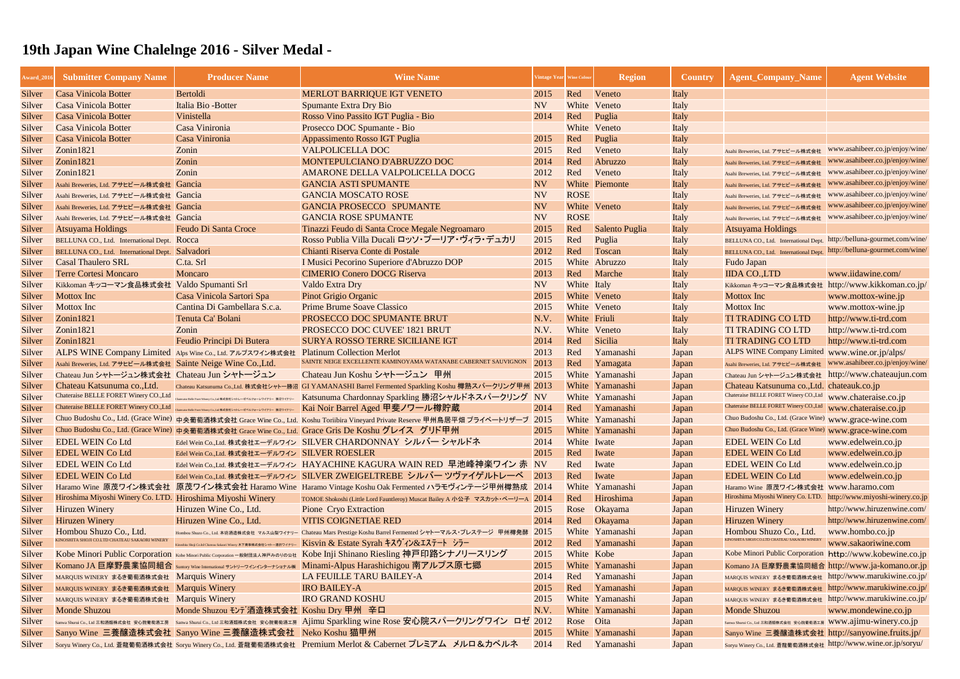| Award_201 | <b>Submitter Company Name</b>                                | <b>Producer Name</b>                                                                 | <b>Wine Name</b>                                                                                                                | Vintage Year   Wine Colou |              | <b>Region</b>   | <b>Country</b> | <b>Agent_Company_Name</b>                                              | <b>Agent Website</b>            |
|-----------|--------------------------------------------------------------|--------------------------------------------------------------------------------------|---------------------------------------------------------------------------------------------------------------------------------|---------------------------|--------------|-----------------|----------------|------------------------------------------------------------------------|---------------------------------|
| Silver    | <b>Casa Vinicola Botter</b>                                  | Bertoldi                                                                             | <b>MERLOT BARRIQUE IGT VENETO</b>                                                                                               | 2015                      | Red          | Veneto          | Italy          |                                                                        |                                 |
| Silver    | Casa Vinicola Botter                                         | Italia Bio - Botter                                                                  | <b>Spumante Extra Dry Bio</b>                                                                                                   | <b>NV</b>                 |              | White Veneto    | Italy          |                                                                        |                                 |
| Silver    | <b>Casa Vinicola Botter</b>                                  | Vinistella                                                                           | Rosso Vino Passito IGT Puglia - Bio                                                                                             | 2014                      | Red          | Puglia          | Italy          |                                                                        |                                 |
| Silver    | <b>Casa Vinicola Botter</b>                                  | Casa Vinironia                                                                       | Prosecco DOC Spumante - Bio                                                                                                     |                           | White        | Veneto          | Italy          |                                                                        |                                 |
| Silver    | <b>Casa Vinicola Botter</b>                                  | Casa Vinironia                                                                       | Appassimento Rosso IGT Puglia                                                                                                   | 2015                      | Red          | Puglia          | Italy          |                                                                        |                                 |
| Silver    | Zonin1821                                                    | Zonin                                                                                | <b>VALPOLICELLA DOC</b>                                                                                                         | 2015                      | Red          | Veneto          | Italy          | Asahi Breweries, Ltd. アサヒビール株式会社                                       | www.asahibeer.co.jp/enjoy/wine/ |
| Silver    | Zonin1821                                                    | Zonin                                                                                | MONTEPULCIANO D'ABRUZZO DOC                                                                                                     | 2014                      | Red          | Abruzzo         | Italy          | Asahi Breweries, Ltd. アサヒビール株式会社                                       | www.asahibeer.co.jp/enjoy/wine/ |
| Silver    | Zonin1821                                                    | Zonin                                                                                | AMARONE DELLA VALPOLICELLA DOCG                                                                                                 | 2012                      | Red          | Veneto          | Italy          | Asahi Breweries, Ltd. アサヒビール株式会社                                       | www.asahibeer.co.jp/enjoy/wine/ |
| Silver    | Asahi Breweries, Ltd. アサヒビール株式会社 Gancia                      |                                                                                      | <b>GANCIA ASTI SPUMANTE</b>                                                                                                     | <b>NV</b>                 |              | White Piemonte  | Italy          | Asahi Breweries, Ltd. アサヒビール株式会社                                       | www.asahibeer.co.jp/enjoy/wine/ |
| Silver    | Asahi Breweries, Ltd. アサヒビール株式会社 Gancia                      |                                                                                      | <b>GANCIA MOSCATO ROSE</b>                                                                                                      | <b>NV</b>                 | <b>ROSE</b>  |                 | Italy          | Asahi Breweries, Ltd. アサヒビール株式会社                                       | www.asahibeer.co.jp/enjoy/wine/ |
| Silver    | Asahi Breweries, Ltd. アサヒビール株式会社 Gancia                      |                                                                                      | <b>GANCIA PROSECCO SPUMANTE</b>                                                                                                 | <b>NV</b>                 |              | White Veneto    | Italy          | Asahi Breweries, Ltd. アサヒビール株式会社                                       | www.asahibeer.co.jp/enjoy/wine/ |
| Silver    | Asahi Breweries, Ltd. アサヒビール株式会社 Gancia                      |                                                                                      | <b>GANCIA ROSE SPUMANTE</b>                                                                                                     | <b>NV</b>                 | <b>ROSE</b>  |                 | Italy          | Asahi Breweries, Ltd. アサヒビール株式会社                                       | www.asahibeer.co.jp/enjoy/wine/ |
| Silver    | <b>Atsuyama Holdings</b>                                     | <b>Feudo Di Santa Croce</b>                                                          | Tinazzi Feudo di Santa Croce Megale Negroamaro                                                                                  | 2015                      | Red          | Salento Puglia  | Italy          | <b>Atsuyama Holdings</b>                                               |                                 |
| Silver    | BELLUNA CO., Ltd. International Dept. Rocca                  |                                                                                      | Rosso Publia Villa Ducali ロッソ・プーリア・ヴィラ・デュカリ                                                                                     | 2015                      | Red          | Puglia          | Italy          | BELLUNA CO., Ltd. International Dept. http://belluna-gourmet.com/wine/ |                                 |
| Silver    | BELLUNA CO., Ltd. International Dept. Salvadori              |                                                                                      | Chianti Riserva Conte di Postale                                                                                                | 2012                      | Red          | Toscan          | Italy          | BELLUNA CO., Ltd. International Dept. http://belluna-gourmet.com/wine/ |                                 |
| Silver    | <b>Casal Thaulero SRL</b>                                    | C.ta. Srl                                                                            | I Musici Pecorino Superiore d'Abruzzo DOP                                                                                       | 2015                      |              | White Abruzzo   | Italy          | Fudo Japan                                                             |                                 |
| Silver    | <b>Terre Cortesi Moncaro</b>                                 | Moncaro                                                                              | <b>CIMERIO Conero DOCG Riserva</b>                                                                                              | 2013                      | Red          | Marche          | Italy          | <b>IIDA CO.,LTD</b>                                                    | www.iidawine.com/               |
| Silver    | Kikkoman キッコーマン食品株式会社 Valdo Spumanti Srl                     |                                                                                      | Valdo Extra Dry                                                                                                                 | <b>NV</b>                 | White Italy  |                 | Italy          | Kikkoman キッコーマン食品株式会社                                                  | http://www.kikkoman.co.jp/      |
| Silver    | <b>Mottox Inc</b>                                            | Casa Vinicola Sartori Spa                                                            | <b>Pinot Grigio Organic</b>                                                                                                     | 2015                      |              | White Veneto    | Italy          | <b>Mottox Inc</b>                                                      | www.mottox-wine.jp              |
| Silver    | <b>Mottox Inc</b>                                            | Cantina Di Gambellara S.c.a.                                                         | <b>Prime Brume Soave Classico</b>                                                                                               | 2015                      |              | White Veneto    | Italy          | <b>Mottox Inc</b>                                                      | www.mottox-wine.jp              |
| Silver    | Zonin1821                                                    | Tenuta Ca' Bolani                                                                    | PROSECCO DOC SPUMANTE BRUT                                                                                                      | N.V.                      | White Friuli |                 | Italy          | <b>TI TRADING CO LTD</b>                                               | http://www.ti-trd.com           |
| Silver    | Zonin1821                                                    | Zonin                                                                                | PROSECCO DOC CUVEE' 1821 BRUT                                                                                                   | N.V.                      |              | White Veneto    | Italy          | <b>TI TRADING CO LTD</b>                                               | http://www.ti-trd.com           |
| Silver    | Zonin1821                                                    | Feudio Principi Di Butera                                                            | <b>SURYA ROSSO TERRE SICILIANE IGT</b>                                                                                          | 2014                      | Red          | Sicilia         | Italy          | <b>TI TRADING CO LTD</b>                                               | http://www.ti-trd.com           |
| Silver    |                                                              | ALPS WINE Company Limited Alps Wine Co., Ltd. アルプスワイン株式会社 Platinum Collection Merlot |                                                                                                                                 | 2013                      | Red          | Yamanashi       | Japan          | ALPS WINE Company Limited www.wine.or.jp/alps/                         |                                 |
| Silver    | Asahi Breweries, Ltd. アサヒビール株式会社 Sainte Neige Wine Co., Ltd. |                                                                                      | SAINTE NEIGE EXCELLENTE KAMINOYAMA WATANABE CABERNET SAUVIGNON                                                                  | 2013                      | Red          | Yamagata        | Japan          | Asahi Breweries, Ltd. アサヒビール株式会社                                       | www.asahibeer.co.jp/enjoy/wine/ |
| Silver    | Chateau Jun シャトージュン株式会社 Chateau Jun シャトージュン                  |                                                                                      | Chateau Jun Koshu シャトージュン 甲州                                                                                                    | 2015                      |              | White Yamanashi | Japan          | Chateau Jun シャトージュン株式会社 http://www.chateaujun.com                      |                                 |
| Silver    | Chateau Katsunuma co., Ltd.                                  |                                                                                      | Chateau Katsunuma Co.,Ltd. 株式会社シャトー勝沼 GI YAMANASHI Barrel Fermented Sparkling Koshu 樽熟スパークリング甲州 2013                            |                           |              | White Yamanashi | Japan          | Chateau Katsunuma co., Ltd. chateauk.co.jp                             |                                 |
| Silver    | Chateraise BELLE FORET Winery CO., Ltd                       |                                                                                      | <sub>Chaerais Belle Form Winey Go.Jad #st会社シャレーゼベルフォークイナリー Katsunuma Chardonnay Sparkling 勝沼シャルドネスパークリング NV</sub>               |                           |              | White Yamanashi | Japan          | Chateraise BELLE FORET Winery CO., Ltd www.chateraise.co.jp            |                                 |
| Silver    | Chateraise BELLE FORET Winery CO., Ltd                       | Chateraise Belle Foret Winery Co.,Ltd 株式会社シャトレーゼベルフォーレワイナリー 勝沼ワイナリー                  | Kai Noir Barrel Aged 甲斐ノワール樽貯蔵                                                                                                  | 2014                      | Red          | Yamanashi       | Japan          | Chateraise BELLE FORET Winery CO.,Ltd www.chateraise.co.jp             |                                 |
| Silver    |                                                              |                                                                                      | Chuo Budoshu Co., Ltd. (Grace Wine) 中央葡萄酒株式会社 Grace Wine Co., Ltd. Koshu Toriibira Vineyard Private Reserve 甲州鳥居平畑 プライベートリザーブ   | 2015                      |              | White Yamanashi | Japan          | Chuo Budoshu Co., Ltd. (Grace Wine) www.grace-wine.com                 |                                 |
| Silver    |                                                              |                                                                                      | Chuo Budoshu Co., Ltd. (Grace Wine) 中央葡萄酒株式会社 Grace Wine Co., Ltd. Grace Gris De Koshu グレイス グリド甲州                               | 2015                      |              | White Yamanashi | Japan          | Chuo Budoshu Co., Ltd. (Grace Wine) www.grace-wine.com                 |                                 |
| Silver    | <b>EDEL WEIN Co Ltd</b>                                      |                                                                                      | Edel Wein Co.,Ltd. 株式会社エーデルワイン SILVER CHARDONNAY シルバー シャルドネ                                                                     | 2014                      | White Iwate  |                 | Japan          | <b>EDEL WEIN Co Ltd</b>                                                | www.edelwein.co.jp              |
| Silver    | <b>EDEL WEIN Co Ltd</b>                                      | Edel Wein Co.,Ltd. 株式会社エーデルワイン SILVER ROESLER                                        |                                                                                                                                 | 2015                      | Red          | Iwate           | Japan          | <b>EDEL WEIN Co Ltd</b>                                                | www.edelwein.co.jp              |
| Silver    | <b>EDEL WEIN Co Ltd</b>                                      |                                                                                      | Edel Wein Co.,Ltd. 株式会社エーデルワイン HAYACHINE KAGURA WAIN RED 早池峰神楽ワイン 赤 NV                                                          |                           | Red          | Iwate           | Japan          | <b>EDEL WEIN Co Ltd</b>                                                | www.edelwein.co.jp              |
| Silver    | <b>EDEL WEIN Co Ltd</b>                                      |                                                                                      | Edel Wein Co.,Ltd. 株式会社エーデルワイン SILVER ZWEIGELTREBE シルバー ツヴァイゲルトレーベ 2013                                                         |                           | Red          | Iwate           | Japan          | <b>EDEL WEIN Co Ltd</b>                                                | www.edelwein.co.jp              |
| Silver    |                                                              |                                                                                      | Haramo Wine 原茂ワイン株式会社 原茂ワイン株式会社 Haramo Wine Haramo Vintage Koshu Oak Fermented ハラモヴィンテージ甲州樽熟成 2014                              |                           |              | White Yamanashi | Japan          | Haramo Wine 原茂ワイン株式会社 www.haramo.com                                   |                                 |
| Silver    | Hiroshima Miyoshi Winery Co. LTD. Hiroshima Miyoshi Winery   |                                                                                      | TOMOE Shokoshi (Little Lord Fauntleroy) Muscat Bailey A 小公子 マスカット・ベーリーA 2014                                                    |                           | Red          | Hiroshima       | Japan          | Hiroshima Miyoshi Winery Co. LTD.                                      | http://www.miyoshi-winery.co.jp |
| Silver    | <b>Hiruzen Winery</b>                                        | Hiruzen Wine Co., Ltd.                                                               | Pione Cryo Extraction                                                                                                           | 2015                      | Rose         | <b>Okayama</b>  | Japan          | <b>Hiruzen Winery</b>                                                  | http://www.hiruzenwine.com/     |
| Silver    | <b>Hiruzen Winery</b>                                        | Hiruzen Wine Co., Ltd.                                                               | <b>VITIS COIGNETIAE RED</b>                                                                                                     | 2014                      | Red          | Okayama         | Japan          | <b>Hiruzen Winery</b>                                                  | http://www.hiruzenwine.com/     |
| Silver    | Hombou Shuzo Co., Ltd.                                       |                                                                                      | Hombou Shuzo Co., Lud. 本坊酒造株式会社 マルス山梨ワイナリー Chateau Mars Prestige Koshu Barrel Fermented シャトーマルス・プレステージ 甲州樽発酵                    | 2015                      |              | White Yamanashi | Japan          | Hombou Shuzo Co., Ltd.                                                 | www.hombo.co.jp                 |
| Silver    | KINOSHITA SHOJI CO.LTD CHATEAU SAKAORI WINERY                |                                                                                      | Kinoshita Shoji Co.ltd Chateau Sakaori Winery 木下商事株式会社シャトー酒折ワイナリー Kisvin & Estate Syrah キスヴィン&エステート シラー                         | 2012                      | Red          | Yamanashi       | Japan          | <b>INOSHITA SHOJI CO.LTD CHATEAU SAKAORI WINER</b>                     | www.sakaoriwine.com             |
| Silver    |                                                              |                                                                                      | Kobe Minori Public Corporation Kobe Minori Public Corporation -般財団法人神戸みのりの公社 Kobe Inji Shinano Riesling 神戸印路シナノリースリング           | 2015                      | White Kobe   |                 | Japan          | Kobe Minori Public Corporation http://www.kobewine.co.jp               |                                 |
| Silver    |                                                              |                                                                                      | Komano JA 巨摩野農業協同組合 Suntory Wine International サントリーフインターナショナル※ Minami-Alpus Harashichigou 南アルプス原七郷                             | 2015                      |              | White Yamanashi | Japan          | Komano JA 巨摩野農業協同組合 http://www.ja-komano.or.jp                         |                                 |
| Silver    | MARQUIS WINERY まるき葡萄酒株式会社 Marquis Winery                     |                                                                                      | LA FEUILLE TARU BAILEY-A                                                                                                        | 2014                      | Red          | Yamanashi       | Japan          | MARQUIS WINERY まるき葡萄酒株式会社 http://www.marukiwine.co.jp/                 |                                 |
| Silver    | MARQUIS WINERY まるき葡萄酒株式会社 Marquis Winery                     |                                                                                      | <b>IRO BAILEY-A</b>                                                                                                             | 2015                      | Red          | Yamanashi       | Japan          | MARQUIS WINERY まるき葡萄酒株式会社 http://www.marukiwine.co.jp/                 |                                 |
| Silver    | MARQUIS WINERY まるき葡萄酒株式会社 Marquis Winery                     |                                                                                      | <b>IRO GRAND KOSHU</b>                                                                                                          | 2015                      |              | White Yamanashi | Japan          | MARQUIS WINERY まるき葡萄酒株式会社 http://www.marukiwine.co.jp/                 |                                 |
| Silver    | <b>Monde Shuzou</b>                                          | Monde Shuzou モンデ酒造株式会社 Koshu Dry 甲州 辛口                                               |                                                                                                                                 | N.V.                      |              | White Yamanashi | Japan          | <b>Monde Shuzou</b>                                                    | www.mondewine.co.jp             |
| Silver    |                                                              |                                                                                      | Sanwa Shurui Co., Lud 三和酒類株式会社 安心院葡萄酒工房 Sanwa Shurui Co., Lud 三和酒類株式会社 安心院葡萄酒工房 Ajimu Sparkling wine Rose 安心院スパークリングワイン ロゼ 2012 |                           | Rose Oita    |                 | Japan          | Sanwa Shurui Co., Ltd 三和酒類株式会社 安心院葡萄酒工房 WWW.ajimu-winery.co.jp         |                                 |
| Silver    |                                                              | Sanyo Wine 三養釀造株式会社 Sanyo Wine 三養釀造株式会社 Neko Koshu 猫甲州                               |                                                                                                                                 | 2015                      |              | White Yamanashi | Japan          | Sanyo Wine 三養釀造株式会社 http://sanyowine.fruits.jp/                        |                                 |
| Silver    |                                                              |                                                                                      | Soryu Winery Co., Ltd. 蒼龍葡萄酒株式会社 Soryu Winery Co., Ltd. 蒼龍葡萄酒株式会社 Premium Merlot & Cabernet プレミアム メルロ&カベルネ                      | 2014                      |              | Red Yamanashi   | Japan          | Soryu Winery Co., Ltd. 蒼龍葡萄酒株式会社 http://www.wine.or.jp/soryu/          |                                 |
|           |                                                              |                                                                                      |                                                                                                                                 |                           |              |                 |                |                                                                        |                                 |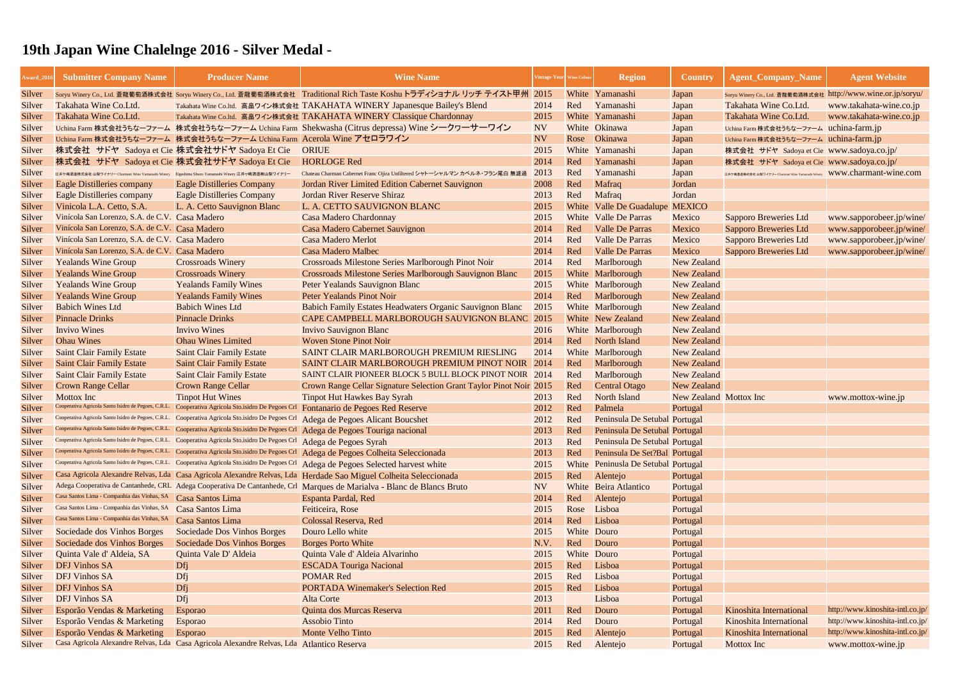| Award_201 | <b>Submitter Company Name</b>                                                                     | <b>Producer Name</b>                                                                                                    | <b>Wine Name</b>                                                                                                        | intage Year | <b>Wine Colou</b> | <b>Region</b>                       | <b>Country</b>         | <b>Agent_Company_Name</b>                                               | <b>Agent Website</b>             |
|-----------|---------------------------------------------------------------------------------------------------|-------------------------------------------------------------------------------------------------------------------------|-------------------------------------------------------------------------------------------------------------------------|-------------|-------------------|-------------------------------------|------------------------|-------------------------------------------------------------------------|----------------------------------|
| Silver    |                                                                                                   |                                                                                                                         | Soryu Winery Co., Ltd. 蒼龍葡萄酒株式会社 Soryu Winery Co., Ltd. 蒼龍葡萄酒株式会社 Traditional Rich Taste Koshu トラディショナル リッチ テイスト甲州 2015 |             |                   | White Yamanashi                     | Japan                  | Soryu Winery Co., Ltd. 蒼龍葡萄酒株式会社 http://www.wine.or.jp/soryu/           |                                  |
| Silver    | Takahata Wine Co.Ltd.                                                                             |                                                                                                                         | Takahata Wine Co.ltd. 高畠ワイン株式会社 TAKAHATA WINERY Japanesque Bailey's Blend                                               | 2014        | Red               | Yamanashi                           | Japan                  | Takahata Wine Co.Ltd.                                                   | www.takahata-wine.co.jp          |
| Silver    | Takahata Wine Co.Ltd.                                                                             |                                                                                                                         | Takahata Wine Co.ltd. 高畠ワイン株式会社 TAKAHATA WINERY Classique Chardonnay                                                    | 2015        |                   | White Yamanashi                     | Japan                  | Takahata Wine Co.Ltd.                                                   | www.takahata-wine.co.jp          |
| Silver    |                                                                                                   |                                                                                                                         | Uchina Farm 株式会社うちなーファーム 株式会社うちなーファーム Uchina Farm Shekwasha (Citrus depressa) Wine シークワーサーワイン                           | <b>NV</b>   |                   | White Okinawa                       | Japan                  | Uchina Farm 株式会社うちなーファーム uchina-farm.jp                                 |                                  |
| Silver    |                                                                                                   | Uchina Farm 株式会社うちなーファーム 株式会社うちなーファーム Uchina Farm Acerola Wine アセロラワイン                                                  |                                                                                                                         | <b>NV</b>   | Rose              | Okinawa                             | Japan                  | Uchina Farm 株式会社うちなーファーム uchina-farm.jp                                 |                                  |
| Silver    | 株式会社 サドヤ Sadoya et Cie 株式会社サドヤ Sadoya Et Cie                                                      |                                                                                                                         | <b>ORIUE</b>                                                                                                            | 2015        |                   | White Yamanashi                     | Japan                  | 株式会社 サドヤ Sadoya et Cie www.sadoya.co.jp/                                |                                  |
| Silver    | 株式会社 サドヤ Sadoya et Cie 株式会社サドヤ Sadoya Et Cie                                                      |                                                                                                                         | <b>HORLOGE Red</b>                                                                                                      | 2014        | Red               | Yamanashi                           | Japan                  | 株式会社 サドヤ Sadoya et Cie   www.sadoya.co.jp/                              |                                  |
| Silver    | 江井ケ嶋酒造株式会社 山梨ワイナリー Charmant Wine Yamanashi Winery Eigashima Shuzo Yamanashi Winery 江井ヶ嶋酒造㈱山梨ワイナリー |                                                                                                                         | Chateau Charman Cabernet Franc Ojira Unfiltered シャトーシャルマン カベルネ・フラン尾白 無濾                                                 | 2013        | Red               | Yamanashi                           | Japan                  | 江井ケ嶋酒造株式会社 山梨ワイナリー Charmant Wine Yamanashi Winery WWW.Charmant-wine.com |                                  |
| Silver    | Eagle Distilleries company                                                                        | <b>Eagle Distilleries Company</b>                                                                                       | Jordan River Limited Edition Cabernet Sauvignon                                                                         | 2008        | Red               | Mafraq                              | Jordan                 |                                                                         |                                  |
| Silver    | <b>Eagle Distilleries company</b>                                                                 | <b>Eagle Distilleries Company</b>                                                                                       | Jordan River Reserve Shiraz                                                                                             | 2013        | Red               | Mafraq                              | Jordan                 |                                                                         |                                  |
| Silver    | Vinicola L.A. Cetto, S.A.                                                                         | L. A. Cetto Sauvignon Blanc                                                                                             | L. A. CETTO SAUVIGNON BLANC                                                                                             | 2015        |                   | White Valle De Guadalupe            | <b>MEXICO</b>          |                                                                         |                                  |
| Silver    | Vinícola San Lorenzo, S.A. de C.V. Casa Madero                                                    |                                                                                                                         | <b>Casa Madero Chardonnay</b>                                                                                           | 2015        |                   | <b>White</b> Valle De Parras        | Mexico                 | Sapporo Breweries Ltd                                                   | www.sapporobeer.jp/wine/         |
| Silver    | Vinícola San Lorenzo, S.A. de C.V. Casa Madero                                                    |                                                                                                                         | Casa Madero Cabernet Sauvignon                                                                                          | 2014        | Red               | <b>Valle De Parras</b>              | Mexico                 | Sapporo Breweries Ltd                                                   | www.sapporobeer.jp/wine/         |
| Silver    | Vinícola San Lorenzo, S.A. de C.V. Casa Madero                                                    |                                                                                                                         | <b>Casa Madero Merlot</b>                                                                                               | 2014        | Red               | <b>Valle De Parras</b>              | Mexico                 | Sapporo Breweries Ltd                                                   | www.sapporobeer.jp/wine/         |
| Silver    | Vinícola San Lorenzo, S.A. de C.V. Casa Madero                                                    |                                                                                                                         | <b>Casa Madero Malbec</b>                                                                                               | 2014        | Red               | <b>Valle De Parras</b>              | Mexico                 | Sapporo Breweries Ltd                                                   | www.sapporobeer.jp/wine/         |
| Silver    | <b>Yealands Wine Group</b>                                                                        | <b>Crossroads Winery</b>                                                                                                | <b>Crossroads Milestone Series Marlborough Pinot Noir</b>                                                               | 2014        | Red               | Marlborough                         | <b>New Zealand</b>     |                                                                         |                                  |
| Silver    | <b>Yealands Wine Group</b>                                                                        | <b>Crossroads Winery</b>                                                                                                | <b>Crossroads Milestone Series Marlborough Sauvignon Blanc</b>                                                          | 2015        |                   | White Marlborough                   | <b>New Zealand</b>     |                                                                         |                                  |
| Silver    | <b>Yealands Wine Group</b>                                                                        | <b>Yealands Family Wines</b>                                                                                            | Peter Yealands Sauvignon Blanc                                                                                          | 2015        |                   | White Marlborough                   | <b>New Zealand</b>     |                                                                         |                                  |
| Silver    | <b>Yealands Wine Group</b>                                                                        | <b>Yealands Family Wines</b>                                                                                            | <b>Peter Yealands Pinot Noir</b>                                                                                        | 2014        | Red               | Marlborough                         | <b>New Zealand</b>     |                                                                         |                                  |
| Silver    | <b>Babich Wines Ltd</b>                                                                           | <b>Babich Wines Ltd</b>                                                                                                 | Babich Family Estates Headwaters Organic Sauvignon Blanc                                                                | 2015        |                   | White Marlborough                   | <b>New Zealand</b>     |                                                                         |                                  |
| Silver    | <b>Pinnacle Drinks</b>                                                                            | <b>Pinnacle Drinks</b>                                                                                                  | CAPE CAMPBELL MARLBOROUGH SAUVIGNON BLANC 2015                                                                          |             |                   | <b>White</b> New Zealand            | <b>New Zealand</b>     |                                                                         |                                  |
| Silver    | <b>Invivo Wines</b>                                                                               | <b>Invivo Wines</b>                                                                                                     | <b>Invivo Sauvignon Blanc</b>                                                                                           | 2016        |                   | White Marlborough                   | <b>New Zealand</b>     |                                                                         |                                  |
| Silver    | <b>Ohau Wines</b>                                                                                 | <b>Ohau Wines Limited</b>                                                                                               | <b>Woven Stone Pinot Noir</b>                                                                                           | 2014        | Red               | North Island                        | <b>New Zealand</b>     |                                                                         |                                  |
| Silver    | <b>Saint Clair Family Estate</b>                                                                  | <b>Saint Clair Family Estate</b>                                                                                        | SAINT CLAIR MARLBOROUGH PREMIUM RIESLING                                                                                | 2014        |                   | White Marlborough                   | <b>New Zealand</b>     |                                                                         |                                  |
| Silver    | <b>Saint Clair Family Estate</b>                                                                  | <b>Saint Clair Family Estate</b>                                                                                        | SAINT CLAIR MARLBOROUGH PREMIUM PINOT NOIR 2014                                                                         |             | Red               | Marlborough                         | <b>New Zealand</b>     |                                                                         |                                  |
| Silver    | <b>Saint Clair Family Estate</b>                                                                  | <b>Saint Clair Family Estate</b>                                                                                        | SAINT CLAIR PIONEER BLOCK 5 BULL BLOCK PINOT NOIR 2014                                                                  |             | Red               | Marlborough                         | <b>New Zealand</b>     |                                                                         |                                  |
| Silver    | <b>Crown Range Cellar</b>                                                                         | <b>Crown Range Cellar</b>                                                                                               | Crown Range Cellar Signature Selection Grant Taylor Pinot Noir 2015                                                     |             | Red               | <b>Central Otago</b>                | <b>New Zealand</b>     |                                                                         |                                  |
| Silver    | Mottox Inc                                                                                        | <b>Tinpot Hut Wines</b>                                                                                                 | <b>Tinpot Hut Hawkes Bay Syrah</b>                                                                                      | 2013        | Red               | North Island                        | New Zealand Mottox Inc |                                                                         | www.mottox-wine.jp               |
| Silver    | Cooperativa Agricola Santo Isidro de Pegoes, C.R.L.                                               |                                                                                                                         | Cooperativa Agricola Sto.isidro De Pegoes Crl Fontanario de Pegoes Red Reserve                                          | 2012        | Red               | Palmela                             | Portugal               |                                                                         |                                  |
| Silver    | Cooperativa Agricola Santo Isidro de Pegoes, C.R.L.                                               | Cooperativa Agricola Sto.isidro De Pegoes Crl                                                                           | Adega de Pegoes Alicant Boucshet                                                                                        | 2012        | Red               | Peninsula De Setubal Portugal       |                        |                                                                         |                                  |
| Silver    | Cooperativa Agricola Santo Isidro de Pegoes, C.R.L.                                               | Cooperativa Agricola Sto.isidro De Pegoes Crl                                                                           | Adega de Pegoes Touriga nacional                                                                                        | 2013        | Red               | Peninsula De Setubal Portugal       |                        |                                                                         |                                  |
| Silver    |                                                                                                   | Cooperativa Agricola Santo Isidro de Pegoes, C.R.L. Cooperativa Agricola Sto.isidro De Pegoes Crl Adega de Pegoes Syrah |                                                                                                                         | 2013        | Red               | Peninsula De Setubal Portugal       |                        |                                                                         |                                  |
| Silver    |                                                                                                   | Cooperativa Agricola Santo Isidro de Pegoes, C.R.L. Cooperativa Agricola Sto.isidro De Pegoes Crl                       | Adega de Pegoes Colheita Seleccionada                                                                                   | 2013        | Red               | Peninsula De Set?Bal Portugal       |                        |                                                                         |                                  |
| Silver    |                                                                                                   | Cooperativa Agricola Santo Isidro de Pegoes, C.R.L. Cooperativa Agricola Sto.isidro De Pegoes Crl                       | Adega de Pegoes Selected harvest white                                                                                  | 2015        |                   | White Peninusla De Setubal Portugal |                        |                                                                         |                                  |
| Silver    |                                                                                                   |                                                                                                                         | Casa Agricola Alexandre Relvas, Lda Casa Agricola Alexandre Relvas, Lda Herdade Sao Miguel Colheita Seleccionada        | 2015        | Red               | Alentejo                            | Portugal               |                                                                         |                                  |
| Silver    |                                                                                                   |                                                                                                                         | Adega Cooperativa de Cantanhede, CRL Adega Cooperativa De Cantanhede, Crl Marques de Marialva - Blanc de Blancs Bruto   | <b>NV</b>   |                   | White Beira Atlantico               | Portugal               |                                                                         |                                  |
| Silver    | Casa Santos Lima - Companhia das Vinhas, SA                                                       | Casa Santos Lima                                                                                                        | <b>Espanta Pardal, Red</b>                                                                                              | 2014        | Red               | Alentejo                            | Portugal               |                                                                         |                                  |
| Silver    | Casa Santos Lima - Companhia das Vinhas, SA                                                       | Casa Santos Lima                                                                                                        | Feiticeira, Rose                                                                                                        | 2015        | Rose              | Lisboa                              | Portugal               |                                                                         |                                  |
| Silver    | Casa Santos Lima - Companhia das Vinhas, SA                                                       | Casa Santos Lima                                                                                                        | Colossal Reserva, Red                                                                                                   | 2014        | Red               | Lisboa                              | Portugal               |                                                                         |                                  |
| Silver    | Sociedade dos Vinhos Borges                                                                       | Sociedade Dos Vinhos Borges                                                                                             | Douro Lello white                                                                                                       | 2015        | White Douro       |                                     | Portugal               |                                                                         |                                  |
| Silver    | Sociedade dos Vinhos Borges                                                                       | Sociedade Dos Vinhos Borges                                                                                             | <b>Borges Porto White</b>                                                                                               | N.V.        | Red               | Douro                               | Portugal               |                                                                         |                                  |
| Silver    | Quinta Vale d'Aldeia, SA                                                                          | Quinta Vale D'Aldeia                                                                                                    | Quinta Vale d'Aldeia Alvarinho                                                                                          | 2015        | White Douro       |                                     | Portugal               |                                                                         |                                  |
| Silver    | <b>DFJ Vinhos SA</b>                                                                              | Dfj                                                                                                                     | <b>ESCADA Touriga Nacional</b>                                                                                          | 2015        | Red               | Lisboa                              | Portugal               |                                                                         |                                  |
| Silver    | <b>DFJ Vinhos SA</b>                                                                              | Dfj                                                                                                                     | <b>POMAR Red</b>                                                                                                        | 2015        | Red               | Lisboa                              | Portugal               |                                                                         |                                  |
| Silver    | <b>DFJ Vinhos SA</b>                                                                              | Dfj                                                                                                                     | <b>PORTADA Winemaker's Selection Red</b>                                                                                | 2015        | Red               | Lisboa                              | Portugal               |                                                                         |                                  |
| Silver    | <b>DFJ Vinhos SA</b>                                                                              | Dfj                                                                                                                     | <b>Alta Corte</b>                                                                                                       | 2013        |                   | Lisboa                              | Portugal               |                                                                         |                                  |
| Silver    | Esporão Vendas & Marketing                                                                        | <b>Esporao</b>                                                                                                          | Quinta dos Murcas Reserva                                                                                               | 2011        | Red               | Douro                               | Portugal               | Kinoshita International                                                 | http://www.kinoshita-intl.co.jp/ |
| Silver    | Esporão Vendas & Marketing                                                                        | <b>Esporao</b>                                                                                                          | <b>Assobio Tinto</b>                                                                                                    | 2014        | Red               | Douro                               | Portugal               | <b>Kinoshita International</b>                                          | http://www.kinoshita-intl.co.jp/ |
| Silver    | Esporão Vendas & Marketing                                                                        | <b>Esporao</b>                                                                                                          | <b>Monte Velho Tinto</b>                                                                                                | 2015        | Red               | Alentejo                            | Portugal               | Kinoshita International                                                 | http://www.kinoshita-intl.co.jp/ |
| Silver    |                                                                                                   | Casa Agricola Alexandre Relvas, Lda Casa Agricola Alexandre Relvas, Lda Atlantico Reserva                               |                                                                                                                         | 2015        | Red               | Alentejo                            | Portugal               | <b>Mottox</b> Inc                                                       | www.mottox-wine.jp               |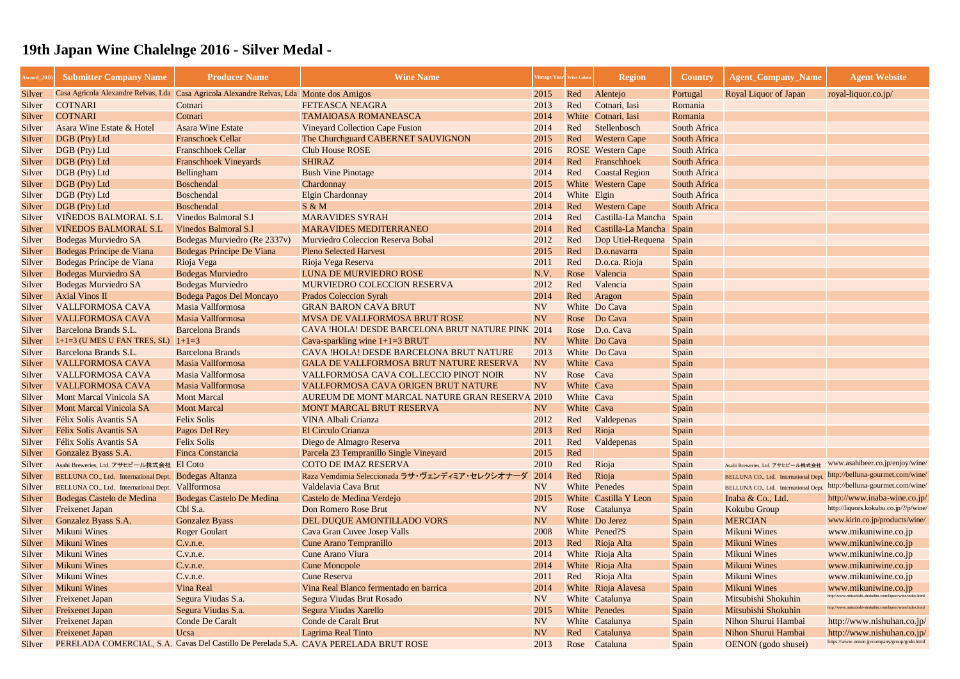| <b>Award_201</b> | <b>Submitter Company Name</b>                         | <b>Producer Name</b>                                                                     | <b>Wine Name</b>                                                                     |           | 'intage Year Wine Colou | <b>Region</b>             | <b>Country</b>      | <b>Agent Company Name</b>            | <b>Agent Website</b>                                      |
|------------------|-------------------------------------------------------|------------------------------------------------------------------------------------------|--------------------------------------------------------------------------------------|-----------|-------------------------|---------------------------|---------------------|--------------------------------------|-----------------------------------------------------------|
| Silver           |                                                       | Casa Agricola Alexandre Relvas, Lda Casa Agricola Alexandre Relvas, Lda Monte dos Amigos |                                                                                      | 2015      | Red                     | Alentejo                  | Portugal            | <b>Royal Liquor of Japan</b>         | royal-liquor.co.jp/                                       |
| Silver           | <b>COTNARI</b>                                        | Cotnari                                                                                  | <b>FETEASCA NEAGRA</b>                                                               | 2013      | Red                     | Cotnari, Iasi             | Romania             |                                      |                                                           |
| Silver           | <b>COTNARI</b>                                        | Cotnari                                                                                  | <b>TAMAIOASA ROMANEASCA</b>                                                          | 2014      |                         | White Cotnari, Iasi       | Romania             |                                      |                                                           |
| Silver           | Asara Wine Estate & Hotel                             | <b>Asara Wine Estate</b>                                                                 | <b>Vineyard Collection Cape Fusion</b>                                               | 2014      | Red                     | Stellenbosch              | <b>South Africa</b> |                                      |                                                           |
| Silver           | DGB (Pty) Ltd                                         | <b>Franschoek Cellar</b>                                                                 | The Churchguard CABERNET SAUVIGNON                                                   | 2015      | Red                     | <b>Western Cape</b>       | South Africa        |                                      |                                                           |
| Silver           | DGB (Pty) Ltd                                         | <b>Franschhoek Cellar</b>                                                                | <b>Club House ROSE</b>                                                               | 2016      |                         | <b>ROSE</b> Western Cape  | <b>South Africa</b> |                                      |                                                           |
| Silver           | DGB (Pty) Ltd                                         | <b>Franschhoek Vineyards</b>                                                             | <b>SHIRAZ</b>                                                                        | 2014      | Red                     | Franschhoek               | <b>South Africa</b> |                                      |                                                           |
| Silver           | DGB (Pty) Ltd                                         | <b>Bellingham</b>                                                                        | <b>Bush Vine Pinotage</b>                                                            | 2014      | Red                     | <b>Coastal Region</b>     | <b>South Africa</b> |                                      |                                                           |
| Silver           | DGB (Pty) Ltd                                         | <b>Boschendal</b>                                                                        | Chardonnay                                                                           | 2015      |                         | <b>White</b> Western Cape | South Africa        |                                      |                                                           |
| Silver           | DGB (Pty) Ltd                                         | <b>Boschendal</b>                                                                        | <b>Elgin Chardonnay</b>                                                              | 2014      | White Elgin             |                           | <b>South Africa</b> |                                      |                                                           |
| Silver           | DGB (Pty) Ltd                                         | <b>Boschendal</b>                                                                        | S & M                                                                                | 2014      | Red                     | <b>Western Cape</b>       | South Africa        |                                      |                                                           |
| Silver           | <b>VIÑEDOS BALMORAL S.L</b>                           | <b>Vinedos Balmoral S.1</b>                                                              | <b>MARAVIDES SYRAH</b>                                                               | 2014      | Red                     | Castilla-La Mancha Spain  |                     |                                      |                                                           |
| Silver           | <b>VIÑEDOS BALMORAL S.L</b>                           | <b>Vinedos Balmoral S.1</b>                                                              | <b>MARAVIDES MEDITERRANEO</b>                                                        | 2014      | Red                     | Castilla-La Mancha Spain  |                     |                                      |                                                           |
| Silver           | <b>Bodegas Murviedro SA</b>                           | Bodegas Murviedro (Re 2337v)                                                             | Murviedro Coleccion Reserva Bobal                                                    | 2012      | Red                     | Dop Utiel-Requena         | Spain               |                                      |                                                           |
| Silver           | Bodegas Príncipe de Viana                             | Bodegas Principe De Viana                                                                | <b>Pleno Selected Harvest</b>                                                        | 2015      | Red                     | D.o.navarra               | Spain               |                                      |                                                           |
| Silver           | Bodegas Príncipe de Viana                             | Rioja Vega                                                                               | Rioja Vega Reserva                                                                   | 2011      | Red                     | D.o.ca. Rioja             | Spain               |                                      |                                                           |
| Silver           | <b>Bodegas Murviedro SA</b>                           | <b>Bodegas Murviedro</b>                                                                 | LUNA DE MURVIEDRO ROSE                                                               | N.V.      | Rose                    | Valencia                  | Spain               |                                      |                                                           |
| Silver           | <b>Bodegas Murviedro SA</b>                           | <b>Bodegas Murviedro</b>                                                                 | <b>MURVIEDRO COLECCION RESERVA</b>                                                   | 2012      | Red                     | Valencia                  | Spain               |                                      |                                                           |
| Silver           | <b>Axial Vinos II</b>                                 | Bodega Pagos Del Moncayo                                                                 | <b>Prados Coleccion Syrah</b>                                                        | 2014      | Red                     | Aragon                    | Spain               |                                      |                                                           |
| Silver           | <b>VALLFORMOSA CAVA</b>                               | Masia Vallformosa                                                                        | <b>GRAN BARON CAVA BRUT</b>                                                          | <b>NV</b> |                         | White Do Cava             | Spain               |                                      |                                                           |
| Silver           | <b>VALLFORMOSA CAVA</b>                               | Masia Vallformosa                                                                        | <b>MVSA DE VALLFORMOSA BRUT ROSE</b>                                                 | <b>NV</b> |                         | Rose Do Cava              | Spain               |                                      |                                                           |
| Silver           | Barcelona Brands S.L.                                 | <b>Barcelona Brands</b>                                                                  | CAVA !HOLA! DESDE BARCELONA BRUT NATURE PINK 2014                                    |           |                         | Rose D.o. Cava            | Spain               |                                      |                                                           |
| Silver           | $1+1=3$ (U MES U FAN TRES, SL) $1+1=3$                |                                                                                          | Cava-sparkling wine $1+1=3$ BRUT                                                     | <b>NV</b> |                         | White Do Cava             | Spain               |                                      |                                                           |
| Silver           | Barcelona Brands S.L.                                 | <b>Barcelona Brands</b>                                                                  | CAVA !HOLA! DESDE BARCELONA BRUT NATURE                                              | 2013      |                         | White Do Cava             | Spain               |                                      |                                                           |
| Silver           | <b>VALLFORMOSA CAVA</b>                               | Masia Vallformosa                                                                        | <b>GALA DE VALLFORMOSA BRUT NATURE RESERVA</b>                                       | <b>NV</b> | White Cava              |                           | Spain               |                                      |                                                           |
| Silver           | <b>VALLFORMOSA CAVA</b>                               | Masia Vallformosa                                                                        | VALLFORMOSA CAVA COL.LECCIO PINOT NOIR                                               | <b>NV</b> | Rose                    | Cava                      | Spain               |                                      |                                                           |
| Silver           | <b>VALLFORMOSA CAVA</b>                               | Masia Vallformosa                                                                        | <b>VALLFORMOSA CAVA ORIGEN BRUT NATURE</b>                                           | <b>NV</b> | White Cava              |                           | Spain               |                                      |                                                           |
| Silver           | <b>Mont Marcal Vinicola SA</b>                        | <b>Mont Marcal</b>                                                                       | AUREUM DE MONT MARCAL NATURE GRAN RESERVA 2010                                       |           | White Cava              |                           | Spain               |                                      |                                                           |
| Silver           | <b>Mont Marcal Vinicola SA</b>                        | <b>Mont Marcal</b>                                                                       | MONT MARCAL BRUT RESERVA                                                             | <b>NV</b> | White Cava              |                           | Spain               |                                      |                                                           |
| Silver           | Félix Solís Avantis SA                                | <b>Felix Solis</b>                                                                       | <b>VINA Albali Crianza</b>                                                           | 2012      | Red                     | Valdepenas                | Spain               |                                      |                                                           |
| Silver           | Félix Solís Avantis SA                                | Pagos Del Rey                                                                            | <b>El Circulo Crianza</b>                                                            | 2013      | Red                     | Rioja                     | Spain               |                                      |                                                           |
| Silver           | Félix Solís Avantis SA                                | <b>Felix Solis</b>                                                                       | Diego de Almagro Reserva                                                             | 2011      | Red                     | Valdepenas                | Spain               |                                      |                                                           |
| Silver           | Gonzalez Byass S.A.                                   | <b>Finca Constancia</b>                                                                  | Parcela 23 Tempranillo Single Vineyard                                               | 2015      | Red                     |                           | Spain               |                                      |                                                           |
| Silver           | Asahi Breweries, Ltd. アサヒビール株式会社 El Coto              |                                                                                          | <b>COTO DE IMAZ RESERVA</b>                                                          | 2010      | Red                     | Rioja                     | Spain               | Asahi Breweries, Ltd. アサヒビール株式会社     | www.asahibeer.co.jp/enjoy/wine/                           |
| Silver           | BELLUNA CO., Ltd. International Dept. Bodegas Altanza |                                                                                          | Raza Vemdimia Seleccionada ラサ・ヴェンディミア・セレクシオナーダ                                       | 2014      | Red                     | Rioja                     | Spain               | BELLUNA CO., Ltd. International Dept | http://belluna-gourmet.com/wine/                          |
| Silver           | BELLUNA CO., Ltd. International Dept. Vallformosa     |                                                                                          | Valdelavia Cava Brut                                                                 | <b>NV</b> |                         | White Penedes             | Spain               | BELLUNA CO., Ltd. International Dept | http://belluna-gourmet.com/wine/                          |
| Silver           | Bodegas Castelo de Medina                             | <b>Bodegas Castelo De Medina</b>                                                         | Castelo de Medina Verdejo                                                            | 2015      |                         | White Castilla Y Leon     | Spain               | Inaba & Co., Ltd.                    | http://www.inaba-wine.co.jp/                              |
| Silver           | <b>Freixenet Japan</b>                                | Cbl S.a.                                                                                 | Don Romero Rose Brut                                                                 | <b>NV</b> |                         | Rose Catalunya            | Spain               | Kokubu Group                         | http://liquors.kokubu.co.jp/?/p/wine/                     |
| Silver           | Gonzalez Byass S.A.                                   | <b>Gonzalez Byass</b>                                                                    | DEL DUQUE AMONTILLADO VORS                                                           | <b>NV</b> |                         | White Do Jerez            | Spain               | <b>MERCIAN</b>                       | www.kirin.co.jp/products/wine/                            |
| Silver           | <b>Mikuni Wines</b>                                   | <b>Roger Goulart</b>                                                                     | Cava Gran Cuvee Josep Valls                                                          | 2008      |                         | White Pened?S             | Spain               | <b>Mikuni Wines</b>                  | www.mikuniwine.co.jp                                      |
| Silver           | <b>Mikuni Wines</b>                                   | C.v.n.e.                                                                                 | Cune Arano Tempranillo                                                               | 2013      | Red                     | Rioja Alta                | Spain               | <b>Mikuni Wines</b>                  | www.mikuniwine.co.jp                                      |
| Silver           | <b>Mikuni Wines</b>                                   | C.v.n.e.                                                                                 | <b>Cune Arano Viura</b>                                                              | 2014      |                         | White Rioja Alta          | Spain               | <b>Mikuni Wines</b>                  | www.mikuniwine.co.jp                                      |
| Silver           | <b>Mikuni Wines</b>                                   | C.v.n.e.                                                                                 | <b>Cune Monopole</b>                                                                 | 2014      |                         | White Rioja Alta          | Spain               | <b>Mikuni Wines</b>                  | www.mikuniwine.co.jp                                      |
| Silver           | <b>Mikuni Wines</b>                                   | C.v.n.e.                                                                                 | <b>Cune Reserva</b>                                                                  | 2011      | Red                     | Rioja Alta                | Spain               | <b>Mikuni Wines</b>                  | www.mikuniwine.co.jp                                      |
| Silver           | <b>Mikuni Wines</b>                                   | <b>Vina Real</b>                                                                         | Vina Real Blanco fermentado en barrica                                               | 2014      |                         | White Rioja Alavesa       | Spain               | <b>Mikuni Wines</b>                  | www.mikuniwine.co.jp                                      |
| Silver           | <b>Freixenet Japan</b>                                | Segura Viudas S.a.                                                                       | Segura Viudas Brut Rosado                                                            | <b>NV</b> |                         | White Catalunya           | Spain               | Mitsubishi Shokuhin                  | http://www.mitsubishi-shokuhin.com/liquor/wine/index.html |
| Silver           | <b>Freixenet Japan</b>                                | Segura Viudas S.a.                                                                       | Segura Viudas Xarello                                                                | 2015      |                         | White Penedes             | Spain               | Mitsubishi Shokuhin                  | http://www.mitsubishi-shokuhin.com/liquor/wine/index.html |
| Silver           | <b>Freixenet Japan</b>                                | <b>Conde De Caralt</b>                                                                   | Conde de Caralt Brut                                                                 | <b>NV</b> |                         | White Catalunya           | Spain               | Nihon Shurui Hambai                  | http://www.nishuhan.co.jp/                                |
| Silver           | <b>Freixenet Japan</b>                                | Ucsa                                                                                     | <b>Lagrima Real Tinto</b>                                                            | <b>NV</b> | Red                     | Catalunya                 | Spain               | Nihon Shurui Hambai                  | http://www.nishuhan.co.jp/                                |
| Silver           |                                                       |                                                                                          | PERELADA COMERCIAL, S.A. Cavas Del Castillo De Perelada S,A. CAVA PERELADA BRUT ROSE | 2013      | Rose                    | Cataluna                  | Spain               | OENON (godo shusei)                  | https://www.oenon.jp/company/group/godo.html              |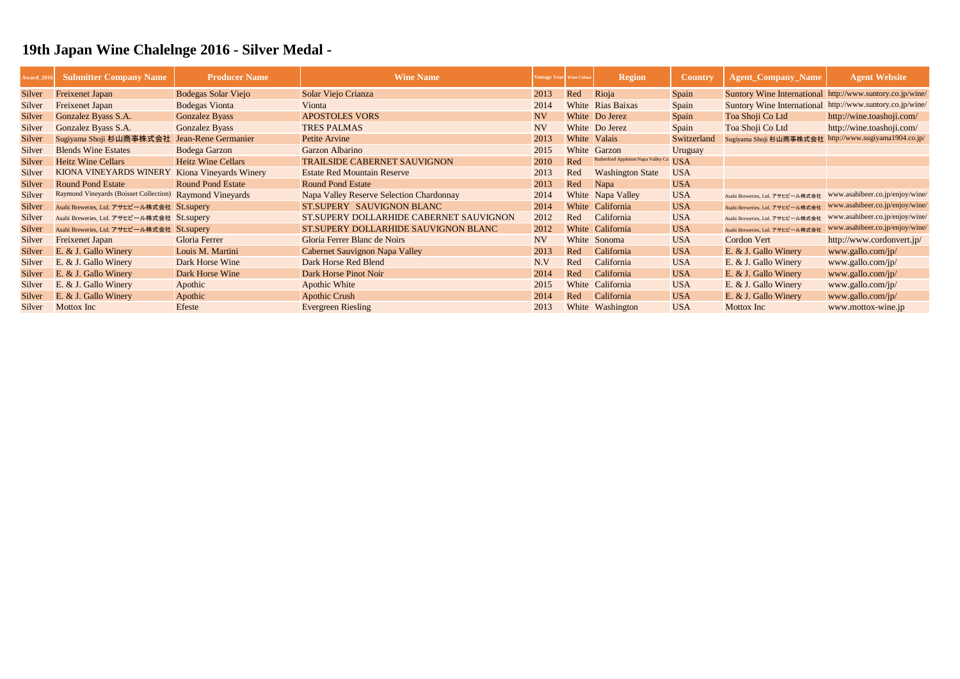| <b>Award_2016</b> | <b>Submitter Company Name</b>                            | <b>Producer Name</b>       | <b>Wine Name</b>                         | Vintage Year Wine Colour |       | <b>Region</b>                       | <b>Country</b> | <b>Agent_Company_Name</b>                                 | <b>Agent Website</b>            |
|-------------------|----------------------------------------------------------|----------------------------|------------------------------------------|--------------------------|-------|-------------------------------------|----------------|-----------------------------------------------------------|---------------------------------|
| Silver            | <b>Freixenet Japan</b>                                   | <b>Bodegas Solar Viejo</b> | Solar Viejo Crianza                      | 2013                     | Red   | Rioja                               | Spain          | Suntory Wine International http://www.suntory.co.jp/wine/ |                                 |
| Silver            | <b>Freixenet Japan</b>                                   | <b>Bodegas Vionta</b>      | Vionta                                   | 2014                     |       | <b>White Rias Baixas</b>            | Spain          | Suntory Wine International http://www.suntory.co.jp/wine/ |                                 |
| Silver            | Gonzalez Byass S.A.                                      | <b>Gonzalez Byass</b>      | <b>APOSTOLES VORS</b>                    | <b>NV</b>                |       | White Do Jerez                      | Spain          | Toa Shoji Co Ltd                                          | http://wine.toashoji.com/       |
| Silver            | Gonzalez Byass S.A.                                      | <b>Gonzalez Byass</b>      | <b>TRES PALMAS</b>                       | <b>NV</b>                |       | White Do Jerez                      | Spain          | Toa Shoji Co Ltd                                          | http://wine.toashoji.com/       |
| Silver            | Sugiyama Shoji 杉山商事株式会社                                  | Jean-Rene Germanier        | Petite Arvine                            | 2013                     |       | White Valais                        | Switzerland    | Sugiyama Shoji 杉山商事株式会社 http://www.sugiyama1904.co.jp/    |                                 |
| Silver            | <b>Blends Wine Estates</b>                               | <b>Bodega Garzon</b>       | Garzon Albarino                          | 2015                     |       | White Garzon                        | Uruguay        |                                                           |                                 |
| Silver            | <b>Heitz Wine Cellars</b>                                | <b>Heitz Wine Cellars</b>  | <b>TRAILSIDE CABERNET SAUVIGNON</b>      | 2010                     | Red   | Rutherford Appletion Napa Valley Ca | <b>USA</b>     |                                                           |                                 |
| Silver            | KIONA VINEYARDS WINERY                                   | Kiona Vineyards Winery     | <b>Estate Red Mountain Reserve</b>       | 2013                     | Red   | <b>Washington State</b>             | <b>USA</b>     |                                                           |                                 |
| Silver            | <b>Round Pond Estate</b>                                 | <b>Round Pond Estate</b>   | <b>Round Pond Estate</b>                 | 2013                     | Red   | Napa                                | <b>USA</b>     |                                                           |                                 |
| Silver            | Raymond Vineyards (Boisset Collection) Raymond Vineyards |                            | Napa Valley Reserve Selection Chardonnay | 2014                     |       | White Napa Valley                   | <b>USA</b>     | Asahi Breweries, Ltd. アサヒビール株式会社                          | www.asahibeer.co.jp/enjoy/wine/ |
| Silver            | Asahi Breweries, Ltd. アサヒビール株式会社 St.supery               |                            | ST.SUPERY SAUVIGNON BLANC                | 2014                     |       | White California                    | <b>USA</b>     | Asahi Breweries, Ltd. アサヒビール株式会社                          | www.asahibeer.co.jp/enjoy/wine/ |
| Silver            | Asahi Breweries, Ltd. アサヒビール株式会社 St.supery               |                            | ST.SUPERY DOLLARHIDE CABERNET SAUVIGNON  | 2012                     | Red   | California                          | <b>USA</b>     | Asahi Breweries, Ltd. アサヒビール株式会社                          | www.asahibeer.co.jp/enjoy/wine/ |
| Silver            | Asahi Breweries, Ltd. アサヒビール株式会社 St.supery               |                            | ST.SUPERY DOLLARHIDE SAUVIGNON BLANC     | 2012                     |       | White California                    | <b>USA</b>     | Asahi Breweries, Ltd. アサヒビール株式会社                          | www.asahibeer.co.jp/enjoy/wine/ |
| Silver            | <b>Freixenet Japan</b>                                   | Gloria Ferrer              | Gloria Ferrer Blanc de Noirs             | <b>NV</b>                |       | White Sonoma                        | <b>USA</b>     | <b>Cordon Vert</b>                                        | http://www.cordonvert.jp/       |
| Silver            | E. & J. Gallo Winery                                     | Louis M. Martini           | Cabernet Sauvignon Napa Valley           | 2013                     | Red   | California                          | <b>USA</b>     | E. & J. Gallo Winery                                      | www.gallo.com/jp/               |
| Silver            | E. & J. Gallo Winery                                     | Dark Horse Wine            | Dark Horse Red Blend                     | N.V                      | Red   | California                          | <b>USA</b>     | E. & J. Gallo Winery                                      | www.gallo.com/jp/               |
| Silver            | E. & J. Gallo Winery                                     | Dark Horse Wine            | Dark Horse Pinot Noir                    | 2014                     | Red   | California                          | <b>USA</b>     | E. & J. Gallo Winery                                      | www.gallo.com/jp/               |
| Silver            | E. & J. Gallo Winery                                     | Apothic                    | <b>Apothic White</b>                     | 2015                     | White | California                          | <b>USA</b>     | E. & J. Gallo Winery                                      | www.gallo.com/jp/               |
| Silver            | E. & J. Gallo Winery                                     | Apothic                    | <b>Apothic Crush</b>                     | 2014                     | Red   | California                          | <b>USA</b>     | E. & J. Gallo Winery                                      | www.gallo.com/jp/               |
| Silver            | Mottox Inc                                               | Efeste                     | <b>Evergreen Riesling</b>                | 2013                     |       | White Washington                    | <b>USA</b>     | Mottox Inc                                                | www.mottox-wine.jp              |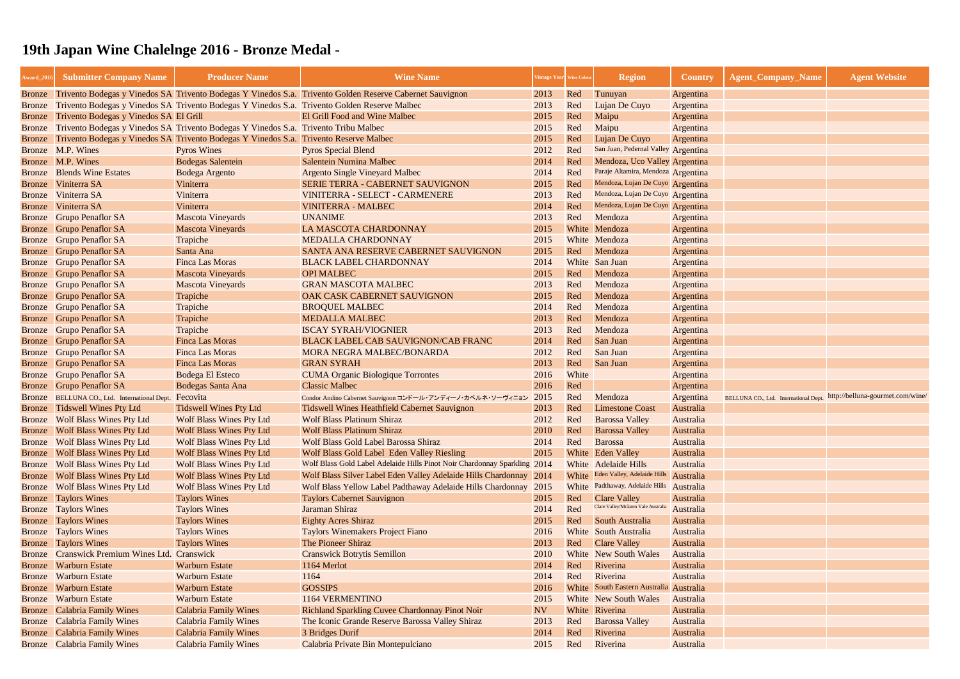| <b>Award_2016</b> | <b>Submitter Company Name</b>                | <b>Producer Name</b>                                                                         | <b>Wine Name</b>                                                                                                |                | Intage Year Wine Colour | <b>Region</b>                           | <b>Country</b>   | <b>Agent_Company_Name</b>                                              | <b>Agent Website</b> |
|-------------------|----------------------------------------------|----------------------------------------------------------------------------------------------|-----------------------------------------------------------------------------------------------------------------|----------------|-------------------------|-----------------------------------------|------------------|------------------------------------------------------------------------|----------------------|
|                   |                                              |                                                                                              | Bronze Trivento Bodegas y Vinedos SA Trivento Bodegas Y Vinedos S.a. Trivento Golden Reserve Cabernet Sauvignon | 2013           | Red                     | Tunuyan                                 | Argentina        |                                                                        |                      |
| Bronze            |                                              | Trivento Bodegas y Vinedos SA Trivento Bodegas Y Vinedos S.a. Trivento Golden Reserve Malbec |                                                                                                                 | 2013           | Red                     | Lujan De Cuyo                           | Argentina        |                                                                        |                      |
| <b>Bronze</b>     | Trivento Bodegas y Vinedos SA El Grill       |                                                                                              | El Grill Food and Wine Malbec                                                                                   | 2015           | Red                     | Maipu                                   | Argentina        |                                                                        |                      |
| <b>Bronze</b>     |                                              | Trivento Bodegas y Vinedos SA Trivento Bodegas Y Vinedos S.a. Trivento Tribu Malbec          |                                                                                                                 | 2015           | Red                     | Maipu                                   | Argentina        |                                                                        |                      |
| <b>Bronze</b>     |                                              | Trivento Bodegas y Vinedos SA Trivento Bodegas Y Vinedos S.a. Trivento Reserve Malbec        |                                                                                                                 | 2015           | Red                     | Lujan De Cuyo                           | Argentina        |                                                                        |                      |
|                   | Bronze M.P. Wines                            | <b>Pyros Wines</b>                                                                           | <b>Pyros Special Blend</b>                                                                                      | 2012           | Red                     | San Juan, Pedernal Valley Argentina     |                  |                                                                        |                      |
|                   | Bronze M.P. Wines                            | <b>Bodegas Salentein</b>                                                                     | <b>Salentein Numina Malbec</b>                                                                                  | 2014           | Red                     | Mendoza, Uco Valley Argentina           |                  |                                                                        |                      |
|                   | <b>Bronze</b> Blends Wine Estates            | Bodega Argento                                                                               | <b>Argento Single Vineyard Malbec</b>                                                                           | 2014           | Red                     | Paraje Altamira, Mendoza Argentina      |                  |                                                                        |                      |
|                   | Bronze Viniterra SA                          | Viniterra                                                                                    | <b>SERIE TERRA - CABERNET SAUVIGNON</b>                                                                         | 2015           | Red                     | Mendoza, Lujan De Cuyo Argentina        |                  |                                                                        |                      |
|                   | Bronze Viniterra SA                          | Viniterra                                                                                    | VINITERRA - SELECT - CARMENERE                                                                                  | 2013           | Red                     | Mendoza, Lujan De Cuyo Argentina        |                  |                                                                        |                      |
|                   | Bronze Viniterra SA                          | Viniterra                                                                                    | <b>VINITERRA - MALBEC</b>                                                                                       | 2014           | Red                     | Mendoza, Lujan De Cuyo Argentina        |                  |                                                                        |                      |
|                   | Bronze Grupo Penaflor SA                     | <b>Mascota Vineyards</b>                                                                     | <b>UNANIME</b>                                                                                                  | 2013           | Red                     | Mendoza                                 | Argentina        |                                                                        |                      |
|                   | <b>Bronze</b> Grupo Penaflor SA              | <b>Mascota Vineyards</b>                                                                     | LA MASCOTA CHARDONNAY                                                                                           | 2015           |                         | White Mendoza                           | Argentina        |                                                                        |                      |
|                   | <b>Bronze</b> Grupo Penaflor SA              | Trapiche                                                                                     | <b>MEDALLA CHARDONNAY</b>                                                                                       | 2015           |                         | White Mendoza                           | Argentina        |                                                                        |                      |
|                   | <b>Bronze</b> Grupo Penaflor SA              | Santa Ana                                                                                    | SANTA ANA RESERVE CABERNET SAUVIGNON                                                                            | 2015           | Red                     | Mendoza                                 | Argentina        |                                                                        |                      |
|                   | Bronze Grupo Penaflor SA                     | <b>Finca Las Moras</b>                                                                       | <b>BLACK LABEL CHARDONNAY</b>                                                                                   | 2014           |                         | White San Juan                          | Argentina        |                                                                        |                      |
|                   | <b>Bronze</b> Grupo Penaflor SA              | <b>Mascota Vineyards</b>                                                                     | <b>OPI MALBEC</b>                                                                                               | 2015           | Red                     | Mendoza                                 | Argentina        |                                                                        |                      |
|                   | Bronze Grupo Penaflor SA                     | <b>Mascota Vineyards</b>                                                                     | <b>GRAN MASCOTA MALBEC</b>                                                                                      | 2013           | Red                     | Mendoza                                 | Argentina        |                                                                        |                      |
|                   | <b>Bronze</b> Grupo Penaflor SA              | Trapiche                                                                                     | OAK CASK CABERNET SAUVIGNON                                                                                     | 2015           | Red                     | Mendoza                                 | Argentina        |                                                                        |                      |
|                   | Bronze Grupo Penaflor SA                     | Trapiche                                                                                     | <b>BROQUEL MALBEC</b>                                                                                           | 2014           | Red                     | Mendoza                                 | Argentina        |                                                                        |                      |
|                   | <b>Bronze</b> Grupo Penaflor SA              | Trapiche                                                                                     | <b>MEDALLA MALBEC</b>                                                                                           | 2013           | Red                     | Mendoza                                 | Argentina        |                                                                        |                      |
|                   | Bronze Grupo Penaflor SA                     | Trapiche                                                                                     | <b>ISCAY SYRAH/VIOGNIER</b>                                                                                     | 2013           | Red                     | Mendoza                                 | Argentina        |                                                                        |                      |
|                   | <b>Bronze</b> Grupo Penaflor SA              | <b>Finca Las Moras</b>                                                                       | <b>BLACK LABEL CAB SAUVIGNON/CAB FRANC</b>                                                                      | 2014           | Red                     | San Juan                                | Argentina        |                                                                        |                      |
|                   | Bronze Grupo Penaflor SA                     | <b>Finca Las Moras</b>                                                                       | <b>MORA NEGRA MALBEC/BONARDA</b>                                                                                | 2012           | Red                     | San Juan                                | Argentina        |                                                                        |                      |
|                   | <b>Bronze</b> Grupo Penaflor SA              | <b>Finca Las Moras</b>                                                                       | <b>GRAN SYRAH</b>                                                                                               | 2013           | Red                     | San Juan                                | Argentina        |                                                                        |                      |
|                   | <b>Bronze</b> Grupo Penaflor SA              | <b>Bodega El Esteco</b>                                                                      | <b>CUMA Organic Biologique Torrontes</b>                                                                        | 2016           | White                   |                                         | Argentina        |                                                                        |                      |
|                   | <b>Bronze</b> Grupo Penaflor SA              | Bodegas Santa Ana                                                                            | <b>Classic Malbec</b>                                                                                           | 2016           | Red                     |                                         | Argentina        |                                                                        |                      |
|                   | Bronze BELLUNA CO., Ltd. International Dept. | Fecovita                                                                                     | Condor Andino Cabernet Sauvignon コンドール・アンディーノ・カベルネ・ソーヴィニョン 2015                                                 |                | Red                     | Mendoza                                 | Argentina        | BELLUNA CO., Ltd. International Dept. http://belluna-gourmet.com/wine/ |                      |
|                   | Bronze Tidswell Wines Pty Ltd                | <b>Tidswell Wines Pty Ltd</b>                                                                | <b>Tidswell Wines Heathfield Cabernet Sauvignon</b>                                                             | 2013           | Red                     | <b>Limestone Coast</b>                  | <b>Australia</b> |                                                                        |                      |
|                   | Bronze Wolf Blass Wines Pty Ltd              | <b>Wolf Blass Wines Pty Ltd</b>                                                              | <b>Wolf Blass Platinum Shiraz</b>                                                                               | 2012           | Red                     | <b>Barossa Valley</b>                   | Australia        |                                                                        |                      |
|                   | <b>Bronze</b> Wolf Blass Wines Pty Ltd       | <b>Wolf Blass Wines Pty Ltd</b>                                                              | <b>Wolf Blass Platinum Shiraz</b>                                                                               | 2010           | Red                     | <b>Barossa Valley</b>                   | Australia        |                                                                        |                      |
|                   | Bronze Wolf Blass Wines Pty Ltd              | <b>Wolf Blass Wines Pty Ltd</b>                                                              | Wolf Blass Gold Label Barossa Shiraz                                                                            | 2014           | Red                     | Barossa                                 | Australia        |                                                                        |                      |
|                   | <b>Bronze</b> Wolf Blass Wines Pty Ltd       | <b>Wolf Blass Wines Pty Ltd</b>                                                              | Wolf Blass Gold Label Eden Valley Riesling                                                                      | 2015           |                         | White Eden Valley                       | Australia        |                                                                        |                      |
| Bronze            | <b>Wolf Blass Wines Pty Ltd</b>              | <b>Wolf Blass Wines Pty Ltd</b>                                                              | Wolf Blass Gold Label Adelaide Hills Pinot Noir Chardonnay Sparkling 2014                                       |                |                         | White Adelaide Hills                    | Australia        |                                                                        |                      |
|                   | <b>Bronze</b> Wolf Blass Wines Pty Ltd       | <b>Wolf Blass Wines Pty Ltd</b>                                                              | Wolf Blass Silver Label Eden Valley Adelaide Hills Chardonnay 2014                                              |                |                         | White Eden Valley, Adelaide Hills       | Australia        |                                                                        |                      |
| Bronze            | <b>Wolf Blass Wines Pty Ltd</b>              | <b>Wolf Blass Wines Pty Ltd</b>                                                              | Wolf Blass Yellow Label Padthaway Adelaide Hills Chardonnay 2015                                                |                |                         | White Padthaway, Adelaide Hills         | Australia        |                                                                        |                      |
|                   | <b>Bronze</b> Taylors Wines                  | <b>Taylors Wines</b>                                                                         | <b>Taylors Cabernet Sauvignon</b>                                                                               | 2015           | Red                     | <b>Clare Valley</b>                     | Australia        |                                                                        |                      |
|                   | <b>Bronze</b> Taylors Wines                  | <b>Taylors Wines</b>                                                                         | Jaraman Shiraz                                                                                                  | 2014           | Red                     | Clare Valley/Mclaren Vale Australia     | Australia        |                                                                        |                      |
|                   | <b>Bronze</b> Taylors Wines                  | <b>Taylors Wines</b>                                                                         | <b>Eighty Acres Shiraz</b>                                                                                      | 2015           | Red                     | South Australia                         | Australia        |                                                                        |                      |
|                   | <b>Bronze</b> Taylors Wines                  | <b>Taylors Wines</b>                                                                         | <b>Taylors Winemakers Project Fiano</b>                                                                         | 2016           |                         | <b>White</b> South Australia            | Australia        |                                                                        |                      |
|                   | <b>Bronze</b> Taylors Wines                  | <b>Taylors Wines</b>                                                                         | <b>The Pioneer Shiraz</b>                                                                                       | 2013           | Red                     | <b>Clare Valley</b>                     | Australia        |                                                                        |                      |
| <b>Bronze</b>     | <b>Cranswick Premium Wines Ltd.</b>          | Cranswick                                                                                    | <b>Cranswick Botrytis Semillon</b>                                                                              | 2010           |                         | White New South Wales                   | Australia        |                                                                        |                      |
|                   | <b>Bronze</b> Warburn Estate                 | <b>Warburn Estate</b>                                                                        | 1164 Merlot                                                                                                     | 2014           | Red                     | Riverina                                | Australia        |                                                                        |                      |
| Bronze            | <b>Warburn Estate</b>                        | <b>Warburn Estate</b>                                                                        | 1164                                                                                                            | 2014           | Red                     | Riverina                                | Australia        |                                                                        |                      |
|                   | <b>Bronze</b> Warburn Estate                 | <b>Warburn Estate</b>                                                                        | <b>GOSSIPS</b>                                                                                                  | 2016           |                         | White South Eastern Australia Australia |                  |                                                                        |                      |
|                   | <b>Bronze</b> Warburn Estate                 | <b>Warburn Estate</b>                                                                        | 1164 VERMENTINO                                                                                                 | 2015           |                         | White New South Wales                   | Australia        |                                                                        |                      |
| <b>Bronze</b>     | <b>Calabria Family Wines</b>                 | <b>Calabria Family Wines</b>                                                                 | Richland Sparkling Cuvee Chardonnay Pinot Noir                                                                  | NV <sub></sub> |                         | White Riverina                          | Australia        |                                                                        |                      |
|                   | Bronze Calabria Family Wines                 | <b>Calabria Family Wines</b>                                                                 | The Iconic Grande Reserve Barossa Valley Shiraz                                                                 | 2013           | Red                     | <b>Barossa Valley</b>                   | Australia        |                                                                        |                      |
| <b>Bronze</b>     | <b>Calabria Family Wines</b>                 | <b>Calabria Family Wines</b>                                                                 | 3 Bridges Durif                                                                                                 | 2014           | Red                     | Riverina                                | Australia        |                                                                        |                      |
|                   | Bronze Calabria Family Wines                 | <b>Calabria Family Wines</b>                                                                 | Calabria Private Bin Montepulciano                                                                              | 2015           | Red                     | Riverina                                | Australia        |                                                                        |                      |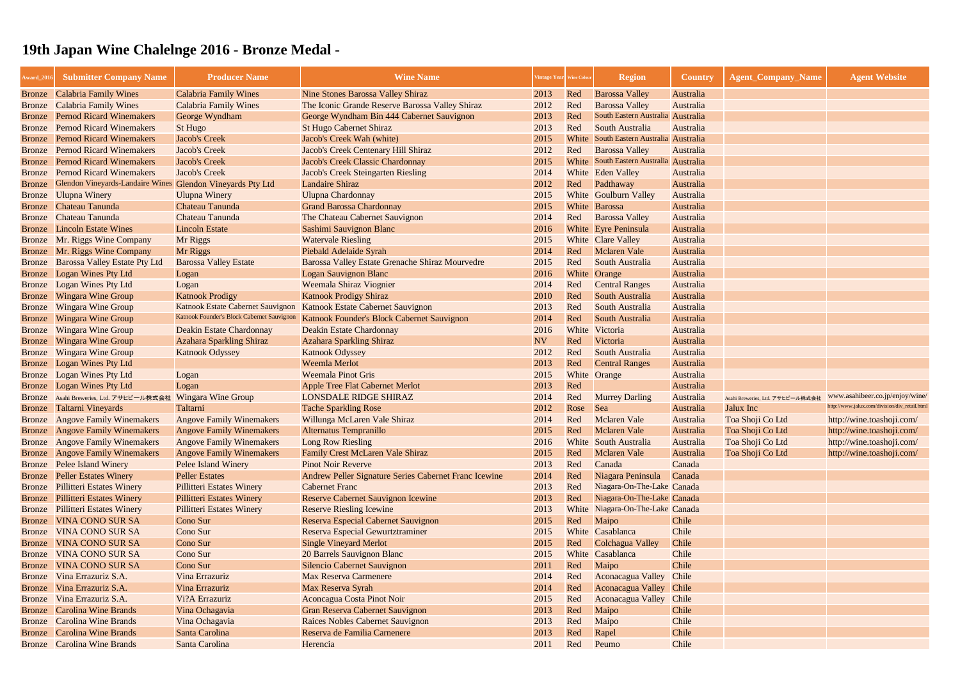| Award_201                      | <b>Submitter Company Name</b>                              | <b>Producer Name</b>                                | <b>Wine Name</b>                                              |              | Vintage Year Wine Colou | <b>Region</b>                           | <b>Country</b>   | <b>Agent_Company_Name</b>        | <b>Agent Website</b>                          |
|--------------------------------|------------------------------------------------------------|-----------------------------------------------------|---------------------------------------------------------------|--------------|-------------------------|-----------------------------------------|------------------|----------------------------------|-----------------------------------------------|
| Bronze                         | <b>Calabria Family Wines</b>                               | <b>Calabria Family Wines</b>                        | <b>Nine Stones Barossa Valley Shiraz</b>                      | 2013         | Red                     | <b>Barossa Valley</b>                   | Australia        |                                  |                                               |
| Bronze                         | <b>Calabria Family Wines</b>                               | <b>Calabria Family Wines</b>                        | The Iconic Grande Reserve Barossa Valley Shiraz               | 2012         | Red                     | <b>Barossa Valley</b>                   | Australia        |                                  |                                               |
| <b>Bronze</b>                  | <b>Pernod Ricard Winemakers</b>                            | George Wyndham                                      | George Wyndham Bin 444 Cabernet Sauvignon                     | 2013         | Red                     | South Eastern Australia Australia       |                  |                                  |                                               |
| <b>Bronze</b>                  | <b>Pernod Ricard Winemakers</b>                            | <b>St Hugo</b>                                      | <b>St Hugo Cabernet Shiraz</b>                                | 2013         | Red                     | South Australia                         | Australia        |                                  |                                               |
| <b>Bronze</b>                  | <b>Pernod Ricard Winemakers</b>                            | <b>Jacob's Creek</b>                                | Jacob's Creek Wah (white)                                     | 2015         | White                   | South Eastern Australia Australia       |                  |                                  |                                               |
| <b>Bronze</b>                  | <b>Pernod Ricard Winemakers</b>                            | <b>Jacob's Creek</b>                                | Jacob's Creek Centenary Hill Shiraz                           | 2012         | Red                     | <b>Barossa Valley</b>                   | Australia        |                                  |                                               |
| <b>Bronze</b>                  | <b>Pernod Ricard Winemakers</b>                            | <b>Jacob's Creek</b>                                | Jacob's Creek Classic Chardonnay                              | 2015         |                         | White South Eastern Australia Australia |                  |                                  |                                               |
| <b>Bronze</b>                  | <b>Pernod Ricard Winemakers</b>                            | <b>Jacob's Creek</b>                                | <b>Jacob's Creek Steingarten Riesling</b>                     | 2014         |                         | White Eden Valley                       | Australia        |                                  |                                               |
| <b>Bronze</b>                  | Glendon Vineyards-Landaire Wines Glendon Vineyards Pty Ltd |                                                     | <b>Landaire Shiraz</b>                                        | 2012         | Red                     | Padthaway                               | Australia        |                                  |                                               |
| <b>Bronze</b>                  | <b>Ulupna Winery</b>                                       | <b>Ulupna Winery</b>                                | <b>Ulupna Chardonnay</b>                                      | 2015         |                         | <b>White</b> Goulburn Valley            | Australia        |                                  |                                               |
| <b>Bronze</b>                  | Chateau Tanunda                                            | Chateau Tanunda                                     | <b>Grand Barossa Chardonnay</b>                               | 2015         |                         | White Barossa                           | Australia        |                                  |                                               |
| <b>Bronze</b>                  | <b>Chateau Tanunda</b>                                     | Chateau Tanunda                                     | The Chateau Cabernet Sauvignon                                | 2014         | Red                     | <b>Barossa Valley</b>                   | Australia        |                                  |                                               |
| <b>Bronze</b>                  | <b>Lincoln Estate Wines</b>                                | <b>Lincoln Estate</b>                               | Sashimi Sauvignon Blanc                                       | 2016         |                         | White Eyre Peninsula                    | Australia        |                                  |                                               |
| <b>Bronze</b>                  | Mr. Riggs Wine Company                                     | Mr Riggs                                            | <b>Watervale Riesling</b>                                     | 2015         |                         | White Clare Valley                      | Australia        |                                  |                                               |
| Bronze                         | Mr. Riggs Wine Company                                     | Mr Riggs                                            | Piebald Adelaide Syrah                                        | 2014         | Red                     | Mclaren Vale                            | Australia        |                                  |                                               |
| <b>Bronze</b>                  | <b>Barossa Valley Estate Pty Ltd</b>                       | <b>Barossa Valley Estate</b>                        | Barossa Valley Estate Grenache Shiraz Mourvedre               | 2015         | Red                     | South Australia                         | Australia        |                                  |                                               |
| Bronze                         | Logan Wines Pty Ltd                                        | Logan                                               | <b>Logan Sauvignon Blanc</b>                                  | 2016         |                         | White Orange                            | Australia        |                                  |                                               |
| <b>Bronze</b>                  | Logan Wines Pty Ltd                                        | Logan                                               | <b>Weemala Shiraz Viognier</b>                                | 2014         | Red                     | <b>Central Ranges</b>                   | Australia        |                                  |                                               |
| <b>Bronze</b>                  | <b>Wingara Wine Group</b>                                  | <b>Katnook Prodigy</b>                              | <b>Katnook Prodigy Shiraz</b>                                 | 2010         | Red                     | South Australia                         | Australia        |                                  |                                               |
| <b>Bronze</b>                  | <b>Wingara Wine Group</b>                                  | Katnook Estate Cabernet Sauvignon                   | Katnook Estate Cabernet Sauvignon                             | 2013         | Red                     | South Australia                         | Australia        |                                  |                                               |
| <b>Bronze</b>                  | <b>Wingara Wine Group</b>                                  | Katnook Founder's Block Cabernet Sauvignon          | Katnook Founder's Block Cabernet Sauvignon                    | 2014         | Red                     | South Australia                         | Australia        |                                  |                                               |
| <b>Bronze</b>                  | <b>Wingara Wine Group</b>                                  | Deakin Estate Chardonnay                            | Deakin Estate Chardonnay                                      | 2016         |                         | White Victoria                          | Australia        |                                  |                                               |
| <b>Bronze</b>                  | <b>Wingara Wine Group</b>                                  | <b>Azahara Sparkling Shiraz</b>                     | <b>Azahara Sparkling Shiraz</b>                               | <b>NV</b>    | Red                     | Victoria                                | Australia        |                                  |                                               |
| <b>Bronze</b>                  | <b>Wingara Wine Group</b>                                  | <b>Katnook Odyssey</b>                              | <b>Katnook Odyssey</b>                                        | 2012         | Red                     | South Australia                         | Australia        |                                  |                                               |
| <b>Bronze</b>                  | Logan Wines Pty Ltd                                        |                                                     | Weemla Merlot                                                 | 2013         | Red                     | <b>Central Ranges</b>                   | Australia        |                                  |                                               |
| <b>Bronze</b>                  | Logan Wines Pty Ltd                                        | Logan                                               | <b>Weemala Pinot Gris</b>                                     | 2015         |                         | White Orange                            | Australia        |                                  |                                               |
| Bronze                         | Logan Wines Pty Ltd                                        | Logan                                               | <b>Apple Tree Flat Cabernet Merlot</b>                        | 2013         | Red                     |                                         | Australia        |                                  |                                               |
| Bronze                         | Asahi Breweries, Ltd. アサヒビール株式会社                           | <b>Wingara Wine Group</b>                           | <b>LONSDALE RIDGE SHIRAZ</b>                                  | 2014         | Red                     | <b>Murrey Darling</b>                   | Australia        | Asahi Breweries, Ltd. アサヒビール株式会社 | www.asahibeer.co.jp/enjoy/wine/               |
| Bronze                         | Taltarni Vineyards                                         | Taltarni                                            | <b>Tache Sparkling Rose</b>                                   | 2012         | Rose                    | <b>Sea</b>                              | Australia        | Jalux Inc                        | http://www.jalux.com/division/div_retail.html |
|                                | <b>Bronze</b> Angove Family Winemakers                     | <b>Angove Family Winemakers</b>                     | Willunga McLaren Vale Shiraz                                  | 2014         | Red                     | <b>Mclaren Vale</b>                     | Australia        | Toa Shoji Co Ltd                 | http://wine.toashoji.com/                     |
|                                | <b>Bronze</b> Angove Family Winemakers                     | <b>Angove Family Winemakers</b>                     | Alternatus Tempranillo                                        | 2015         | Red                     | <b>Mclaren Vale</b>                     | <b>Australia</b> | Toa Shoji Co Ltd                 | http://wine.toashoji.com/                     |
|                                | <b>Bronze</b> Angove Family Winemakers                     | <b>Angove Family Winemakers</b>                     | <b>Long Row Riesling</b>                                      | 2016         |                         | <b>White</b> South Australia            | Australia        | Toa Shoji Co Ltd                 | http://wine.toashoji.com/                     |
| Bronze                         | <b>Angove Family Winemakers</b>                            | <b>Angove Family Winemakers</b>                     | Family Crest McLaren Vale Shiraz<br><b>Pinot Noir Reverve</b> | 2015         | Red<br>Red              | <b>Mclaren Vale</b><br>Canada           | Australia        | Toa Shoji Co Ltd                 | http://wine.toashoji.com/                     |
| <b>Bronze</b><br><b>Bronze</b> | <b>Pelee Island Winery</b><br><b>Peller Estates Winery</b> | <b>Pelee Island Winery</b><br><b>Peller Estates</b> | Andrew Peller Signature Series Cabernet Franc Icewine         | 2013<br>2014 | Red                     | Niagara Peninsula                       | Canada<br>Canada |                                  |                                               |
| <b>Bronze</b>                  | <b>Pillitteri Estates Winery</b>                           | <b>Pillitteri Estates Winery</b>                    | <b>Cabernet Franc</b>                                         | 2013         | Red                     | Niagara-On-The-Lake Canada              |                  |                                  |                                               |
| <b>Bronze</b>                  | <b>Pillitteri Estates Winery</b>                           | <b>Pillitteri Estates Winery</b>                    | <b>Reserve Cabernet Sauvignon Icewine</b>                     | 2013         | Red                     | Niagara-On-The-Lake Canada              |                  |                                  |                                               |
| <b>Bronze</b>                  | <b>Pillitteri Estates Winery</b>                           | <b>Pillitteri Estates Winery</b>                    | <b>Reserve Riesling Icewine</b>                               | 2013         |                         | White Niagara-On-The-Lake Canada        |                  |                                  |                                               |
| <b>Bronze</b>                  | <b>VINA CONO SUR SA</b>                                    | Cono Sur                                            | Reserva Especial Cabernet Sauvignon                           | 2015         | Red                     | Maipo                                   | Chile            |                                  |                                               |
| <b>Bronze</b>                  | <b>VINA CONO SUR SA</b>                                    | Cono Sur                                            | Reserva Especial Gewurtztraminer                              | 2015         |                         | White Casablanca                        | Chile            |                                  |                                               |
| <b>Bronze</b>                  | <b>VINA CONO SUR SA</b>                                    | Cono Sur                                            | <b>Single Vineyard Merlot</b>                                 | 2015         | Red                     | Colchagua Valley                        | Chile            |                                  |                                               |
| <b>Bronze</b>                  | <b>VINA CONO SUR SA</b>                                    | Cono Sur                                            | 20 Barrels Sauvignon Blanc                                    | 2015         |                         | White Casablanca                        | Chile            |                                  |                                               |
| <b>Bronze</b>                  | <b>VINA CONO SUR SA</b>                                    | Cono Sur                                            | <b>Silencio Cabernet Sauvignon</b>                            | 2011         | Red                     | Maipo                                   | Chile            |                                  |                                               |
| <b>Bronze</b>                  | Vina Errazuriz S.A.                                        | Vina Errazuriz                                      | <b>Max Reserva Carmenere</b>                                  | 2014         | Red                     | <b>Aconacagua Valley</b>                | <b>Chile</b>     |                                  |                                               |
| <b>Bronze</b>                  | Vina Errazuriz S.A.                                        | Vina Errazuriz                                      | Max Reserva Syrah                                             | 2014         | Red                     | Aconacagua Valley Chile                 |                  |                                  |                                               |
| <b>Bronze</b>                  | Vina Errazuriz S.A.                                        | Vi?A Errazuriz                                      | Aconcagua Costa Pinot Noir                                    | 2015         | Red                     | Aconacagua Valley                       | Chile            |                                  |                                               |
| <b>Bronze</b>                  | <b>Carolina Wine Brands</b>                                | Vina Ochagavia                                      | Gran Reserva Cabernet Sauvignon                               | 2013         | Red                     | Maipo                                   | Chile            |                                  |                                               |
| <b>Bronze</b>                  | <b>Carolina Wine Brands</b>                                | Vina Ochagavia                                      | <b>Raices Nobles Cabernet Sauvignon</b>                       | 2013         | Red                     | Maipo                                   | Chile            |                                  |                                               |
| Bronze                         | <b>Carolina Wine Brands</b>                                | Santa Carolina                                      | Reserva de Familia Carnenere                                  | 2013         | Red                     | Rapel                                   | Chile            |                                  |                                               |
|                                | <b>Bronze</b> Carolina Wine Brands                         | Santa Carolina                                      | Herencia                                                      | 2011         | Red                     | Peumo                                   | Chile            |                                  |                                               |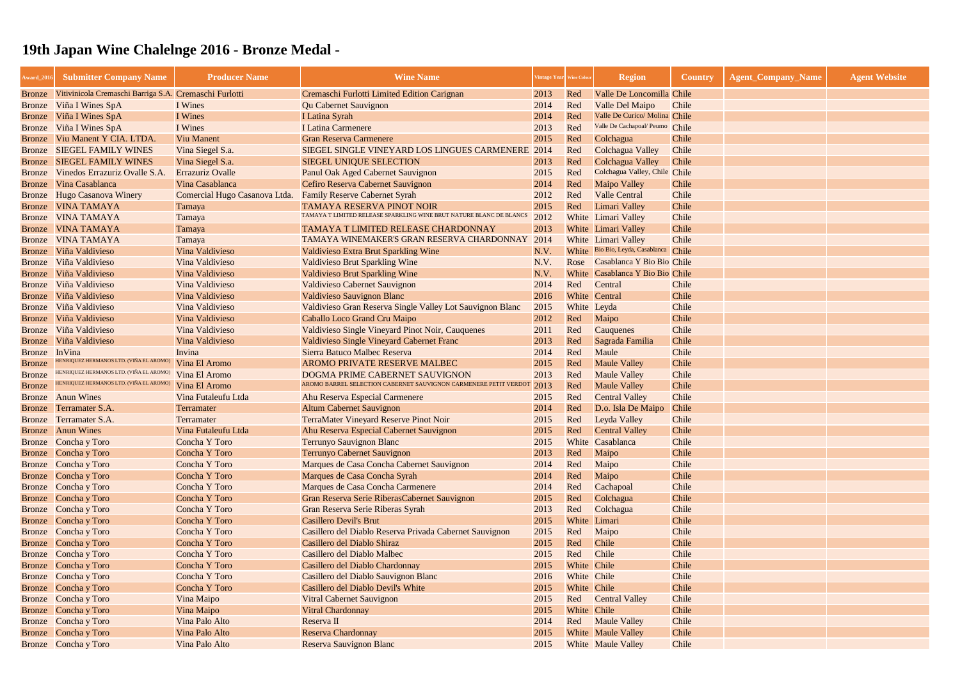| Award_201        | <b>Submitter Company Name</b>                                                      | <b>Producer Name</b>           | <b>Wine Name</b>                                                          | 'intage Year   Wine Colou |             | <b>Region</b>                          | <b>Country</b> | <b>Agent_Company_Name</b> | <b>Agent Website</b> |
|------------------|------------------------------------------------------------------------------------|--------------------------------|---------------------------------------------------------------------------|---------------------------|-------------|----------------------------------------|----------------|---------------------------|----------------------|
| <b>Bronze</b>    | Vitivinicola Cremaschi Barriga S.A. Cremaschi Furlotti                             |                                | Cremaschi Furlotti Limited Edition Carignan                               | 2013                      | Red         | Valle De Loncomilla Chile              |                |                           |                      |
| Bronze           | Viña I Wines SpA                                                                   | I Wines                        | <b>Qu Cabernet Sauvignon</b>                                              | 2014                      | Red         | Valle Del Maipo                        | Chile          |                           |                      |
| <b>Bronze</b>    | Viña I Wines SpA                                                                   | I Wines                        | I Latina Syrah                                                            | 2014                      | Red         | Valle De Curico/ Molina Chile          |                |                           |                      |
| Bronze           | Viña I Wines SpA                                                                   | I Wines                        | <b>I Latina Carmenere</b>                                                 | 2013                      | Red         | Valle De Cachapoal/ Peumo Chile        |                |                           |                      |
| <b>Bronze</b>    | Viu Manent Y CIA. LTDA                                                             | <b>Viu Manent</b>              | <b>Gran Reserva Carmenere</b>                                             | 2015                      | Red         | Colchagua                              | Chile          |                           |                      |
| <b>Bronze</b>    | <b>SIEGEL FAMILY WINES</b>                                                         | Vina Siegel S.a.               | SIEGEL SINGLE VINEYARD LOS LINGUES CARMENERE 2014                         |                           | Red         | Colchagua Valley                       | Chile          |                           |                      |
| Bronze           | <b>SIEGEL FAMILY WINES</b>                                                         | Vina Siegel S.a.               | <b>SIEGEL UNIQUE SELECTION</b>                                            | 2013                      | Red         | <b>Colchagua Valley</b>                | <b>Chile</b>   |                           |                      |
| Bronze           | Vinedos Errazuriz Ovalle S.A.                                                      | <b>Errazuriz Ovalle</b>        | Panul Oak Aged Cabernet Sauvignon                                         | 2015                      | Red         | Colchagua Valley, Chile Chile          |                |                           |                      |
| Bronze           | Vina Casablanca                                                                    | Vina Casablanca                | Cefiro Reserva Cabernet Sauvignon                                         | 2014                      | Red         | <b>Maipo Valley</b>                    | Chile          |                           |                      |
| <b>Bronze</b>    | Hugo Casanova Winery                                                               | Comercial Hugo Casanova Ltda.  | <b>Family Reserve Cabernet Syrah</b>                                      | 2012                      | Red         | <b>Valle Central</b>                   | Chile          |                           |                      |
| <b>Bronze</b>    | <b>VINA TAMAYA</b>                                                                 | Tamaya                         | <b>TAMAYA RESERVA PINOT NOIR</b>                                          | 2015                      | Red         | Limari Valley                          | Chile          |                           |                      |
| <b>Bronze</b>    | <b>VINA TAMAYA</b>                                                                 | Tamaya                         | TAMAYA T LIMITED RELEASE SPARKLING WINE BRUT NATURE BLANC DE BLANCS       | 2012                      |             | <b>White</b> Limari Valley             | Chile          |                           |                      |
| <b>Bronze</b>    | <b>VINA TAMAYA</b>                                                                 | Tamaya                         | TAMAYA T LIMITED RELEASE CHARDONNAY                                       | 2013                      |             | White Limari Valley                    | Chile          |                           |                      |
| Bronze           | <b>VINA TAMAYA</b>                                                                 | Tamaya                         | TAMAYA WINEMAKER'S GRAN RESERVA CHARDONNAY                                | 2014                      |             | <b>White</b> Limari Valley             | Chile          |                           |                      |
| Bronze           | Viña Valdivieso                                                                    | Vina Valdivieso                | <b>Valdivieso Extra Brut Sparkling Wine</b>                               | N.V.                      |             | White Bio Bio, Leyda, Casablanca Chile |                |                           |                      |
| <b>Bronze</b>    | Viña Valdivieso                                                                    | Vina Valdivieso                | <b>Valdivieso Brut Sparkling Wine</b>                                     | N.V.                      |             | Rose Casablanca Y Bio Bio Chile        |                |                           |                      |
| <b>Bronze</b>    | Viña Valdivieso                                                                    | Vina Valdivieso                | <b>Valdivieso Brut Sparkling Wine</b>                                     | N.V.                      |             | White Casablanca Y Bio Bio Chile       |                |                           |                      |
| Bronze           | Viña Valdivieso                                                                    | Vina Valdivieso                | <b>Valdivieso Cabernet Sauvignon</b>                                      | 2014                      | Red         | Central                                | Chile          |                           |                      |
| <b>Bronze</b>    | Viña Valdivieso                                                                    | Vina Valdivieso                | <b>Valdivieso Sauvignon Blanc</b>                                         | 2016                      |             | White Central                          | Chile          |                           |                      |
| <b>Bronze</b>    | Viña Valdivieso                                                                    | Vina Valdivieso                | Valdivieso Gran Reserva Single Valley Lot Sauvignon Blanc                 | 2015                      | White Leyda |                                        | Chile          |                           |                      |
| Bronze           | Viña Valdivieso                                                                    | Vina Valdivieso                | Caballo Loco Grand Cru Maipo                                              | 2012                      | Red         | Maipo                                  | Chile          |                           |                      |
| Bronze           | Viña Valdivieso                                                                    | Vina Valdivieso                | Valdivieso Single Vineyard Pinot Noir, Cauquenes                          | 2011                      | Red         | Cauquenes                              | Chile          |                           |                      |
| <b>Bronze</b>    | Viña Valdivieso                                                                    | Vina Valdivieso                | Valdivieso Single Vineyard Cabernet Franc                                 | 2013                      | Red         | Sagrada Familia                        | Chile          |                           |                      |
| <b>Bronze</b>    | InVina                                                                             | Invina                         | Sierra Batuco Malbec Reserva                                              | 2014                      | Red         | Maule                                  | Chile          |                           |                      |
| <b>Bronze</b>    | HENRIQUEZ HERMANOS LTD. (VIÑA EL AROMO)<br>HENRIQUEZ HERMANOS LTD. (VIÑA EL AROMO) | Vina El Aromo                  | AROMO PRIVATE RESERVE MALBEC                                              | 2015                      | Red         | <b>Maule Valley</b>                    | Chile          |                           |                      |
| <b>Bronze</b>    | HENRIQUEZ HERMANOS LTD. (VIÑA EL AROMO                                             | Vina El Aromo                  | DOGMA PRIME CABERNET SAUVIGNON                                            | 2013                      | Red         | <b>Maule Valley</b>                    | Chile          |                           |                      |
| <b>Bronze</b>    |                                                                                    | Vina El Aromo                  | AROMO BARREL SELECTION CABERNET SAUVIGNON CARMENERE PETIT VERDO           | $\frac{5}{1}$ 2013        | Red         | <b>Maule Valley</b>                    | Chile          |                           |                      |
|                  | <b>Bronze</b> Anun Wines                                                           | Vina Futaleufu Ltda            | Ahu Reserva Especial Carmenere                                            | 2015                      | Red         | <b>Central Valley</b>                  | Chile          |                           |                      |
| Bronze           | Terramater S.A.                                                                    | Terramater                     | <b>Altum Cabernet Sauvignon</b>                                           | 2014                      | Red         | D.o. Isla De Maipo                     | <b>Chile</b>   |                           |                      |
| Bronze           | Terramater S.A.                                                                    | Terramater                     | <b>TerraMater Vineyard Reserve Pinot Noir</b>                             | 2015                      | Red         | Leyda Valley                           | Chile          |                           |                      |
|                  | <b>Bronze</b> Anun Wines                                                           | Vina Futaleufu Ltda            | Ahu Reserva Especial Cabernet Sauvignon                                   | 2015                      | Red         | <b>Central Valley</b>                  | Chile          |                           |                      |
|                  | Bronze Concha y Toro                                                               | Concha Y Toro                  | Terrunyo Sauvignon Blanc                                                  | 2015                      |             | White Casablanca                       | Chile          |                           |                      |
|                  | Bronze Concha y Toro                                                               | Concha Y Toro                  | Terrunyo Cabernet Sauvignon                                               | 2013                      | Red         | Maipo                                  | Chile          |                           |                      |
|                  | Bronze Concha y Toro<br>Concha y Toro                                              | Concha Y Toro<br>Concha Y Toro | Marques de Casa Concha Cabernet Sauvignon<br>Marques de Casa Concha Syrah | 2014<br>2014              | Red<br>Red  | Maipo<br>Maipo                         | Chile<br>Chile |                           |                      |
| Bronze           | Concha y Toro                                                                      | Concha Y Toro                  | Marques de Casa Concha Carmenere                                          | 2014                      | Red         | Cachapoal                              | Chile          |                           |                      |
| Bronze<br>Bronze | Concha y Toro                                                                      | Concha Y Toro                  | Gran Reserva Serie RiberasCabernet Sauvignon                              | 2015                      | Red         | Colchagua                              | Chile          |                           |                      |
| Bronze           | Concha y Toro                                                                      | Concha Y Toro                  | Gran Reserva Serie Riberas Syrah                                          | 2013                      | Red         | Colchagua                              | Chile          |                           |                      |
|                  | Bronze Concha y Toro                                                               | Concha Y Toro                  | <b>Casillero Devil's Brut</b>                                             | 2015                      |             | White Limari                           | Chile          |                           |                      |
|                  | Bronze Concha y Toro                                                               | Concha Y Toro                  | Casillero del Diablo Reserva Privada Cabernet Sauvignon                   | 2015                      | Red         | Maipo                                  | Chile          |                           |                      |
|                  | Bronze Concha y Toro                                                               | Concha Y Toro                  | Casillero del Diablo Shiraz                                               | 2015                      | Red         | <b>Chile</b>                           | Chile          |                           |                      |
| Bronze           | Concha y Toro                                                                      | Concha Y Toro                  | Casillero del Diablo Malbec                                               | 2015                      | Red         | Chile                                  | Chile          |                           |                      |
|                  | Bronze Concha y Toro                                                               | Concha Y Toro                  | Casillero del Diablo Chardonnay                                           | 2015                      | White Chile |                                        | Chile          |                           |                      |
| Bronze           | Concha y Toro                                                                      | Concha Y Toro                  | Casillero del Diablo Sauvignon Blanc                                      | 2016                      | White Chile |                                        | Chile          |                           |                      |
|                  | Bronze Concha y Toro                                                               | Concha Y Toro                  | Casillero del Diablo Devil's White                                        | 2015                      | White Chile |                                        | Chile          |                           |                      |
|                  | Bronze Concha y Toro                                                               | Vina Maipo                     | <b>Vitral Cabernet Sauvignon</b>                                          | 2015                      | Red         | <b>Central Valley</b>                  | Chile          |                           |                      |
|                  | Bronze Concha y Toro                                                               | Vina Maipo                     | <b>Vitral Chardonnay</b>                                                  | 2015                      | White Chile |                                        | Chile          |                           |                      |
|                  | Bronze Concha y Toro                                                               | Vina Palo Alto                 | Reserva II                                                                | 2014                      |             | Red Maule Valley                       | Chile          |                           |                      |
|                  | Bronze Concha y Toro                                                               | Vina Palo Alto                 | <b>Reserva Chardonnay</b>                                                 | 2015                      |             | White Maule Valley                     | Chile          |                           |                      |
|                  | Bronze Concha y Toro                                                               | Vina Palo Alto                 | Reserva Sauvignon Blanc                                                   | 2015                      |             | <b>White Maule Valley</b>              | Chile          |                           |                      |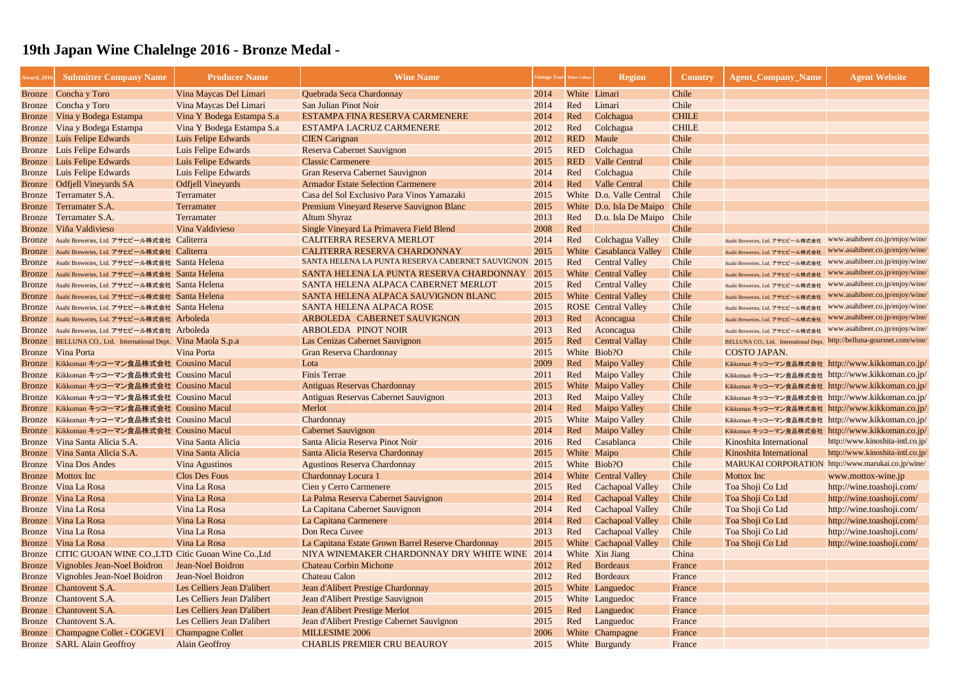| Award_201     | <b>Submitter Company Name</b>                                 | <b>Producer Name</b>        | <b>Wine Name</b>                                      |      | Vintage Year Wine Colour | <b>Region</b>               | <b>Country</b> | <b>Agent_Company_Name</b>                                              | <b>Agent Website</b>             |
|---------------|---------------------------------------------------------------|-----------------------------|-------------------------------------------------------|------|--------------------------|-----------------------------|----------------|------------------------------------------------------------------------|----------------------------------|
|               | Bronze Concha y Toro                                          | Vina Maycas Del Limari      | Quebrada Seca Chardonnay                              | 2014 | White Limari             |                             | Chile          |                                                                        |                                  |
| Bronze        | Concha y Toro                                                 | Vina Maycas Del Limari      | San Julian Pinot Noir                                 | 2014 | Red                      | Limari                      | Chile          |                                                                        |                                  |
| <b>Bronze</b> | Vina y Bodega Estampa                                         | Vina Y Bodega Estampa S.a   | ESTAMPA FINA RESERVA CARMENERE                        | 2014 | Red                      | Colchagua                   | <b>CHILE</b>   |                                                                        |                                  |
| <b>Bronze</b> | Vina y Bodega Estampa                                         | Vina Y Bodega Estampa S.a   | <b>ESTAMPA LACRUZ CARMENERE</b>                       | 2012 | Red                      | Colchagua                   | <b>CHILE</b>   |                                                                        |                                  |
| Bronze        | Luis Felipe Edwards                                           | Luis Felipe Edwards         | <b>CIEN</b> Carignan                                  | 2012 | <b>RED</b>               | Maule                       | Chile          |                                                                        |                                  |
| <b>Bronze</b> | Luis Felipe Edwards                                           | Luis Felipe Edwards         | Reserva Cabernet Sauvignon                            | 2015 | <b>RED</b>               | Colchagua                   | Chile          |                                                                        |                                  |
|               | <b>Bronze</b> Luis Felipe Edwards                             | Luis Felipe Edwards         | <b>Classic Carmenere</b>                              | 2015 | <b>RED</b>               | <b>Valle Central</b>        | Chile          |                                                                        |                                  |
|               | <b>Bronze</b> Luis Felipe Edwards                             | Luis Felipe Edwards         | Gran Reserva Cabernet Sauvignon                       | 2014 | Red                      | Colchagua                   | Chile          |                                                                        |                                  |
| Bronze        | <b>Odfjell Vineyards SA</b>                                   | <b>Odfjell Vineyards</b>    | <b>Armador Estate Selection Carmenere</b>             | 2014 | Red                      | <b>Valle Central</b>        | Chile          |                                                                        |                                  |
| <b>Bronze</b> | Terramater S.A.                                               | Terramater                  | Casa del Sol Exclusivo Para Vinos Yamazaki            | 2015 |                          | White D.o. Valle Central    | Chile          |                                                                        |                                  |
| <b>Bronze</b> | Terramater S.A.                                               | Terramater                  | Premium Vineyard Reserve Sauvignon Blanc              | 2015 |                          | White D.o. Isla De Maipo    | <b>Chile</b>   |                                                                        |                                  |
| <b>Bronze</b> | Terramater S.A.                                               | Terramater                  | <b>Altum Shyraz</b>                                   | 2013 | Red                      | D.o. Isla De Maipo          | Chile          |                                                                        |                                  |
| Bronze        | Viña Valdivieso                                               | Vina Valdivieso             | Single Vineyard La Primavera Field Blend              | 2008 | Red                      |                             | Chile          |                                                                        |                                  |
|               | Bronze Asahi Breweries, Ltd. アサヒビール株式会社 Caliterra             |                             | <b>CALITERRA RESERVA MERLOT</b>                       | 2014 | Red                      | Colchagua Valley            | Chile          | Asahi Breweries, Ltd. アサヒビール株式会社                                       | www.asahibeer.co.jp/enjoy/wine/  |
|               | Bronze Asahi Breweries, Ltd. アサヒビール株式会社 Caliterra             |                             | CALITERRA RESERVA CHARDONNAY                          | 2015 |                          | White Casablanca Valley     | Chile          | Asahi Breweries, Ltd. アサヒビール株式会社                                       | www.asahibeer.co.jp/enjoy/wine/  |
|               | Bronze Asahi Breweries, Ltd. アサヒビール株式会社 Santa Helena          |                             | SANTA HELENA LA PUNTA RESERVA CABERNET SAUVIGNON 2015 |      | Red                      | <b>Central Valley</b>       | Chile          | Asahi Breweries, Ltd. アサヒビール株式会社                                       | www.asahibeer.co.jp/enjoy/wine/  |
|               | Bronze Asahi Breweries, Ltd. アサヒビール株式会社 Santa Helena          |                             | SANTA HELENA LA PUNTA RESERVA CHARDONNAY              | 2015 |                          | <b>White</b> Central Valley | Chile          | Asahi Breweries, Ltd. アサヒビール株式会社                                       | www.asahibeer.co.jp/enjoy/wine/  |
|               | Bronze Asahi Breweries, Ltd. アサヒビール株式会社 Santa Helena          |                             | SANTA HELENA ALPACA CABERNET MERLOT                   | 2015 | Red                      | <b>Central Valley</b>       | Chile          | Asahi Breweries, Ltd. アサヒビール株式会社                                       | www.asahibeer.co.jp/enjoy/wine/  |
|               | Bronze Asahi Breweries, Ltd. アサヒビール株式会社 Santa Helena          |                             | SANTA HELENA ALPACA SAUVIGNON BLANC                   | 2015 |                          | <b>White</b> Central Valley | Chile          | Asahi Breweries, Ltd. アサヒビール株式会社                                       | www.asahibeer.co.jp/enjoy/wine/  |
|               | Bronze Asahi Breweries, Ltd. アサヒビール株式会社 Santa Helena          |                             | <b>SANTA HELENA ALPACA ROSE</b>                       | 2015 |                          | <b>ROSE</b> Central Valley  | Chile          | Asahi Breweries, Ltd. アサヒビール株式会社                                       | www.asahibeer.co.jp/enjoy/wine/  |
|               | Bronze Asahi Breweries, Ltd. アサヒビール株式会社 Arboleda              |                             | ARBOLEDA CABERNET SAUVIGNON                           | 2013 | Red                      | Aconcagua                   | Chile          | Asahi Breweries, Ltd. アサヒビール株式会社                                       | www.asahibeer.co.jp/enjoy/wine/  |
|               | Bronze Asahi Breweries, Ltd. アサヒビール株式会社 Arboleda              |                             | <b>ARBOLEDA PINOT NOIR</b>                            | 2013 | Red                      | Aconcagua                   | Chile          | Asahi Breweries, Ltd. アサヒビール株式会社                                       | www.asahibeer.co.jp/enjoy/wine/  |
|               | Bronze BELLUNA CO., Ltd. International Dept. Vina Maola S.p.a |                             | Las Cenizas Cabernet Sauvignon                        | 2015 | Red                      | Central Vallay              | Chile          | BELLUNA CO., Ltd. International Dept. http://belluna-gourmet.com/wine/ |                                  |
| <b>Bronze</b> | Vina Porta                                                    | Vina Porta                  | <b>Gran Reserva Chardonnay</b>                        | 2015 |                          | White Biob?O                | Chile          | <b>COSTO JAPAN.</b>                                                    |                                  |
|               | Bronze Kikkoman キッコーマン食品株式会社 Cousino Macul                    |                             | Lota                                                  | 2009 | Red                      | <b>Maipo Valley</b>         | Chile          | Kikkoman キッコーマン食品株式会社 http://www.kikkoman.co.jp/                       |                                  |
| Bronze        | Kikkoman キッコーマン食品株式会社 Cousino Macul                           |                             | <b>Finis Terrae</b>                                   | 2011 | Red                      | <b>Maipo Valley</b>         | Chile          | Kikkoman キッコーマン食品株式会社 http://www.kikkoman.co.jp/                       |                                  |
| <b>Bronze</b> | Kikkoman キッコーマン食品株式会社 Cousino Macul                           |                             | Antiguas Reservas Chardonnay                          | 2015 |                          | <b>White Maipo Valley</b>   | Chile          | Kikkoman キッコーマン食品株式会社 http://www.kikkoman.co.jp/                       |                                  |
| Bronze        | Kikkoman キッコーマン食品株式会社 Cousino Macul                           |                             | Antiguas Reservas Cabernet Sauvignon                  | 2013 | Red                      | Maipo Valley                | Chile          | Kikkoman キッコーマン食品株式会社 http://www.kikkoman.co.jp/                       |                                  |
|               | Bronze Kikkoman キッコーマン食品株式会社 Cousino Macul                    |                             | Merlot                                                | 2014 | Red                      | <b>Maipo Valley</b>         | Chile          | Kikkoman キッコーマン食品株式会社 http://www.kikkoman.co.jp/                       |                                  |
|               | Bronze Kikkoman キッコーマン食品株式会社 Cousino Macul                    |                             | Chardonnay                                            | 2015 |                          | White Maipo Valley          | Chile          | Kikkoman キッコーマン食品株式会社 http://www.kikkoman.co.jp/                       |                                  |
|               | Bronze Kikkoman キッコーマン食品株式会社 Cousino Macul                    |                             | <b>Cabernet Sauvignon</b>                             | 2014 | Red                      | <b>Maipo Valley</b>         | Chile          | Kikkoman キッコーマン食品株式会社 http://www.kikkoman.co.jp/                       |                                  |
| Bronze        | Vina Santa Alicia S.A.                                        | Vina Santa Alicia           | Santa Alicia Reserva Pinot Noir                       | 2016 | Red                      | Casablanca                  | Chile          | Kinoshita International                                                | http://www.kinoshita-intl.co.jp/ |
|               | Bronze Vina Santa Alicia S.A.                                 | Vina Santa Alicia           | Santa Alicia Reserva Chardonnay                       | 2015 | White Maipo              |                             | Chile          | Kinoshita International                                                | http://www.kinoshita-intl.co.jp/ |
|               | <b>Bronze</b> Vina Dos Andes                                  | <b>Vina Agustinos</b>       | <b>Agustinos Reserva Chardonnay</b>                   | 2015 |                          | White Biob?O                | Chile          | <b>MARUKAI CORPORATION</b>                                             | http://www.marukai.co.jp/wine/   |
| Bronze        | Mottox Inc                                                    | <b>Clos Des Fous</b>        | Chardonnay Locura 1                                   | 2014 |                          | <b>White</b> Central Valley | Chile          | <b>Mottox Inc</b>                                                      | www.mottox-wine.jp               |
| <b>Bronze</b> | Vina La Rosa                                                  | Vina La Rosa                | Cien y Cerro Carmenere                                | 2015 | Red                      | <b>Cachapoal Valley</b>     | Chile          | Toa Shoji Co Ltd                                                       | http://wine.toashoji.com/        |
| Bronze        | Vina La Rosa                                                  | Vina La Rosa                | La Palma Reserva Cabernet Sauvignon                   | 2014 | Red                      | <b>Cachapoal Valley</b>     | Chile          | Toa Shoji Co Ltd                                                       | http://wine.toashoji.com/        |
| Bronze        | Vina La Rosa                                                  | Vina La Rosa                | La Capitana Cabernet Sauvignon                        | 2014 | Red                      | Cachapoal Valley            | Chile          | Toa Shoji Co Ltd                                                       | http://wine.toashoji.com/        |
| Bronze        | Vina La Rosa                                                  | Vina La Rosa                | La Capitana Carmenere                                 | 2014 | Red                      | Cachapoal Valley            | Chile          | Toa Shoji Co Ltd                                                       | http://wine.toashoji.com/        |
|               | Bronze Vina La Rosa                                           | Vina La Rosa                | Don Reca Cuvee                                        | 2013 | Red                      | Cachapoal Valley            | Chile          | Toa Shoji Co Ltd                                                       | http://wine.toashoji.com/        |
|               | Bronze Vina La Rosa                                           | Vina La Rosa                | La Capitana Estate Grown Barrel Reserve Chardonnay    | 2015 |                          | White Cachapoal Valley      | Chile          | Toa Shoji Co Ltd                                                       | http://wine.toashoji.com/        |
| <b>Bronze</b> | CITIC GUOAN WINE CO., LTD Citic Guoan Wine Co., Ltd           |                             | NIYA WINEMAKER CHARDONNAY DRY WHITE WINE              | 2014 |                          | White Xin Jiang             | China          |                                                                        |                                  |
| Bronze        | Vignobles Jean-Noel Boidron                                   | <b>Jean-Noel Boidron</b>    | <b>Chateau Corbin Michotte</b>                        | 2012 | Red                      | Bordeaux                    | France         |                                                                        |                                  |
| <b>Bronze</b> | Vignobles Jean-Noel Boidron                                   | <b>Jean-Noel Boidron</b>    | <b>Chateau Calon</b>                                  | 2012 | Red                      | Bordeaux                    | France         |                                                                        |                                  |
| Bronze        | Chantovent S.A.                                               | Les Celliers Jean D'alibert | Jean d'Alibert Prestige Chardonnay                    | 2015 |                          | White Languedoc             | France         |                                                                        |                                  |
| <b>Bronze</b> | Chantovent S.A.                                               | Les Celliers Jean D'alibert | Jean d'Alibert Prestige Sauvignon                     | 2015 |                          | White Languedoc             | France         |                                                                        |                                  |
| Bronze        | Chantovent S.A.                                               | Les Celliers Jean D'alibert | Jean d'Alibert Prestige Merlot                        | 2015 | Red                      | Languedoc                   | France         |                                                                        |                                  |
| <b>Bronze</b> | Chantovent S.A.                                               | Les Celliers Jean D'alibert | Jean d'Alibert Prestige Cabernet Sauvignon            | 2015 | Red                      | Languedoc                   | France         |                                                                        |                                  |
| Bronze        | Champagne Collet - COGEVI                                     | <b>Champagne Collet</b>     | <b>MILLESIME 2006</b>                                 | 2006 |                          | White Champagne             | France         |                                                                        |                                  |
|               | <b>Bronze</b> SARL Alain Geoffroy                             | <b>Alain Geoffroy</b>       | <b>CHABLIS PREMIER CRU BEAUROY</b>                    | 2015 |                          | White Burgundy              | France         |                                                                        |                                  |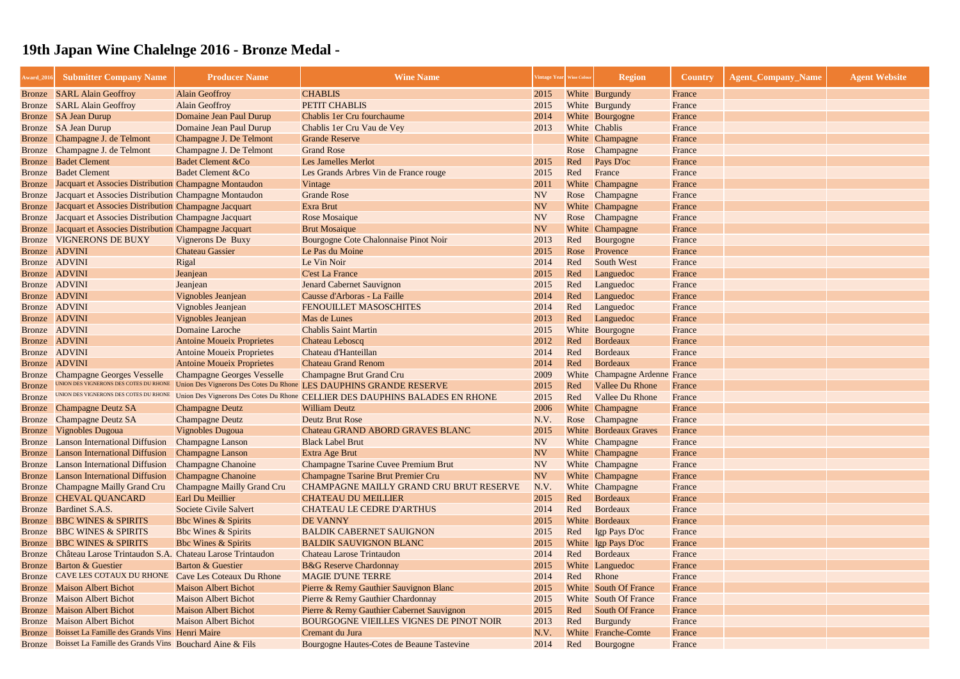| Award_2016    | <b>Submitter Company Name</b>                               | <b>Producer Name</b>              | <b>Wine Name</b>                                                             |           | 'intage Year   Wine Colour | <b>Region</b>                  | <b>Country</b> | <b>Agent_Company_Name</b> | <b>Agent Website</b> |
|---------------|-------------------------------------------------------------|-----------------------------------|------------------------------------------------------------------------------|-----------|----------------------------|--------------------------------|----------------|---------------------------|----------------------|
|               | <b>Bronze</b> SARL Alain Geoffroy                           | <b>Alain Geoffroy</b>             | <b>CHABLIS</b>                                                               | 2015      |                            | White Burgundy                 | France         |                           |                      |
|               | <b>Bronze</b> SARL Alain Geoffroy                           | <b>Alain Geoffroy</b>             | PETIT CHABLIS                                                                | 2015      |                            | White Burgundy                 | France         |                           |                      |
|               | Bronze SA Jean Durup                                        | Domaine Jean Paul Durup           | Chablis 1er Cru fourchaume                                                   | 2014      |                            | White Bourgogne                | France         |                           |                      |
|               | Bronze SA Jean Durup                                        | Domaine Jean Paul Durup           | Chablis 1er Cru Vau de Vey                                                   | 2013      |                            | White Chablis                  | France         |                           |                      |
| <b>Bronze</b> | Champagne J. de Telmont                                     | Champagne J. De Telmont           | <b>Grande Reserve</b>                                                        |           |                            | White Champagne                | France         |                           |                      |
| <b>Bronze</b> | Champagne J. de Telmont                                     | Champagne J. De Telmont           | <b>Grand Rose</b>                                                            |           | Rose                       | Champagne                      | France         |                           |                      |
| Bronze        | <b>Badet Clement</b>                                        | <b>Badet Clement &amp;Co</b>      | <b>Les Jamelles Merlot</b>                                                   | 2015      | Red                        | Pays D'oc                      | France         |                           |                      |
| Bronze        | <b>Badet Clement</b>                                        | <b>Badet Clement &amp;Co</b>      | Les Grands Arbres Vin de France rouge                                        | 2015      | Red                        | France                         | France         |                           |                      |
| Bronze        | Jacquart et Associes Distribution Champagne Montaudon       |                                   | Vintage                                                                      | 2011      |                            | White Champagne                | France         |                           |                      |
| Bronze        | Jacquart et Associes Distribution Champagne Montaudon       |                                   | <b>Grande Rose</b>                                                           | <b>NV</b> |                            | Rose Champagne                 | France         |                           |                      |
|               | Bronze Jacquart et Associes Distribution Champagne Jacquart |                                   | Exra Brut                                                                    | <b>NV</b> |                            | White Champagne                | France         |                           |                      |
| <b>Bronze</b> | Jacquart et Associes Distribution Champagne Jacquart        |                                   | <b>Rose Mosaique</b>                                                         | <b>NV</b> |                            | Rose Champagne                 | France         |                           |                      |
| <b>Bronze</b> | Jacquart et Associes Distribution Champagne Jacquart        |                                   | <b>Brut Mosaique</b>                                                         | <b>NV</b> |                            | White Champagne                | France         |                           |                      |
| <b>Bronze</b> | <b>VIGNERONS DE BUXY</b>                                    | Vignerons De Buxy                 | Bourgogne Cote Chalonnaise Pinot Noir                                        | 2013      | Red                        | Bourgogne                      | France         |                           |                      |
|               | Bronze ADVINI                                               | <b>Chateau Gassier</b>            | Le Pas du Moine                                                              | 2015      | Rose                       | Provence                       | France         |                           |                      |
| Bronze ADVINI |                                                             | Rigal                             | Le Vin Noir                                                                  | 2014      | Red                        | <b>South West</b>              | France         |                           |                      |
| Bronze ADVINI |                                                             | Jeanjean                          | <b>C'est La France</b>                                                       | 2015      | Red                        | Languedoc                      | France         |                           |                      |
| Bronze ADVINI |                                                             | Jeanjean                          | <b>Jenard Cabernet Sauvignon</b>                                             | 2015      | Red                        | Languedoc                      | France         |                           |                      |
|               | Bronze ADVINI                                               | Vignobles Jeanjean                | Causse d'Arboras - La Faille                                                 | 2014      | Red                        | Languedoc                      | France         |                           |                      |
| Bronze ADVINI |                                                             | Vignobles Jeanjean                | <b>FENOUILLET MASOSCHITES</b>                                                | 2014      | Red                        | Languedoc                      | France         |                           |                      |
| Bronze ADVINI |                                                             | Vignobles Jeanjean                | Mas de Lunes                                                                 | 2013      | Red                        | Languedoc                      | France         |                           |                      |
| Bronze ADVINI |                                                             | Domaine Laroche                   | <b>Chablis Saint Martin</b>                                                  | 2015      |                            | White Bourgogne                | France         |                           |                      |
| Bronze ADVINI |                                                             | <b>Antoine Moueix Proprietes</b>  | <b>Chateau Leboscq</b>                                                       | 2012      | Red                        | Bordeaux                       | France         |                           |                      |
| Bronze        | <b>ADVINI</b>                                               | <b>Antoine Moueix Proprietes</b>  | Chateau d'Hanteillan                                                         | 2014      | Red                        | Bordeaux                       | France         |                           |                      |
| Bronze ADVINI |                                                             | <b>Antoine Moueix Proprietes</b>  | <b>Chateau Grand Renom</b>                                                   | 2014      | Red                        | Bordeaux                       | France         |                           |                      |
| <b>Bronze</b> | <b>Champagne Georges Vesselle</b>                           | <b>Champagne Georges Vesselle</b> | <b>Champagne Brut Grand Cru</b>                                              | 2009      |                            | White Champagne Ardenne France |                |                           |                      |
| <b>Bronze</b> | UNION DES VIGNERONS DES COTES DU RHONE                      |                                   | Union Des Vignerons Des Cotes Du Rhone LES DAUPHINS GRANDE RESERVE           | 2015      | Red                        | <b>Vallee Du Rhone</b>         | France         |                           |                      |
| <b>Bronze</b> | UNION DES VIGNERONS DES COTES DU RHONE                      |                                   | Union Des Vignerons Des Cotes Du Rhone CELLIER DES DAUPHINS BALADES EN RHONE | 2015      | Red                        | <b>Vallee Du Rhone</b>         | France         |                           |                      |
| <b>Bronze</b> | <b>Champagne Deutz SA</b>                                   | <b>Champagne Deutz</b>            | <b>William Deutz</b>                                                         | 2006      |                            | White Champagne                | France         |                           |                      |
| <b>Bronze</b> | <b>Champagne Deutz SA</b>                                   | <b>Champagne Deutz</b>            | <b>Deutz Brut Rose</b>                                                       | N.V.      | Rose                       | Champagne                      | France         |                           |                      |
|               | <b>Bronze</b> Vignobles Dugoua                              | <b>Vignobles Dugoua</b>           | Chateau GRAND ABORD GRAVES BLANC                                             | 2015      |                            | <b>White Bordeaux Graves</b>   | France         |                           |                      |
|               | <b>Bronze</b> Lanson International Diffusion                | <b>Champagne Lanson</b>           | <b>Black Label Brut</b>                                                      | <b>NV</b> |                            | White Champagne                | France         |                           |                      |
| Bronze        | <b>Lanson International Diffusion</b>                       | <b>Champagne Lanson</b>           | Extra Age Brut                                                               | <b>NV</b> |                            | White Champagne                | France         |                           |                      |
| Bronze        | <b>Lanson International Diffusion</b>                       | <b>Champagne Chanoine</b>         | <b>Champagne Tsarine Cuvee Premium Brut</b>                                  | <b>NV</b> |                            | White Champagne                | France         |                           |                      |
| <b>Bronze</b> | <b>Lanson International Diffusion</b>                       | <b>Champagne Chanoine</b>         | <b>Champagne Tsarine Brut Premier Cru</b>                                    | <b>NV</b> |                            | White Champagne                | France         |                           |                      |
| <b>Bronze</b> | Champagne Mailly Grand Cru                                  | <b>Champagne Mailly Grand Cru</b> | <b>CHAMPAGNE MAILLY GRAND CRU BRUT RESERVE</b>                               | N.V.      |                            | White Champagne                | France         |                           |                      |
| Bronze        | <b>CHEVAL QUANCARD</b>                                      | Earl Du Meillier                  | <b>CHATEAU DU MEILLIER</b>                                                   | 2015      | Red                        | Bordeaux                       | France         |                           |                      |
| Bronze        | Bardinet S.A.S.                                             | <b>Societe Civile Salvert</b>     | <b>CHATEAU LE CEDRE D'ARTHUS</b>                                             | 2014      | Red                        | Bordeaux                       | France         |                           |                      |
| Bronze        | <b>BBC WINES &amp; SPIRITS</b>                              | <b>Bbc Wines &amp; Spirits</b>    | <b>DE VANNY</b>                                                              | 2015      |                            | White Bordeaux                 | France         |                           |                      |
| <b>Bronze</b> | <b>BBC WINES &amp; SPIRITS</b>                              | <b>Bbc Wines &amp; Spirits</b>    | <b>BALDIK CABERNET SAUIGNON</b>                                              | 2015      | Red                        | Igp Pays D'oc                  | France         |                           |                      |
| <b>Bronze</b> | <b>BBC WINES &amp; SPIRITS</b>                              | <b>Bbc Wines &amp; Spirits</b>    | <b>BALDIK SAUVIGNON BLANC</b>                                                | 2015      |                            | White Igp Pays D'oc            | France         |                           |                      |
| Bronze        | Château Larose Trintaudon S.A. Chateau Larose Trintaudon    |                                   | <b>Chateau Larose Trintaudon</b>                                             | 2014      | Red                        | Bordeaux                       | France         |                           |                      |
| Bronze        | <b>Barton &amp; Guestier</b>                                | <b>Barton &amp; Guestier</b>      | <b>B&amp;G</b> Reserve Chardonnay                                            | 2015      |                            | White Languedoc                | France         |                           |                      |
| <b>Bronze</b> | CAVE LES COTAUX DU RHONE                                    | <b>Cave Les Coteaux Du Rhone</b>  | <b>MAGIE D'UNE TERRE</b>                                                     | 2014      | Red                        | Rhone                          | France         |                           |                      |
| Bronze        | <b>Maison Albert Bichot</b>                                 | <b>Maison Albert Bichot</b>       | Pierre & Remy Gauthier Sauvignon Blanc                                       | 2015      |                            | White South Of France          | France         |                           |                      |
| <b>Bronze</b> | <b>Maison Albert Bichot</b>                                 | <b>Maison Albert Bichot</b>       | Pierre & Remy Gauthier Chardonnay                                            | 2015      |                            | <b>White</b> South Of France   | France         |                           |                      |
| Bronze        | <b>Maison Albert Bichot</b>                                 | <b>Maison Albert Bichot</b>       | Pierre & Remy Gauthier Cabernet Sauvignon                                    | 2015      | Red                        | <b>South Of France</b>         | France         |                           |                      |
| Bronze        | <b>Maison Albert Bichot</b>                                 | <b>Maison Albert Bichot</b>       | <b>BOURGOGNE VIEILLES VIGNES DE PINOT NOIR</b>                               | 2013      | Red                        | Burgundy                       | France         |                           |                      |
| Bronze        | Boisset La Famille des Grands Vins Henri Maire              |                                   | Cremant du Jura                                                              | N.V.      |                            | White Franche-Comte            | France         |                           |                      |
| Bronze        | Boisset La Famille des Grands Vins Bouchard Aine & Fils     |                                   | Bourgogne Hautes-Cotes de Beaune Tastevine                                   | 2014      | Red                        | Bourgogne                      | France         |                           |                      |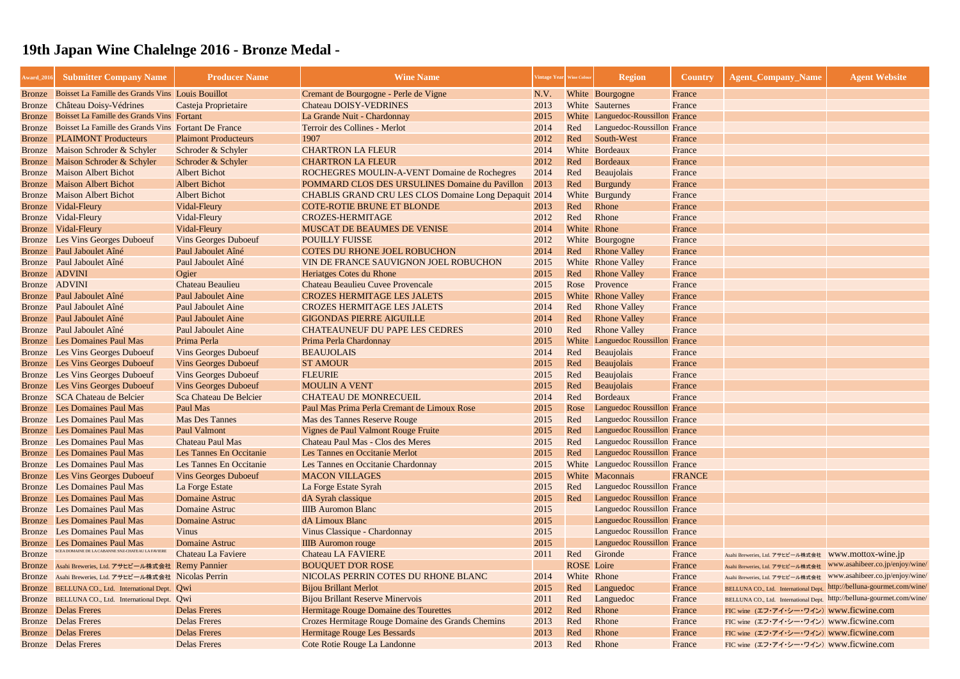| Award_2016              | <b>Submitter Company Name</b>                                | <b>Producer Name</b>                    | <b>Wine Name</b>                                             | Vintage Year Wine Colour |                   | <b>Region</b>                                              | <b>Country</b> | <b>Agent_Company_Name</b>                                              | <b>Agent Website</b>            |
|-------------------------|--------------------------------------------------------------|-----------------------------------------|--------------------------------------------------------------|--------------------------|-------------------|------------------------------------------------------------|----------------|------------------------------------------------------------------------|---------------------------------|
| <b>Bronze</b>           | Boisset La Famille des Grands Vins Louis Bouillot            |                                         | Cremant de Bourgogne - Perle de Vigne                        | N.V.                     |                   | White Bourgogne                                            | France         |                                                                        |                                 |
| <b>Bronze</b>           | Château Doisy-Védrines                                       | Casteja Proprietaire                    | <b>Chateau DOISY-VEDRINES</b>                                | 2013                     |                   | White Sauternes                                            | France         |                                                                        |                                 |
| <b>Bronze</b>           | Boisset La Famille des Grands Vins Fortant                   |                                         | La Grande Nuit - Chardonnay                                  | 2015                     |                   | White Languedoc-Roussillon France                          |                |                                                                        |                                 |
| <b>Bronze</b>           | Boisset La Famille des Grands Vins Fortant De France         |                                         | Terroir des Collines - Merlot                                | 2014                     | Red               | Languedoc-Roussillon France                                |                |                                                                        |                                 |
| <b>Bronze</b>           | <b>PLAIMONT Producteurs</b>                                  | <b>Plaimont Producteurs</b>             | 1907                                                         | 2012                     | Red               | South-West                                                 | France         |                                                                        |                                 |
| Bronze                  | Maison Schroder & Schyler                                    | Schroder & Schyler                      | <b>CHARTRON LA FLEUR</b>                                     | 2014                     |                   | White Bordeaux                                             | France         |                                                                        |                                 |
| Bronze                  | Maison Schroder & Schyler                                    | Schroder & Schyler                      | <b>CHARTRON LA FLEUR</b>                                     | 2012                     | Red               | Bordeaux                                                   | France         |                                                                        |                                 |
| Bronze                  | <b>Maison Albert Bichot</b>                                  | <b>Albert Bichot</b>                    | ROCHEGRES MOULIN-A-VENT Domaine de Rochegres                 | 2014                     | Red               | Beaujolais                                                 | France         |                                                                        |                                 |
| <b>Bronze</b>           | <b>Maison Albert Bichot</b>                                  | <b>Albert Bichot</b>                    | POMMARD CLOS DES URSULINES Domaine du Pavillon               | 2013                     | Red               | Burgundy                                                   | France         |                                                                        |                                 |
| Bronze                  | <b>Maison Albert Bichot</b>                                  | <b>Albert Bichot</b>                    | <b>CHABLIS GRAND CRU LES CLOS Domaine Long Depaquit 2014</b> |                          |                   | White Burgundy                                             | France         |                                                                        |                                 |
| <b>Bronze</b>           | Vidal-Fleury                                                 | Vidal-Fleury                            | <b>COTE-ROTIE BRUNE ET BLONDE</b>                            | 2013                     | Red               | Rhone                                                      | France         |                                                                        |                                 |
| Bronze                  | Vidal-Fleury                                                 | Vidal-Fleury                            | <b>CROZES-HERMITAGE</b>                                      | 2012                     | Red               | Rhone                                                      | France         |                                                                        |                                 |
| Bronze                  | Vidal-Fleury                                                 | Vidal-Fleury                            | <b>MUSCAT DE BEAUMES DE VENISE</b>                           | 2014                     |                   | White Rhone                                                | France         |                                                                        |                                 |
| Bronze                  | Les Vins Georges Duboeuf                                     | <b>Vins Georges Duboeuf</b>             | <b>POUILLY FUISSE</b>                                        | 2012                     |                   | White Bourgogne                                            | France         |                                                                        |                                 |
| Bronze                  | Paul Jaboulet Aîné                                           | Paul Jaboulet Aîné                      | <b>COTES DU RHONE JOEL ROBUCHON</b>                          | 2014                     | Red               | <b>Rhone Valley</b>                                        | France         |                                                                        |                                 |
| Bronze                  | Paul Jaboulet Aîné                                           | Paul Jaboulet Aîné                      | VIN DE FRANCE SAUVIGNON JOEL ROBUCHON                        | 2015                     |                   | <b>White</b> Rhone Valley                                  | France         |                                                                        |                                 |
|                         | Bronze ADVINI                                                | Ogier                                   | Heriatges Cotes du Rhone                                     | 2015                     | Red               | <b>Rhone Valley</b>                                        | France         |                                                                        |                                 |
| Bronze                  | <b>ADVINI</b>                                                | <b>Chateau Beaulieu</b>                 | <b>Chateau Beaulieu Cuvee Provencale</b>                     | 2015                     | Rose              | Provence                                                   | France         |                                                                        |                                 |
| <b>Bronze</b>           | Paul Jaboulet Aîné                                           | <b>Paul Jaboulet Aine</b>               | <b>CROZES HERMITAGE LES JALETS</b>                           | 2015                     |                   | White Rhone Valley                                         | France         |                                                                        |                                 |
| Bronze                  | Paul Jaboulet Aîné                                           | <b>Paul Jaboulet Aine</b>               | <b>CROZES HERMITAGE LES JALETS</b>                           | 2014                     | Red               | <b>Rhone Valley</b>                                        | France         |                                                                        |                                 |
|                         | Bronze Paul Jaboulet Aîné                                    | <b>Paul Jaboulet Aine</b>               | <b>GIGONDAS PIERRE AIGUILLE</b>                              | 2014                     | Red               | <b>Rhone Valley</b>                                        | France         |                                                                        |                                 |
| <b>Bronze</b>           | Paul Jaboulet Aîné                                           | <b>Paul Jaboulet Aine</b>               | <b>CHATEAUNEUF DU PAPE LES CEDRES</b>                        | 2010                     | Red               | <b>Rhone Valley</b>                                        | France         |                                                                        |                                 |
| <b>Bronze</b>           | <b>Les Domaines Paul Mas</b>                                 | Prima Perla                             | Prima Perla Chardonnay                                       | 2015                     |                   | White Languedoc Roussillon                                 | France         |                                                                        |                                 |
| Bronze                  | <b>Les Vins Georges Duboeuf</b>                              | <b>Vins Georges Duboeuf</b>             | <b>BEAUJOLAIS</b>                                            | 2014                     | Red               | Beaujolais                                                 | France         |                                                                        |                                 |
|                         | <b>Bronze</b> Les Vins Georges Duboeuf                       | <b>Vins Georges Duboeuf</b>             | <b>ST AMOUR</b>                                              | 2015                     | Red               | Beaujolais                                                 | France         |                                                                        |                                 |
| Bronze                  | <b>Les Vins Georges Duboeuf</b>                              | <b>Vins Georges Duboeuf</b>             | <b>FLEURIE</b>                                               | 2015                     | Red               | <b>Beaujolais</b>                                          | France         |                                                                        |                                 |
| Bronze                  | <b>Les Vins Georges Duboeuf</b>                              | <b>Vins Georges Duboeuf</b>             | <b>MOULIN A VENT</b>                                         | 2015                     | Red               | Beaujolais                                                 | France         |                                                                        |                                 |
| Bronze                  | <b>SCA Chateau de Belcier</b>                                | <b>Sca Chateau De Belcier</b>           | <b>CHATEAU DE MONRECUEIL</b>                                 | 2014                     | Red               | Bordeaux                                                   | France         |                                                                        |                                 |
| Bronze                  | <b>Les Domaines Paul Mas</b>                                 | Paul Mas                                | Paul Mas Prima Perla Cremant de Limoux Rose                  | 2015                     | Rose              | Languedoc Roussillon France                                |                |                                                                        |                                 |
| Bronze                  | <b>Les Domaines Paul Mas</b>                                 | <b>Mas Des Tannes</b>                   | Mas des Tannes Reserve Rouge                                 | 2015                     | Red               | <b>Languedoc Roussillon France</b>                         |                |                                                                        |                                 |
|                         | <b>Bronze</b> Les Domaines Paul Mas                          | <b>Paul Valmont</b>                     | Vignes de Paul Valmont Rouge Fruite                          | 2015                     | Red               | Languedoc Roussillon France                                |                |                                                                        |                                 |
| Bronze                  | <b>Les Domaines Paul Mas</b>                                 | <b>Chateau Paul Mas</b>                 | <b>Chateau Paul Mas - Clos des Meres</b>                     | 2015                     | Red               | Languedoc Roussillon France                                |                |                                                                        |                                 |
| Bronze                  | <b>Les Domaines Paul Mas</b>                                 | Les Tannes En Occitanie                 | Les Tannes en Occitanie Merlot                               | 2015                     | Red               | Languedoc Roussillon France                                |                |                                                                        |                                 |
| Bronze                  | <b>Les Domaines Paul Mas</b>                                 | Les Tannes En Occitanie                 | Les Tannes en Occitanie Chardonnay                           | 2015                     |                   | White Languedoc Roussillon France                          |                |                                                                        |                                 |
| Bronze                  | Les Vins Georges Duboeuf                                     | <b>Vins Georges Duboeuf</b>             | <b>MACON VILLAGES</b>                                        | 2015                     |                   | White Maconnais                                            | <b>FRANCE</b>  |                                                                        |                                 |
| <b>Bronze</b>           | Les Domaines Paul Mas                                        | La Forge Estate                         | La Forge Estate Syrah                                        | 2015                     | Red               | <b>Languedoc Roussillon France</b>                         |                |                                                                        |                                 |
| <b>Bronze</b>           | <b>Les Domaines Paul Mas</b><br><b>Les Domaines Paul Mas</b> | <b>Domaine Astruc</b><br>Domaine Astruc | dA Syrah classique<br><b>IIIB</b> Auromon Blanc              | 2015<br>2015             | Red               | Languedoc Roussillon France<br>Languedoc Roussillon France |                |                                                                        |                                 |
| <b>Bronze</b>           | <b>Les Domaines Paul Mas</b>                                 | <b>Domaine Astruc</b>                   | dA Limoux Blanc                                              | 2015                     |                   | Languedoc Roussillon France                                |                |                                                                        |                                 |
| <b>Bronze</b>           | <b>Les Domaines Paul Mas</b>                                 | <b>Vinus</b>                            | Vinus Classique - Chardonnay                                 | 2015                     |                   | Languedoc Roussillon France                                |                |                                                                        |                                 |
| Bronze<br><b>Bronze</b> | <b>Les Domaines Paul Mas</b>                                 | <b>Domaine Astruc</b>                   | <b>IIIB</b> Auromon rouge                                    | 2015                     |                   | Languedoc Roussillon France                                |                |                                                                        |                                 |
| <b>Bronze</b>           | SCEA DOMAINE DE LA CABANNE SNZ-CHATEAU LA FAVIERE            | <b>Chateau La Faviere</b>               | <b>Chateau LA FAVIERE</b>                                    | 2011                     | Red               | Gironde                                                    | France         | Asahi Breweries, Ltd. アサヒビール株式会社 WWW.mottox-wine.jp                    |                                 |
|                         | Asahi Breweries, Ltd. アサヒビール株式会社 Remy Pannier                |                                         | <b>BOUQUET D'OR ROSE</b>                                     |                          | <b>ROSE</b> Loire |                                                            | France         | Asahi Breweries, Ltd. アサヒビール株式会社 WWW.asahibeer.co.jp/enjoy/wine/       |                                 |
| <b>Bronze</b><br>Bronze | Asahi Breweries, Ltd. アサヒビール株式会社 Nicolas Perrin              |                                         | NICOLAS PERRIN COTES DU RHONE BLANC                          | 2014                     |                   | White Rhone                                                | France         | Asahi Breweries, Ltd. アサヒビール株式会社                                       | www.asahibeer.co.jp/enjoy/wine/ |
| <b>Bronze</b>           | BELLUNA CO., Ltd. International Dept. Qwi                    |                                         | <b>Bijou Brillant Merlot</b>                                 | 2015                     | Red               | Languedoc                                                  | France         | BELLUNA CO., Ltd. International Dept. http://belluna-gourmet.com/wine/ |                                 |
|                         | Bronze BELLUNA CO., Ltd. International Dept. Qwi             |                                         | <b>Bijou Brillant Reserve Minervois</b>                      | 2011                     | Red               | Languedoc                                                  | France         | BELLUNA CO., Ltd. International Dept. http://belluna-gourmet.com/wine/ |                                 |
|                         | <b>Bronze</b> Delas Freres                                   | <b>Delas Freres</b>                     | Hermitage Rouge Domaine des Tourettes                        | 2012                     | Red               | Rhone                                                      | France         | FIC wine (エフ・アイ・シー・ワイン) www.ficwine.com                                |                                 |
|                         | <b>Bronze</b> Delas Freres                                   | <b>Delas Freres</b>                     | Crozes Hermitage Rouge Domaine des Grands Chemins            | 2013                     | Red               | Rhone                                                      | France         | FIC wine (エフ・アイ・シー・ワイン) www.ficwine.com                                |                                 |
|                         | <b>Bronze</b> Delas Freres                                   | <b>Delas Freres</b>                     | Hermitage Rouge Les Bessards                                 | 2013                     | Red               | Rhone                                                      | France         | FIC wine (エフ・アイ・シー・ワイン) www.ficwine.com                                |                                 |
|                         | <b>Bronze</b> Delas Freres                                   | <b>Delas Freres</b>                     | Cote Rotie Rouge La Landonne                                 | 2013                     | Red               | Rhone                                                      | France         | FIC wine (エフ・アイ・シー・ワイン) www.ficwine.com                                |                                 |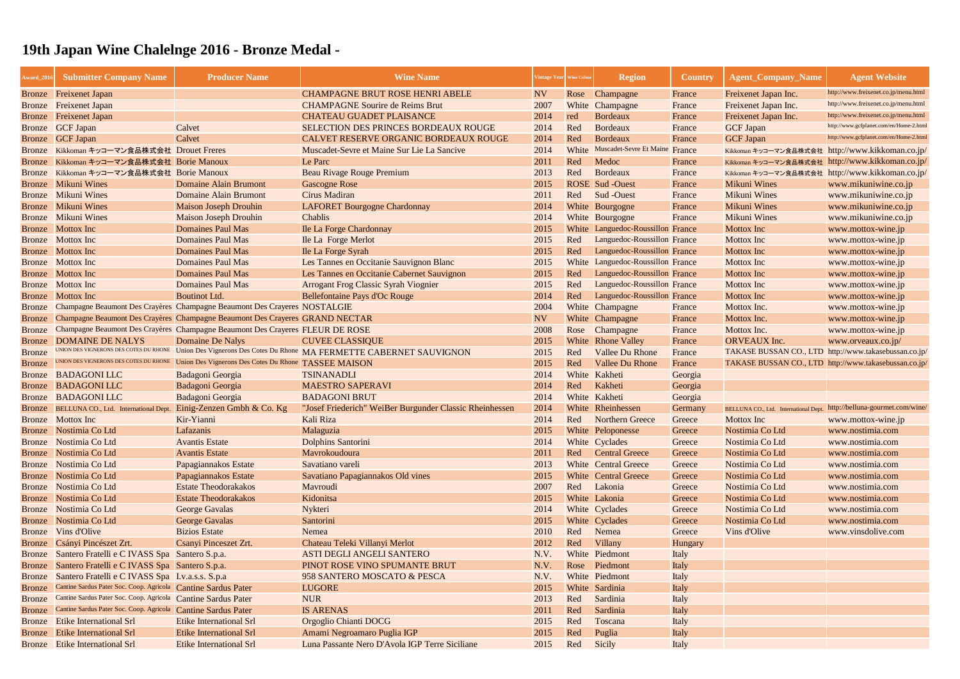| Award_2016    | <b>Submitter Company Name</b>                                 | <b>Producer Name</b>                                                          | <b>Wine Name</b>                                                      | /intage Year   Wine Colou |       | <b>Region</b>                      | <b>Country</b> | <b>Agent_Company_Name</b>                             | <b>Agent Website</b>                    |
|---------------|---------------------------------------------------------------|-------------------------------------------------------------------------------|-----------------------------------------------------------------------|---------------------------|-------|------------------------------------|----------------|-------------------------------------------------------|-----------------------------------------|
|               | <b>Bronze</b> Freixenet Japan                                 |                                                                               | <b>CHAMPAGNE BRUT ROSE HENRI ABELE</b>                                | <b>NV</b>                 | Rose  | Champagne                          | France         | Freixenet Japan Inc.                                  | http://www.freixenet.co.jp/menu.html    |
| Bronze        | <b>Freixenet Japan</b>                                        |                                                                               | <b>CHAMPAGNE Sourire de Reims Brut</b>                                | 2007                      | White | Champagne                          | France         | Freixenet Japan Inc.                                  | http://www.freixenet.co.jp/menu.html    |
| <b>Bronze</b> | <b>Freixenet Japan</b>                                        |                                                                               | <b>CHATEAU GUADET PLAISANCE</b>                                       | 2014                      | red   | <b>Bordeaux</b>                    | France         | Freixenet Japan Inc.                                  | http://www.freixenet.co.jp/menu.html    |
| Bronze        | <b>GCF Japan</b>                                              | Calvet                                                                        | SELECTION DES PRINCES BORDEAUX ROUGE                                  | 2014                      | Red   | <b>Bordeaux</b>                    | France         | <b>GCF Japan</b>                                      | http://www.gcfplanet.com/en/Home-2.html |
| <b>Bronze</b> | <b>GCF Japan</b>                                              | Calvet                                                                        | CALVET RESERVE ORGANIC BORDEAUX ROUGE                                 | 2014                      | Red   | Bordeaux                           | France         | <b>GCF Japan</b>                                      | http://www.gcfplanet.com/en/Home-2.htm  |
| <b>Bronze</b> | Kikkoman キッコーマン食品株式会社 Drouet Freres                           |                                                                               | Muscadet-Sevre et Maine Sur Lie La Sancive                            | 2014                      | White | Muscadet-Sevre Et Maine            | France         | Kikkoman キッコーマン食品株式会社 http://www.kikkoman.co.jp/      |                                         |
| <b>Bronze</b> | Kikkoman キッコーマン食品株式会社 Borie Manoux                            |                                                                               | Le Parc                                                               | 2011                      | Red   | Medoc                              | France         | Kikkoman キッコーマン食品株式会社 http://www.kikkoman.co.jp/      |                                         |
| <b>Bronze</b> | Kikkoman キッコーマン食品株式会社 Borie Manoux                            |                                                                               | Beau Rivage Rouge Premium                                             | 2013                      | Red   | Bordeaux                           | France         | Kikkoman キッコーマン食品株式会社 http://www.kikkoman.co.jp/      |                                         |
| <b>Bronze</b> | <b>Mikuni Wines</b>                                           | <b>Domaine Alain Brumont</b>                                                  | <b>Gascogne Rose</b>                                                  | 2015                      |       | <b>ROSE</b> Sud -Ouest             | France         | <b>Mikuni Wines</b>                                   | www.mikuniwine.co.jp                    |
| Bronze        | <b>Mikuni Wines</b>                                           | <b>Domaine Alain Brumont</b>                                                  | Cirus Madiran                                                         | 2011                      | Red   | Sud -Ouest                         | France         | <b>Mikuni Wines</b>                                   | www.mikuniwine.co.jp                    |
| <b>Bronze</b> | <b>Mikuni Wines</b>                                           | <b>Maison Joseph Drouhin</b>                                                  | <b>LAFORET Bourgogne Chardonnay</b>                                   | 2014                      |       | White Bourgogne                    | France         | <b>Mikuni Wines</b>                                   | www.mikuniwine.co.jp                    |
| <b>Bronze</b> | <b>Mikuni Wines</b>                                           | <b>Maison Joseph Drouhin</b>                                                  | Chablis                                                               | 2014                      |       | White Bourgogne                    | France         | <b>Mikuni Wines</b>                                   | www.mikuniwine.co.jp                    |
| Bronze        | Mottox Inc                                                    | <b>Domaines Paul Mas</b>                                                      | <b>Ile La Forge Chardonnay</b>                                        | 2015                      |       | White Languedoc-Roussillon France  |                | <b>Mottox Inc</b>                                     | www.mottox-wine.jp                      |
|               | Bronze Mottox Inc                                             | <b>Domaines Paul Mas</b>                                                      | <b>Ile La Forge Merlot</b>                                            | 2015                      | Red   | Languedoc-Roussillon France        |                | <b>Mottox Inc</b>                                     | www.mottox-wine.jp                      |
| Bronze        | Mottox Inc                                                    | <b>Domaines Paul Mas</b>                                                      | Ile La Forge Syrah                                                    | 2015                      | Red   | <b>Languedoc-Roussillon France</b> |                | <b>Mottox</b> Inc                                     | www.mottox-wine.jp                      |
| Bronze        | Mottox Inc                                                    | <b>Domaines Paul Mas</b>                                                      | Les Tannes en Occitanie Sauvignon Blanc                               | 2015                      |       | White Languedoc-Roussillon France  |                | <b>Mottox Inc</b>                                     | www.mottox-wine.jp                      |
| Bronze        | Mottox Inc                                                    | <b>Domaines Paul Mas</b>                                                      | Les Tannes en Occitanie Cabernet Sauvignon                            | 2015                      | Red   | Languedoc-Roussillon France        |                | <b>Mottox</b> Inc                                     | www.mottox-wine.jp                      |
| <b>Bronze</b> | Mottox Inc                                                    | <b>Domaines Paul Mas</b>                                                      | <b>Arrogant Frog Classic Syrah Viognier</b>                           | 2015                      | Red   | Languedoc-Roussillon France        |                | <b>Mottox Inc</b>                                     | www.mottox-wine.jp                      |
| <b>Bronze</b> | <b>Mottox</b> Inc                                             | <b>Boutinot Ltd.</b>                                                          | Bellefontaine Pays d'Oc Rouge                                         | 2014                      | Red   | Languedoc-Roussillon France        |                | <b>Mottox Inc</b>                                     | www.mottox-wine.jp                      |
| <b>Bronze</b> |                                                               | Champagne Beaumont Des Crayères Champagne Beaumont Des Crayeres NOSTALGIE     |                                                                       | 2004                      |       | White Champagne                    | France         | Mottox Inc.                                           | www.mottox-wine.jp                      |
| <b>Bronze</b> |                                                               | Champagne Beaumont Des Crayères Champagne Beaumont Des Crayeres GRAND NECTAR  |                                                                       | <b>NV</b>                 |       | White Champagne                    | France         | Mottox Inc.                                           | www.mottox-wine.jp                      |
| <b>Bronze</b> |                                                               | Champagne Beaumont Des Crayères Champagne Beaumont Des Crayeres FLEUR DE ROSE |                                                                       | 2008                      | Rose  | Champagne                          | France         | Mottox Inc.                                           | www.mottox-wine.jp                      |
| <b>Bronze</b> | <b>DOMAINE DE NALYS</b>                                       | <b>Domaine De Nalys</b>                                                       | <b>CUVEE CLASSIQUE</b>                                                | 2015                      |       | <b>White</b> Rhone Valley          | France         | <b>ORVEAUX</b> Inc.                                   | www.orveaux.co.jp/                      |
| <b>Bronze</b> | UNION DES VIGNERONS DES COTES DU RHONE                        |                                                                               | Union Des Vignerons Des Cotes Du Rhone MA FERMETTE CABERNET SAUVIGNON | 2015                      | Red   | <b>Vallee Du Rhone</b>             | France         | TAKASE BUSSAN CO., LTD http://www.takasebussan.co.jp/ |                                         |
| <b>Bronze</b> | UNION DES VIGNERONS DES COTES DU RHONE                        | Union Des Vignerons Des Cotes Du Rhone TASSEE MAISON                          |                                                                       | 2015                      | Red   | <b>Vallee Du Rhone</b>             | France         | TAKASE BUSSAN CO., LTD http://www.takasebussan.co.jp/ |                                         |
| <b>Bronze</b> | <b>BADAGONI LLC</b>                                           | Badagoni Georgia                                                              | <b>TSINANADLI</b>                                                     | 2014                      |       | White Kakheti                      | Georgia        |                                                       |                                         |
| <b>Bronze</b> | <b>BADAGONI LLC</b>                                           | Badagoni Georgia                                                              | <b>MAESTRO SAPERAVI</b>                                               | 2014                      | Red   | Kakheti                            | Georgia        |                                                       |                                         |
| <b>Bronze</b> | <b>BADAGONI LLC</b>                                           | Badagoni Georgia                                                              | <b>BADAGONI BRUT</b>                                                  | 2014                      |       | White Kakheti                      | Georgia        |                                                       |                                         |
| <b>Bronze</b> | BELLUNA CO., Ltd. International Dept.                         | Einig-Zenzen Gmbh & Co. Kg                                                    | "Josef Friederich" WeiBer Burgunder Classic Rheinhessen               | 2014                      |       | White Rheinhessen                  | Germany        | BELLUNA CO., Ltd. International Dept.                 | http://belluna-gourmet.com/wine/        |
| <b>Bronze</b> | <b>Mottox</b> Inc                                             | Kir-Yianni                                                                    | Kali Riza                                                             | 2014                      | Red   | <b>Northern Greece</b>             | Greece         | Mottox Inc                                            | www.mottox-wine.jp                      |
|               | Bronze Nostimia Co Ltd                                        | Lafazanis                                                                     | Malaguzia                                                             | 2015                      |       | White Peloponesse                  | Greece         | Nostimia Co Ltd                                       | www.nostimia.com                        |
|               | Bronze Nostimia Co Ltd                                        | <b>Avantis Estate</b>                                                         | Dolphins Santorini                                                    | 2014                      |       | White Cyclades                     | Greece         | Nostimia Co Ltd                                       | www.nostimia.com                        |
| <b>Bronze</b> | Nostimia Co Ltd                                               | <b>Avantis Estate</b>                                                         | Mavrokoudoura                                                         | 2011                      | Red   | <b>Central Greece</b>              | Greece         | Nostimia Co Ltd                                       | www.nostimia.com                        |
| Bronze        | Nostimia Co Ltd                                               | Papagiannakos Estate                                                          | Savatiano vareli                                                      | 2013                      |       | <b>White</b> Central Greece        | Greece         | Nostimia Co Ltd                                       | www.nostimia.com                        |
| <b>Bronze</b> | Nostimia Co Ltd                                               | Papagiannakos Estate                                                          | Savatiano Papagiannakos Old vines                                     | 2015                      |       | <b>White</b> Central Greece        | Greece         | Nostimia Co Ltd                                       | www.nostimia.com                        |
| Bronze        | Nostimia Co Ltd                                               | <b>Estate Theodorakakos</b>                                                   | Mavroudi                                                              | 2007                      | Red   | Lakonia                            | Greece         | Nostimia Co Ltd                                       | www.nostimia.com                        |
| Bronze        | Nostimia Co Ltd                                               | <b>Estate Theodorakakos</b>                                                   | Kidonitsa                                                             | 2015                      |       | White Lakonia                      | Greece         | Nostimia Co Ltd                                       | www.nostimia.com                        |
| <b>Bronze</b> | Nostimia Co Ltd                                               | <b>George Gavalas</b>                                                         | Nykteri                                                               | 2014                      |       | White Cyclades                     | Greece         | Nostimia Co Ltd                                       | www.nostimia.com                        |
|               | Bronze Nostimia Co Ltd                                        | <b>George Gavalas</b>                                                         | Santorini                                                             | 2015                      |       | White Cyclades                     | Greece         | Nostimia Co Ltd                                       | www.nostimia.com                        |
| Bronze        | Vins d'Olive                                                  | <b>Bizios Estate</b>                                                          | Nemea                                                                 | 2010                      | Red   | Nemea                              | Greece         | Vins d'Olive                                          | www.vinsdolive.com                      |
| Bronze        | Csányi Pincészet Zrt.                                         | Csanyi Pinceszet Zrt.                                                         | Chateau Teleki Villanyi Merlot                                        | 2012                      | Red   | Villany                            | Hungary        |                                                       |                                         |
| Bronze        | Santero Fratelli e C IVASS Spa Santero S.p.a.                 |                                                                               | <b>ASTI DEGLI ANGELI SANTERO</b>                                      | N.V.                      |       | White Piedmont                     | Italy          |                                                       |                                         |
| Bronze        | Santero Fratelli e C IVASS Spa Santero S.p.a.                 |                                                                               | PINOT ROSE VINO SPUMANTE BRUT                                         | N.V.                      | Rose  | Piedmont                           | Italy          |                                                       |                                         |
| <b>Bronze</b> | Santero Fratelli e C IVASS Spa I.v.a.s.s. S.p.a               |                                                                               | 958 SANTERO MOSCATO & PESCA                                           | N.V.                      |       | White Piedmont                     | Italy          |                                                       |                                         |
| <b>Bronze</b> | Cantine Sardus Pater Soc. Coop. Agricola Cantine Sardus Pater |                                                                               | <b>LUGORE</b>                                                         | 2015                      |       | White Sardinia                     | Italy          |                                                       |                                         |
| Bronze        | Cantine Sardus Pater Soc. Coop. Agricola                      | <b>Cantine Sardus Pater</b>                                                   | <b>NUR</b>                                                            | 2013                      | Red   | Sardinia                           | Italy          |                                                       |                                         |
| <b>Bronze</b> | Cantine Sardus Pater Soc. Coop. Agricola                      | <b>Cantine Sardus Pater</b>                                                   | <b>IS ARENAS</b>                                                      | 2011                      | Red   | Sardinia                           | Italy          |                                                       |                                         |
| Bronze        | <b>Etike International Srl</b>                                | <b>Etike International Srl</b>                                                | Orgoglio Chianti DOCG                                                 | 2015                      | Red   | Toscana                            | Italy          |                                                       |                                         |
| Bronze        | <b>Etike International Srl</b>                                | <b>Etike International Srl</b>                                                | Amami Negroamaro Puglia IGP                                           | 2015                      | Red   | Puglia                             | Italy          |                                                       |                                         |
|               | Bronze Etike International Srl                                | <b>Etike International Srl</b>                                                | Luna Passante Nero D'Avola IGP Terre Siciliane                        | 2015                      | Red   | Sicily                             | Italy          |                                                       |                                         |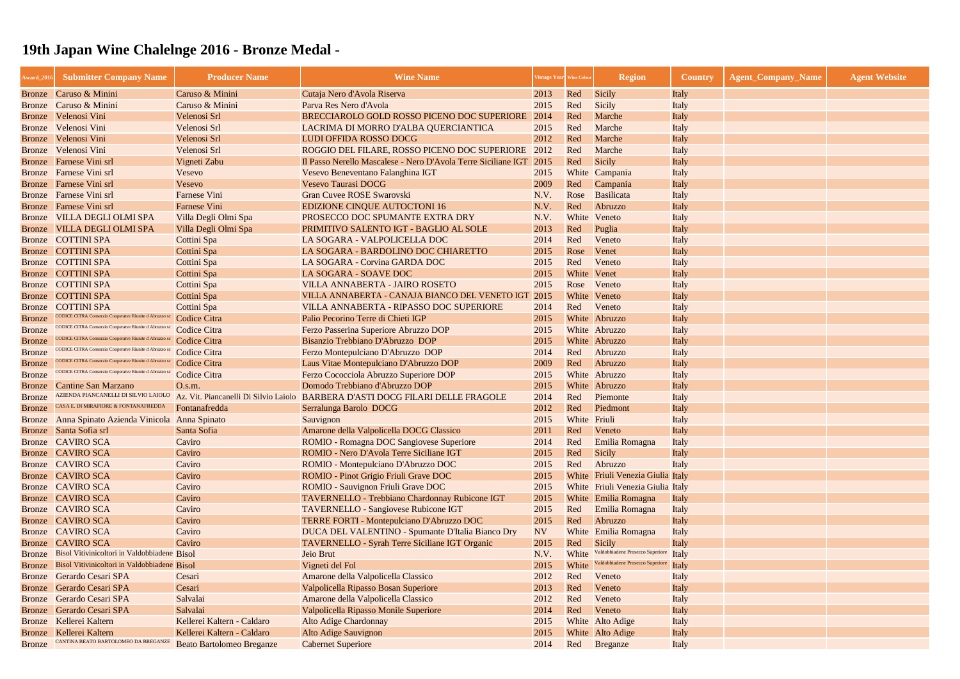| Award_2016    | <b>Submitter Company Name</b>                                                | <b>Producer Name</b>             | <b>Wine Name</b>                                                                     | 'intage Year   Wine Colou |              | <b>Region</b>                     | <b>Country</b> | <b>Agent_Company_Name</b> | <b>Agent Website</b> |
|---------------|------------------------------------------------------------------------------|----------------------------------|--------------------------------------------------------------------------------------|---------------------------|--------------|-----------------------------------|----------------|---------------------------|----------------------|
|               | Bronze Caruso & Minini                                                       | Caruso & Minini                  | Cutaja Nero d'Avola Riserva                                                          | 2013                      | Red          | Sicily                            | Italy          |                           |                      |
| Bronze        | Caruso & Minini                                                              | Caruso & Minini                  | Parva Res Nero d'Avola                                                               | 2015                      | Red          | Sicily                            | Italy          |                           |                      |
| Bronze        | Velenosi Vini                                                                | Velenosi Srl                     | BRECCIAROLO GOLD ROSSO PICENO DOC SUPERIORE                                          | 2014                      | Red          | Marche                            | Italy          |                           |                      |
| <b>Bronze</b> | Velenosi Vini                                                                | Velenosi Srl                     | LACRIMA DI MORRO D'ALBA QUERCIANTICA                                                 | 2015                      | Red          | Marche                            | Italy          |                           |                      |
| <b>Bronze</b> | Velenosi Vini                                                                | Velenosi Srl                     | LUDI OFFIDA ROSSO DOCG                                                               | 2012                      | Red          | Marche                            | Italy          |                           |                      |
| Bronze        | Velenosi Vini                                                                | Velenosi Srl                     | ROGGIO DEL FILARE, ROSSO PICENO DOC SUPERIORE                                        | 2012                      | Red          | Marche                            | Italy          |                           |                      |
|               | <b>Bronze</b> Farnese Vini srl                                               | Vigneti Zabu                     | Il Passo Nerello Mascalese - Nero D'Avola Terre Siciliane IGT 2015                   |                           | Red          | Sicily                            | Italy          |                           |                      |
|               | Bronze Farnese Vini srl                                                      | Vesevo                           | Vesevo Beneventano Falanghina IGT                                                    | 2015                      |              | White Campania                    | Italy          |                           |                      |
|               | Bronze Farnese Vini srl                                                      | Vesevo                           | Vesevo Taurasi DOCG                                                                  | 2009                      | Red          | Campania                          | Italy          |                           |                      |
| <b>Bronze</b> | Farnese Vini srl                                                             | <b>Farnese Vini</b>              | Gran Cuvee ROSE Swarovski                                                            | N.V.                      | Rose         | Basilicata                        | Italy          |                           |                      |
| <b>Bronze</b> | Farnese Vini srl                                                             | <b>Farnese Vini</b>              | <b>EDIZIONE CINQUE AUTOCTONI 16</b>                                                  | N.V.                      | Red          | Abruzzo                           | Italy          |                           |                      |
| <b>Bronze</b> | <b>VILLA DEGLI OLMI SPA</b>                                                  | Villa Degli Olmi Spa             | PROSECCO DOC SPUMANTE EXTRA DRY                                                      | N.V.                      |              | White Veneto                      | Italy          |                           |                      |
| <b>Bronze</b> | <b>VILLA DEGLI OLMI SPA</b>                                                  | Villa Degli Olmi Spa             | PRIMITIVO SALENTO IGT - BAGLIO AL SOLE                                               | 2013                      | Red          | Puglia                            | Italy          |                           |                      |
| <b>Bronze</b> | <b>COTTINI SPA</b>                                                           | Cottini Spa                      | LA SOGARA - VALPOLICELLA DOC                                                         | 2014                      | Red          | Veneto                            | Italy          |                           |                      |
| Bronze        | <b>COTTINI SPA</b>                                                           | Cottini Spa                      | LA SOGARA - BARDOLINO DOC CHIARETTO                                                  | 2015                      | Rose         | Venet                             | Italy          |                           |                      |
| <b>Bronze</b> | <b>COTTINI SPA</b>                                                           | Cottini Spa                      | LA SOGARA - Corvina GARDA DOC                                                        | 2015                      | Red          | Veneto                            | Italy          |                           |                      |
| <b>Bronze</b> | <b>COTTINI SPA</b>                                                           | Cottini Spa                      | LA SOGARA - SOAVE DOC                                                                | 2015                      | White Venet  |                                   | Italy          |                           |                      |
| <b>Bronze</b> | <b>COTTINI SPA</b>                                                           | Cottini Spa                      | VILLA ANNABERTA - JAIRO ROSETO                                                       | 2015                      | Rose         | Veneto                            | Italy          |                           |                      |
| <b>Bronze</b> | <b>COTTINI SPA</b>                                                           | Cottini Spa                      | VILLA ANNABERTA - CANAJA BIANCO DEL VENETO IGT                                       | 2015                      |              | White Veneto                      | Italy          |                           |                      |
| Bronze        | <b>COTTINI SPA</b>                                                           | Cottini Spa                      | VILLA ANNABERTA - RIPASSO DOC SUPERIORE                                              | 2014                      | Red          | Veneto                            | Italy          |                           |                      |
| <b>Bronze</b> | CODICE CITRA Consorzio Cooperatve Riunite d Abruzzo sc                       | Codice Citra                     | Palio Pecorino Terre di Chieti IGP                                                   | 2015                      |              | White Abruzzo                     | Italy          |                           |                      |
| <b>Bronze</b> | CODICE CITRA Consorzio Cooperatve Riunite d Abruzzo sc                       | Codice Citra                     | Ferzo Passerina Superiore Abruzzo DOP                                                | 2015                      |              | White Abruzzo                     | Italy          |                           |                      |
| <b>Bronze</b> | CODICE CITRA Consorzio Cooperatve Riunite d Abruzzo so                       | Codice Citra                     | Bisanzio Trebbiano D'Abruzzo DOP                                                     | 2015                      |              | White Abruzzo                     | Italy          |                           |                      |
| <b>Bronze</b> | CODICE CITRA Consorzio Cooperatve Riunite d Abruzzo sc                       | Codice Citra                     | Ferzo Montepulciano D'Abruzzo DOP                                                    | 2014                      | Red          | Abruzzo                           | Italy          |                           |                      |
| <b>Bronze</b> | CODICE CITRA Consorzio Cooperatve Riunite d Abruzzo s                        | Codice Citra                     | Laus Vitae Montepulciano D'Abruzzo DOP                                               | 2009                      | Red          | Abruzzo                           | Italy          |                           |                      |
| <b>Bronze</b> | CODICE CITRA Consorzio Cooperatve Riunite d Abruzzo :                        | Codice Citra                     | Ferzo Cococciola Abruzzo Superiore DOP                                               | 2015                      |              | White Abruzzo                     | Italy          |                           |                      |
| Bronze        | Cantine San Marzano                                                          | O.s.m.                           | Domodo Trebbiano d'Abruzzo DOP                                                       | 2015                      |              | White Abruzzo                     | Italy          |                           |                      |
| Bronze        | AZIENDA PIANCANELLI DI SILVIO LAIOLO<br>CASA E. DI MIRAFIORE & FONTANAFREDDA |                                  | Az. Vit. Piancanelli Di Silvio Laiolo BARBERA D'ASTI DOCG FILARI DELLE FRAGOLE       | 2014                      | Red          | Piemonte                          | Italy          |                           |                      |
| <b>Bronze</b> |                                                                              | Fontanafredda                    | Serralunga Barolo DOCG                                                               | 2012                      | Red          | Piedmont                          | Italy          |                           |                      |
| Bronze        | Anna Spinato Azienda Vinicola Anna Spinato                                   |                                  | Sauvignon                                                                            | 2015                      | White Friuli |                                   | Italy          |                           |                      |
|               | Bronze Santa Sofia srl                                                       | Santa Sofia                      | Amarone della Valpolicella DOCG Classico                                             | 2011                      | Red          | Veneto                            | Italy          |                           |                      |
|               | Bronze CAVIRO SCA<br>Bronze CAVIRO SCA                                       | Caviro<br>Caviro                 | ROMIO - Romagna DOC Sangiovese Superiore<br>ROMIO - Nero D'Avola Terre Siciliane IGT | 2014<br>2015              | Red<br>Red   | Emilia Romagna<br><b>Sicily</b>   | Italy          |                           |                      |
|               | Bronze CAVIRO SCA                                                            | Caviro                           | ROMIO - Montepulciano D'Abruzzo DOC                                                  |                           | Red          | Abruzzo                           | Italy          |                           |                      |
|               | Bronze CAVIRO SCA                                                            | Caviro                           | <b>ROMIO</b> - Pinot Grigio Friuli Grave DOC                                         | 2015<br>2015              |              | White Friuli Venezia Giulia Italy | Italy          |                           |                      |
|               | Bronze CAVIRO SCA                                                            | Caviro                           | ROMIO - Sauvignon Friuli Grave DOC                                                   | 2015                      |              | White Friuli Venezia Giulia Italy |                |                           |                      |
|               | <b>Bronze</b> CAVIRO SCA                                                     | Caviro                           | TAVERNELLO - Trebbiano Chardonnay Rubicone IGT                                       | 2015                      |              | White Emilia Romagna              | Italy          |                           |                      |
|               | Bronze CAVIRO SCA                                                            | Caviro                           | <b>TAVERNELLO - Sangiovese Rubicone IGT</b>                                          | 2015                      | Red          | Emilia Romagna                    | Italy          |                           |                      |
|               | Bronze CAVIRO SCA                                                            | Caviro                           | <b>TERRE FORTI - Montepulciano D'Abruzzo DOC</b>                                     | 2015                      | Red          | Abruzzo                           | Italy          |                           |                      |
|               | Bronze CAVIRO SCA                                                            | Caviro                           | DUCA DEL VALENTINO - Spumante D'Italia Bianco Dry                                    | <b>NV</b>                 |              | White Emilia Romagna              | Italy          |                           |                      |
| <b>Bronze</b> | <b>CAVIRO SCA</b>                                                            | Caviro                           | TAVERNELLO - Syrah Terre Siciliane IGT Organic                                       | 2015                      | Red          | <b>Sicily</b>                     | Italy          |                           |                      |
| <b>Bronze</b> | Bisol Vitivinicoltori in Valdobbiadene Bisol                                 |                                  | Jeio Brut                                                                            | N.V.                      | White        | Valdobbiadene Prosecco Superiore  | Italy          |                           |                      |
| Bronze        | Bisol Vitivinicoltori in Valdobbiadene Bisol                                 |                                  | Vigneti del Fol                                                                      | 2015                      | White        | Valdobbiadene Prosecco Superiore  | Italy          |                           |                      |
| Bronze        | Gerardo Cesari SPA                                                           | Cesari                           | Amarone della Valpolicella Classico                                                  | 2012                      | Red          | Veneto                            | Italy          |                           |                      |
| <b>Bronze</b> | Gerardo Cesari SPA                                                           | Cesari                           | Valpolicella Ripasso Bosan Superiore                                                 | 2013                      | Red          | Veneto                            | Italy          |                           |                      |
| <b>Bronze</b> | Gerardo Cesari SPA                                                           | Salvalai                         | Amarone della Valpolicella Classico                                                  | 2012                      | Red          | Veneto                            | Italy          |                           |                      |
| <b>Bronze</b> | Gerardo Cesari SPA                                                           | Salvalai                         | Valpolicella Ripasso Monile Superiore                                                | 2014                      | Red          | Veneto                            | Italy          |                           |                      |
|               | Bronze Kellerei Kaltern                                                      | Kellerei Kaltern - Caldaro       | <b>Alto Adige Chardonnay</b>                                                         | 2015                      |              | White Alto Adige                  | Italy          |                           |                      |
| Bronze        | Kellerei Kaltern                                                             | Kellerei Kaltern - Caldaro       | <b>Alto Adige Sauvignon</b>                                                          | 2015                      |              | White Alto Adige                  | Italy          |                           |                      |
| Bronze        | CANTINA BEATO BARTOLOMEO DA BREGANZE                                         | <b>Beato Bartolomeo Breganze</b> | <b>Cabernet Superiore</b>                                                            | 2014                      | Red          | Breganze                          | Italy          |                           |                      |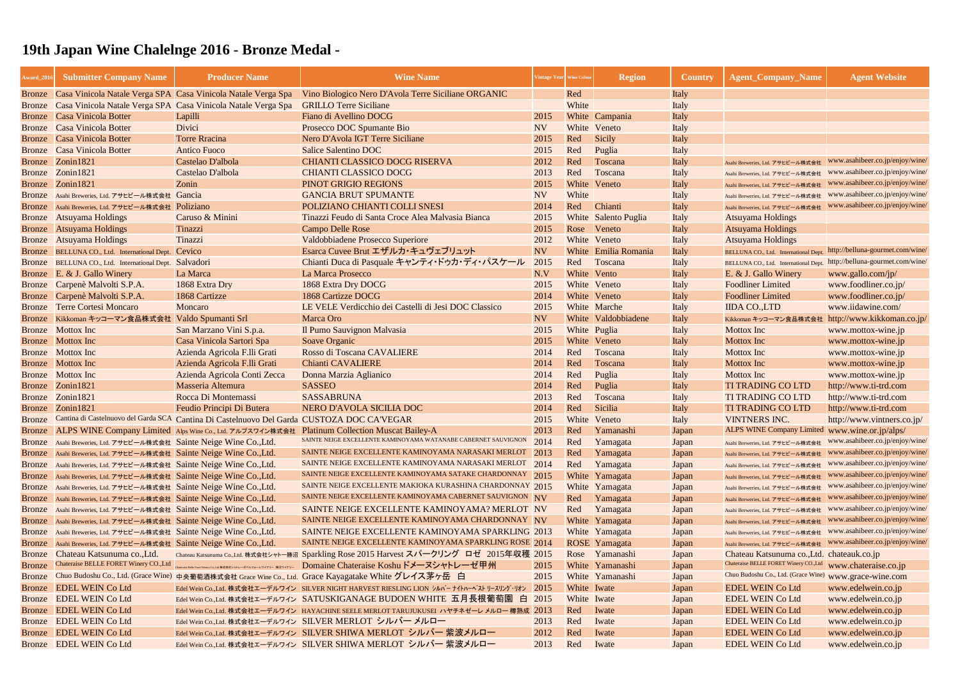| <b>Award_2016</b> | <b>Submitter Company Name</b>                                       | <b>Producer Name</b>                                                                       | <b>Wine Name</b>                                                                                     | Vintage Year   Wine Color |              | <b>Region</b>        | <b>Country</b> | <b>Agent_Company_Name</b>                      | <b>Agent Website</b>             |
|-------------------|---------------------------------------------------------------------|--------------------------------------------------------------------------------------------|------------------------------------------------------------------------------------------------------|---------------------------|--------------|----------------------|----------------|------------------------------------------------|----------------------------------|
|                   |                                                                     | Bronze Casa Vinicola Natale Verga SPA Casa Vinicola Natale Verga Spa                       | Vino Biologico Nero D'Avola Terre Siciliane ORGANIC                                                  |                           | Red          |                      | Italy          |                                                |                                  |
|                   |                                                                     | Bronze Casa Vinicola Natale Verga SPA Casa Vinicola Natale Verga Spa                       | <b>GRILLO Terre Siciliane</b>                                                                        |                           | White        |                      | Italy          |                                                |                                  |
| <b>Bronze</b>     | Casa Vinicola Botter                                                | Lapilli                                                                                    | Fiano di Avellino DOCG                                                                               | 2015                      |              | White Campania       | Italy          |                                                |                                  |
| <b>Bronze</b>     | <b>Casa Vinicola Botter</b>                                         | Divici                                                                                     | Prosecco DOC Spumante Bio                                                                            | <b>NV</b>                 | White        | Veneto               | Italy          |                                                |                                  |
| <b>Bronze</b>     | Casa Vinicola Botter                                                | <b>Torre Rracina</b>                                                                       | Nero D'Avola IGT Terre Siciliane                                                                     | 2015                      | Red          | <b>Sicily</b>        | Italy          |                                                |                                  |
| Bronze            | <b>Casa Vinicola Botter</b>                                         | <b>Antico Fuoco</b>                                                                        | Salice Salentino DOC                                                                                 | 2015                      | Red          | Puglia               | Italy          |                                                |                                  |
| Bronze            | Zonin1821                                                           | Castelao D'albola                                                                          | <b>CHIANTI CLASSICO DOCG RISERVA</b>                                                                 | 2012                      | Red          | Toscana              | Italy          | Asahi Breweries, Ltd. アサヒビール株式会社               | www.asahibeer.co.jp/enjoy/wine/  |
|                   | Bronze Zonin1821                                                    | Castelao D'albola                                                                          | <b>CHIANTI CLASSICO DOCG</b>                                                                         | 2013                      | Red          | Toscana              | Italy          | Asahi Breweries, Ltd. アサヒビール株式会社               | www.asahibeer.co.jp/enjoy/wine/  |
| Bronze            | Zonin1821                                                           | Zonin                                                                                      | PINOT GRIGIO REGIONS                                                                                 | 2015                      |              | White Veneto         | Italy          | Asahi Breweries, Ltd. アサヒビール株式会社               | www.asahibeer.co.jp/enjoy/wine/  |
| Bronze            | Asahi Breweries, Ltd. アサヒビール株式会社 Gancia                             |                                                                                            | <b>GANCIA BRUT SPUMANTE</b>                                                                          | <b>NV</b>                 | White        |                      | Italy          | Asahi Breweries, Ltd. アサヒビール株式会社               | www.asahibeer.co.jp/enjoy/wine/  |
|                   | Bronze Asahi Breweries, Ltd. アサヒビール株式会社 Poliziano                   |                                                                                            | POLIZIANO CHIANTI COLLI SNESI                                                                        | 2014                      | Red          | Chianti              | Italy          | Asahi Breweries, Ltd. アサヒビール株式会社               | www.asahibeer.co.jp/enjoy/wine/  |
| <b>Bronze</b>     | <b>Atsuyama Holdings</b>                                            | Caruso & Minini                                                                            | Tinazzi Feudo di Santa Croce Alea Malvasia Bianca                                                    | 2015                      |              | White Salento Puglia | Italy          | <b>Atsuyama Holdings</b>                       |                                  |
| Bronze            | <b>Atsuyama Holdings</b>                                            | Tinazzi                                                                                    | <b>Campo Delle Rose</b>                                                                              | 2015                      | Rose         | Veneto               | Italy          | <b>Atsuyama Holdings</b>                       |                                  |
|                   | Bronze Atsuyama Holdings                                            | Tinazzi                                                                                    | Valdobbiadene Prosecco Superiore                                                                     | 2012                      |              | White Veneto         | Italy          | <b>Atsuyama Holdings</b>                       |                                  |
|                   | Bronze BELLUNA CO., Ltd. International Dept.                        | Cevico                                                                                     | Esarca Cuvee Brut エザルカ・キュヴェブリュット                                                                     | <b>NV</b>                 |              | White Emilia Romania | Italy          | BELLUNA CO., Ltd. International Dept.          | http://belluna-gourmet.com/wine/ |
|                   | Bronze BELLUNA CO., Ltd. International Dept.                        | Salvadori                                                                                  | Chianti Duca di Pasquale キャンティ・ドゥカ・ディ・パスケール                                                          | 2015                      | Red          | Toscana              | Italy          | BELLUNA CO., Ltd. International Dept.          | http://belluna-gourmet.com/wine/ |
|                   | Bronze E. & J. Gallo Winery                                         | La Marca                                                                                   | La Marca Prosecco                                                                                    | N.V                       | White Vento  |                      | Italy          | E. & J. Gallo Winery                           | www.gallo.com/jp/                |
|                   | Bronze Carpenè Malvolti S.P.A.                                      | 1868 Extra Dry                                                                             | 1868 Extra Dry DOCG                                                                                  | 2015                      |              | White Veneto         | Italy          | <b>Foodliner Limited</b>                       | www.foodliner.co.jp/             |
| Bronze            | Carpenè Malvolti S.P.A.                                             | 1868 Cartizze                                                                              | 1868 Cartizze DOCG                                                                                   | 2014                      |              | White Veneto         | Italy          | <b>Foodliner Limited</b>                       | www.foodliner.co.jp/             |
| Bronze            | <b>Terre Cortesi Moncaro</b>                                        | Moncaro                                                                                    | LE VELE Verdicchio dei Castelli di Jesi DOC Classico                                                 | 2015                      |              | White Marche         | Italy          | <b>IIDA CO., LTD</b>                           | www.iidawine.com/                |
|                   | Bronze Kikkoman キッコーマン食品株式会社 Valdo Spumanti Srl                     |                                                                                            | Marca Oro                                                                                            | <b>NV</b>                 |              | White Valdobbiadene  | Italy          | Kikkoman キッコーマン食品株式会社                          | http://www.kikkoman.co.jp/       |
|                   | <b>Bronze</b> Mottox Inc                                            | San Marzano Vini S.p.a.                                                                    | Il Pumo Sauvignon Malvasia                                                                           | 2015                      | White Puglia |                      | Italy          | <b>Mottox</b> Inc                              | www.mottox-wine.jp               |
|                   | <b>Bronze</b> Mottox Inc                                            | Casa Vinicola Sartori Spa                                                                  | Soave Organic                                                                                        | 2015                      |              | White Veneto         | Italy          | <b>Mottox Inc</b>                              | www.mottox-wine.jp               |
|                   | <b>Bronze</b> Mottox Inc                                            | Azienda Agricola F.lli Grati                                                               | Rosso di Toscana CAVALIERE                                                                           | 2014                      | Red          | Toscana              | Italy          | <b>Mottox</b> Inc                              | www.mottox-wine.jp               |
|                   | <b>Bronze</b> Mottox Inc                                            | Azienda Agricola F.lli Grati                                                               | <b>Chianti CAVALIERE</b>                                                                             | 2014                      | Red          | Toscana              | Italy          | <b>Mottox Inc</b>                              | www.mottox-wine.jp               |
|                   | <b>Bronze</b> Mottox Inc                                            | Azienda Agricola Conti Zecca                                                               | Donna Marzia Aglianico                                                                               | 2014                      | Red          | Puglia               | Italy          | <b>Mottox</b> Inc                              | www.mottox-wine.jp               |
| Bronze            | Zonin1821                                                           | Masseria Altemura                                                                          | <b>SASSEO</b>                                                                                        | 2014                      | Red          | Puglia               | Italy          | <b>TI TRADING CO LTD</b>                       | http://www.ti-trd.com            |
| Bronze            | Zonin1821                                                           | Rocca Di Montemassi                                                                        | <b>SASSABRUNA</b>                                                                                    | 2013                      | Red          | Toscana              | Italy          | <b>TI TRADING CO LTD</b>                       | http://www.ti-trd.com            |
| Bronze            | Zonin1821                                                           | Feudio Principi Di Butera                                                                  | NERO D'AVOLA SICILIA DOC                                                                             | 2014                      | Red          | Sicilia              | Italy          | <b>TI TRADING CO LTD</b>                       | http://www.ti-trd.com            |
| <b>Bronze</b>     |                                                                     | Cantina di Castelnuovo del Garda SCA Cantina Di Castelnuovo Del Garda CUSTOZA DOC CA'VEGAR |                                                                                                      | 2015                      | White        | Veneto               | Italy          | <b>VINTNERS INC.</b>                           | http://www.vintners.co.jp/       |
|                   |                                                                     |                                                                                            | Bronze ALPS WINE Company Limited Alps Wine Co., Ltd. アルプスワイン株式会社 Platinum Collection Muscat Bailey-A | 2013                      | Red          | Yamanashi            | Japan          | ALPS WINE Company Limited www.wine.or.jp/alps/ |                                  |
|                   | Bronze Asahi Breweries, Ltd. アサヒビール株式会社 Sainte Neige Wine Co., Ltd. |                                                                                            | SAINTE NEIGE EXCELLENTE KAMINOYAMA WATANABE CABERNET SAUVIGNON $2014$                                |                           | Red          | Yamagata             | Japan          | Asahi Breweries, Ltd. アサヒビール株式会社               | www.asahibeer.co.jp/enjoy/wine/  |
|                   | Bronze Asahi Breweries, Ltd. アサヒビール株式会社 Sainte Neige Wine Co., Ltd. |                                                                                            | SAINTE NEIGE EXCELLENTE KAMINOYAMA NARASAKI MERLOT 2013                                              |                           | Red          | Yamagata             | Japan          | Asahi Breweries, Ltd. アサヒビール株式会社               | www.asahibeer.co.jp/enjoy/wine/  |
|                   | Bronze Asahi Breweries, Ltd. アサヒビール株式会社 Sainte Neige Wine Co., Ltd. |                                                                                            | SAINTE NEIGE EXCELLENTE KAMINOYAMA NARASAKI MERLOT 2014                                              |                           | Red          | Yamagata             | Japan          | Asahi Breweries, Ltd. アサヒビール株式会社               | www.asahibeer.co.jp/enjoy/wine/  |
|                   | Bronze Asahi Breweries, Ltd. アサヒビール株式会社 Sainte Neige Wine Co., Ltd. |                                                                                            | SAINTE NEIGE EXCELLENTE KAMINOYAMA SATAKE CHARDONNAY 2015                                            |                           |              | White Yamagata       | Japan          | Asahi Breweries, Ltd. アサヒビール株式会社               | www.asahibeer.co.jp/enjoy/wine/  |
|                   | Bronze Asahi Breweries, Ltd. アサヒビール株式会社 Sainte Neige Wine Co., Ltd. |                                                                                            | SAINTE NEIGE EXCELLENTE MAKIOKA KURASHINA CHARDONNAY 2015                                            |                           |              | White Yamagata       | Japan          | Asahi Breweries, Ltd. アサヒビール株式会社               | www.asahibeer.co.jp/enjoy/wine/  |
|                   | Bronze Asahi Breweries, Ltd. アサヒビール株式会社 Sainte Neige Wine Co., Ltd. |                                                                                            | SAINTE NEIGE EXCELLENTE KAMINOYAMA CABERNET SAUVIGNON NV                                             |                           | Red          | Yamagata             | Japan          | Asahi Breweries, Ltd. アサヒビール株式会社               | www.asahibeer.co.jp/enjoy/wine/  |
|                   | Bronze Asahi Breweries, Ltd. アサヒビール株式会社 Sainte Neige Wine Co., Ltd. |                                                                                            | SAINTE NEIGE EXCELLENTE KAMINOYAMA? MERLOT NV                                                        |                           | Red          | Yamagata             | Japan          | Asahi Breweries, Ltd. アサヒビール株式会社               | www.asahibeer.co.jp/enjoy/wine/  |
|                   | Bronze Asahi Breweries, Ltd. アサヒビール株式会社 Sainte Neige Wine Co., Ltd. |                                                                                            | SAINTE NEIGE EXCELLENTE KAMINOYAMA CHARDONNAY NV                                                     |                           |              | White Yamagata       | Japan          | Asahi Breweries, Ltd. アサヒビール株式会社               | www.asahibeer.co.jp/enjoy/wine/  |
|                   | Bronze Asahi Breweries, Ltd. アサヒビール株式会社 Sainte Neige Wine Co., Ltd. |                                                                                            | SAINTE NEIGE EXCELLENTE KAMINOYAMA SPARKLING 2013                                                    |                           |              | White Yamagata       | Japan          | Asahi Breweries, Ltd. アサヒビール株式会社               | www.asahibeer.co.jp/enjoy/wine/  |
|                   | Bronze Asahi Breweries, Ltd. アサヒビール株式会社 Sainte Neige Wine Co., Ltd. |                                                                                            | SAINTE NEIGE EXCELLENTE KAMINOYAMA SPARKLING ROSE 2014                                               |                           |              | ROSE Yamagata        | Japan          | Asahi Breweries, Ltd. アサヒビール株式会社               | www.asahibeer.co.jp/enjoy/wine/  |
| Bronze            | Chateau Katsunuma co., Ltd.                                         |                                                                                            | Chateau Katsunuma Co.,Ltd. 株式会社シャトー勝沼 Sparkling Rose 2015 Harvest スパークリング ロゼ 2015年収穫 2015            |                           |              | Rose Yamanashi       | Japan          | Chateau Katsunuma co., Ltd. chateauk.co.jp     |                                  |
| <b>Bronze</b>     | Chateraise BELLE FORET Winery CO., Ltd                              |                                                                                            | Charaise Balk Foot Winery Co.,Lai #ま会社シャトレーゼルフォークイナリー ねまつイナリー Domaine Chateraise Koshu ドメーヌシャトレーゼ甲州  | 2015                      |              | White Yamanashi      | Japan          | Chateraise BELLE FORET Winery CO., Ltd         | www.chateraise.co.jp             |
| Bronze            |                                                                     |                                                                                            | Chuo Budoshu Co., Ltd. (Grace Wine) 中央葡萄酒株式会社 Grace Wine Co., Ltd. Grace Kayagatake White グレイス茅ヶ岳 白  | 2015                      |              | White Yamanashi      | Japan          | Chuo Budoshu Co., Ltd. (Grace Wine)            | www.grace-wine.com               |
| Bronze            | <b>EDEL WEIN Co Ltd</b>                                             |                                                                                            | Edel Wein Co.,Ltd. 株式会社エーデルワイン SILVER NIGHT HARVEST RIESLING LION シルバーナイトハーヘストリースリング・リオン             | 2015                      | White Iwate  |                      | Japan          | <b>EDEL WEIN Co Ltd</b>                        | www.edelwein.co.jp               |
| Bronze            | <b>EDEL WEIN Co Ltd</b>                                             |                                                                                            | Edel Wein Co.,Ltd. 株式会社エーデルワイン SATUSKIGANAGE BUDOEN WHITE 五月長根葡萄園 白 2015                             |                           | White Iwate  |                      | Japan          | <b>EDEL WEIN Co Ltd</b>                        | www.edelwein.co.jp               |
| <b>Bronze</b>     | <b>EDEL WEIN Co Ltd</b>                                             |                                                                                            | Edel Wein Co.,Ltd. 株式会社エーデルワイン HAYACHINE SEELE MERLOT TARUJUKUSEI ハヤチネゼーレメルロー 樽熟成 2013               |                           | Red          | Iwate                | Japan          | <b>EDEL WEIN Co Ltd</b>                        | www.edelwein.co.jp               |
| Bronze            | <b>EDEL WEIN Co Ltd</b>                                             |                                                                                            | Edel Wein Co.,Ltd. 株式会社エーデルワイン SILVER MERLOT シルバーメルロー                                                | 2013                      | Red          | Iwate                | Japan          | <b>EDEL WEIN Co Ltd</b>                        | www.edelwein.co.jp               |
| <b>Bronze</b>     | <b>EDEL WEIN Co Ltd</b>                                             |                                                                                            | Edel Wein Co.,Ltd. 株式会社エーデルワイン SILVER SHIWA MERLOT シルバー 紫波メルロー                                       | 2012                      | Red          | Iwate                | Japan          | <b>EDEL WEIN Co Ltd</b>                        | www.edelwein.co.jp               |
|                   | Bronze EDEL WEIN Co Ltd                                             |                                                                                            | Edel Wein Co.,Ltd. 株式会社エーデルワイン SILVER SHIWA MERLOT シルバー 紫波メルロー                                       | 2013                      | Red          | Iwate                | Japan          | <b>EDEL WEIN Co Ltd</b>                        | www.edelwein.co.jp               |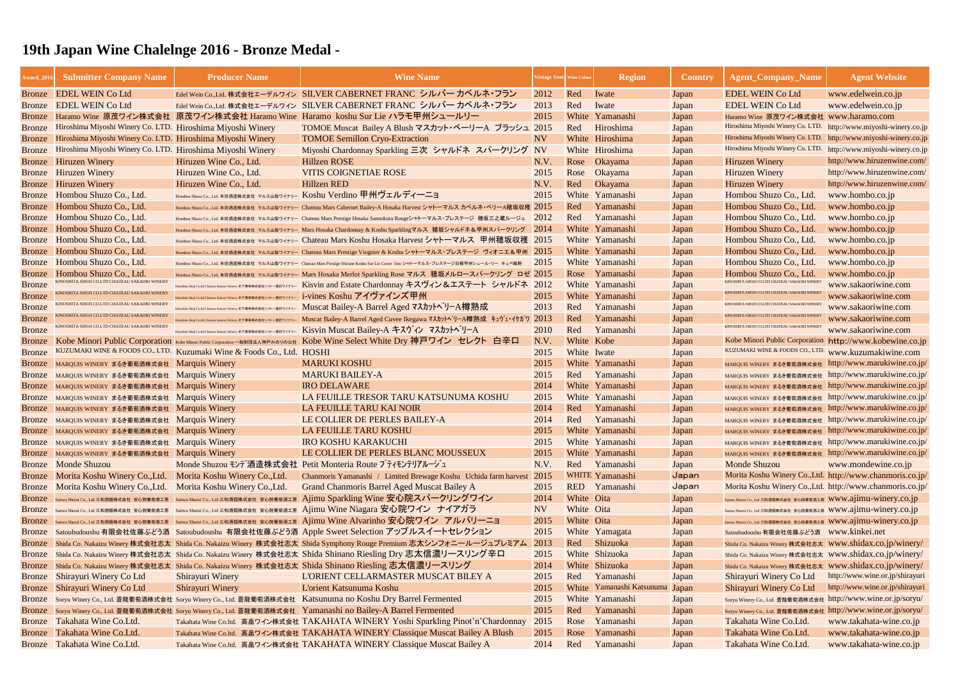| <b>Award_2010</b> | <b>Submitter Company Name</b>                                      | <b>Producer Name</b>                                                  | <b>Wine Name</b>                                                                                                                          |                 | Vintage Year Wine Colour | <b>Region</b>                   | <b>Country</b> | <b>Agent_Company_Name</b>                                                                    | <b>Agent Website</b>            |
|-------------------|--------------------------------------------------------------------|-----------------------------------------------------------------------|-------------------------------------------------------------------------------------------------------------------------------------------|-----------------|--------------------------|---------------------------------|----------------|----------------------------------------------------------------------------------------------|---------------------------------|
|                   | Bronze EDEL WEIN Co Ltd                                            |                                                                       | Edel Wein Co.,Ltd. 株式会社エーデルワイン SILVER CABERNET FRANC シルバー カベルネ・フラン                                                                        | 2012            | Red                      | Iwate                           | Japan          | <b>EDEL WEIN Co Ltd</b>                                                                      | www.edelwein.co.jp              |
|                   | Bronze EDEL WEIN Co Ltd                                            |                                                                       | Edel Wein Co.,Ltd. 株式会社エーデルワイン SILVER CABERNET FRANC シルバー カベルネ・フラン                                                                        | 2013            | Red                      | Iwate                           | Japan          | <b>EDEL WEIN Co Ltd</b>                                                                      | www.edelwein.co.jp              |
| <b>Bronze</b>     |                                                                    |                                                                       | Haramo Wine 原茂ワイン株式会社 原茂ワイン株式会社 Haramo Wine Haramo koshu Sur Lie ハラモ甲州シュールリー                                                              | 2015            |                          | White Yamanashi                 | Japan          | Haramo Wine 原茂ワイン株式会社 www.haramo.com                                                         |                                 |
| <b>Bronze</b>     | Hiroshima Miyoshi Winery Co. LTD. Hiroshima Miyoshi Winery         |                                                                       | TOMOE Muscat Bailey A Blush マスカット・ベーリーA ブラッシュ                                                                                             | 2015            | Red                      | Hiroshima                       | Japan          | Hiroshima Miyoshi Winery Co. LTD.                                                            | http://www.miyoshi-winery.co.jp |
| <b>Bronze</b>     | Hiroshima Miyoshi Winery Co. LTD. Hiroshima Miyoshi Winery         |                                                                       | <b>TOMOE Semillon Cryo-Extraction</b>                                                                                                     | <b>NV</b>       |                          | White Hiroshima                 | Japan          | Hiroshima Miyoshi Winery Co. LTD.                                                            | http://www.miyoshi-winery.co.jp |
| <b>Bronze</b>     | Hiroshima Miyoshi Winery Co. LTD. Hiroshima Miyoshi Winery         |                                                                       | Miyoshi Chardonnay Sparkling 三次 シャルドネ スパークリング                                                                                             | <b>NV</b>       |                          | White Hiroshima                 | Japan          | Hiroshima Miyoshi Winery Co. LTD.                                                            | http://www.miyoshi-winery.co.jp |
| Bronze            | <b>Hiruzen Winery</b>                                              | Hiruzen Wine Co., Ltd.                                                | <b>Hillzen ROSE</b>                                                                                                                       | IN.V.           | Rose                     | <b>Okayama</b>                  | Japan          | <b>Hiruzen Winery</b>                                                                        | http://www.hiruzenwine.com/     |
|                   | <b>Bronze</b> Hiruzen Winery                                       | Hiruzen Wine Co., Ltd.                                                | <b>VITIS COIGNETIAE ROSE</b>                                                                                                              | 2015            | Rose                     | <b>Okayama</b>                  | Japan          | <b>Hiruzen Winery</b>                                                                        | http://www.hiruzenwine.com/     |
|                   | <b>Bronze</b> Hiruzen Winery                                       | Hiruzen Wine Co., Ltd.                                                | <b>Hillzen RED</b>                                                                                                                        | N.V.            | Red                      | Okayama                         | Japan          | <b>Hiruzen Winery</b>                                                                        | http://www.hiruzenwine.com/     |
| Bronze            | Hombou Shuzo Co., Ltd.                                             |                                                                       | Hombou Shuzo Co., Ltd. 本坊酒造株式会社 マルス山梨ワイナリー Koshu Verdino 甲州ヴェルディーニョ                                                                       | 2015            |                          | White Yamanashi                 | Japan          | Hombou Shuzo Co., Ltd.                                                                       | www.hombo.co.jp                 |
| <b>Bronze</b>     | Hombou Shuzo Co., Ltd.                                             |                                                                       | Hombou Shuzo Co., Lud. 本坊酒造株式会社 マルス山梨ワイナリー Chateau Mars Cabernet Bailey-A Hosaka Harvest シャトーマルス カベルネ・ベリーA穂坂収穫 $2015$                     |                 | Red                      | Yamanashi                       | Japan          | Hombou Shuzo Co., Ltd.                                                                       | www.hombo.co.jp                 |
| <b>Bronze</b>     | Hombou Shuzo Co., Ltd.                                             |                                                                       | Hombou Shuzo Co., Ltd. 本坊酒造株式会社 マルス山梨ワイナリー Chateau Mars Prestige Hosaka Sannokura Rougeシャトーマルス・プレステージ 穂坂三之蔵ルージュ                           | <sup>2012</sup> | Red                      | Yamanashi                       | Japan          | Hombou Shuzo Co., Ltd.                                                                       | www.hombo.co.jp                 |
| <b>Bronze</b>     | Hombou Shuzo Co., Ltd.                                             |                                                                       | Hombou Shuzo Co., Ltd. 本坊酒造株式会社 マルス山梨ワイナリー Mars Hosaka Chardonnay & Koshu Sparklingマルス 穂坂シャルドネ&甲州スパークリング                                  | -2014           |                          | White Yamanashi                 | Japan          | Hombou Shuzo Co., Ltd.                                                                       | www.hombo.co.jp                 |
| <b>Bronze</b>     | Hombou Shuzo Co., Ltd.                                             |                                                                       | Hombou Shuzo Co., Lud. 本坊酒造株式会社 マルス山梨ワイナリー Chateau Mars Koshu Hosaka Harvest シャトーマルス 甲州穂坂収穫 2015                                          |                 |                          | White Yamanashi                 | Japan          | Hombou Shuzo Co., Ltd.                                                                       | www.hombo.co.jp                 |
| <b>Bronze</b>     | Hombou Shuzo Co., Ltd.                                             |                                                                       | Hombou Shuzo Co., Lud. 本坊酒造株式会社 マルス山梨ワイナリー Chateau Mars Prestige Viognier & Koshu シャトーマルス・プレステージ ヴィオニエ&甲州 2015                            |                 |                          | White Yamanashi                 | Japan          | Hombou Shuzo Co., Ltd.                                                                       | www.hombo.co.jp                 |
| <b>Bronze</b>     | Hombou Shuzo Co., Ltd.                                             |                                                                       | Hombou Shuzo Co., Ltd. 本坊酒造株式会社 マルス山梨ワイナリー Chateau Mars Prestige Shirane Koshu Sur Lie Cuvee Iino シャトーマルス・プレステージ白根甲州シュール・リー キュベ飯野         | 2015            |                          | White Yamanashi                 | Japan          | Hombou Shuzo Co., Ltd.                                                                       | www.hombo.co.jp                 |
| <b>Bronze</b>     | Hombou Shuzo Co., Ltd.                                             |                                                                       | Hombou Shuzo Co., Ltd. 本坊酒造株式会社 マルス山梨ワイナリー Mars Hosaka Merlot Sparkling Rose マルス 穂坂メルロースパークリング ロゼ 2015                                    |                 |                          | Rose Yamanashi                  | Japan          | Hombou Shuzo Co., Ltd.                                                                       | www.hombo.co.jp                 |
| <b>Bronze</b>     | KINOSHITA SHOJI CO.LTD CHATEAU SAKAORI WINER'                      |                                                                       | Kinoshin Shoji Co.hd Chateau Sakaori Winery ホ下商事株式会社シャー酒折ワイナリー KisVin and Estate Chardonnay キスヴィン&エステート シャルドネ 2012                        |                 |                          | White Yamanashi                 | Japan          | KINOSHITA SHOJI CO.LTD CHATEAU SAKAORI WINERY                                                | www.sakaoriwine.com             |
| <b>Bronze</b>     | KINOSHITA SHOJI CO.LTD CHATEAU SAKAORI WINERY                      |                                                                       | Kinoshita Shoji Co.ltd Chateau Sakaori Winery 木下商事株式会社シャトー酒折ワイナ」 i-vines Koshu アイヴァインズ甲州                                                  | 2015            |                          | White Yamanashi                 | Japan          | <b>CINOSHITA SHOJI CO.LTD CHATEAU SAKAORI WINERY</b>                                         | www.sakaoriwine.com             |
| <b>Bronze</b>     | KINOSHITA SHOJI CO.LTD CHATEAU SAKAORI WINER'                      |                                                                       | Kinoshina Shoji Co.hd Chateau Sakaori Winery ホ下商事株式会社シャトー酒折ワイナリー Muscat Bailey-A Barrel Aged マスカットヘ <sup>*</sup> リーA樽熟成                   | 2013            | Red                      | Yamanashi                       | Japan          | KINOSHITA SHOJI CO.LTD CHATEAU SAKAORI WINERY                                                | www.sakaoriwine.com             |
| <b>Bronze</b>     | KINOSHITA SHOJI CO.LTD CHATEAU SAKAORI WINER'                      |                                                                       | Kinoshita Shoji Co.hd Chateau Sakaon Winery 木下商事株式会社シャトー酒折ワイナリー Muscat Bailey-A Barrel Aged Cuvee Ikegawa マスカットヘ゛リーA樽熟成 キュヴェ・イケガ゛ワ $2013$ |                 | Red                      | Yamanashi                       | Japan          | KINOSHITA SHOJI CO.LTD CHATEAU SAKAORI WINER                                                 | www.sakaoriwine.com             |
| <b>Bronze</b>     | KINOSHITA SHOJI CO.LTD CHATEAU SAKAORI WINERY                      |                                                                       | Kinoshiu. Shoji Co.hd Chuteul Sakaori Winery 木下商事株式会社シャトー酒折ワイナリー Kisvin Muscat Bailey-A キスヴィン マスカットベリーA                                   | 2010            | Red                      | Yamanashi                       | Japan          | KINOSHITA SHOJI CO.LTD CHATEAU SAKAORI WINERY                                                | www.sakaoriwine.com             |
| <b>Bronze</b>     |                                                                    |                                                                       | Kobe Minori Public Corporation Kobe Minori Public Corporation -般財団法人神戸みのりの公社 Kobe Wine Select White Dry 神戸ワイン セレクト 白辛口                    | N.V.            | White Kobe               |                                 | Japan          | Kobe Minori Public Corporation http://www.kobewine.co.jp                                     |                                 |
| <b>Bronze</b>     |                                                                    | KUZUMAKI WINE & FOODS CO., LTD. Kuzumaki Wine & Foods Co., Ltd. HOSHI |                                                                                                                                           | 2015            | White Iwate              |                                 | Japan          | KUZUMAKI WINE & FOODS CO., LTD. www.kuzumakiwine.com                                         |                                 |
| <b>Bronze</b>     | MARQUIS WINERY まるき葡萄酒株式会社 Marquis Winery                           |                                                                       | <b>MARUKI KOSHU</b>                                                                                                                       | 2015            |                          | White Yamanashi                 | Japan          | MARQUIS WINERY まるき葡萄酒株式会社 http://www.marukiwine.co.jp                                        |                                 |
|                   | Bronze MARQUIS WINERY まるき葡萄酒株式会社 Marquis Winery                    |                                                                       | <b>MARUKI BAILEY-A</b>                                                                                                                    | 2015            | Red                      | Yamanashi                       | Japan          | MARQUIS WINERY まるき葡萄酒株式会社 http://www.marukiwine.co.jp                                        |                                 |
|                   | Bronze MARQUIS WINERY まるき葡萄酒株式会社 Marquis Winery                    |                                                                       | <b>IRO DELAWARE</b>                                                                                                                       | 2014            |                          | White Yamanashi                 | Japan          | MARQUIS WINERY まるき葡萄酒株式会社 http://www.marukiwine.co.jp                                        |                                 |
| Bronze            | MARQUIS WINERY まるき葡萄酒株式会社 Marquis Winery                           |                                                                       | LA FEUILLE TRESOR TARU KATSUNUMA KOSHU                                                                                                    | 2015            |                          | White Yamanashi                 | Japan          | MARQUIS WINERY まるき葡萄酒株式会社 http://www.marukiwine.co.jp                                        |                                 |
|                   | Bronze MARQUIS WINERY まるき葡萄酒株式会社 Marquis Winery                    |                                                                       | LA FEUILLE TARU KAI NOIR                                                                                                                  | 2014            | Red                      | Yamanashi                       | Japan          | MARQUIS WINERY まるき葡萄酒株式会社 http://www.marukiwine.co.jp                                        |                                 |
|                   | Bronze MARQUIS WINERY まるき葡萄酒株式会社 Marquis Winery                    |                                                                       | LE COLLIER DE PERLES BAILEY-A                                                                                                             | 2014            | Red                      | Yamanashi                       | Japan          | MARQUIS WINERY まるき葡萄酒株式会社 http://www.marukiwine.co.jp                                        |                                 |
|                   | Bronze MARQUIS WINERY まるき葡萄酒株式会社 Marquis Winery                    |                                                                       | LA FEUILLE TARU KOSHU                                                                                                                     | 2015            |                          | White Yamanashi                 | Japan          | MARQUIS WINERY まるき葡萄酒株式会社 http://www.marukiwine.co.jp.                                       |                                 |
|                   | Bronze MARQUIS WINERY まるき葡萄酒株式会社 Marquis Winery                    |                                                                       | <b>IRO KOSHU KARAKUCHI</b>                                                                                                                | 2015            |                          | White Yamanashi                 | Japan          | MARQUIS WINERY まるき葡萄酒株式会社 http://www.marukiwine.co.jp                                        |                                 |
|                   | Bronze MARQUIS WINERY まるき葡萄酒株式会社 Marquis Winery                    |                                                                       | LE COLLIER DE PERLES BLANC MOUSSEUX                                                                                                       | 2015            |                          | White Yamanashi                 | Japan          | MARQUIS WINERY まるき葡萄酒株式会社 http://www.marukiwine.co.jp                                        |                                 |
|                   | <b>Bronze</b> Monde Shuzou                                         |                                                                       | Monde Shuzou モンデ酒造株式会社 Petit Monteria Route プティモンテリアルージュ                                                                                  | N.V.            |                          | Red Yamanashi                   | Japan          | <b>Monde Shuzou</b>                                                                          | www.mondewine.co.jp             |
|                   | Bronze Morita Koshu Winery Co., Ltd. Morita Koshu Winery Co., Ltd. |                                                                       | Chanmoris Yamanashi / Limited Brewage Koshu Uchida farm harvest                                                                           | 2015            |                          | WHITE Yamanashi                 | Japan          | Morita Koshu Winery Co., Ltd. http://www.chanmoris.co.jp.                                    |                                 |
|                   | Bronze Morita Koshu Winery Co., Ltd. Morita Koshu Winery Co., Ltd. |                                                                       | <b>Grand Chanmoris Barrel Aged Muscat Bailey A</b>                                                                                        | 2015            |                          | RED Yamanashi                   | Japan          | Morita Koshu Winery Co., Ltd. http://www.chanmoris.co.jp                                     |                                 |
| Bronze            |                                                                    |                                                                       | Sanwa Shurui Co., Ltd 三和酒類株式会社 安心院葡萄酒工房 Sanwa Shurui Co., Ltd 三和酒類株式会社 安心院葡萄酒工房 Ajimu Sparkling Wine 安心院スパークリングワイン                        | 2014            | White Oita               |                                 | Japan          | Sanwa Shurui Co., Ltd 三和酒類株式会社 安心院葡萄酒工房 WWW. $a_j$ imu-winery.co.jp                          |                                 |
| Bronze            |                                                                    |                                                                       | Sanwa Shurui Co., Ltd 三和酒類株式会社 安心院葡萄酒工房  Sanwa Shurui Co., Ltd 三和酒類株式会社 安心院葡萄酒工房 Ajimu Wine Niagara 安心院ワイン ナイアガラ                          | <b>NV</b>       | White Oita               |                                 | Japan          | Sanwa Shurui Co., Ltd 三和酒類株式会社 安心院葡萄酒工房 WWW. $\displaystyle{\rm{agimu\text{-}winery.co.jp}}$ |                                 |
| Bronze            |                                                                    |                                                                       | Sanwa Shurui Co., Ltd 三和酒類株式会社 安心院葡萄酒工房 Sanwa Shurui Co., Ltd 三和酒類株式会社 安心院葡萄酒工房 Ajimu Wine Alvarinho 安心院ワイン アルバリーニョ                       | 2015            | White Oita               |                                 | Japan          | Sanwa Shurui Co., Ltd 三和酒類株式会社 安心院葡萄酒工房 WWW.ajimu-winery.co.jp                               |                                 |
|                   |                                                                    |                                                                       | Bronze Satoubudoushu 有限会社佐藤ぶどう酒 Satoubudoushu 有限会社佐藤ぶどう酒 Apple Sweet Selection アップルスイートセレクション                                             | 2015            |                          | White Yamagata                  | Japan          | Satoubudoushu 有限会社佐藤ぶどう酒   WWW.kinkei.net                                                    |                                 |
|                   |                                                                    |                                                                       | Bronze Shida Co. Nakaizu Winery 株式会社志太 Shida Co. Nakaizu Winery 株式会社志太 Shida Symphony Rouge Premium 志太シンフォニールージュプレミアム                     | 2013            | Red                      | Shizuoka                        | Japan          | Shida Co. Nakaizu Winery 株式会社志太 WWW.Shidax.co.jp/winery/                                     |                                 |
| Bronze            |                                                                    |                                                                       | Shida Co. Nakaizu Winery 株式会社志太 Shida Co. Nakaizu Winery 株式会社志太 Shida Shinano Riesling Dry 志太信濃リースリング辛口                                   | 2015            |                          | White Shizuoka                  | Japan          | Shida Co. Nakaizu Winery 株式会社志太 WWW.Shidax.co.jp/winery/                                     |                                 |
| <b>Bronze</b>     |                                                                    |                                                                       | Shida Co. Nakaizu Winery 株式会社志太 Shida Co. Nakaizu Winery 株式会社志太 Shida Shinano Riesling 志太信濃リースリング                                         | 2014            |                          | White Shizuoka                  | Japan          | Shida Co. Nakaizu Winery 株式会社志太 WWW.Shidax.co.jp/winery/                                     |                                 |
| Bronze            | Shirayuri Winery Co Ltd                                            | <b>Shirayuri Winery</b>                                               | L'ORIENT CELLARMASTER MUSCAT BILEY A                                                                                                      | 2015            | Red                      | Yamanashi                       | Japan          | Shirayuri Winery Co Ltd                                                                      | http://www.wine.or.jp/shirayuri |
| <b>Bronze</b>     | Shirayuri Winery Co Ltd                                            | Shirayuri Winery                                                      | L'orient Katsunuma Koshu                                                                                                                  | 2015            |                          | White Yamanashi Katsunuma Japan |                | Shirayuri Winery Co Ltd                                                                      | http://www.wine.or.jp/shirayuri |
| Bronze            |                                                                    |                                                                       | Soryu Winery Co., Ltd. 蒼龍葡萄酒株式会社 Soryu Winery Co., Ltd. 蒼龍葡萄酒株式会社 Katsunuma no Koshu Dry Barrel Fermented                                 | 2015            |                          | White Yamanashi                 | Japan          | Soryu Winery Co., Ltd. 蒼龍葡萄酒株式会社 http://www.wine.or.jp/soryu/                                |                                 |
| Bronze            |                                                                    |                                                                       | Soryu Winery Co., Ltd. 蒼龍葡萄酒株式会社 Soryu Winery Co., Ltd. 蒼龍葡萄酒株式会社 Yamanashi no Bailey-A Barrel Fermented                                  | 2015            | Red                      | Yamanashi                       | Japan          | Soryu Winery Co., Ltd. 蒼龍葡萄酒株式会社 http://www.wine.or.jp/soryu/                                |                                 |
|                   | Bronze Takahata Wine Co.Ltd.                                       |                                                                       | Takahata Wine Co.ltd. 高畠ワイン株式会社 TAKAHATA WINERY Yoshi Sparkling Pinot'n'Chardonnay                                                        | 2015            | Rose                     | Yamanashi                       | Japan          | Takahata Wine Co.Ltd.                                                                        | www.takahata-wine.co.jp         |
| <b>Bronze</b>     | Takahata Wine Co.Ltd.                                              |                                                                       | Takahata Wine Co.ltd. 高畠ワイン株式会社 TAKAHATA WINERY Classique Muscat Bailey A Blush                                                           | 2015            | Rose                     | Yamanashi                       | Japan          | Takahata Wine Co.Ltd.                                                                        | www.takahata-wine.co.jp         |
|                   | Bronze Takahata Wine Co.Ltd.                                       |                                                                       | Takahata Wine Co.ltd. 高畠ワイン株式会社 TAKAHATA WINERY Classique Muscat Bailey A                                                                 | 2014            | Red                      | Yamanashi                       | Japan          | Takahata Wine Co.Ltd.                                                                        | www.takahata-wine.co.jp         |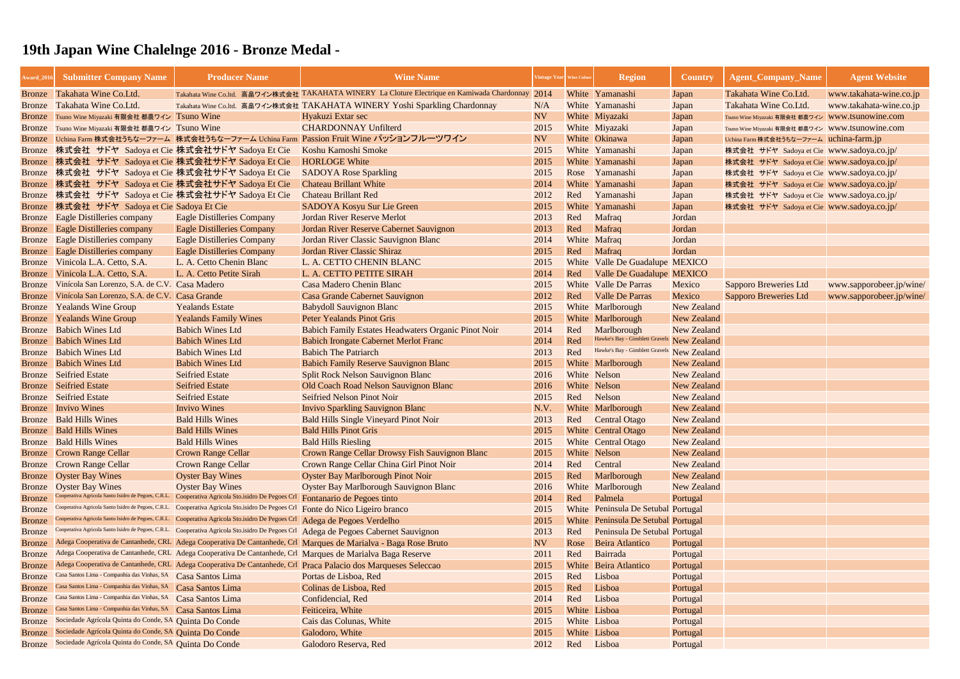| Award_201     | <b>Submitter Company Name</b>                          | <b>Producer Name</b>                                                                              | <b>Wine Name</b>                                                                                                | intage Year Wine Colour |      | <b>Region</b>                       | <b>Country</b>     | <b>Agent_Company_Name</b>                        | <b>Agent Website</b>     |
|---------------|--------------------------------------------------------|---------------------------------------------------------------------------------------------------|-----------------------------------------------------------------------------------------------------------------|-------------------------|------|-------------------------------------|--------------------|--------------------------------------------------|--------------------------|
| Bronze        | Takahata Wine Co.Ltd.                                  |                                                                                                   | Takahata Wine Co.ltd. 高畠ワイン株式会社 TAKAHATA WINERY La Cloture Electrique en Kamiwada Chardonnay 2014               |                         |      | White Yamanashi                     | Japan              | Takahata Wine Co.Ltd.                            | www.takahata-wine.co.jp  |
| Bronze        | Takahata Wine Co.Ltd.                                  |                                                                                                   | Takahata Wine Co.ltd. 高畠ワイン株式会社 TAKAHATA WINERY Yoshi Sparkling Chardonnay                                      | N/A                     |      | White Yamanashi                     | Japan              | Takahata Wine Co.Ltd.                            | www.takahata-wine.co.jp  |
|               | Bronze Tsuno Wine Miyazaki 有限会社 都農ワイン Tsuno Wine       |                                                                                                   | Hyakuzi Extar sec                                                                                               | <b>NV</b>               |      | White Miyazaki                      | Japan              | Tsuno Wine Miyazaki 有限会社 都農ワイン WWW.tsunOwine.com |                          |
|               | Bronze Tsuno Wine Miyazaki 有限会社 都農ワイン Tsuno Wine       |                                                                                                   | <b>CHARDONNAY Unfilterd</b>                                                                                     | 2015                    |      | White Miyazaki                      | Japan              | Tsuno Wine Miyazaki 有限会社 都農ワイン WWW.tsunowine.com |                          |
|               |                                                        |                                                                                                   | Bronze Uchina Farm 株式会社うちなーファーム 株式会社うちなーファーム Uchina Farm Passion Fruit Wine パッションフルーツワイン                        | <b>NV</b>               |      | White Okinawa                       | Japan              | Uchina Farm 株式会社うちなーファーム uchina-farm.jp          |                          |
| <b>Bronze</b> | 株式会社 サドヤ Sadoya et Cie 株式会社サドヤ Sadoya Et Cie           |                                                                                                   | Koshu Kamoshi Smoke                                                                                             | 2015                    |      | White Yamanashi                     | Japan              | 株式会社 サドヤ Sadoya et Cie www.sadoya.co.jp/         |                          |
| <b>Bronze</b> | 株式会社 サドヤ Sadoya et Cie 株式会社サドヤ Sadoya Et Cie           |                                                                                                   | <b>HORLOGE White</b>                                                                                            | 2015                    |      | White Yamanashi                     | Japan              | 株式会社 サドヤ Sadoya et Cie   www.sadoya.co.jp/       |                          |
| <b>Bronze</b> | 株式会社 サドヤ Sadoya et Cie 株式会社サドヤ Sadoya Et Cie           |                                                                                                   | <b>SADOYA Rose Sparkling</b>                                                                                    | 2015                    |      | Rose Yamanashi                      | Japan              | 株式会社 サドヤ Sadoya et Cie www.sadoya.co.jp/         |                          |
| <b>Bronze</b> | 株式会社 サドヤ Sadoya et Cie 株式会社サドヤ Sadoya Et Cie           |                                                                                                   | <b>Chateau Brillant White</b>                                                                                   | 2014                    |      | White Yamanashi                     | Japan              | 株式会社 サドヤ Sadoya et Cie www.sadoya.co.jp/         |                          |
| <b>Bronze</b> | 株式会社 サドヤ Sadoya et Cie 株式会社サドヤ Sadoya Et Cie           |                                                                                                   | <b>Chateau Brillant Red</b>                                                                                     | 2012                    | Red  | Yamanashi                           | Japan              | 株式会社 サドヤ Sadoya et Cie www.sadoya.co.jp/         |                          |
| <b>Bronze</b> | 株式会社 サドヤ Sadoya et Cie Sadoya Et Cie                   |                                                                                                   | <b>SADOYA Kosyu Sur Lie Green</b>                                                                               | 2015                    |      | White Yamanashi                     | Japan              | 株式会社 サドヤ Sadoya et Cie www.sadoya.co.jp/         |                          |
| <b>Bronze</b> | <b>Eagle Distilleries company</b>                      | <b>Eagle Distilleries Company</b>                                                                 | <b>Jordan River Reserve Merlot</b>                                                                              | 2013                    | Red  | Mafraq                              | Jordan             |                                                  |                          |
| <b>Bronze</b> | <b>Eagle Distilleries company</b>                      | <b>Eagle Distilleries Company</b>                                                                 | Jordan River Reserve Cabernet Sauvignon                                                                         | 2013                    | Red  | Mafraq                              | Jordan             |                                                  |                          |
| <b>Bronze</b> | <b>Eagle Distilleries company</b>                      | <b>Eagle Distilleries Company</b>                                                                 | Jordan River Classic Sauvignon Blanc                                                                            | 2014                    |      | White Mafraq                        | Jordan             |                                                  |                          |
| Bronze        | <b>Eagle Distilleries company</b>                      | <b>Eagle Distilleries Company</b>                                                                 | Jordan River Classic Shiraz                                                                                     | 2015                    | Red  | Mafraq                              | Jordan             |                                                  |                          |
| <b>Bronze</b> | Vinicola L.A. Cetto, S.A.                              | L. A. Cetto Chenin Blanc                                                                          | L. A. CETTO CHENIN BLANC                                                                                        | 2015                    |      | White Valle De Guadalupe MEXICO     |                    |                                                  |                          |
| <b>Bronze</b> | Vinicola L.A. Cetto, S.A.                              | L. A. Cetto Petite Sirah                                                                          | L. A. CETTO PETITE SIRAH                                                                                        | 2014                    | Red  | <b>Valle De Guadalupe MEXICO</b>    |                    |                                                  |                          |
| Bronze        | Vinícola San Lorenzo, S.A. de C.V. Casa Madero         |                                                                                                   | <b>Casa Madero Chenin Blanc</b>                                                                                 | 2015                    |      | White Valle De Parras               | Mexico             | <b>Sapporo Breweries Ltd</b>                     | www.sapporobeer.jp/wine/ |
| <b>Bronze</b> | Vinícola San Lorenzo, S.A. de C.V. Casa Grande         |                                                                                                   | Casa Grande Cabernet Sauvignon                                                                                  | 2012                    | Red  | <b>Valle De Parras</b>              | Mexico             | Sapporo Breweries Ltd                            | www.sapporobeer.jp/wine/ |
| <b>Bronze</b> | <b>Yealands Wine Group</b>                             | <b>Yealands Estate</b>                                                                            | <b>Babydoll Sauvignon Blanc</b>                                                                                 | 2015                    |      | White Marlborough                   | <b>New Zealand</b> |                                                  |                          |
| <b>Bronze</b> | <b>Yealands Wine Group</b>                             | <b>Yealands Family Wines</b>                                                                      | <b>Peter Yealands Pinot Gris</b>                                                                                | 2015                    |      | White Marlborough                   | <b>New Zealand</b> |                                                  |                          |
| Bronze        | <b>Babich Wines Ltd</b>                                | <b>Babich Wines Ltd</b>                                                                           | <b>Babich Family Estates Headwaters Organic Pinot Noir</b>                                                      | 2014                    | Red  | Marlborough                         | <b>New Zealand</b> |                                                  |                          |
| Bronze        | <b>Babich Wines Ltd</b>                                | <b>Babich Wines Ltd</b>                                                                           | <b>Babich Irongate Cabernet Merlot Franc</b>                                                                    | 2014                    | Red  | Hawke's Bay - Gimblett Gravels      | <b>New Zealand</b> |                                                  |                          |
| Bronze        | <b>Babich Wines Ltd</b>                                | <b>Babich Wines Ltd</b>                                                                           | <b>Babich The Patriarch</b>                                                                                     | 2013                    | Red  | Hawke's Bay - Gimblett Gravels      | <b>New Zealand</b> |                                                  |                          |
| <b>Bronze</b> | <b>Babich Wines Ltd</b>                                | <b>Babich Wines Ltd</b>                                                                           | <b>Babich Family Reserve Sauvignon Blanc</b>                                                                    | 2015                    |      | White Marlborough                   | <b>New Zealand</b> |                                                  |                          |
|               | <b>Bronze</b> Seifried Estate                          | <b>Seifried Estate</b>                                                                            | <b>Split Rock Nelson Sauvignon Blanc</b>                                                                        | 2016                    |      | White Nelson                        | <b>New Zealand</b> |                                                  |                          |
|               | <b>Bronze</b> Seifried Estate                          | <b>Seifried Estate</b>                                                                            | Old Coach Road Nelson Sauvignon Blanc                                                                           | 2016                    |      | White Nelson                        | <b>New Zealand</b> |                                                  |                          |
| Bronze        | Seifried Estate                                        | <b>Seifried Estate</b>                                                                            | <b>Seifried Nelson Pinot Noir</b>                                                                               | 2015                    | Red  | Nelson                              | <b>New Zealand</b> |                                                  |                          |
|               | <b>Bronze</b> Invivo Wines                             | <b>Invivo Wines</b>                                                                               | <b>Invivo Sparkling Sauvignon Blanc</b>                                                                         | N.V.                    |      | White Marlborough                   | <b>New Zealand</b> |                                                  |                          |
|               | <b>Bronze</b> Bald Hills Wines                         | <b>Bald Hills Wines</b>                                                                           | <b>Bald Hills Single Vineyard Pinot Noir</b>                                                                    | 2013                    | Red  | <b>Central Otago</b>                | <b>New Zealand</b> |                                                  |                          |
|               | <b>Bronze</b> Bald Hills Wines                         | <b>Bald Hills Wines</b>                                                                           | <b>Bald Hills Pinot Gris</b>                                                                                    | 2015                    |      | <b>White</b> Central Otago          | New Zealand        |                                                  |                          |
|               | <b>Bronze</b> Bald Hills Wines                         | <b>Bald Hills Wines</b>                                                                           | <b>Bald Hills Riesling</b>                                                                                      | 2015                    |      | White Central Otago                 | <b>New Zealand</b> |                                                  |                          |
| <b>Bronze</b> | <b>Crown Range Cellar</b>                              | <b>Crown Range Cellar</b>                                                                         | Crown Range Cellar Drowsy Fish Sauvignon Blanc                                                                  | 2015                    |      | White Nelson                        | New Zealand        |                                                  |                          |
| Bronze        | <b>Crown Range Cellar</b>                              | <b>Crown Range Cellar</b>                                                                         | Crown Range Cellar China Girl Pinot Noir                                                                        | 2014                    | Red  | Central                             | New Zealand        |                                                  |                          |
| <b>Bronze</b> | <b>Oyster Bay Wines</b>                                | <b>Oyster Bay Wines</b>                                                                           | <b>Oyster Bay Marlborough Pinot Noir</b>                                                                        | 2015                    | Red  | Marlborough                         | <b>New Zealand</b> |                                                  |                          |
| <b>Bronze</b> | <b>Oyster Bay Wines</b>                                | <b>Oyster Bay Wines</b>                                                                           | <b>Oyster Bay Marlborough Sauvignon Blanc</b>                                                                   | 2016                    |      | White Marlborough                   | <b>New Zealand</b> |                                                  |                          |
| <b>Bronze</b> | Cooperativa Agricola Santo Isidro de Pegoes, C.R.L.    | Cooperativa Agricola Sto.isidro De Pegoes Crl Fontanario de Pegoes tinto                          |                                                                                                                 | 2014                    | Red  | Palmela                             | Portugal           |                                                  |                          |
| <b>Bronze</b> | Cooperativa Agricola Santo Isidro de Pegoes, C.R.L.    | Cooperativa Agricola Sto.isidro De Pegoes Crl                                                     | Fonte do Nico Ligeiro branco                                                                                    | 2015                    |      | White Peninsula De Setubal Portugal |                    |                                                  |                          |
| <b>Bronze</b> | Cooperativa Agricola Santo Isidro de Pegoes, C.R.L.    | Cooperativa Agricola Sto.isidro De Pegoes Crl                                                     | Adega de Pegoes Verdelho                                                                                        | 2015                    |      | White Peninsula De Setubal Portugal |                    |                                                  |                          |
| <b>Bronze</b> |                                                        | Cooperativa Agricola Santo Isidro de Pegoes, C.R.L. Cooperativa Agricola Sto.isidro De Pegoes Crl | Adega de Pegoes Cabernet Sauvignon                                                                              | 2013                    | Red  | Peninsula De Setubal Portugal       |                    |                                                  |                          |
| <b>Bronze</b> |                                                        |                                                                                                   | Adega Cooperativa de Cantanhede, CRL Adega Cooperativa De Cantanhede, Crl Marques de Marialva - Baga Rose Bruto | NV <sub>1</sub>         | Rose | Beira Atlantico                     | Portugal           |                                                  |                          |
| <b>Bronze</b> |                                                        |                                                                                                   | Adega Cooperativa de Cantanhede, CRL Adega Cooperativa De Cantanhede, Crl Marques de Marialva Baga Reserve      | 2011                    | Red  | Bairrada                            | Portugal           |                                                  |                          |
| <b>Bronze</b> |                                                        |                                                                                                   | Adega Cooperativa de Cantanhede, CRL Adega Cooperativa De Cantanhede, Crl Praca Palacio dos Marqueses Seleccao  | 2015                    |      | White Beira Atlantico               | Portugal           |                                                  |                          |
| <b>Bronze</b> | Casa Santos Lima - Companhia das Vinhas, SA            | Casa Santos Lima                                                                                  | Portas de Lisboa, Red                                                                                           | 2015                    | Red  | Lisboa                              | Portugal           |                                                  |                          |
| <b>Bronze</b> | Casa Santos Lima - Companhia das Vinhas, SA            | Casa Santos Lima                                                                                  | Colinas de Lisboa, Red                                                                                          | 2015                    | Red  | Lisboa                              | Portugal           |                                                  |                          |
| <b>Bronze</b> | Casa Santos Lima - Companhia das Vinhas, SA            | Casa Santos Lima                                                                                  | Confidencial, Red                                                                                               | 2014                    | Red  | Lisboa                              | Portugal           |                                                  |                          |
| <b>Bronze</b> | Casa Santos Lima - Companhia das Vinhas, SA            | Casa Santos Lima                                                                                  | Feiticeira, White                                                                                               | 2015                    |      | White Lisboa                        | Portugal           |                                                  |                          |
| <b>Bronze</b> | Sociedade Agrícola Quinta do Conde, SA Quinta Do Conde |                                                                                                   | Cais das Colunas, White                                                                                         | 2015                    |      | White Lisboa                        | Portugal           |                                                  |                          |
| <b>Bronze</b> | Sociedade Agrícola Quinta do Conde, SA Quinta Do Conde |                                                                                                   | Galodoro, White                                                                                                 | 2015                    |      | White Lisboa                        | Portugal           |                                                  |                          |
| <b>Bronze</b> | Sociedade Agrícola Quinta do Conde, SA Quinta Do Conde |                                                                                                   | Galodoro Reserva, Red                                                                                           | 2012                    | Red  | Lisboa                              | Portugal           |                                                  |                          |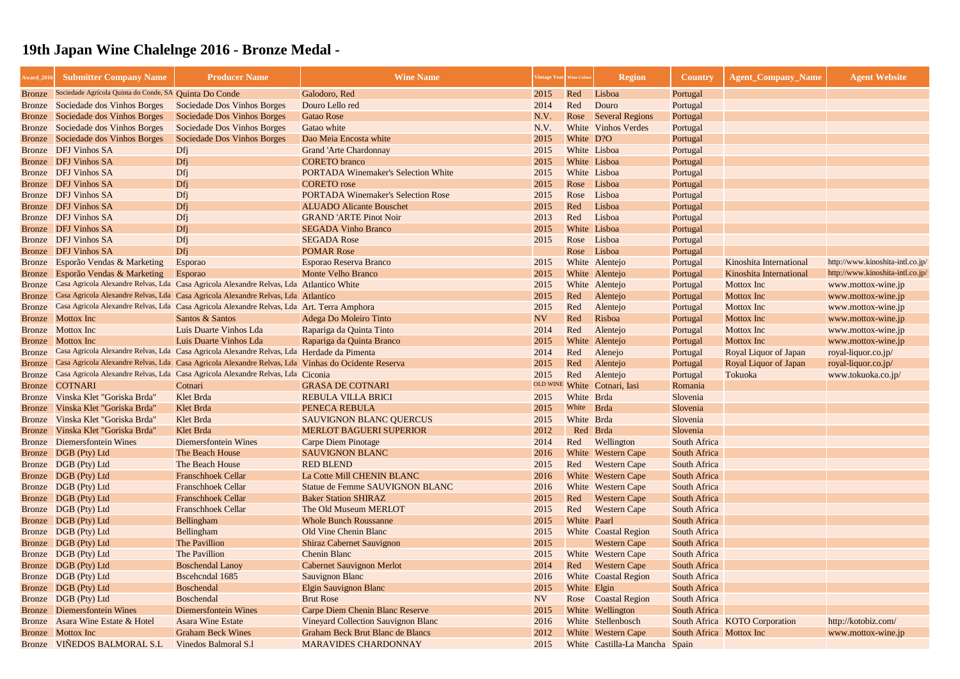| Award_201     | <b>Submitter Company Name</b>                          | <b>Producer Name</b>                                                                               | <b>Wine Name</b>                           | <b>Tintage Year</b> | <b>Vine Colou</b> | <b>Region</b>                  | <b>Country</b>          | <b>Agent_Company_Name</b>     | <b>Agent Website</b>             |
|---------------|--------------------------------------------------------|----------------------------------------------------------------------------------------------------|--------------------------------------------|---------------------|-------------------|--------------------------------|-------------------------|-------------------------------|----------------------------------|
| <b>Bronze</b> | Sociedade Agrícola Quinta do Conde, SA Quinta Do Conde |                                                                                                    | Galodoro, Red                              | 2015                | Red               | Lisboa                         | Portugal                |                               |                                  |
| <b>Bronze</b> | Sociedade dos Vinhos Borges                            | <b>Sociedade Dos Vinhos Borges</b>                                                                 | Douro Lello red                            | 2014                | Red               | Douro                          | Portugal                |                               |                                  |
| <b>Bronze</b> | Sociedade dos Vinhos Borges                            | <b>Sociedade Dos Vinhos Borges</b>                                                                 | Gatao Rose                                 | N.V.                | Rose              | <b>Several Regions</b>         | Portugal                |                               |                                  |
| Bronze        | Sociedade dos Vinhos Borges                            | Sociedade Dos Vinhos Borges                                                                        | Gatao white                                | N.V.                |                   | White Vinhos Verdes            | Portugal                |                               |                                  |
| <b>Bronze</b> | Sociedade dos Vinhos Borges                            | Sociedade Dos Vinhos Borges                                                                        | Dao Meia Encosta white                     | 2015                | White D?O         |                                | Portugal                |                               |                                  |
| Bronze        | <b>DFJ Vinhos SA</b>                                   | Dfj                                                                                                | <b>Grand 'Arte Chardonnay</b>              | 2015                |                   | White Lisboa                   | Portugal                |                               |                                  |
| Bronze        | <b>DFJ Vinhos SA</b>                                   | Dfj                                                                                                | <b>CORETO</b> branco                       | 2015                |                   | White Lisboa                   | Portugal                |                               |                                  |
| Bronze        | <b>DFJ Vinhos SA</b>                                   | Dfi                                                                                                | <b>PORTADA Winemaker's Selection White</b> | 2015                |                   | White Lisboa                   | Portugal                |                               |                                  |
| <b>Bronze</b> | <b>DFJ Vinhos SA</b>                                   | Dfj                                                                                                | <b>CORETO</b> rose                         | 2015                | Rose              | Lisboa                         | Portugal                |                               |                                  |
| Bronze        | <b>DFJ Vinhos SA</b>                                   | Dfj                                                                                                | <b>PORTADA Winemaker's Selection Rose</b>  | 2015                | Rose              | Lisboa                         | Portugal                |                               |                                  |
| Bronze        | <b>DFJ Vinhos SA</b>                                   | Dfj                                                                                                | <b>ALUADO Alicante Bouschet</b>            | 2015                | Red               | Lisboa                         | Portugal                |                               |                                  |
|               | Bronze DFJ Vinhos SA                                   | Dfj                                                                                                | <b>GRAND 'ARTE Pinot Noir</b>              | 2013                | Red               | Lisboa                         | Portugal                |                               |                                  |
| <b>Bronze</b> | <b>DFJ Vinhos SA</b>                                   | Dfj                                                                                                | <b>SEGADA Vinho Branco</b>                 | 2015                |                   | White Lisboa                   | Portugal                |                               |                                  |
| Bronze        | <b>DFJ Vinhos SA</b>                                   | Dfi                                                                                                | <b>SEGADA Rose</b>                         | 2015                | Rose              | Lisboa                         | Portugal                |                               |                                  |
| <b>Bronze</b> | <b>DFJ Vinhos SA</b>                                   | Dfj                                                                                                | <b>POMAR Rose</b>                          |                     | Rose              | Lisboa                         | Portugal                |                               |                                  |
| <b>Bronze</b> | Esporão Vendas & Marketing                             | <b>Esporao</b>                                                                                     | Esporao Reserva Branco                     | 2015                |                   | White Alentejo                 | Portugal                | Kinoshita International       | http://www.kinoshita-intl.co.jp/ |
| <b>Bronze</b> | Esporão Vendas & Marketing                             | Esporao                                                                                            | <b>Monte Velho Branco</b>                  | 2015                |                   | White Alentejo                 | Portugal                | Kinoshita International       | http://www.kinoshita-intl.co.jp/ |
| <b>Bronze</b> |                                                        | Casa Agricola Alexandre Relvas, Lda Casa Agricola Alexandre Relvas, Lda Atlantico White            |                                            | 2015                |                   | White Alentejo                 | Portugal                | <b>Mottox</b> Inc             | www.mottox-wine.jp               |
| <b>Bronze</b> |                                                        | Casa Agricola Alexandre Relvas, Lda Casa Agricola Alexandre Relvas, Lda Atlantico                  |                                            | 2015                | Red               | Alentejo                       | Portugal                | <b>Mottox Inc</b>             | www.mottox-wine.jp               |
| <b>Bronze</b> |                                                        | Casa Agricola Alexandre Relvas, Lda Casa Agricola Alexandre Relvas, Lda Art. Terra Amphora         |                                            | 2015                | Red               | Alentejo                       | Portugal                | Mottox Inc                    | www.mottox-wine.jp               |
| <b>Bronze</b> | Mottox Inc                                             | Santos & Santos                                                                                    | Adega Do Moleiro Tinto                     | <b>NV</b>           | Red               | Risboa                         | Portugal                | Mottox Inc                    | www.mottox-wine.jp               |
| Bronze        | <b>Mottox</b> Inc                                      | Luis Duarte Vinhos Lda                                                                             | Rapariga da Quinta Tinto                   | 2014                | Red               | Alentejo                       | Portugal                | Mottox Inc                    | www.mottox-wine.jp               |
| <b>Bronze</b> | <b>Mottox</b> Inc                                      | Luis Duarte Vinhos Lda                                                                             | Rapariga da Quinta Branco                  | 2015                |                   | White Alentejo                 | Portugal                | <b>Mottox Inc</b>             | www.mottox-wine.jp               |
| <b>Bronze</b> |                                                        | Casa Agricola Alexandre Relvas, Lda Casa Agricola Alexandre Relvas, Lda Herdade da Pimenta         |                                            | 2014                | Red               | Alenejo                        | Portugal                | Royal Liquor of Japan         | royal-liquor.co.jp/              |
| <b>Bronze</b> |                                                        | Casa Agricola Alexandre Relvas, Lda Casa Agricola Alexandre Relvas, Lda Vinhas do Ocidente Reserva |                                            | 2015                | Red               | Alentejo                       | Portugal                | Royal Liquor of Japan         | royal-liquor.co.jp/              |
| <b>Bronze</b> |                                                        | Casa Agricola Alexandre Relvas, Lda Casa Agricola Alexandre Relvas, Lda Ciconia                    |                                            | 2015                | Red               | Alentejo                       | Portugal                | Tokuoka                       | www.tokuoka.co.jp/               |
| <b>Bronze</b> | <b>COTNARI</b>                                         | Cotnari                                                                                            | <b>GRASA DE COTNARI</b>                    |                     |                   | OLD WINE White Cotnari, Iasi   | Romania                 |                               |                                  |
| <b>Bronze</b> | Vinska Klet "Goriska Brda"                             | Klet Brda                                                                                          | <b>REBULA VILLA BRICI</b>                  | 2015                | White Brda        |                                | Slovenia                |                               |                                  |
| <b>Bronze</b> | Vinska Klet "Goriska Brda"                             | Klet Brda                                                                                          | PENECA REBULA                              | 2015                | White             | Brda                           | Slovenia                |                               |                                  |
| Bronze        | Vinska Klet "Goriska Brda"                             | Klet Brda                                                                                          | <b>SAUVIGNON BLANC QUERCUS</b>             | 2015                | White Brda        |                                | Slovenia                |                               |                                  |
|               | Bronze Vinska Klet "Goriska Brda"                      | Klet Brda                                                                                          | <b>MERLOT BAGUERI SUPERIOR</b>             | 2012                |                   | Red Brda                       | Slovenia                |                               |                                  |
|               | <b>Bronze</b> Diemersfontein Wines                     | <b>Diemersfontein Wines</b>                                                                        | <b>Carpe Diem Pinotage</b>                 | 2014                |                   | Red Wellington                 | South Africa            |                               |                                  |
|               | Bronze DGB (Pty) Ltd                                   | The Beach House                                                                                    | <b>SAUVIGNON BLANC</b>                     | 2016                |                   | <b>White Western Cape</b>      | South Africa            |                               |                                  |
|               | Bronze DGB (Pty) Ltd                                   | The Beach House                                                                                    | <b>RED BLEND</b>                           | 2015                | Red               | <b>Western Cape</b>            | South Africa            |                               |                                  |
|               | Bronze DGB (Pty) Ltd                                   | <b>Franschhoek Cellar</b>                                                                          | La Cotte Mill CHENIN BLANC                 | 2016                |                   | <b>White</b> Western Cape      | South Africa            |                               |                                  |
|               | Bronze DGB (Pty) Ltd                                   | <b>Franschhoek Cellar</b>                                                                          | Statue de Femme SAUVIGNON BLANC            | 2016                |                   | <b>White</b> Western Cape      | South Africa            |                               |                                  |
|               | Bronze DGB (Pty) Ltd                                   | <b>Franschhoek Cellar</b>                                                                          | <b>Baker Station SHIRAZ</b>                | 2015                | Red               | <b>Western Cape</b>            | South Africa            |                               |                                  |
|               | Bronze DGB (Pty) Ltd                                   | <b>Franschhoek Cellar</b>                                                                          | The Old Museum MERLOT                      | 2015                | Red               | <b>Western Cape</b>            | South Africa            |                               |                                  |
|               | Bronze DGB (Pty) Ltd                                   | Bellingham                                                                                         | <b>Whole Bunch Roussanne</b>               | 2015                | White Paarl       |                                | South Africa            |                               |                                  |
|               | Bronze DGB (Pty) Ltd                                   | Bellingham                                                                                         | <b>Old Vine Chenin Blanc</b>               | 2015                |                   | <b>White</b> Coastal Region    | South Africa            |                               |                                  |
|               | Bronze DGB (Pty) Ltd                                   | The Pavillion                                                                                      | <b>Shiraz Cabernet Sauvignon</b>           | 2015                |                   | <b>Western Cape</b>            | South Africa            |                               |                                  |
|               | Bronze DGB (Pty) Ltd                                   | The Pavillion                                                                                      | <b>Chenin Blanc</b>                        | 2015                |                   | White Western Cape             | South Africa            |                               |                                  |
|               | Bronze DGB (Pty) Ltd                                   | <b>Boschendal Lanoy</b>                                                                            | <b>Cabernet Sauvignon Merlot</b>           | 2014                | Red               | <b>Western Cape</b>            | South Africa            |                               |                                  |
|               | Bronze DGB (Pty) Ltd                                   | Bscehendal 1685                                                                                    | <b>Sauvignon Blanc</b>                     | 2016                |                   | <b>White</b> Coastal Region    | South Africa            |                               |                                  |
|               | Bronze DGB (Pty) Ltd                                   | <b>Boschendal</b>                                                                                  | <b>Elgin Sauvignon Blanc</b>               | 2015                | White Elgin       |                                | South Africa            |                               |                                  |
|               | Bronze DGB (Pty) Ltd                                   | Boschendal                                                                                         | <b>Brut Rose</b>                           | <b>NV</b>           |                   | <b>Rose Coastal Region</b>     | South Africa            |                               |                                  |
| Bronze        | Diemersfontein Wines                                   | <b>Diemersfontein Wines</b>                                                                        | <b>Carpe Diem Chenin Blanc Reserve</b>     | 2015                |                   | White Wellington               | South Africa            |                               |                                  |
| Bronze        | Asara Wine Estate & Hotel                              | <b>Asara Wine Estate</b>                                                                           | <b>Vineyard Collection Sauvignon Blanc</b> | 2016                |                   | White Stellenbosch             |                         | South Africa KOTO Corporation | http://kotobiz.com/              |
|               | <b>Bronze</b> Mottox Inc                               | <b>Graham Beck Wines</b>                                                                           | Graham Beck Brut Blanc de Blancs           | 2012                |                   | White Western Cape             | South Africa Mottox Inc |                               | www.mottox-wine.jp               |
|               | Bronze VIÑEDOS BALMORAL S.L                            | Vinedos Balmoral S.1                                                                               | <b>MARAVIDES CHARDONNAY</b>                | 2015                |                   | White Castilla-La Mancha Spain |                         |                               |                                  |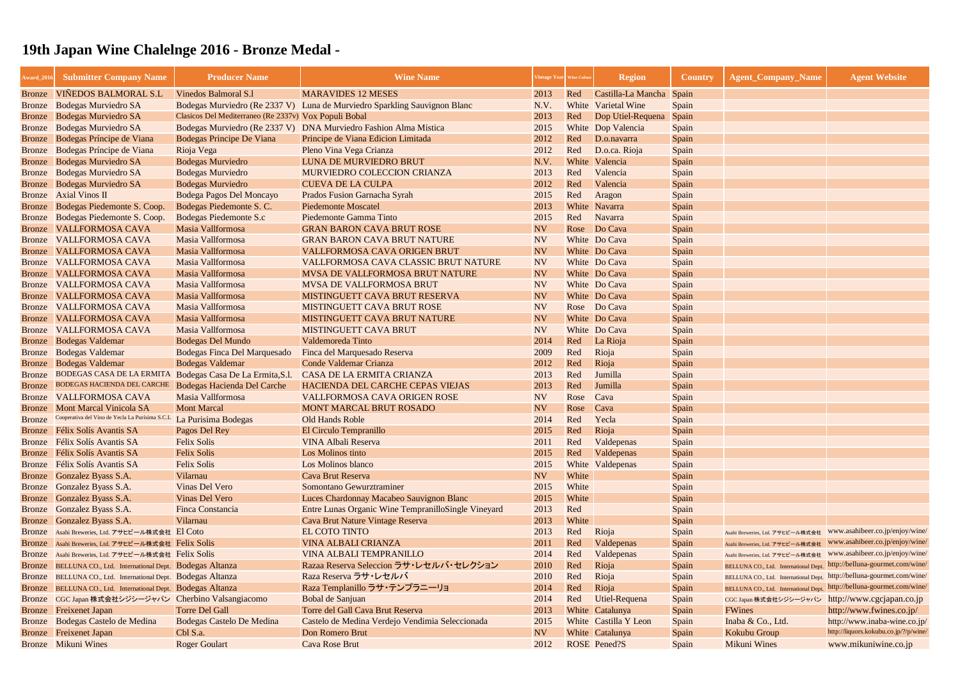| Award_201        | <b>Submitter Company Name</b>                                                                          | <b>Producer Name</b>                                  | <b>Wine Name</b>                                                          |              | /intage Year   Wine Colou | <b>Region</b>            | <b>Country</b> | <b>Agent_Company_Name</b>                                                                                                                        | <b>Agent Website</b>                                               |
|------------------|--------------------------------------------------------------------------------------------------------|-------------------------------------------------------|---------------------------------------------------------------------------|--------------|---------------------------|--------------------------|----------------|--------------------------------------------------------------------------------------------------------------------------------------------------|--------------------------------------------------------------------|
| <b>Bronze</b>    | <b>VIÑEDOS BALMORAL S.L</b>                                                                            | Vinedos Balmoral S.1                                  | <b>MARAVIDES 12 MESES</b>                                                 | 2013         | Red                       | Castilla-La Mancha Spain |                |                                                                                                                                                  |                                                                    |
| <b>Bronze</b>    | <b>Bodegas Murviedro SA</b>                                                                            |                                                       | Bodegas Murviedro (Re 2337 V) Luna de Murviedro Sparkling Sauvignon Blanc | N.V.         |                           | White Varietal Wine      | Spain          |                                                                                                                                                  |                                                                    |
| <b>Bronze</b>    | <b>Bodegas Murviedro SA</b>                                                                            | Clasicos Del Mediterraneo (Re 2337v) Vox Populi Bobal |                                                                           | 2013         | Red                       | Dop Utiel-Requena        | Spain          |                                                                                                                                                  |                                                                    |
| <b>Bronze</b>    | <b>Bodegas Murviedro SA</b>                                                                            | Bodegas Murviedro (Re 2337 V)                         | <b>DNA Murviedro Fashion Alma Mistica</b>                                 | 2015         |                           | White Dop Valencia       | Spain          |                                                                                                                                                  |                                                                    |
| <b>Bronze</b>    | Bodegas Príncipe de Viana                                                                              | Bodegas Principe De Viana                             | Principe de Viana Edicion Limitada                                        | 2012         | Red                       | D.o.navarra              | Spain          |                                                                                                                                                  |                                                                    |
| <b>Bronze</b>    | Bodegas Príncipe de Viana                                                                              | Rioja Vega                                            | Pleno Vina Vega Crianza                                                   | 2012         | Red                       | D.o.ca. Rioja            | Spain          |                                                                                                                                                  |                                                                    |
| <b>Bronze</b>    | <b>Bodegas Murviedro SA</b>                                                                            | <b>Bodegas Murviedro</b>                              | LUNA DE MURVIEDRO BRUT                                                    | N.V.         |                           | White Valencia           | Spain          |                                                                                                                                                  |                                                                    |
| <b>Bronze</b>    | <b>Bodegas Murviedro SA</b>                                                                            | <b>Bodegas Murviedro</b>                              | <b>MURVIEDRO COLECCION CRIANZA</b>                                        | 2013         | Red                       | Valencia                 | Spain          |                                                                                                                                                  |                                                                    |
| <b>Bronze</b>    | <b>Bodegas Murviedro SA</b>                                                                            | <b>Bodegas Murviedro</b>                              | <b>CUEVA DE LA CULPA</b>                                                  | 2012         | Red                       | Valencia                 | Spain          |                                                                                                                                                  |                                                                    |
| <b>Bronze</b>    | <b>Axial Vinos II</b>                                                                                  | Bodega Pagos Del Moncayo                              | Prados Fusion Garnacha Syrah                                              | 2015         | Red                       | Aragon                   | Spain          |                                                                                                                                                  |                                                                    |
| <b>Bronze</b>    | Bodegas Piedemonte S. Coop.                                                                            | Bodegas Piedemonte S. C.                              | <b>Piedemonte Moscatel</b>                                                | 2013         |                           | White Navarra            | Spain          |                                                                                                                                                  |                                                                    |
| <b>Bronze</b>    | Bodegas Piedemonte S. Coop.                                                                            | Bodegas Piedemonte S.c                                | Piedemonte Gamma Tinto                                                    | 2015         | Red                       | Navarra                  | Spain          |                                                                                                                                                  |                                                                    |
| <b>Bronze</b>    | <b>VALLFORMOSA CAVA</b>                                                                                | Masia Vallformosa                                     | <b>GRAN BARON CAVA BRUT ROSE</b>                                          | <b>NV</b>    | Rose                      | Do Cava                  | Spain          |                                                                                                                                                  |                                                                    |
| <b>Bronze</b>    | <b>VALLFORMOSA CAVA</b>                                                                                | Masia Vallformosa                                     | <b>GRAN BARON CAVA BRUT NATURE</b>                                        | <b>NV</b>    |                           | White Do Cava            | Spain          |                                                                                                                                                  |                                                                    |
| <b>Bronze</b>    | <b>VALLFORMOSA CAVA</b>                                                                                | Masia Vallformosa                                     | <b>VALLFORMOSA CAVA ORIGEN BRUT</b>                                       | <b>NV</b>    |                           | White Do Cava            | Spain          |                                                                                                                                                  |                                                                    |
| <b>Bronze</b>    | <b>VALLFORMOSA CAVA</b>                                                                                | Masia Vallformosa                                     | VALLFORMOSA CAVA CLASSIC BRUT NATURE                                      | <b>NV</b>    |                           | White Do Cava            | Spain          |                                                                                                                                                  |                                                                    |
| <b>Bronze</b>    | <b>VALLFORMOSA CAVA</b>                                                                                | Masia Vallformosa                                     | <b>MVSA DE VALLFORMOSA BRUT NATURE</b>                                    | <b>NV</b>    |                           | White Do Cava            | Spain          |                                                                                                                                                  |                                                                    |
| <b>Bronze</b>    | <b>VALLFORMOSA CAVA</b>                                                                                | Masia Vallformosa                                     | <b>MVSA DE VALLFORMOSA BRUT</b>                                           | <b>NV</b>    |                           | White Do Cava            | Spain          |                                                                                                                                                  |                                                                    |
| <b>Bronze</b>    | <b>VALLFORMOSA CAVA</b>                                                                                | Masia Vallformosa                                     | MISTINGUETT CAVA BRUT RESERVA                                             | <b>NV</b>    |                           | White Do Cava            | Spain          |                                                                                                                                                  |                                                                    |
| <b>Bronze</b>    | <b>VALLFORMOSA CAVA</b>                                                                                | Masia Vallformosa                                     | MISTINGUETT CAVA BRUT ROSE                                                | <b>NV</b>    | Rose                      | Do Cava                  | Spain          |                                                                                                                                                  |                                                                    |
| <b>Bronze</b>    | <b>VALLFORMOSA CAVA</b>                                                                                | Masia Vallformosa                                     | MISTINGUETT CAVA BRUT NATURE                                              | <b>NV</b>    |                           | White Do Cava            | Spain          |                                                                                                                                                  |                                                                    |
| <b>Bronze</b>    | <b>VALLFORMOSA CAVA</b>                                                                                | Masia Vallformosa                                     | <b>MISTINGUETT CAVA BRUT</b>                                              | <b>NV</b>    |                           | White Do Cava            | Spain          |                                                                                                                                                  |                                                                    |
| <b>Bronze</b>    | <b>Bodegas Valdemar</b>                                                                                | <b>Bodegas Del Mundo</b>                              | Valdemoreda Tinto                                                         | 2014         | Red                       | La Rioja                 | Spain          |                                                                                                                                                  |                                                                    |
| Bronze           | <b>Bodegas Valdemar</b>                                                                                | Bodegas Finca Del Marquesado                          | Finca del Marquesado Reserva                                              | 2009         | Red                       | Rioja                    | Spain          |                                                                                                                                                  |                                                                    |
| <b>Bronze</b>    | <b>Bodegas Valdemar</b>                                                                                | <b>Bodegas Valdemar</b>                               | <b>Conde Valdemar Crianza</b>                                             | 2012         | Red                       | Rioja                    | Spain          |                                                                                                                                                  |                                                                    |
| <b>Bronze</b>    | <b>BODEGAS CASA DE LA ERMITA</b>                                                                       | Bodegas Casa De La Ermita, S.l.                       | <b>CASA DE LA ERMITA CRIANZA</b>                                          | 2013         | Red                       | Jumilla                  | Spain          |                                                                                                                                                  |                                                                    |
| <b>Bronze</b>    | <b>BODEGAS HACIENDA DEL CARCHE</b>                                                                     | Bodegas Hacienda Del Carche                           | HACIENDA DEL CARCHE CEPAS VIEJAS                                          | 2013         | Red                       | Jumilla                  | Spain          |                                                                                                                                                  |                                                                    |
| <b>Bronze</b>    | <b>VALLFORMOSA CAVA</b>                                                                                | Masia Vallformosa                                     | <b>VALLFORMOSA CAVA ORIGEN ROSE</b>                                       | <b>NV</b>    | Rose                      | Cava                     | Spain          |                                                                                                                                                  |                                                                    |
| <b>Bronze</b>    | <b>Mont Marcal Vinicola SA</b>                                                                         | <b>Mont Marcal</b>                                    | MONT MARCAL BRUT ROSADO                                                   | <b>NV</b>    | Rose                      | Cava                     | Spain          |                                                                                                                                                  |                                                                    |
| <b>Bronze</b>    | Cooperativa del Vino de Yecla La Purísima S.C.I                                                        | La Purisima Bodegas                                   | <b>Old Hands Roble</b>                                                    | 2014         | Red                       | Yecla                    | Spain          |                                                                                                                                                  |                                                                    |
|                  | Bronze Félix Solís Avantis SA                                                                          | Pagos Del Rey                                         | El Circulo Tempranillo                                                    | 2015         | Red                       | Rioja                    | Spain          |                                                                                                                                                  |                                                                    |
|                  | Bronze Félix Solís Avantis SA                                                                          | <b>Felix Solis</b>                                    | <b>VINA Albali Reserva</b>                                                | 201          | Red                       | Valdepenas               | Spain          |                                                                                                                                                  |                                                                    |
| <b>Bronze</b>    | Félix Solís Avantis SA                                                                                 | <b>Felix Solis</b>                                    | Los Molinos tinto                                                         | 2015         | Red                       | Valdepenas               | Spain          |                                                                                                                                                  |                                                                    |
| <b>Bronze</b>    | Félix Solís Avantis SA                                                                                 | <b>Felix Solis</b>                                    | Los Molinos blanco                                                        | 2015         |                           | White Valdepenas         | Spain          |                                                                                                                                                  |                                                                    |
| Bronze           | Gonzalez Byass S.A.                                                                                    | Vilarnau                                              | Cava Brut Reserva                                                         | <b>NV</b>    | White                     |                          | Spain          |                                                                                                                                                  |                                                                    |
| <b>Bronze</b>    | Gonzalez Byass S.A.                                                                                    | <b>Vinas Del Vero</b>                                 | Somontano Gewurztraminer                                                  | 2015         | White                     |                          | Spain          |                                                                                                                                                  |                                                                    |
| <b>Bronze</b>    | Gonzalez Byass S.A.                                                                                    | <b>Vinas Del Vero</b>                                 | Luces Chardonnay Macabeo Sauvignon Blanc                                  | 2015         | White                     |                          | Spain          |                                                                                                                                                  |                                                                    |
| Bronze           | Gonzalez Byass S.A.                                                                                    | <b>Finca Constancia</b>                               | Entre Lunas Organic Wine TempranilloSingle Vineyard                       | 2013         | Red                       |                          | Spain          |                                                                                                                                                  |                                                                    |
| <b>Bronze</b>    | Gonzalez Byass S.A.                                                                                    | Vilarnau                                              | Cava Brut Nature Vintage Reserva                                          | 2013         | White                     |                          | Spain          |                                                                                                                                                  |                                                                    |
| <b>Bronze</b>    | Asahi Breweries, Ltd. アサヒビール株式会社 El Coto                                                               |                                                       | <b>EL COTO TINTO</b>                                                      | 2013         | Red                       | Rioja                    | Spain          | Asahi Breweries, Ltd. アサヒビール株式会社                                                                                                                 | www.asahibeer.co.jp/enjoy/wine/<br>www.asahibeer.co.jp/enjoy/wine/ |
| <b>Bronze</b>    | Asahi Breweries, Ltd. アサヒビール株式会社 Felix Solis                                                           |                                                       | <b>VINA ALBALI CRIANZA</b>                                                | 2011         | Red                       | Valdepenas               | Spain          | Asahi Breweries, Ltd. アサヒビール株式会社                                                                                                                 | www.asahibeer.co.jp/enjoy/wine/                                    |
| Bronze           | Asahi Breweries, Ltd. アサヒビール株式会社 Felix Solis                                                           |                                                       | <b>VINA ALBALI TEMPRANILLO</b>                                            | 2014         | Red                       | Valdepenas               | Spain          | Asahi Breweries, Ltd. アサヒビール株式会社                                                                                                                 | http://belluna-gourmet.com/wine/                                   |
|                  | Bronze BELLUNA CO., Ltd. International Dept. Bodegas Altanza                                           |                                                       | Razaa Reserva Seleccion ラサ・レセルバ・セレクション                                    | 2010         | Red                       | Rioja                    | Spain          | BELLUNA CO., Ltd. International Dept.                                                                                                            |                                                                    |
| Bronze           | BELLUNA CO., Ltd. International Dept. Bodegas Altanza                                                  |                                                       | Raza Reserva ラサ・レセルバ                                                      | 2010         | Red                       | Rioja                    | Spain          | BELLUNA CO., Ltd. International Dept. http://belluna-gourmet.com/wine/<br>BELLUNA CO., Ltd. International Dept. http://belluna-gourmet.com/wine/ |                                                                    |
| <b>Bronze</b>    | BELLUNA CO., Ltd. International Dept. Bodegas Altanza<br>CGC Japan 株式会社シジシージャパン Cherbino Valsangiacomo |                                                       | Raza Templanillo ラサ・テンプラニーリョ<br>Bobal de Sanjuan                          | 2014<br>2014 | Red<br>Red                | Rioja<br>Utiel-Requena   | Spain          |                                                                                                                                                  |                                                                    |
| Bronze<br>Bronze | <b>Freixenet Japan</b>                                                                                 | <b>Torre Del Gall</b>                                 | Torre del Gall Cava Brut Reserva                                          | 2013         |                           | White Catalunya          | Spain<br>Spain | CGC Japan 株式会社シジシージャパン http://www.cgcjapan.co.jp<br><b>FWines</b>                                                                                | http://www.fwines.co.jp/                                           |
| <b>Bronze</b>    | Bodegas Castelo de Medina                                                                              | <b>Bodegas Castelo De Medina</b>                      | Castelo de Medina Verdejo Vendimia Seleccionada                           | 2015         |                           | White Castilla Y Leon    | Spain          | Inaba & Co., Ltd.                                                                                                                                | http://www.inaba-wine.co.jp/                                       |
| Bronze           | <b>Freixenet Japan</b>                                                                                 | Cbl S.a.                                              | Don Romero Brut                                                           | <b>NV</b>    |                           | White Catalunya          | Spain          | Kokubu Group                                                                                                                                     | http://liquors.kokubu.co.jp/?/p/wine/                              |
|                  | Bronze Mikuni Wines                                                                                    | <b>Roger Goulart</b>                                  | <b>Cava Rose Brut</b>                                                     | 2012         |                           | <b>ROSE</b> Pened?S      | Spain          | <b>Mikuni Wines</b>                                                                                                                              | www.mikuniwine.co.jp                                               |
|                  |                                                                                                        |                                                       |                                                                           |              |                           |                          |                |                                                                                                                                                  |                                                                    |